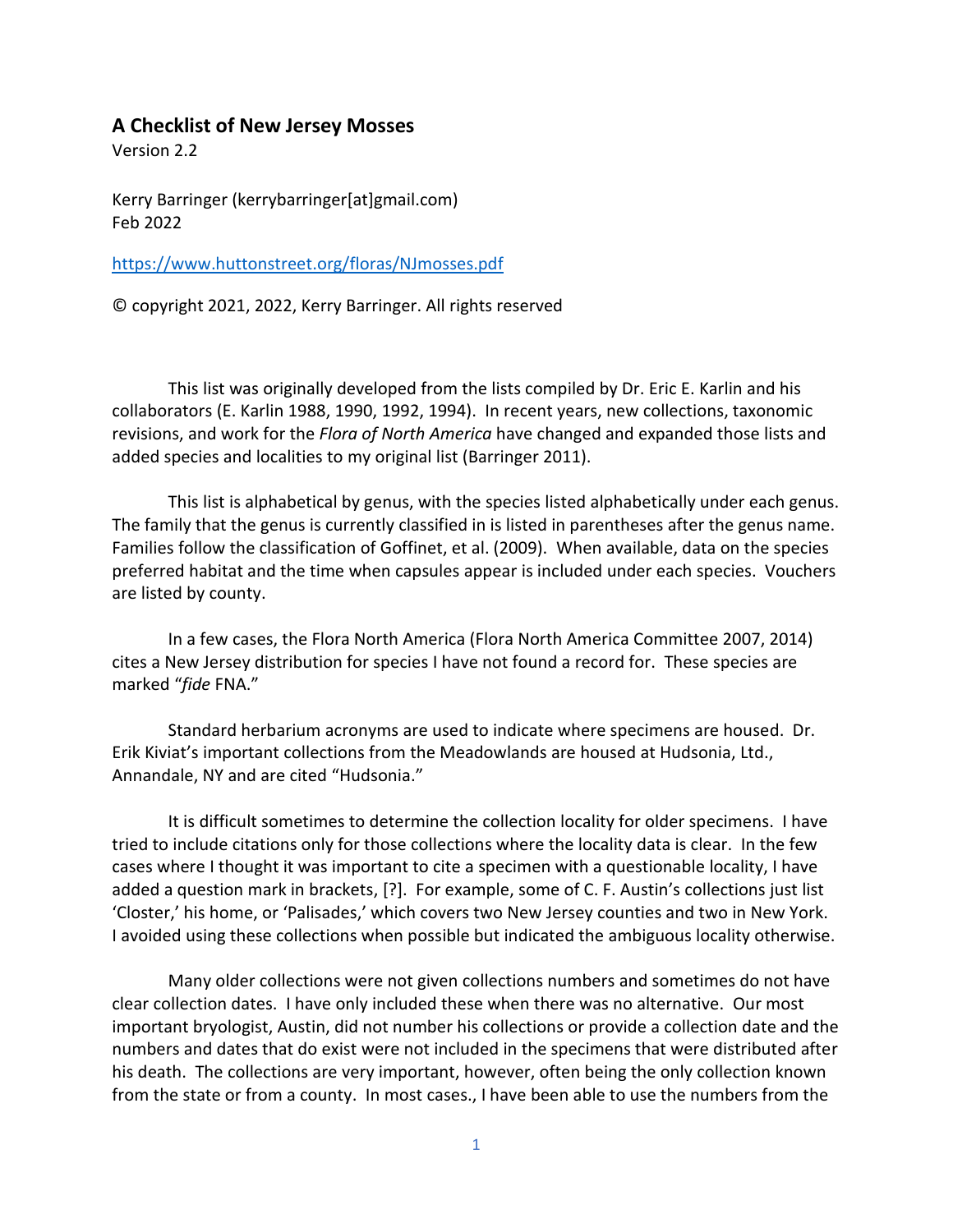# **A Checklist of New Jersey Mosses**

Version 2.2

Kerry Barringer (kerrybarringer[at]gmail.com) Feb 2022

<https://www.huttonstreet.org/floras/NJmosses.pdf>

© copyright 2021, 2022, Kerry Barringer. All rights reserved

This list was originally developed from the lists compiled by Dr. Eric E. Karlin and his collaborators (E. Karlin 1988, 1990, 1992, 1994). In recent years, new collections, taxonomic revisions, and work for the *Flora of North America* have changed and expanded those lists and added species and localities to my original list (Barringer 2011).

This list is alphabetical by genus, with the species listed alphabetically under each genus. The family that the genus is currently classified in is listed in parentheses after the genus name. Families follow the classification of Goffinet, et al. (2009). When available, data on the species preferred habitat and the time when capsules appear is included under each species. Vouchers are listed by county.

In a few cases, the Flora North America (Flora North America Committee 2007, 2014) cites a New Jersey distribution for species I have not found a record for. These species are marked "*fide* FNA."

Standard herbarium acronyms are used to indicate where specimens are housed. Dr. Erik Kiviat's important collections from the Meadowlands are housed at Hudsonia, Ltd., Annandale, NY and are cited "Hudsonia."

It is difficult sometimes to determine the collection locality for older specimens. I have tried to include citations only for those collections where the locality data is clear. In the few cases where I thought it was important to cite a specimen with a questionable locality, I have added a question mark in brackets, [?]. For example, some of C. F. Austin's collections just list 'Closter,' his home, or 'Palisades,' which covers two New Jersey counties and two in New York. I avoided using these collections when possible but indicated the ambiguous locality otherwise.

Many older collections were not given collections numbers and sometimes do not have clear collection dates. I have only included these when there was no alternative. Our most important bryologist, Austin, did not number his collections or provide a collection date and the numbers and dates that do exist were not included in the specimens that were distributed after his death. The collections are very important, however, often being the only collection known from the state or from a county. In most cases., I have been able to use the numbers from the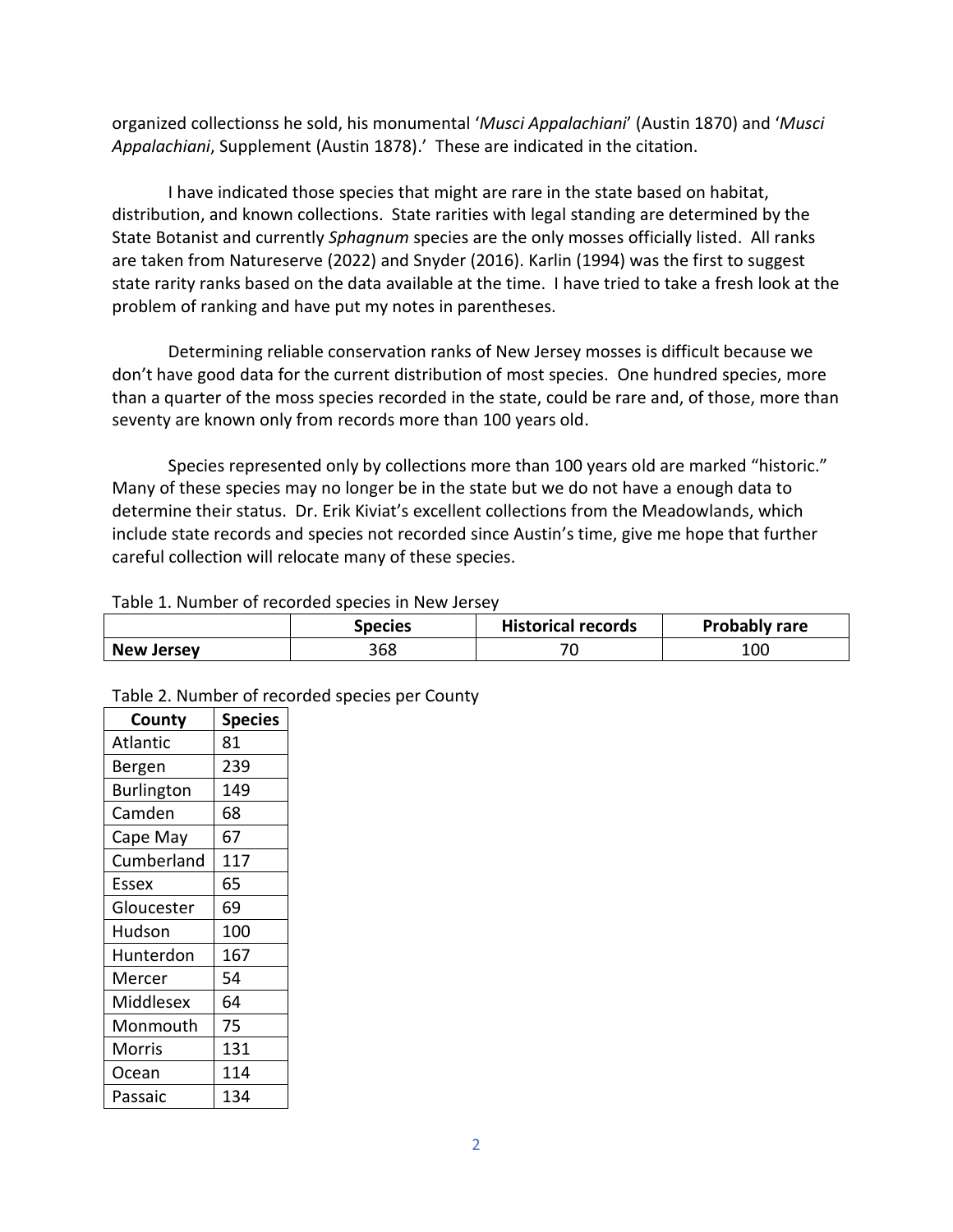organized collectionss he sold, his monumental '*Musci Appalachiani*' (Austin 1870) and '*Musci Appalachiani*, Supplement (Austin 1878).' These are indicated in the citation.

I have indicated those species that might are rare in the state based on habitat, distribution, and known collections. State rarities with legal standing are determined by the State Botanist and currently *Sphagnum* species are the only mosses officially listed. All ranks are taken from Natureserve (2022) and Snyder (2016). Karlin (1994) was the first to suggest state rarity ranks based on the data available at the time. I have tried to take a fresh look at the problem of ranking and have put my notes in parentheses.

Determining reliable conservation ranks of New Jersey mosses is difficult because we don't have good data for the current distribution of most species. One hundred species, more than a quarter of the moss species recorded in the state, could be rare and, of those, more than seventy are known only from records more than 100 years old.

Species represented only by collections more than 100 years old are marked "historic." Many of these species may no longer be in the state but we do not have a enough data to determine their status. Dr. Erik Kiviat's excellent collections from the Meadowlands, which include state records and species not recorded since Austin's time, give me hope that further careful collection will relocate many of these species.

# Table 1. Number of recorded species in New Jersey

|                   | <b>Species</b> | <b>Historical records</b> | <b>Probably rare</b> |
|-------------------|----------------|---------------------------|----------------------|
| <b>New Jersey</b> | 368            | $\overline{\phantom{a}}$  | 100                  |

| County            | <b>Species</b> |
|-------------------|----------------|
| <b>Atlantic</b>   | 81             |
| Bergen            | 239            |
| <b>Burlington</b> | 149            |
| Camden            | 68             |
| Cape May          | 67             |
| Cumberland        | 117            |
| Essex             | 65             |
| Gloucester        | 69             |
| Hudson            | 100            |
| Hunterdon         | 167            |
| Mercer            | 54             |
| Middlesex         | 64             |
| Monmouth          | 75             |
| Morris            | 131            |
| Ocean             | 114            |
| Passaic           | 134            |

Table 2. Number of recorded species per County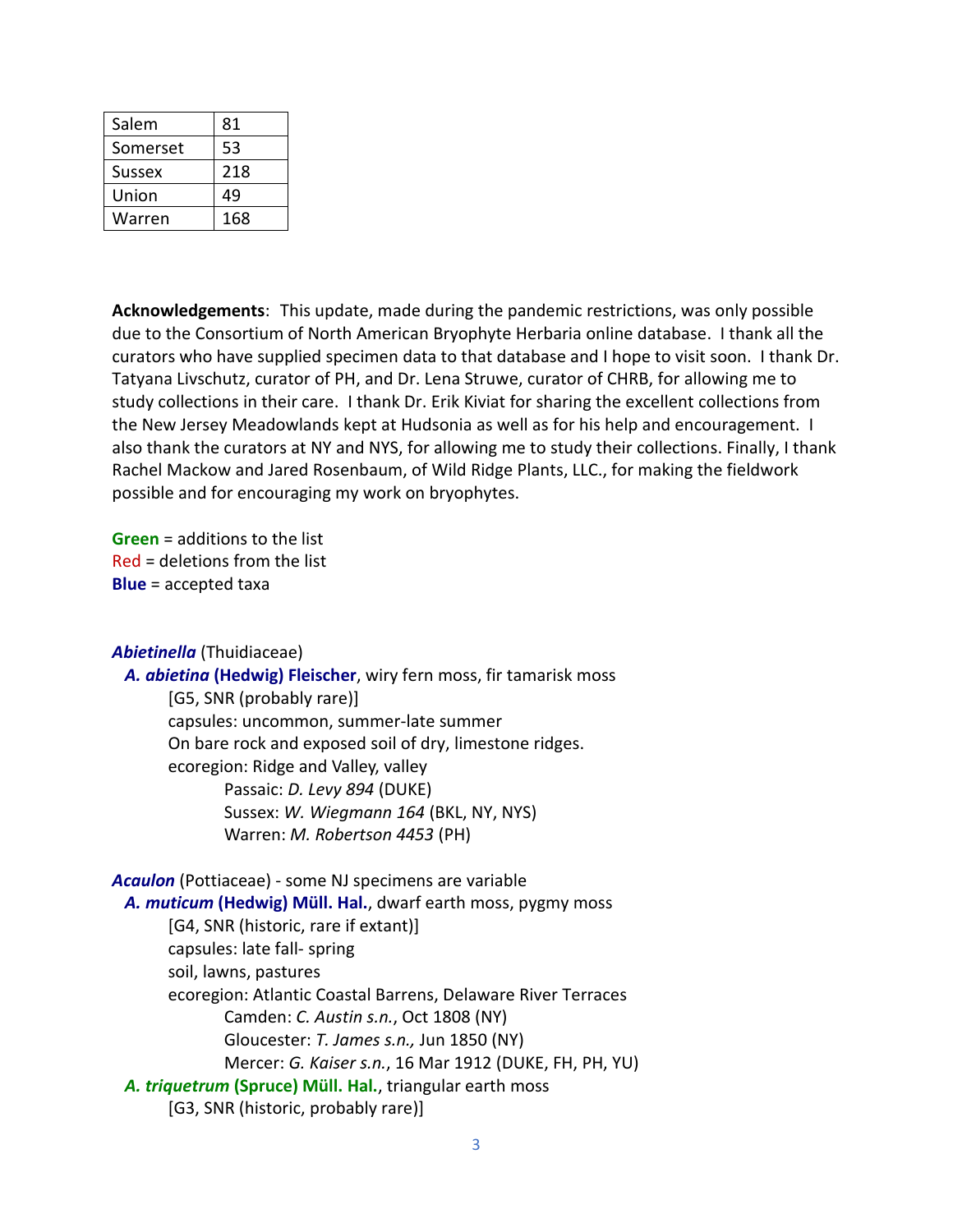| Salem         | 81  |
|---------------|-----|
| Somerset      | 53  |
| <b>Sussex</b> | 218 |
| Union         | 49  |
| Warren        | 168 |

**Acknowledgements**: This update, made during the pandemic restrictions, was only possible due to the Consortium of North American Bryophyte Herbaria online database. I thank all the curators who have supplied specimen data to that database and I hope to visit soon. I thank Dr. Tatyana Livschutz, curator of PH, and Dr. Lena Struwe, curator of CHRB, for allowing me to study collections in their care. I thank Dr. Erik Kiviat for sharing the excellent collections from the New Jersey Meadowlands kept at Hudsonia as well as for his help and encouragement. I also thank the curators at NY and NYS, for allowing me to study their collections. Finally, I thank Rachel Mackow and Jared Rosenbaum, of Wild Ridge Plants, LLC., for making the fieldwork possible and for encouraging my work on bryophytes.

**Green** = additions to the list Red = deletions from the list **Blue** = accepted taxa

# *Abietinella* (Thuidiaceae)

 *A. abietina* **(Hedwig) Fleischer**, wiry fern moss, fir tamarisk moss [G5, SNR (probably rare)] capsules: uncommon, summer-late summer On bare rock and exposed soil of dry, limestone ridges. ecoregion: Ridge and Valley, valley Passaic: *D. Levy 894* (DUKE) Sussex: *W. Wiegmann 164* (BKL, NY, NYS) Warren: *M. Robertson 4453* (PH)

*Acaulon* (Pottiaceae) - some NJ specimens are variable *A. muticum* **(Hedwig) Müll. Hal.**, dwarf earth moss, pygmy moss [G4, SNR (historic, rare if extant)] capsules: late fall- spring soil, lawns, pastures ecoregion: Atlantic Coastal Barrens, Delaware River Terraces Camden: *C. Austin s.n.*, Oct 1808 (NY) Gloucester: *T. James s.n.,* Jun 1850 (NY) Mercer: *G. Kaiser s.n.*, 16 Mar 1912 (DUKE, FH, PH, YU)  *A. triquetrum* **(Spruce) Müll. Hal.**, triangular earth moss [G3, SNR (historic, probably rare)]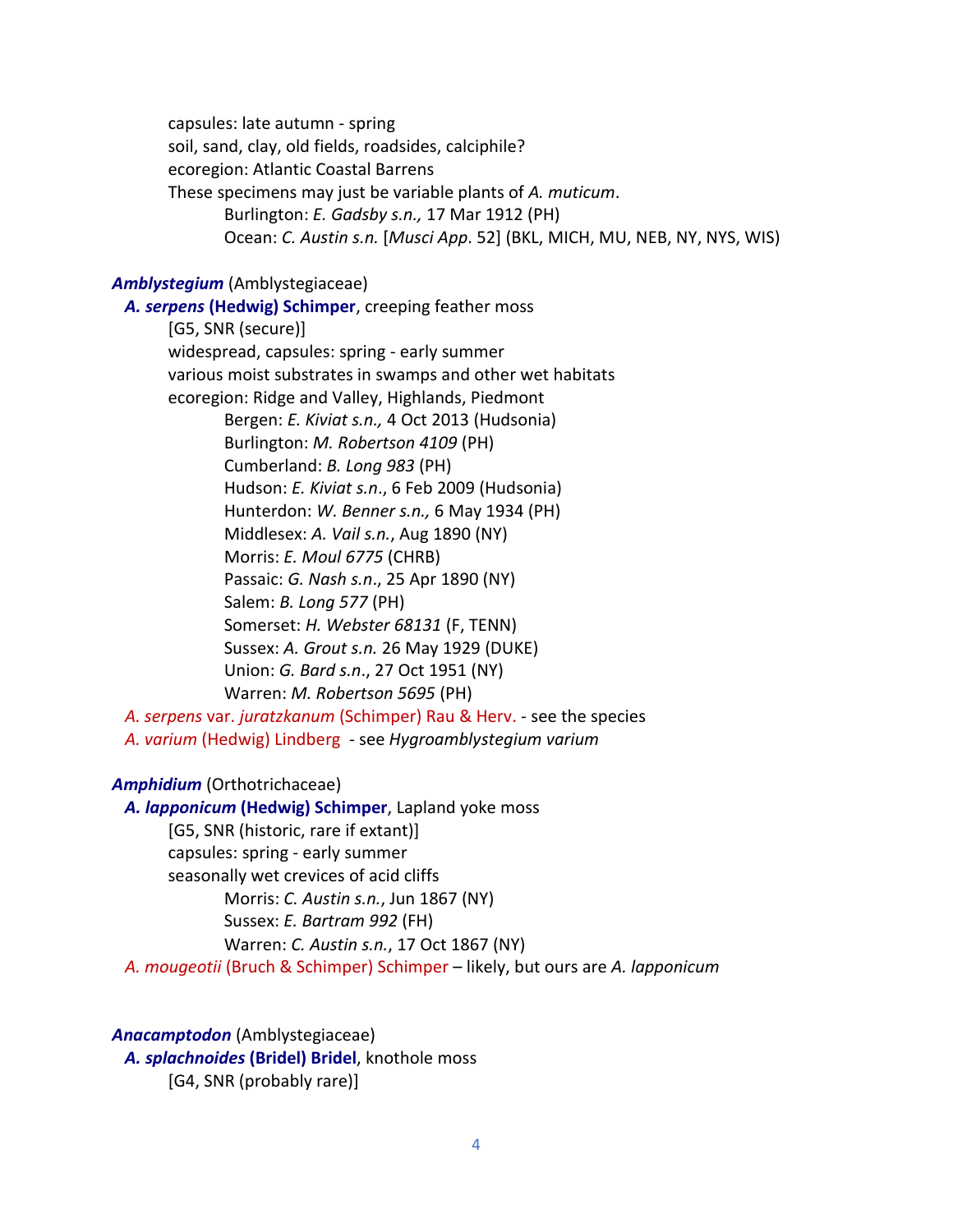capsules: late autumn - spring soil, sand, clay, old fields, roadsides, calciphile? ecoregion: Atlantic Coastal Barrens These specimens may just be variable plants of *A. muticum*. Burlington: *E. Gadsby s.n.,* 17 Mar 1912 (PH) Ocean: *C. Austin s.n.* [*Musci App*. 52] (BKL, MICH, MU, NEB, NY, NYS, WIS)

# *Amblystegium* (Amblystegiaceae)

 *A. serpens* **(Hedwig) Schimper**, creeping feather moss [G5, SNR (secure)] widespread, capsules: spring - early summer various moist substrates in swamps and other wet habitats ecoregion: Ridge and Valley, Highlands, Piedmont Bergen: *E. Kiviat s.n.,* 4 Oct 2013 (Hudsonia) Burlington: *M. Robertson 4109* (PH) Cumberland: *B. Long 983* (PH) Hudson: *E. Kiviat s.n*., 6 Feb 2009 (Hudsonia) Hunterdon: *W. Benner s.n.,* 6 May 1934 (PH) Middlesex: *A. Vail s.n.*, Aug 1890 (NY) Morris: *E. Moul 6775* (CHRB) Passaic: *G. Nash s.n*., 25 Apr 1890 (NY) Salem: *B. Long 577* (PH) Somerset: *H. Webster 68131* (F, TENN) Sussex: *A. Grout s.n.* 26 May 1929 (DUKE) Union: *G. Bard s.n*., 27 Oct 1951 (NY) Warren: *M. Robertson 5695* (PH)  *A. serpens* var. *juratzkanum* (Schimper) Rau & Herv. - see the species

 *A. varium* (Hedwig) Lindberg - see *Hygroamblystegium varium*

#### *Amphidium* (Orthotrichaceae)

 *A. lapponicum* **(Hedwig) Schimper**, Lapland yoke moss [G5, SNR (historic, rare if extant)] capsules: spring - early summer seasonally wet crevices of acid cliffs Morris: *C. Austin s.n.*, Jun 1867 (NY) Sussex: *E. Bartram 992* (FH) Warren: *C. Austin s.n.*, 17 Oct 1867 (NY)  *A. mougeotii* (Bruch & Schimper) Schimper – likely, but ours are *A. lapponicum*

# *Anacamptodon* (Amblystegiaceae)

 *A. splachnoides* **(Bridel) Bridel**, knothole moss [G4, SNR (probably rare)]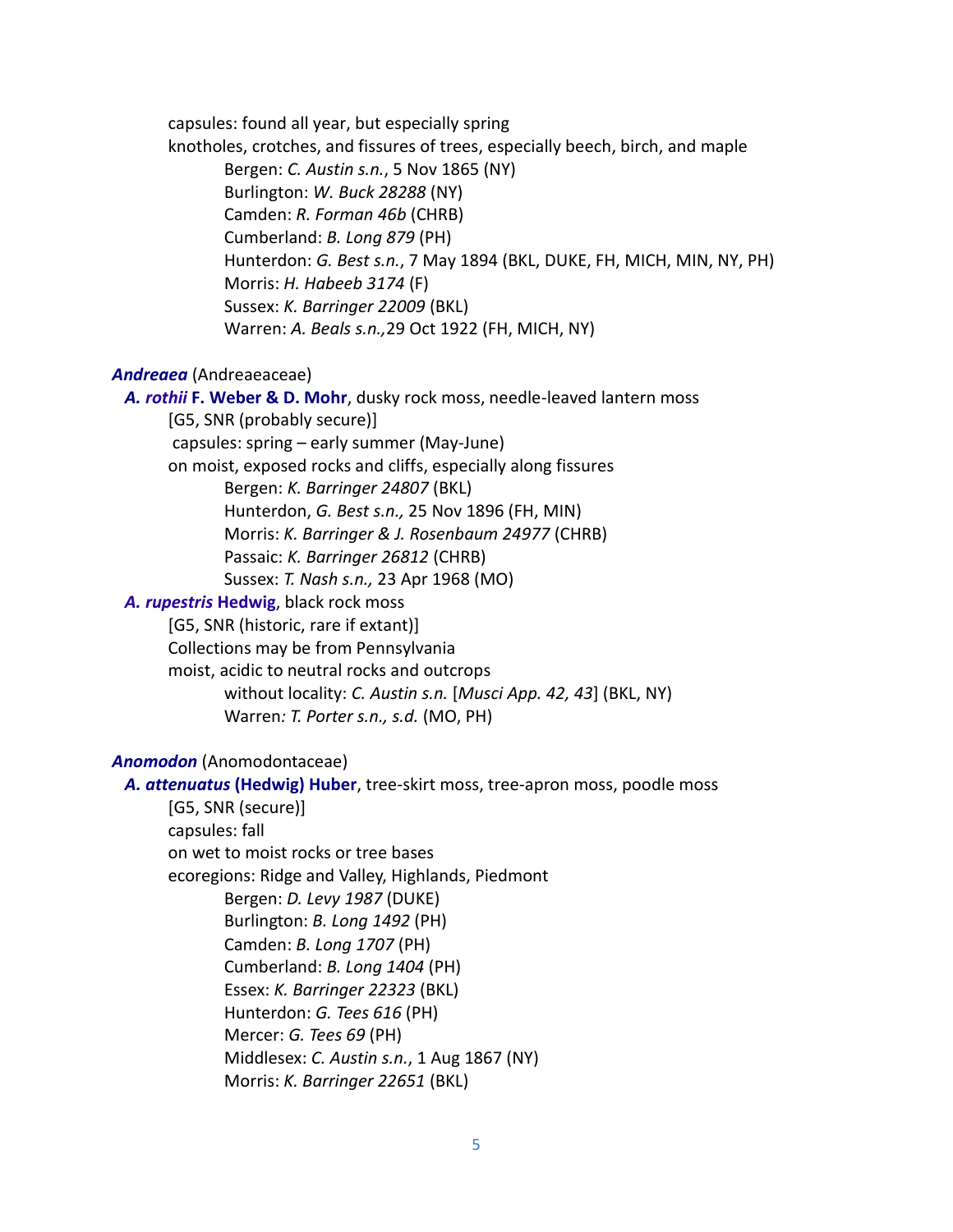capsules: found all year, but especially spring

knotholes, crotches, and fissures of trees, especially beech, birch, and maple Bergen: *C. Austin s.n.*, 5 Nov 1865 (NY) Burlington: *W. Buck 28288* (NY) Camden: *R. Forman 46b* (CHRB) Cumberland: *B. Long 879* (PH) Hunterdon: *G. Best s.n.*, 7 May 1894 (BKL, DUKE, FH, MICH, MIN, NY, PH) Morris: *H. Habeeb 3174* (F) Sussex: *K. Barringer 22009* (BKL) Warren: *A. Beals s.n.,*29 Oct 1922 (FH, MICH, NY)

# *Andreaea* (Andreaeaceae)

 *A. rothii* **F. Weber & D. Mohr**, dusky rock moss, needle-leaved lantern moss [G5, SNR (probably secure)] capsules: spring – early summer (May-June)

on moist, exposed rocks and cliffs, especially along fissures

Bergen: *K. Barringer 24807* (BKL) Hunterdon, *G. Best s.n.,* 25 Nov 1896 (FH, MIN) Morris: *K. Barringer & J. Rosenbaum 24977* (CHRB) Passaic: *K. Barringer 26812* (CHRB)

Sussex: *T. Nash s.n.,* 23 Apr 1968 (MO)

# *A. rupestris* **Hedwig**, black rock moss

[G5, SNR (historic, rare if extant)]

Collections may be from Pennsylvania

moist, acidic to neutral rocks and outcrops

without locality: *C. Austin s.n.* [*Musci App. 42, 43*] (BKL, NY) Warren*: T. Porter s.n., s.d.* (MO, PH)

# *Anomodon* (Anomodontaceae)

 *A. attenuatus* **(Hedwig) Huber**, tree-skirt moss, tree-apron moss, poodle moss [G5, SNR (secure)] capsules: fall on wet to moist rocks or tree bases ecoregions: Ridge and Valley, Highlands, Piedmont Bergen: *D. Levy 1987* (DUKE) Burlington: *B. Long 1492* (PH) Camden: *B. Long 1707* (PH) Cumberland: *B. Long 1404* (PH) Essex: *K. Barringer 22323* (BKL) Hunterdon: *G. Tees 616* (PH) Mercer: *G. Tees 69* (PH) Middlesex: *C. Austin s.n.*, 1 Aug 1867 (NY) Morris: *K. Barringer 22651* (BKL)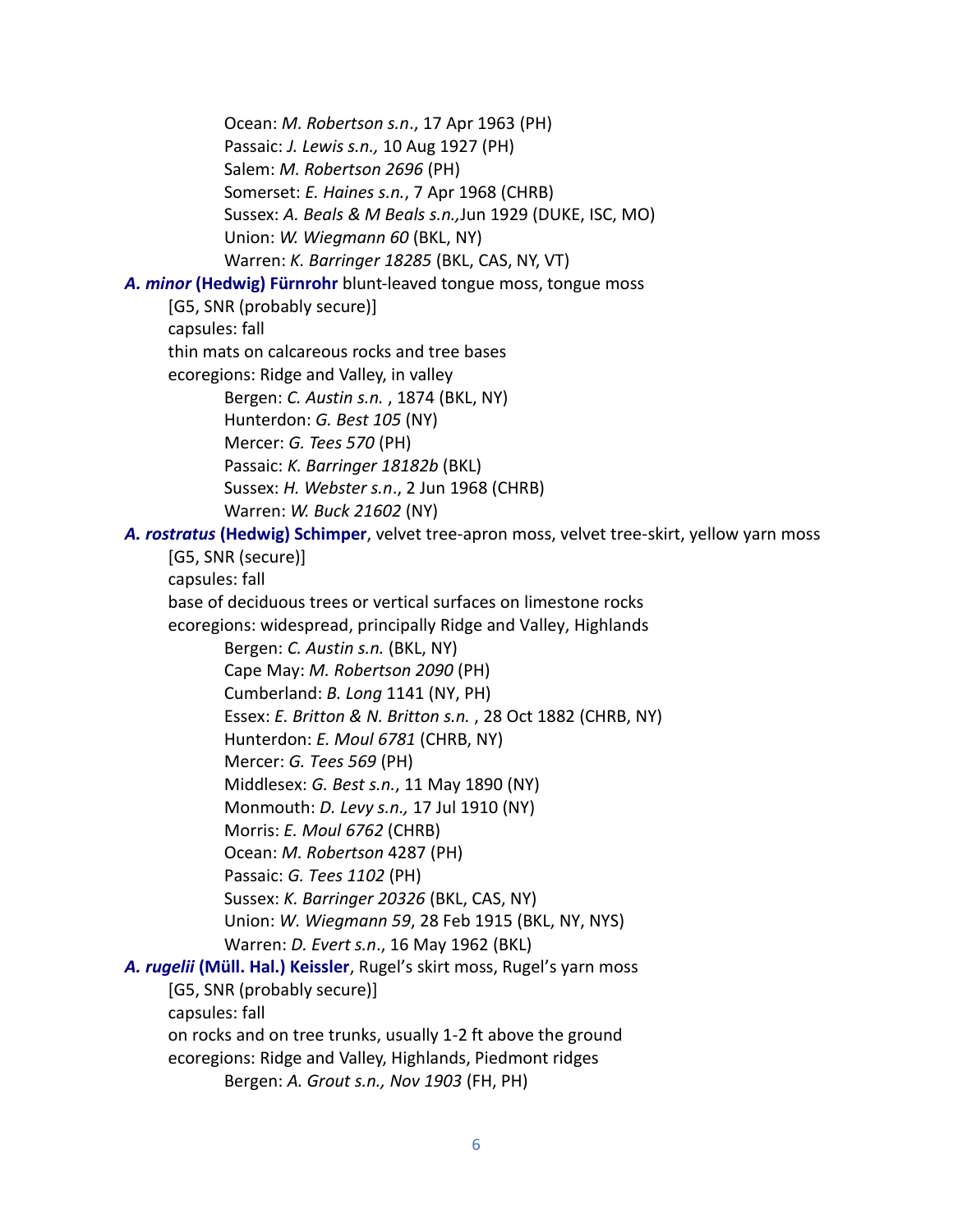Ocean: *M. Robertson s.n*., 17 Apr 1963 (PH) Passaic: *J. Lewis s.n.,* 10 Aug 1927 (PH) Salem: *M. Robertson 2696* (PH) Somerset: *E. Haines s.n.*, 7 Apr 1968 (CHRB) Sussex: *A. Beals & M Beals s.n.,*Jun 1929 (DUKE, ISC, MO) Union: *W. Wiegmann 60* (BKL, NY) Warren: *K. Barringer 18285* (BKL, CAS, NY, VT)  *A. minor* **(Hedwig) Fürnrohr** blunt-leaved tongue moss, tongue moss [G5, SNR (probably secure)] capsules: fall thin mats on calcareous rocks and tree bases ecoregions: Ridge and Valley, in valley Bergen: *C. Austin s.n.* , 1874 (BKL, NY) Hunterdon: *G. Best 105* (NY) Mercer: *G. Tees 570* (PH) Passaic: *K. Barringer 18182b* (BKL) Sussex: *H. Webster s.n*., 2 Jun 1968 (CHRB) Warren: *W. Buck 21602* (NY)  *A. rostratus* **(Hedwig) Schimper**, velvet tree-apron moss, velvet tree-skirt, yellow yarn moss [G5, SNR (secure)] capsules: fall base of deciduous trees or vertical surfaces on limestone rocks ecoregions: widespread, principally Ridge and Valley, Highlands Bergen: *C. Austin s.n.* (BKL, NY) Cape May: *M. Robertson 2090* (PH) Cumberland: *B. Long* 1141 (NY, PH) Essex: *E. Britton & N. Britton s.n.* , 28 Oct 1882 (CHRB, NY) Hunterdon: *E. Moul 6781* (CHRB, NY) Mercer: *G. Tees 569* (PH) Middlesex: *G. Best s.n.*, 11 May 1890 (NY) Monmouth: *D. Levy s.n.,* 17 Jul 1910 (NY) Morris: *E. Moul 6762* (CHRB) Ocean: *M. Robertson* 4287 (PH) Passaic: *G. Tees 1102* (PH) Sussex: *K. Barringer 20326* (BKL, CAS, NY) Union: *W. Wiegmann 59*, 28 Feb 1915 (BKL, NY, NYS) Warren: *D. Evert s.n*., 16 May 1962 (BKL)  *A. rugelii* **(Müll. Hal.) Keissler**, Rugel's skirt moss, Rugel's yarn moss [G5, SNR (probably secure)] capsules: fall on rocks and on tree trunks, usually 1-2 ft above the ground ecoregions: Ridge and Valley, Highlands, Piedmont ridges Bergen: *A. Grout s.n., Nov 1903* (FH, PH)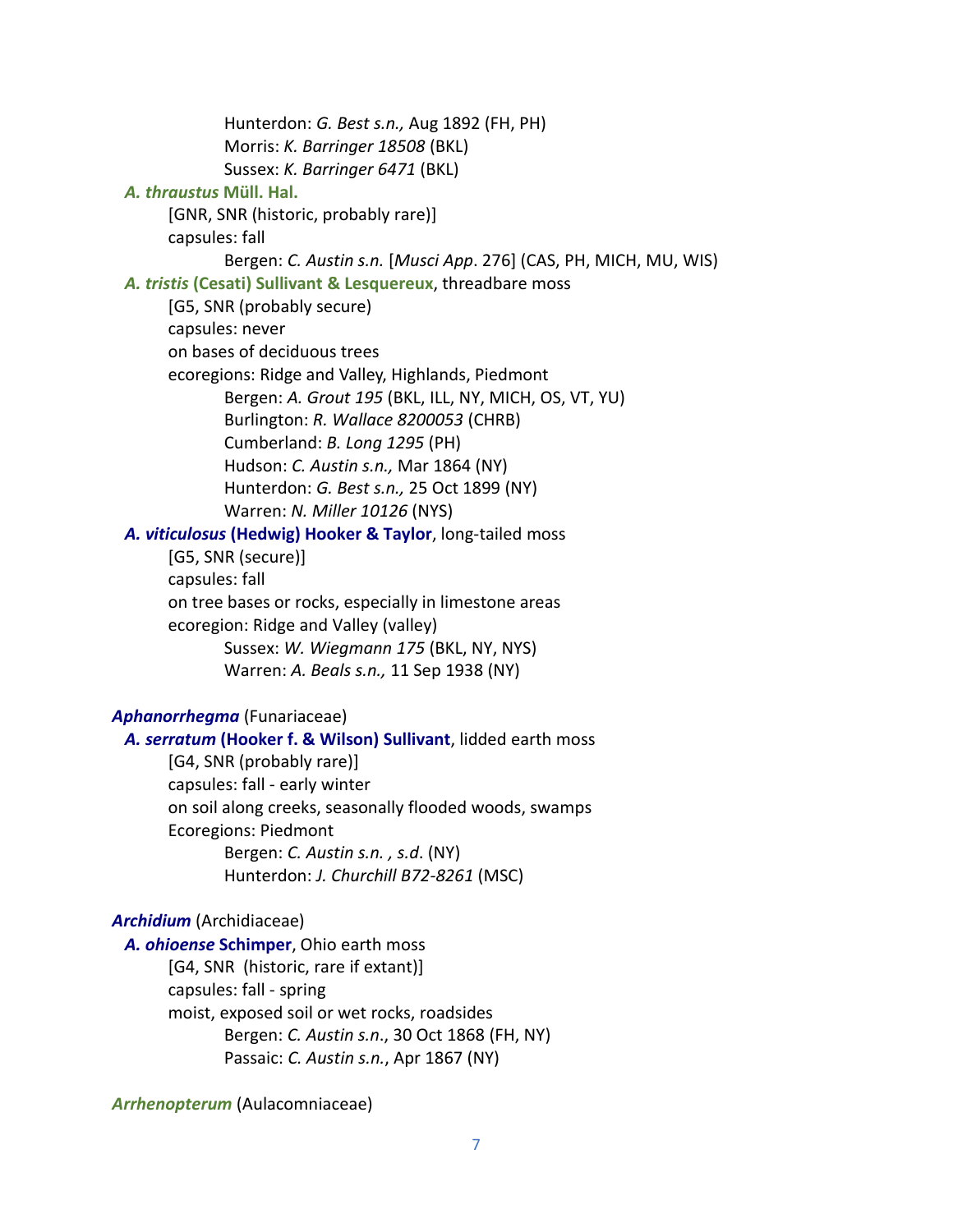Hunterdon: *G. Best s.n.,* Aug 1892 (FH, PH) Morris: *K. Barringer 18508* (BKL) Sussex: *K. Barringer 6471* (BKL) *A. thraustus* **Müll. Hal.** [GNR, SNR (historic, probably rare)] capsules: fall Bergen: *C. Austin s.n.* [*Musci App*. 276] (CAS, PH, MICH, MU, WIS)  *A. tristis* **(Cesati) Sullivant & Lesquereux**, threadbare moss [G5, SNR (probably secure) capsules: never on bases of deciduous trees ecoregions: Ridge and Valley, Highlands, Piedmont Bergen: *A. Grout 195* (BKL, ILL, NY, MICH, OS, VT, YU) Burlington: *R. Wallace 8200053* (CHRB) Cumberland: *B. Long 1295* (PH) Hudson: *C. Austin s.n.,* Mar 1864 (NY) Hunterdon: *G. Best s.n.,* 25 Oct 1899 (NY) Warren: *N. Miller 10126* (NYS)  *A. viticulosus* **(Hedwig) Hooker & Taylor**, long-tailed moss [G5, SNR (secure)] capsules: fall on tree bases or rocks, especially in limestone areas ecoregion: Ridge and Valley (valley) Sussex: *W. Wiegmann 175* (BKL, NY, NYS) Warren: *A. Beals s.n.,* 11 Sep 1938 (NY) *Aphanorrhegma* (Funariaceae)  *A. serratum* **(Hooker f. & Wilson) Sullivant**, lidded earth moss [G4, SNR (probably rare)] capsules: fall - early winter on soil along creeks, seasonally flooded woods, swamps Ecoregions: Piedmont Bergen: *C. Austin s.n. , s.d*. (NY) Hunterdon: *J. Churchill B72-8261* (MSC) *Archidium* (Archidiaceae)  *A. ohioense* **Schimper**, Ohio earth moss [G4, SNR (historic, rare if extant)] capsules: fall - spring moist, exposed soil or wet rocks, roadsides

> Bergen: *C. Austin s.n*., 30 Oct 1868 (FH, NY) Passaic: *C. Austin s.n.*, Apr 1867 (NY)

*Arrhenopterum* (Aulacomniaceae)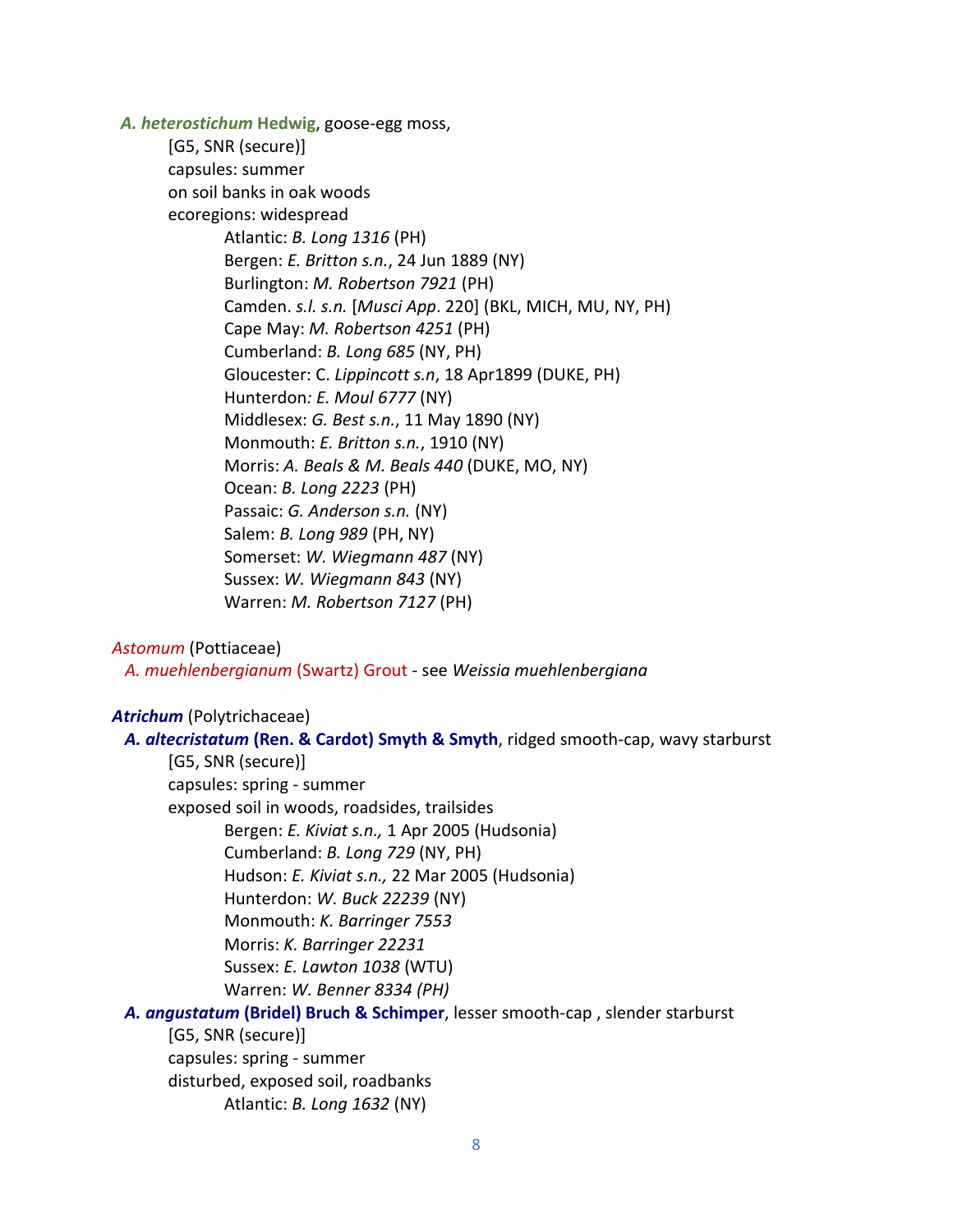*A. heterostichum* **Hedwig**, goose-egg moss,

[G5, SNR (secure)] capsules: summer on soil banks in oak woods ecoregions: widespread Atlantic: *B. Long 1316* (PH) Bergen: *E. Britton s.n.*, 24 Jun 1889 (NY) Burlington: *M. Robertson 7921* (PH) Camden. *s.l. s.n.* [*Musci App*. 220] (BKL, MICH, MU, NY, PH) Cape May: *M. Robertson 4251* (PH) Cumberland: *B. Long 685* (NY, PH) Gloucester: C. *Lippincott s.n*, 18 Apr1899 (DUKE, PH) Hunterdon*: E. Moul 6777* (NY) Middlesex: *G. Best s.n.*, 11 May 1890 (NY) Monmouth: *E. Britton s.n.*, 1910 (NY) Morris: *A. Beals & M. Beals 440* (DUKE, MO, NY) Ocean: *B. Long 2223* (PH) Passaic: *G. Anderson s.n.* (NY) Salem: *B. Long 989* (PH, NY) Somerset: *W. Wiegmann 487* (NY) Sussex: *W. Wiegmann 843* (NY) Warren: *M. Robertson 7127* (PH)

#### *Astomum* (Pottiaceae)

 *A. muehlenbergianum* (Swartz) Grout - see *Weissia muehlenbergiana*

# *Atrichum* (Polytrichaceae)

| A. altecristatum (Ren. & Cardot) Smyth & Smyth, ridged smooth-cap, wavy starburst |
|-----------------------------------------------------------------------------------|
| [G5, SNR (secure)]                                                                |
| capsules: spring - summer                                                         |
| exposed soil in woods, roadsides, trailsides                                      |
| Bergen: E. Kiviat s.n., 1 Apr 2005 (Hudsonia)                                     |
| Cumberland: B. Long 729 (NY, PH)                                                  |
| Hudson: E. Kiviat s.n., 22 Mar 2005 (Hudsonia)                                    |
| Hunterdon: W. Buck 22239 (NY)                                                     |
| Monmouth: K. Barringer 7553                                                       |
| Morris: K. Barringer 22231                                                        |
| Sussex: E. Lawton 1038 (WTU)                                                      |
| Warren: W. Benner 8334 (PH)                                                       |
| A. angustatum (Bridel) Bruch & Schimper, lesser smooth-cap, slender starburst     |
| [G5, SNR (secure)]                                                                |
| capsules: spring - summer                                                         |
| disturbed, exposed soil, roadbanks                                                |
| Atlantic: B. Long 1632 (NY)                                                       |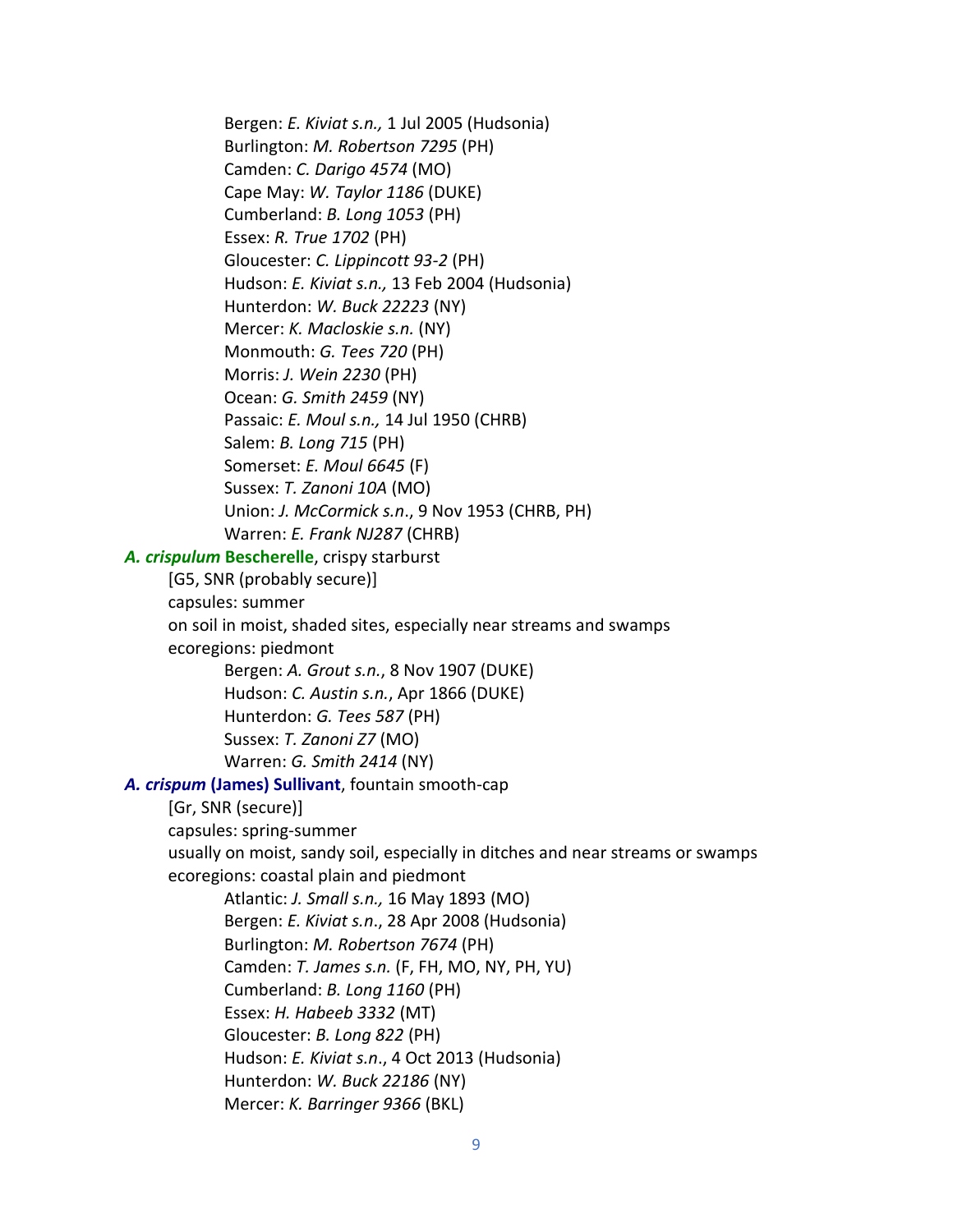Bergen: *E. Kiviat s.n.,* 1 Jul 2005 (Hudsonia) Burlington: *M. Robertson 7295* (PH) Camden: *C. Darigo 4574* (MO) Cape May: *W. Taylor 1186* (DUKE) Cumberland: *B. Long 1053* (PH) Essex: *R. True 1702* (PH) Gloucester: *C. Lippincott 93-2* (PH) Hudson: *E. Kiviat s.n.,* 13 Feb 2004 (Hudsonia) Hunterdon: *W. Buck 22223* (NY) Mercer: *K. Macloskie s.n.* (NY) Monmouth: *G. Tees 720* (PH) Morris: *J. Wein 2230* (PH) Ocean: *G. Smith 2459* (NY) Passaic: *E. Moul s.n.,* 14 Jul 1950 (CHRB) Salem: *B. Long 715* (PH) Somerset: *E. Moul 6645* (F) Sussex: *T. Zanoni 10A* (MO) Union: *J. McCormick s.n*., 9 Nov 1953 (CHRB, PH) Warren: *E. Frank NJ287* (CHRB) *A. crispulum* **Bescherelle**, crispy starburst [G5, SNR (probably secure)] capsules: summer on soil in moist, shaded sites, especially near streams and swamps ecoregions: piedmont Bergen: *A. Grout s.n.*, 8 Nov 1907 (DUKE) Hudson: *C. Austin s.n.*, Apr 1866 (DUKE) Hunterdon: *G. Tees 587* (PH) Sussex: *T. Zanoni Z7* (MO) Warren: *G. Smith 2414* (NY)  *A. crispum* **(James) Sullivant**, fountain smooth-cap [Gr, SNR (secure)] capsules: spring-summer usually on moist, sandy soil, especially in ditches and near streams or swamps ecoregions: coastal plain and piedmont Atlantic: *J. Small s.n.,* 16 May 1893 (MO) Bergen: *E. Kiviat s.n*., 28 Apr 2008 (Hudsonia) Burlington: *M. Robertson 7674* (PH) Camden: *T. James s.n.* (F, FH, MO, NY, PH, YU) Cumberland: *B. Long 1160* (PH) Essex: *H. Habeeb 3332* (MT) Gloucester: *B. Long 822* (PH) Hudson: *E. Kiviat s.n*., 4 Oct 2013 (Hudsonia) Hunterdon: *W. Buck 22186* (NY) Mercer: *K. Barringer 9366* (BKL)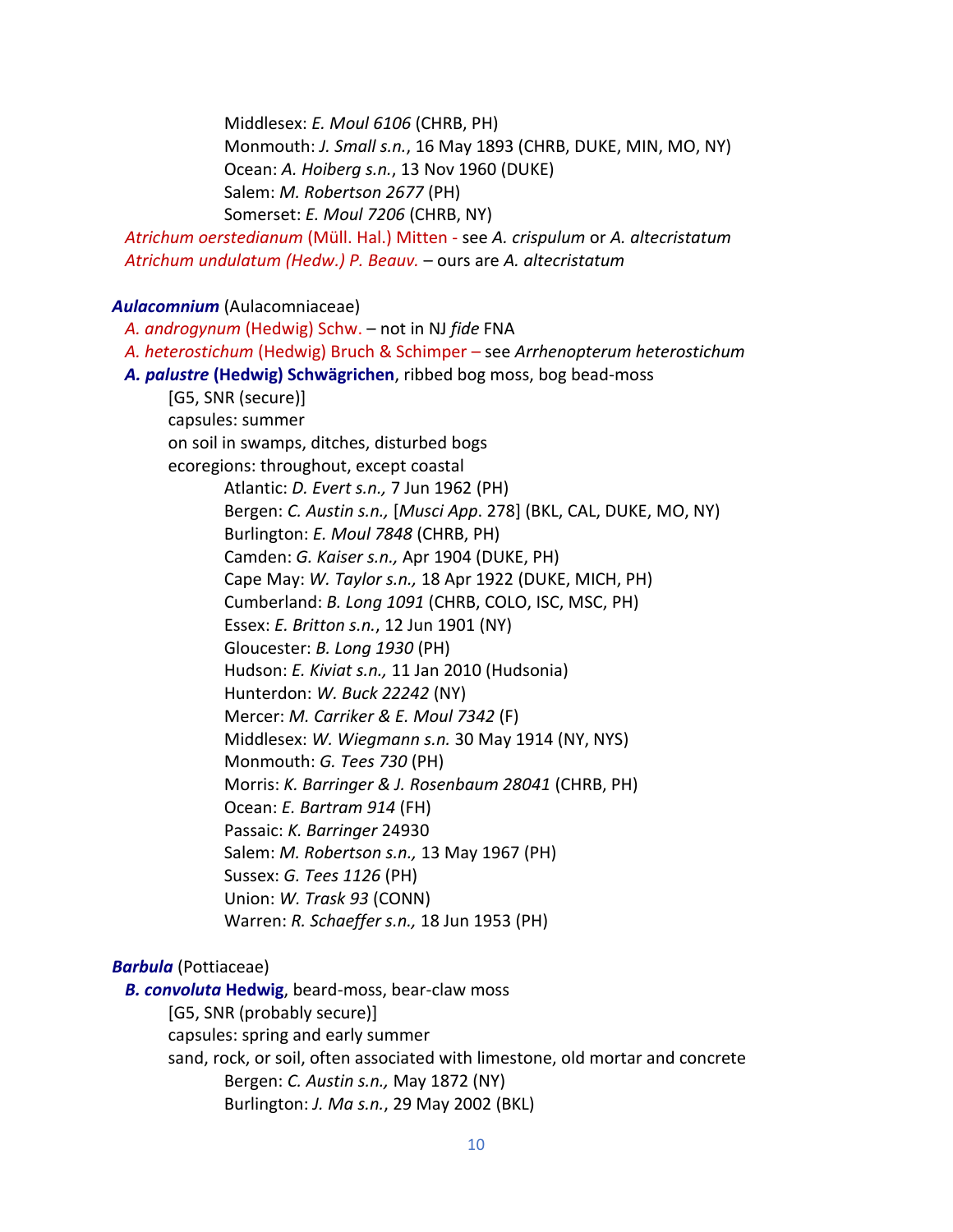Middlesex: *E. Moul 6106* (CHRB, PH) Monmouth: *J. Small s.n.*, 16 May 1893 (CHRB, DUKE, MIN, MO, NY) Ocean: *A. Hoiberg s.n.*, 13 Nov 1960 (DUKE) Salem: *M. Robertson 2677* (PH) Somerset: *E. Moul 7206* (CHRB, NY)

 *Atrichum oerstedianum* (Müll. Hal.) Mitten - see *A. crispulum* or *A. altecristatum Atrichum undulatum (Hedw.) P. Beauv.* – ours are *A. altecristatum*

# *Aulacomnium* (Aulacomniaceae)

 *A. androgynum* (Hedwig) Schw. – not in NJ *fide* FNA  *A. heterostichum* (Hedwig) Bruch & Schimper – see *Arrhenopterum heterostichum A. palustre* **(Hedwig) Schwägrichen**, ribbed bog moss, bog bead-moss [G5, SNR (secure)] capsules: summer on soil in swamps, ditches, disturbed bogs ecoregions: throughout, except coastal Atlantic: *D. Evert s.n.,* 7 Jun 1962 (PH) Bergen: *C. Austin s.n.,* [*Musci App*. 278] (BKL, CAL, DUKE, MO, NY) Burlington: *E. Moul 7848* (CHRB, PH) Camden: *G. Kaiser s.n.,* Apr 1904 (DUKE, PH) Cape May: *W. Taylor s.n.,* 18 Apr 1922 (DUKE, MICH, PH) Cumberland: *B. Long 1091* (CHRB, COLO, ISC, MSC, PH) Essex: *E. Britton s.n.*, 12 Jun 1901 (NY) Gloucester: *B. Long 1930* (PH) Hudson: *E. Kiviat s.n.,* 11 Jan 2010 (Hudsonia) Hunterdon: *W. Buck 22242* (NY) Mercer: *M. Carriker & E. Moul 7342* (F) Middlesex: *W. Wiegmann s.n.* 30 May 1914 (NY, NYS) Monmouth: *G. Tees 730* (PH) Morris: *K. Barringer & J. Rosenbaum 28041* (CHRB, PH) Ocean: *E. Bartram 914* (FH) Passaic: *K. Barringer* 24930 Salem: *M. Robertson s.n.,* 13 May 1967 (PH) Sussex: *G. Tees 1126* (PH) Union: *W. Trask 93* (CONN) Warren: *R. Schaeffer s.n.,* 18 Jun 1953 (PH)

# *Barbula* (Pottiaceae)

 *B. convoluta* **Hedwig**, beard-moss, bear-claw moss [G5, SNR (probably secure)] capsules: spring and early summer sand, rock, or soil, often associated with limestone, old mortar and concrete Bergen: *C. Austin s.n.,* May 1872 (NY) Burlington: *J. Ma s.n.*, 29 May 2002 (BKL)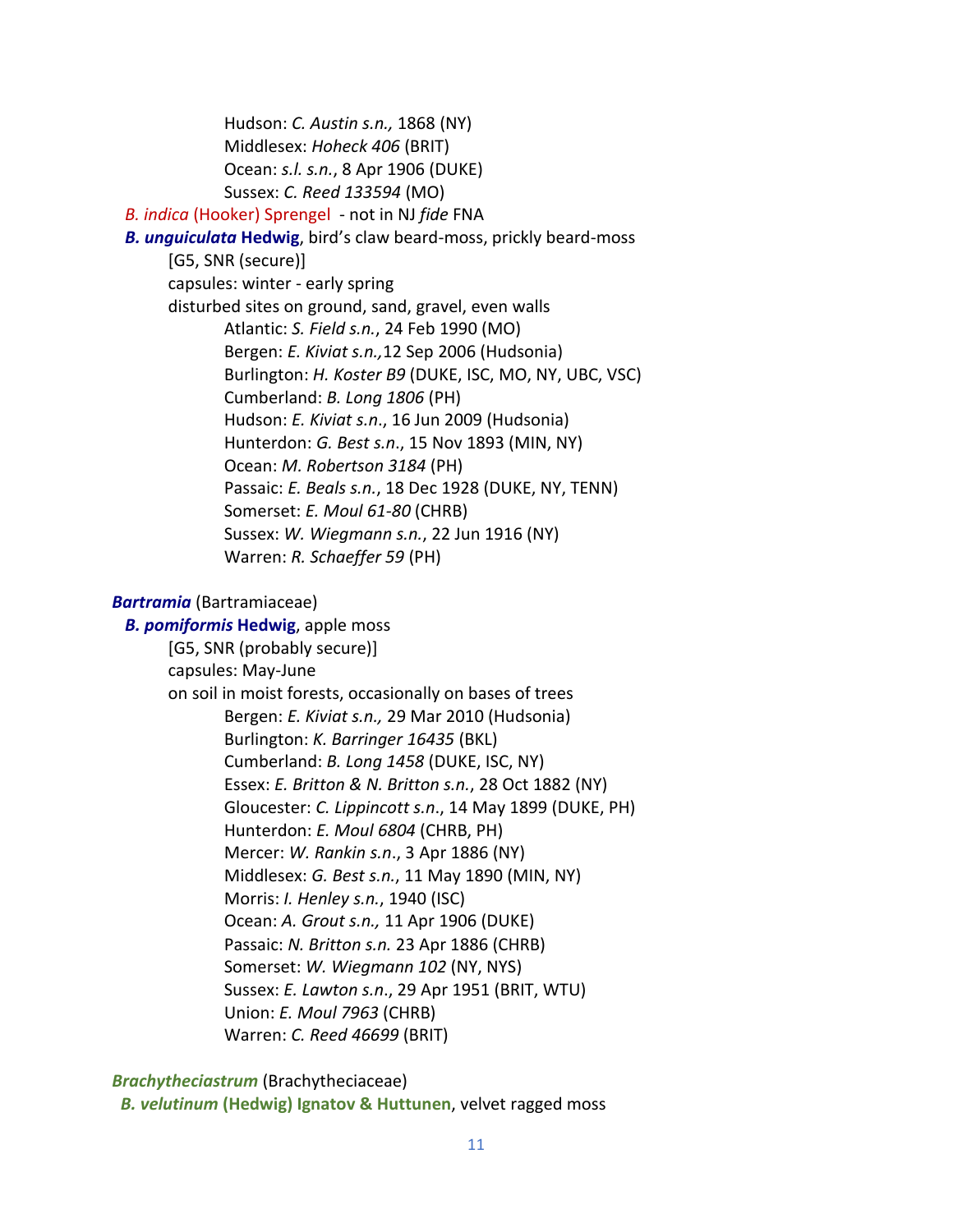Hudson: *C. Austin s.n.,* 1868 (NY) Middlesex: *Hoheck 406* (BRIT) Ocean: *s.l. s.n.*, 8 Apr 1906 (DUKE) Sussex: *C. Reed 133594* (MO)  *B. indica* (Hooker) Sprengel - not in NJ *fide* FNA *B. unguiculata* **Hedwig**, bird's claw beard-moss, prickly beard-moss [G5, SNR (secure)] capsules: winter - early spring disturbed sites on ground, sand, gravel, even walls Atlantic: *S. Field s.n.*, 24 Feb 1990 (MO) Bergen: *E. Kiviat s.n.,*12 Sep 2006 (Hudsonia) Burlington: *H. Koster B9* (DUKE, ISC, MO, NY, UBC, VSC) Cumberland: *B. Long 1806* (PH) Hudson: *E. Kiviat s.n*., 16 Jun 2009 (Hudsonia) Hunterdon: *G. Best s.n*., 15 Nov 1893 (MIN, NY) Ocean: *M. Robertson 3184* (PH) Passaic: *E. Beals s.n.*, 18 Dec 1928 (DUKE, NY, TENN) Somerset: *E. Moul 61-80* (CHRB) Sussex: *W. Wiegmann s.n.*, 22 Jun 1916 (NY) Warren: *R. Schaeffer 59* (PH)

#### *Bartramia* (Bartramiaceae)

 *B. pomiformis* **Hedwig**, apple moss [G5, SNR (probably secure)] capsules: May-June on soil in moist forests, occasionally on bases of trees Bergen: *E. Kiviat s.n.,* 29 Mar 2010 (Hudsonia) Burlington: *K. Barringer 16435* (BKL) Cumberland: *B. Long 1458* (DUKE, ISC, NY) Essex: *E. Britton & N. Britton s.n.*, 28 Oct 1882 (NY) Gloucester: *C. Lippincott s.n*., 14 May 1899 (DUKE, PH) Hunterdon: *E. Moul 6804* (CHRB, PH) Mercer: *W. Rankin s.n*., 3 Apr 1886 (NY) Middlesex: *G. Best s.n.*, 11 May 1890 (MIN, NY) Morris: *I. Henley s.n.*, 1940 (ISC) Ocean: *A. Grout s.n.,* 11 Apr 1906 (DUKE) Passaic: *N. Britton s.n.* 23 Apr 1886 (CHRB) Somerset: *W. Wiegmann 102* (NY, NYS) Sussex: *E. Lawton s.n*., 29 Apr 1951 (BRIT, WTU) Union: *E. Moul 7963* (CHRB) Warren: *C. Reed 46699* (BRIT)

*Brachytheciastrum* (Brachytheciaceae)

*B. velutinum* **(Hedwig) Ignatov & Huttunen**, velvet ragged moss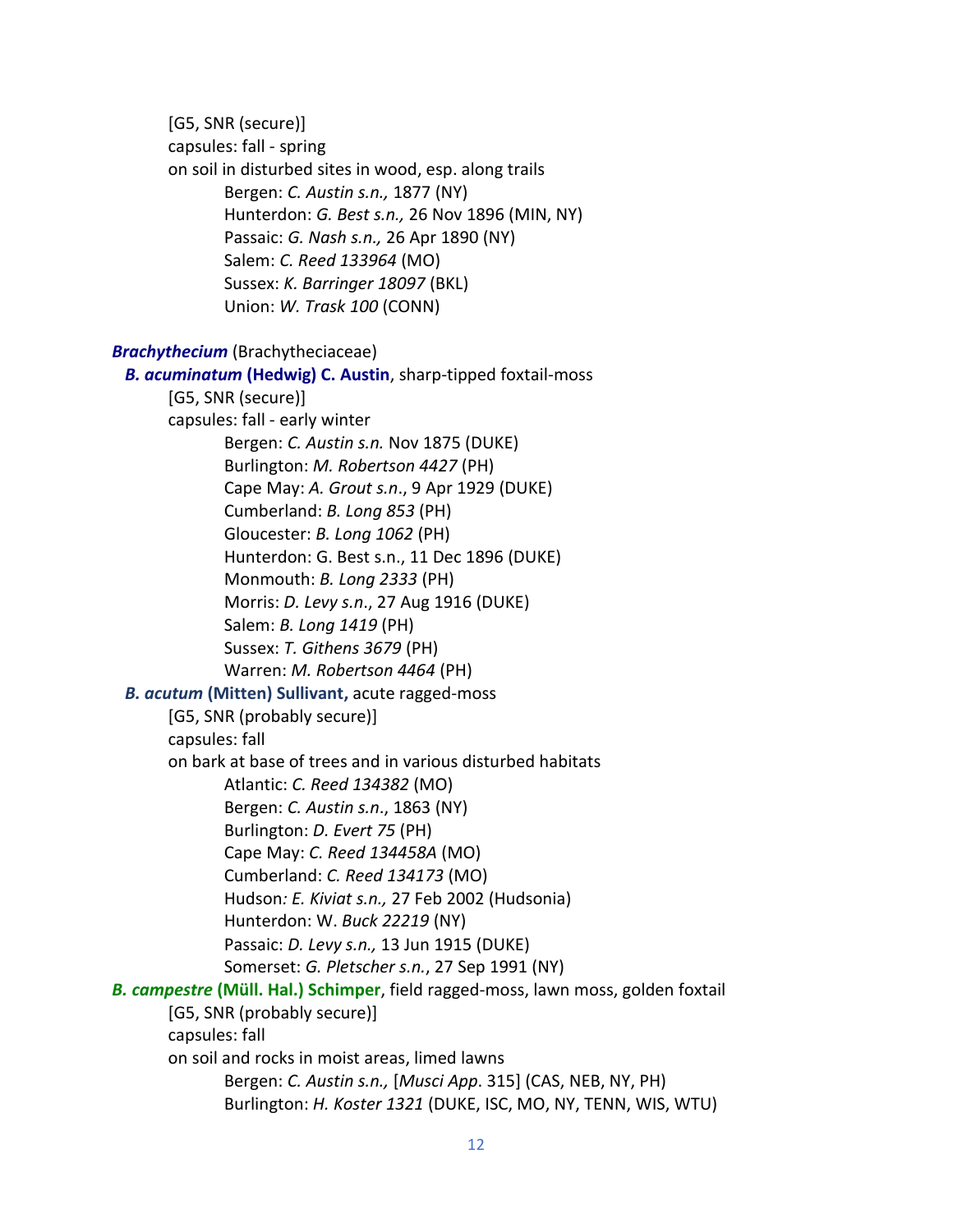[G5, SNR (secure)] capsules: fall - spring on soil in disturbed sites in wood, esp. along trails Bergen: *C. Austin s.n.,* 1877 (NY) Hunterdon: *G. Best s.n.,* 26 Nov 1896 (MIN, NY) Passaic: *G. Nash s.n.,* 26 Apr 1890 (NY) Salem: *C. Reed 133964* (MO) Sussex: *K. Barringer 18097* (BKL) Union: *W. Trask 100* (CONN) *Brachythecium* (Brachytheciaceae)  *B. acuminatum* **(Hedwig) C. Austin**, sharp-tipped foxtail-moss [G5, SNR (secure)] capsules: fall - early winter Bergen: *C. Austin s.n.* Nov 1875 (DUKE) Burlington: *M. Robertson 4427* (PH) Cape May: *A. Grout s.n*., 9 Apr 1929 (DUKE) Cumberland: *B. Long 853* (PH) Gloucester: *B. Long 1062* (PH) Hunterdon: G. Best s.n., 11 Dec 1896 (DUKE) Monmouth: *B. Long 2333* (PH) Morris: *D. Levy s.n*., 27 Aug 1916 (DUKE) Salem: *B. Long 1419* (PH) Sussex: *T. Githens 3679* (PH) Warren: *M. Robertson 4464* (PH)  *B. acutum* **(Mitten) Sullivant,** acute ragged-moss [G5, SNR (probably secure)] capsules: fall on bark at base of trees and in various disturbed habitats Atlantic: *C. Reed 134382* (MO) Bergen: *C. Austin s.n*., 1863 (NY) Burlington: *D. Evert 75* (PH) Cape May: *C. Reed 134458A* (MO) Cumberland: *C. Reed 134173* (MO) Hudson*: E. Kiviat s.n.,* 27 Feb 2002 (Hudsonia) Hunterdon: W. *Buck 22219* (NY) Passaic: *D. Levy s.n.,* 13 Jun 1915 (DUKE) Somerset: *G. Pletscher s.n.*, 27 Sep 1991 (NY) *B. campestre* **(Müll. Hal.) Schimper**, field ragged-moss, lawn moss, golden foxtail [G5, SNR (probably secure)] capsules: fall on soil and rocks in moist areas, limed lawns Bergen: *C. Austin s.n.,* [*Musci App*. 315] (CAS, NEB, NY, PH) Burlington: *H. Koster 1321* (DUKE, ISC, MO, NY, TENN, WIS, WTU)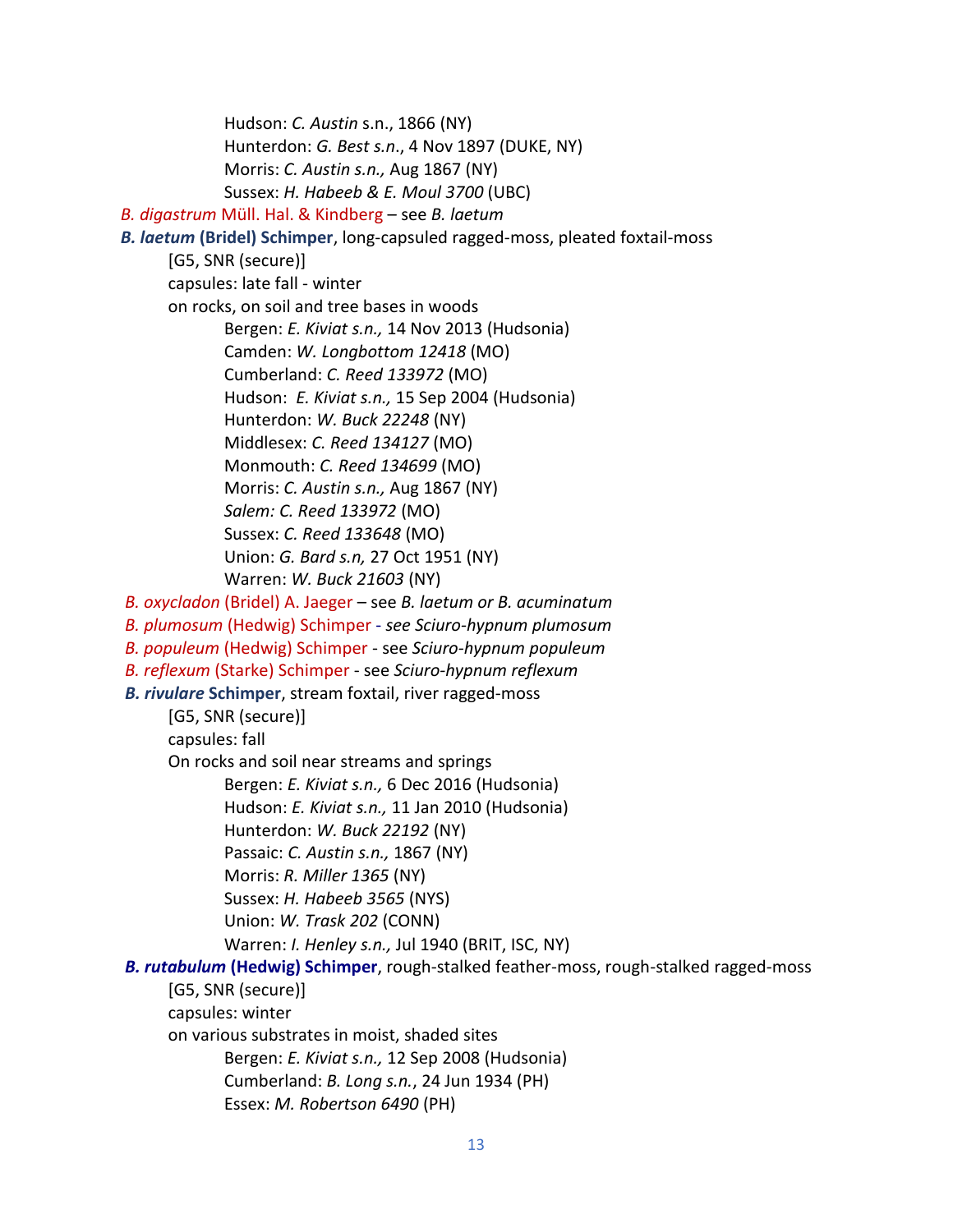Hudson: *C. Austin* s.n., 1866 (NY) Hunterdon: *G. Best s.n*., 4 Nov 1897 (DUKE, NY) Morris: *C. Austin s.n.,* Aug 1867 (NY) Sussex: *H. Habeeb & E. Moul 3700* (UBC)  *B. digastrum* Müll. Hal. & Kindberg – see *B. laetum B. laetum* **(Bridel) Schimper**, long-capsuled ragged-moss, pleated foxtail-moss [G5, SNR (secure)] capsules: late fall - winter on rocks, on soil and tree bases in woods Bergen: *E. Kiviat s.n.,* 14 Nov 2013 (Hudsonia) Camden: *W. Longbottom 12418* (MO) Cumberland: *C. Reed 133972* (MO) Hudson: *E. Kiviat s.n.,* 15 Sep 2004 (Hudsonia) Hunterdon: *W. Buck 22248* (NY) Middlesex: *C. Reed 134127* (MO) Monmouth: *C. Reed 134699* (MO) Morris: *C. Austin s.n.,* Aug 1867 (NY) *Salem: C. Reed 133972* (MO) Sussex: *C. Reed 133648* (MO) Union: *G. Bard s.n,* 27 Oct 1951 (NY) Warren: *W. Buck 21603* (NY)  *B. oxycladon* (Bridel) A. Jaeger – see *B. laetum or B. acuminatum B. plumosum* (Hedwig) Schimper - *see Sciuro-hypnum plumosum B. populeum* (Hedwig) Schimper - see *Sciuro-hypnum populeum B. reflexum* (Starke) Schimper - see *Sciuro-hypnum reflexum B. rivulare* **Schimper**, stream foxtail, river ragged-moss [G5, SNR (secure)] capsules: fall On rocks and soil near streams and springs Bergen: *E. Kiviat s.n.,* 6 Dec 2016 (Hudsonia) Hudson: *E. Kiviat s.n.,* 11 Jan 2010 (Hudsonia) Hunterdon: *W. Buck 22192* (NY) Passaic: *C. Austin s.n.,* 1867 (NY) Morris: *R. Miller 1365* (NY) Sussex: *H. Habeeb 3565* (NYS) Union: *W. Trask 202* (CONN) Warren: *I. Henley s.n.,* Jul 1940 (BRIT, ISC, NY)  *B. rutabulum* **(Hedwig) Schimper**, rough-stalked feather-moss, rough-stalked ragged-moss [G5, SNR (secure)] capsules: winter on various substrates in moist, shaded sites Bergen: *E. Kiviat s.n.,* 12 Sep 2008 (Hudsonia) Cumberland: *B. Long s.n.*, 24 Jun 1934 (PH) Essex: *M. Robertson 6490* (PH)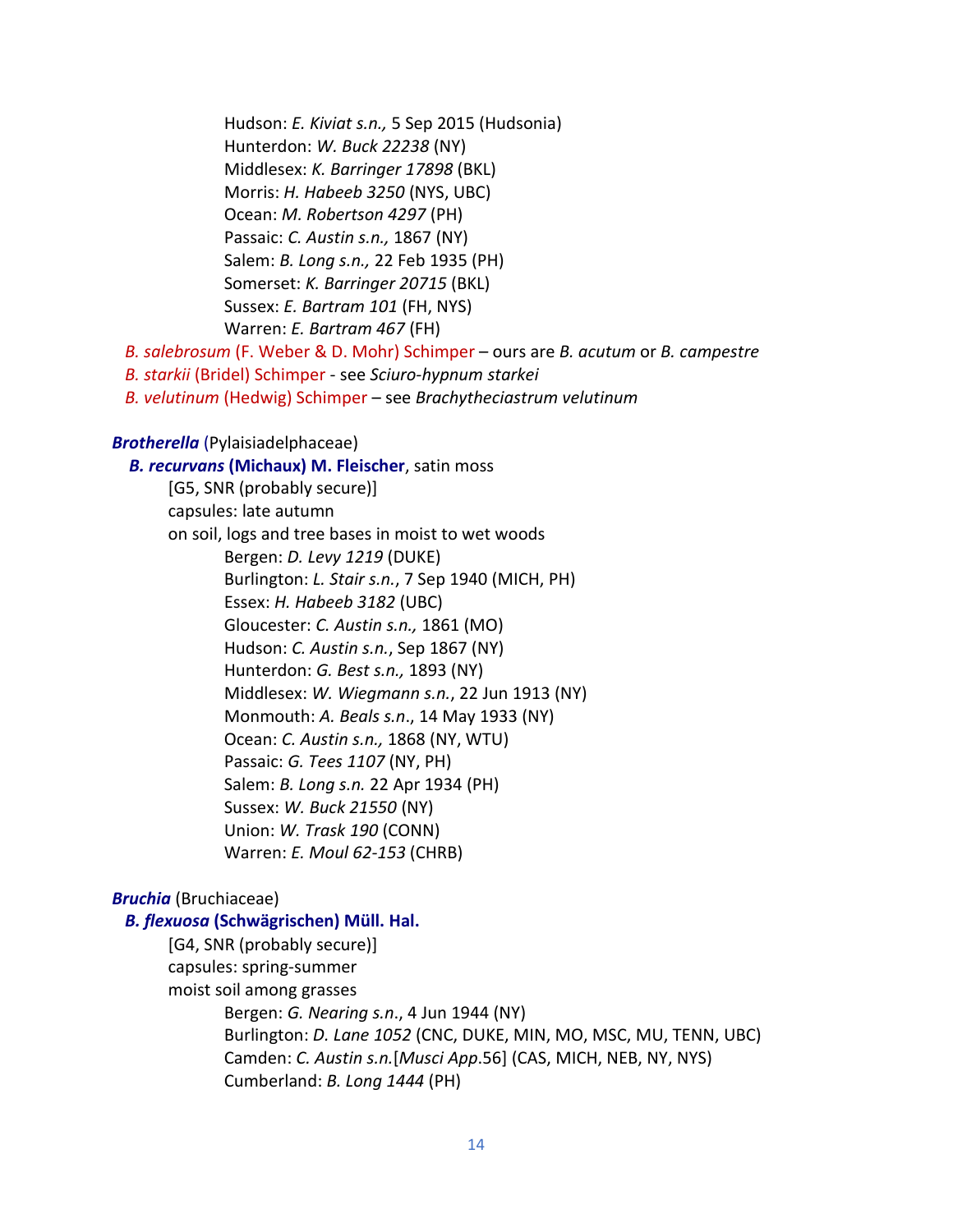Hudson: *E. Kiviat s.n.,* 5 Sep 2015 (Hudsonia) Hunterdon: *W. Buck 22238* (NY) Middlesex: *K. Barringer 17898* (BKL) Morris: *H. Habeeb 3250* (NYS, UBC) Ocean: *M. Robertson 4297* (PH) Passaic: *C. Austin s.n.,* 1867 (NY) Salem: *B. Long s.n.,* 22 Feb 1935 (PH) Somerset: *K. Barringer 20715* (BKL) Sussex: *E. Bartram 101* (FH, NYS) Warren: *E. Bartram 467* (FH)

 *B. salebrosum* (F. Weber & D. Mohr) Schimper – ours are *B. acutum* or *B. campestre*

 *B. starkii* (Bridel) Schimper - see *Sciuro-hypnum starkei*

 *B. velutinum* (Hedwig) Schimper – see *Brachytheciastrum velutinum*

#### *Brotherella* (Pylaisiadelphaceae)

 *B. recurvans* **(Michaux) M. Fleischer**, satin moss [G5, SNR (probably secure)] capsules: late autumn on soil, logs and tree bases in moist to wet woods Bergen: *D. Levy 1219* (DUKE) Burlington: *L. Stair s.n.*, 7 Sep 1940 (MICH, PH) Essex: *H. Habeeb 3182* (UBC) Gloucester: *C. Austin s.n.,* 1861 (MO) Hudson: *C. Austin s.n.*, Sep 1867 (NY) Hunterdon: *G. Best s.n.,* 1893 (NY) Middlesex: *W. Wiegmann s.n.*, 22 Jun 1913 (NY) Monmouth: *A. Beals s.n*., 14 May 1933 (NY) Ocean: *C. Austin s.n.,* 1868 (NY, WTU) Passaic: *G. Tees 1107* (NY, PH) Salem: *B. Long s.n.* 22 Apr 1934 (PH) Sussex: *W. Buck 21550* (NY) Union: *W. Trask 190* (CONN) Warren: *E. Moul 62-153* (CHRB)

# *Bruchia* (Bruchiaceae)

#### *B. flexuosa* **(Schwägrischen) Müll. Hal.**

[G4, SNR (probably secure)] capsules: spring-summer moist soil among grasses Bergen: *G. Nearing s.n*., 4 Jun 1944 (NY) Burlington: *D. Lane 1052* (CNC, DUKE, MIN, MO, MSC, MU, TENN, UBC) Camden: *C. Austin s.n.*[*Musci App*.56] (CAS, MICH, NEB, NY, NYS) Cumberland: *B. Long 1444* (PH)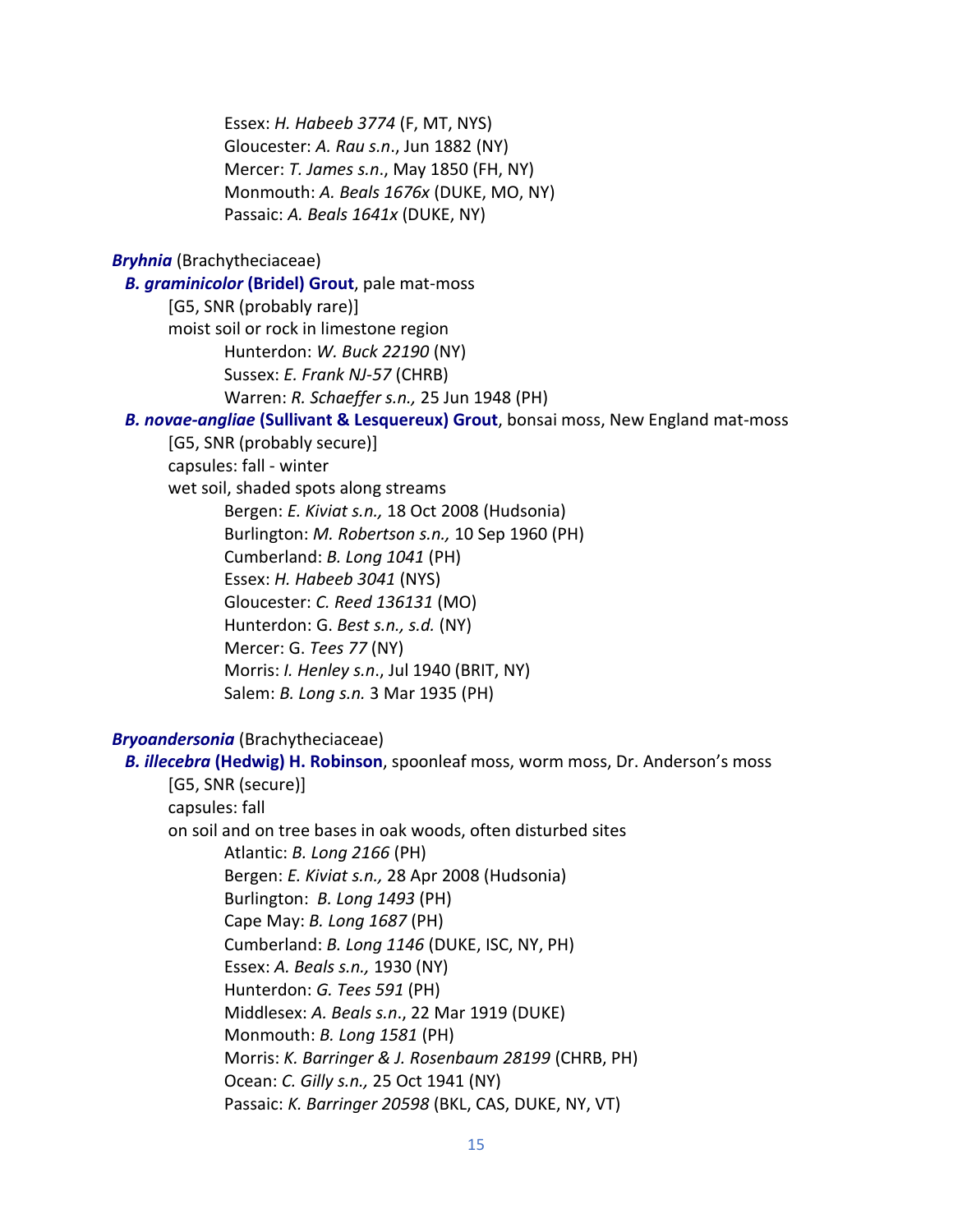Essex: *H. Habeeb 3774* (F, MT, NYS) Gloucester: *A. Rau s.n*., Jun 1882 (NY) Mercer: *T. James s.n*., May 1850 (FH, NY) Monmouth: *A. Beals 1676x* (DUKE, MO, NY) Passaic: *A. Beals 1641x* (DUKE, NY)

*Bryhnia* (Brachytheciaceae)

*B. graminicolor* **(Bridel) Grout**, pale mat-moss

[G5, SNR (probably rare)] moist soil or rock in limestone region Hunterdon: *W. Buck 22190* (NY) Sussex: *E. Frank NJ-57* (CHRB) Warren: *R. Schaeffer s.n.,* 25 Jun 1948 (PH)

 *B. novae-angliae* **(Sullivant & Lesquereux) Grout**, bonsai moss, New England mat-moss

[G5, SNR (probably secure)] capsules: fall - winter wet soil, shaded spots along streams Bergen: *E. Kiviat s.n.,* 18 Oct 2008 (Hudsonia) Burlington: *M. Robertson s.n.,* 10 Sep 1960 (PH) Cumberland: *B. Long 1041* (PH) Essex: *H. Habeeb 3041* (NYS) Gloucester: *C. Reed 136131* (MO) Hunterdon: G. *Best s.n., s.d.* (NY) Mercer: G. *Tees 77* (NY) Morris: *I. Henley s.n*., Jul 1940 (BRIT, NY) Salem: *B. Long s.n.* 3 Mar 1935 (PH)

*Bryoandersonia* (Brachytheciaceae)

 *B. illecebra* **(Hedwig) H. Robinson**, spoonleaf moss, worm moss, Dr. Anderson's moss [G5, SNR (secure)] capsules: fall on soil and on tree bases in oak woods, often disturbed sites Atlantic: *B. Long 2166* (PH) Bergen: *E. Kiviat s.n.,* 28 Apr 2008 (Hudsonia) Burlington: *B. Long 1493* (PH) Cape May: *B. Long 1687* (PH) Cumberland: *B. Long 1146* (DUKE, ISC, NY, PH) Essex: *A. Beals s.n.,* 1930 (NY) Hunterdon: *G. Tees 591* (PH) Middlesex: *A. Beals s.n*., 22 Mar 1919 (DUKE) Monmouth: *B. Long 1581* (PH) Morris: *K. Barringer & J. Rosenbaum 28199* (CHRB, PH) Ocean: *C. Gilly s.n.,* 25 Oct 1941 (NY) Passaic: *K. Barringer 20598* (BKL, CAS, DUKE, NY, VT)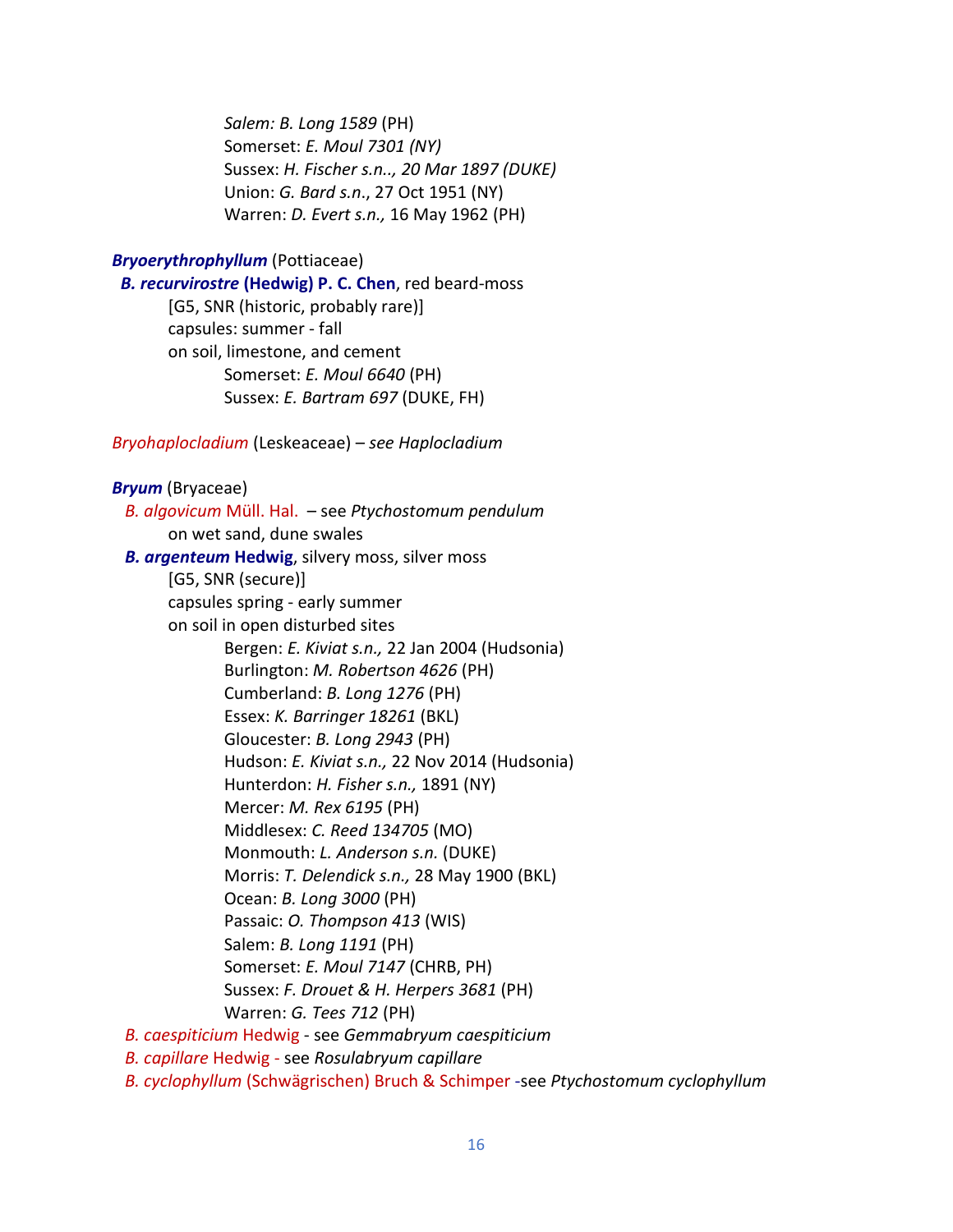*Salem: B. Long 1589* (PH) Somerset: *E. Moul 7301 (NY)* Sussex: *H. Fischer s.n.., 20 Mar 1897 (DUKE)* Union: *G. Bard s.n*., 27 Oct 1951 (NY) Warren: *D. Evert s.n.,* 16 May 1962 (PH)

## *Bryoerythrophyllum* (Pottiaceae)

 *B. recurvirostre* **(Hedwig) P. C. Chen**, red beard-moss [G5, SNR (historic, probably rare)] capsules: summer - fall on soil, limestone, and cement Somerset: *E. Moul 6640* (PH) Sussex: *E. Bartram 697* (DUKE, FH)

*Bryohaplocladium* (Leskeaceae) – *see Haplocladium*

#### *Bryum* (Bryaceae)

 *B. algovicum* Müll. Hal. – see *Ptychostomum pendulum* on wet sand, dune swales  *B. argenteum* **Hedwig**, silvery moss, silver moss [G5, SNR (secure)] capsules spring - early summer on soil in open disturbed sites Bergen: *E. Kiviat s.n.,* 22 Jan 2004 (Hudsonia) Burlington: *M. Robertson 4626* (PH) Cumberland: *B. Long 1276* (PH) Essex: *K. Barringer 18261* (BKL) Gloucester: *B. Long 2943* (PH) Hudson: *E. Kiviat s.n.,* 22 Nov 2014 (Hudsonia) Hunterdon: *H. Fisher s.n.,* 1891 (NY) Mercer: *M. Rex 6195* (PH) Middlesex: *C. Reed 134705* (MO) Monmouth: *L. Anderson s.n.* (DUKE) Morris: *T. Delendick s.n.,* 28 May 1900 (BKL) Ocean: *B. Long 3000* (PH) Passaic: *O. Thompson 413* (WIS) Salem: *B. Long 1191* (PH) Somerset: *E. Moul 7147* (CHRB, PH) Sussex: *F. Drouet & H. Herpers 3681* (PH) Warren: *G. Tees 712* (PH)  *B. caespiticium* Hedwig - see *Gemmabryum caespiticium B. capillare* Hedwig - see *Rosulabryum capillare*

 *B. cyclophyllum* (Schwägrischen) Bruch & Schimper -see *Ptychostomum cyclophyllum*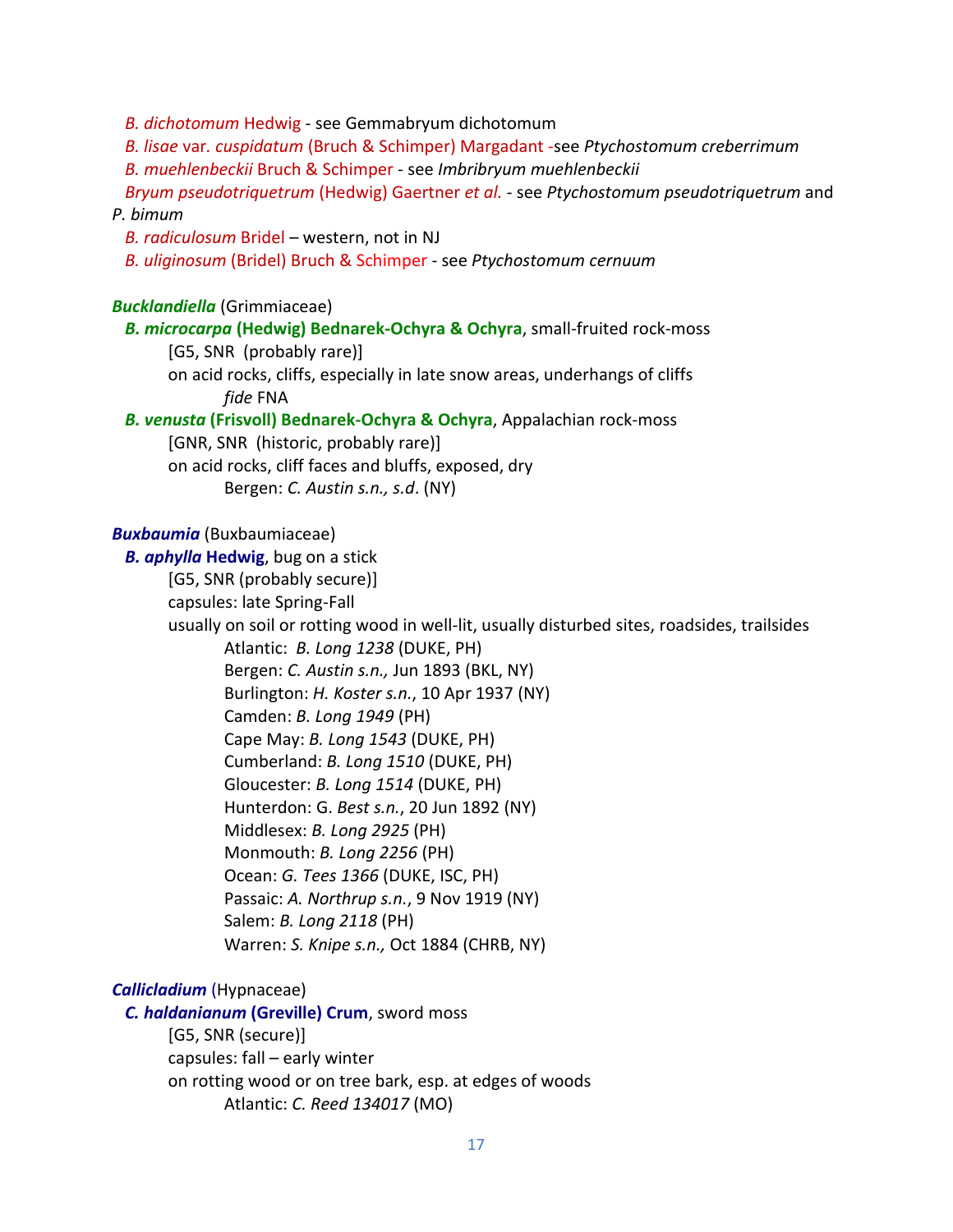*B. dichotomum* Hedwig - see Gemmabryum dichotomum

 *B. lisae* var*. cuspidatum* (Bruch & Schimper) Margadant -see *Ptychostomum creberrimum*

 *B. muehlenbeckii* Bruch & Schimper - see *Imbribryum muehlenbeckii*

 *Bryum pseudotriquetrum* (Hedwig) Gaertner *et al. -* see *Ptychostomum pseudotriquetrum* and *P. bimum*

 *B. radiculosum* Bridel – western, not in NJ

*B. uliginosum* (Bridel) Bruch & Schimper - see *Ptychostomum cernuum*

### *Bucklandiella* (Grimmiaceae)

*B. microcarpa* **(Hedwig) Bednarek-Ochyra & Ochyra**, small-fruited rock-moss [G5, SNR (probably rare)] on acid rocks, cliffs, especially in late snow areas, underhangs of cliffs *fide* FNA

 *B. venusta* **(Frisvoll) Bednarek-Ochyra & Ochyra**, Appalachian rock-moss

[GNR, SNR (historic, probably rare)] on acid rocks, cliff faces and bluffs, exposed, dry Bergen: *C. Austin s.n., s.d*. (NY)

#### *Buxbaumia* (Buxbaumiaceae)

*B. aphylla* **Hedwig**, bug on a stick

[G5, SNR (probably secure)]

capsules: late Spring-Fall

usually on soil or rotting wood in well-lit, usually disturbed sites, roadsides, trailsides

Atlantic: *B. Long 1238* (DUKE, PH) Bergen: *C. Austin s.n.,* Jun 1893 (BKL, NY) Burlington: *H. Koster s.n.*, 10 Apr 1937 (NY) Camden: *B. Long 1949* (PH) Cape May: *B. Long 1543* (DUKE, PH) Cumberland: *B. Long 1510* (DUKE, PH) Gloucester: *B. Long 1514* (DUKE, PH) Hunterdon: G. *Best s.n.*, 20 Jun 1892 (NY) Middlesex: *B. Long 2925* (PH) Monmouth: *B. Long 2256* (PH) Ocean: *G. Tees 1366* (DUKE, ISC, PH) Passaic: *A. Northrup s.n.*, 9 Nov 1919 (NY) Salem: *B. Long 2118* (PH) Warren: *S. Knipe s.n.,* Oct 1884 (CHRB, NY)

# *Callicladium* (Hypnaceae)

 *C. haldanianum* **(Greville) Crum**, sword moss [G5, SNR (secure)] capsules: fall – early winter on rotting wood or on tree bark, esp. at edges of woods Atlantic: *C. Reed 134017* (MO)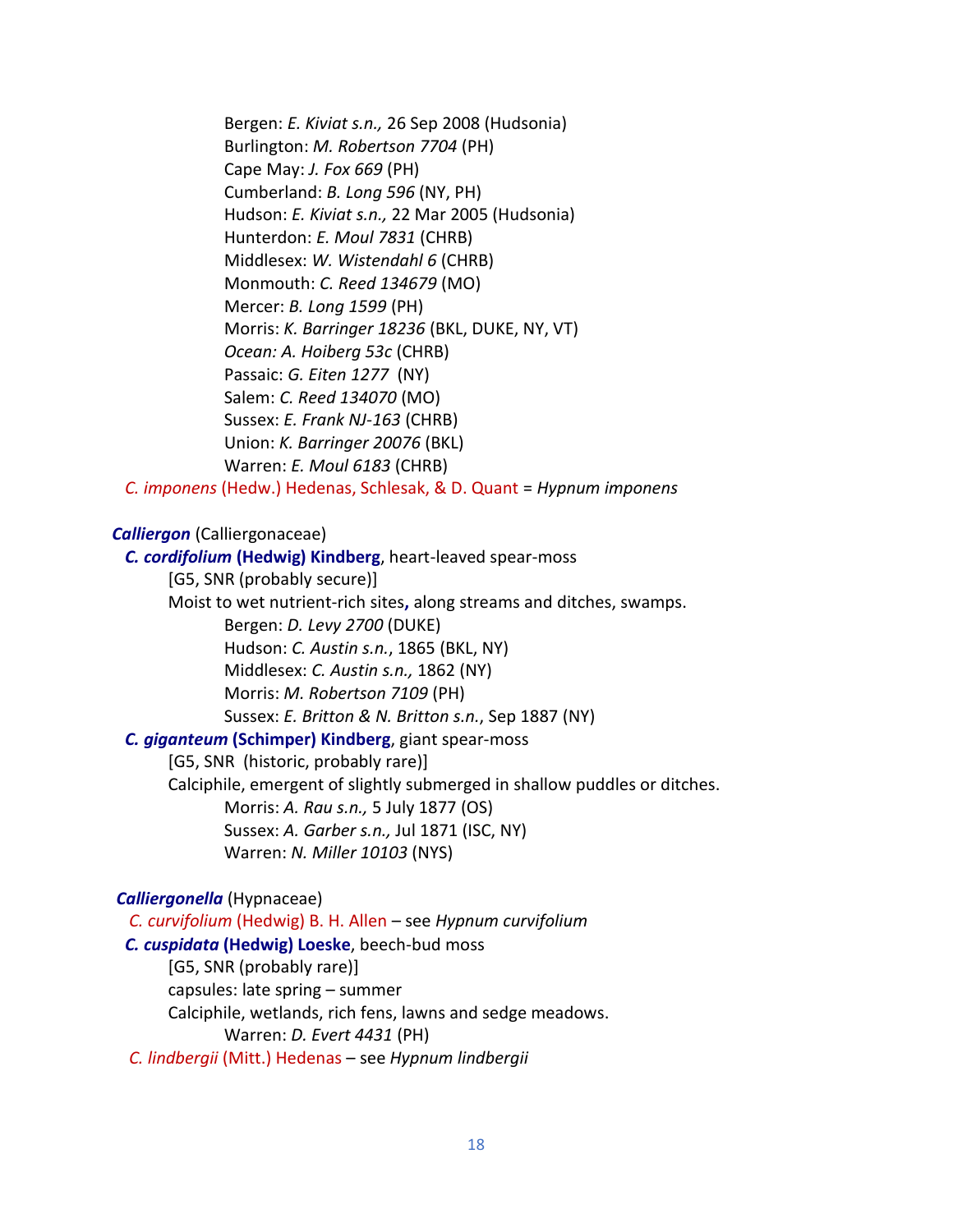Bergen: *E. Kiviat s.n.,* 26 Sep 2008 (Hudsonia) Burlington: *M. Robertson 7704* (PH) Cape May: *J. Fox 669* (PH) Cumberland: *B. Long 596* (NY, PH) Hudson: *E. Kiviat s.n.,* 22 Mar 2005 (Hudsonia) Hunterdon: *E. Moul 7831* (CHRB) Middlesex: *W. Wistendahl 6* (CHRB) Monmouth: *C. Reed 134679* (MO) Mercer: *B. Long 1599* (PH) Morris: *K. Barringer 18236* (BKL, DUKE, NY, VT) *Ocean: A. Hoiberg 53c* (CHRB) Passaic: *G. Eiten 1277* (NY) Salem: *C. Reed 134070* (MO) Sussex: *E. Frank NJ-163* (CHRB) Union: *K. Barringer 20076* (BKL) Warren: *E. Moul 6183* (CHRB)

*C. imponens* (Hedw.) Hedenas, Schlesak, & D. Quant = *Hypnum imponens*

#### *Calliergon* (Calliergonaceae)

 *C. cordifolium* **(Hedwig) Kindberg**, heart-leaved spear-moss [G5, SNR (probably secure)] Moist to wet nutrient-rich sites**,** along streams and ditches, swamps. Bergen: *D. Levy 2700* (DUKE) Hudson: *C. Austin s.n.*, 1865 (BKL, NY) Middlesex: *C. Austin s.n.,* 1862 (NY) Morris: *M. Robertson 7109* (PH) Sussex: *E. Britton & N. Britton s.n.*, Sep 1887 (NY)  *C. giganteum* **(Schimper) Kindberg**, giant spear-moss [G5, SNR (historic, probably rare)] Calciphile, emergent of slightly submerged in shallow puddles or ditches. Morris: *A. Rau s.n.,* 5 July 1877 (OS) Sussex: *A. Garber s.n.,* Jul 1871 (ISC, NY) Warren: *N. Miller 10103* (NYS)

#### *Calliergonella* (Hypnaceae)

 *C. curvifolium* (Hedwig) B. H. Allen – see *Hypnum curvifolium C. cuspidata* **(Hedwig) Loeske**, beech-bud moss [G5, SNR (probably rare)] capsules: late spring – summer Calciphile, wetlands, rich fens, lawns and sedge meadows. Warren: *D. Evert 4431* (PH)  *C. lindbergii* (Mitt.) Hedenas – see *Hypnum lindbergii*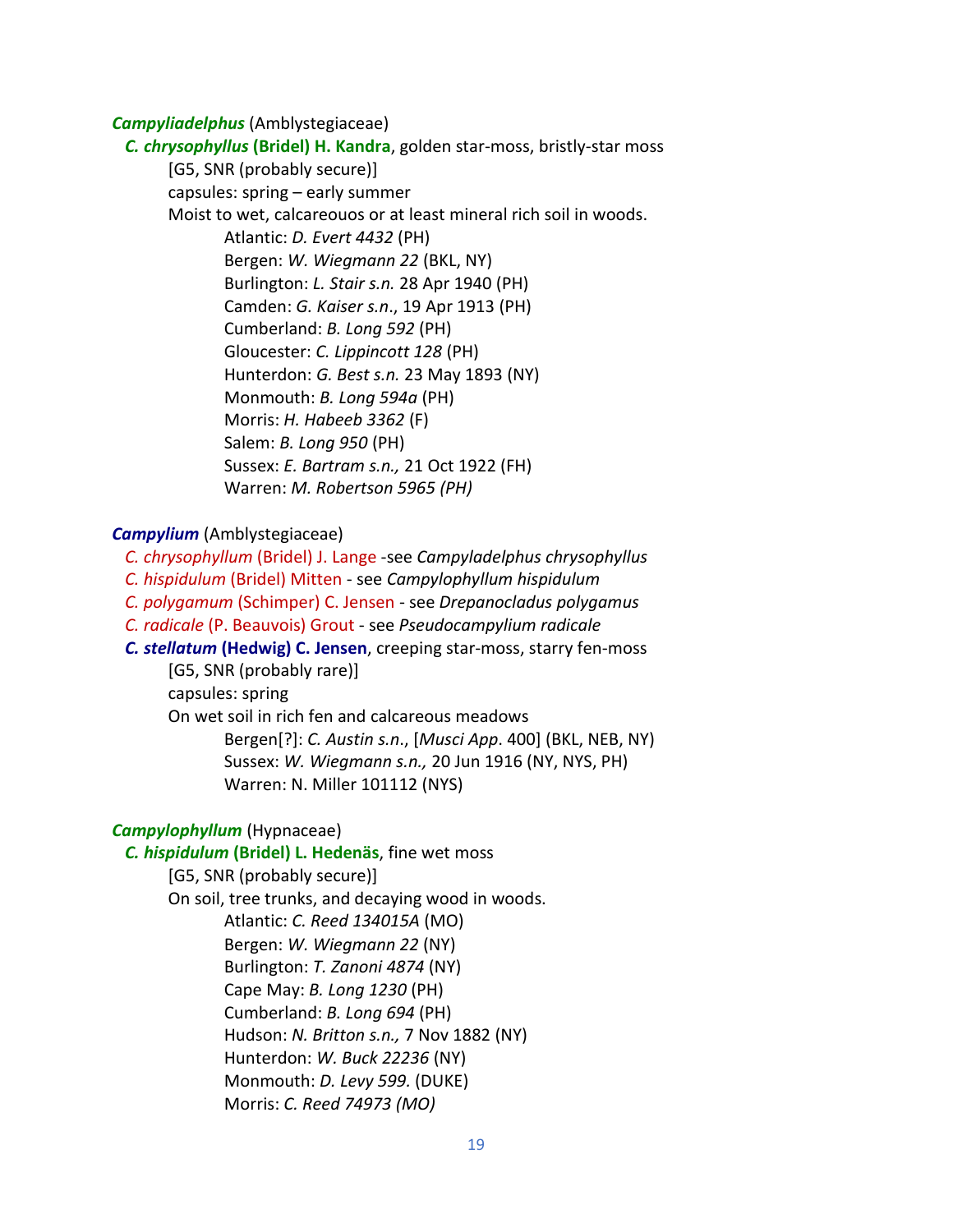#### *Campyliadelphus* (Amblystegiaceae)

 *C. chrysophyllus* **(Bridel) H. Kandra**, golden star-moss, bristly-star moss [G5, SNR (probably secure)] capsules: spring – early summer Moist to wet, calcareouos or at least mineral rich soil in woods. Atlantic: *D. Evert 4432* (PH) Bergen: *W. Wiegmann 22* (BKL, NY) Burlington: *L. Stair s.n.* 28 Apr 1940 (PH) Camden: *G. Kaiser s.n*., 19 Apr 1913 (PH) Cumberland: *B. Long 592* (PH) Gloucester: *C. Lippincott 128* (PH) Hunterdon: *G. Best s.n.* 23 May 1893 (NY) Monmouth: *B. Long 594a* (PH) Morris: *H. Habeeb 3362* (F) Salem: *B. Long 950* (PH) Sussex: *E. Bartram s.n.,* 21 Oct 1922 (FH) Warren: *M. Robertson 5965 (PH)*

#### *Campylium* (Amblystegiaceae)

 *C. chrysophyllum* (Bridel) J. Lange -see *Campyladelphus chrysophyllus C. hispidulum* (Bridel) Mitten - see *Campylophyllum hispidulum*

 *C. polygamum* (Schimper) C. Jensen - see *Drepanocladus polygamus*

 *C. radicale* (P. Beauvois) Grout - see *Pseudocampylium radicale*

 *C. stellatum* **(Hedwig) C. Jensen**, creeping star-moss, starry fen-moss [G5, SNR (probably rare)]

capsules: spring

On wet soil in rich fen and calcareous meadows

Bergen[?]: *C. Austin s.n*., [*Musci App*. 400] (BKL, NEB, NY) Sussex: *W. Wiegmann s.n.,* 20 Jun 1916 (NY, NYS, PH) Warren: N. Miller 101112 (NYS)

# *Campylophyllum* (Hypnaceae)

*C. hispidulum* **(Bridel) L. Hedenäs**, fine wet moss

[G5, SNR (probably secure)] On soil, tree trunks, and decaying wood in woods. Atlantic: *C. Reed 134015A* (MO) Bergen: *W. Wiegmann 22* (NY) Burlington: *T. Zanoni 4874* (NY) Cape May: *B. Long 1230* (PH) Cumberland: *B. Long 694* (PH) Hudson: *N. Britton s.n.,* 7 Nov 1882 (NY) Hunterdon: *W. Buck 22236* (NY) Monmouth: *D. Levy 599.* (DUKE) Morris: *C. Reed 74973 (MO)*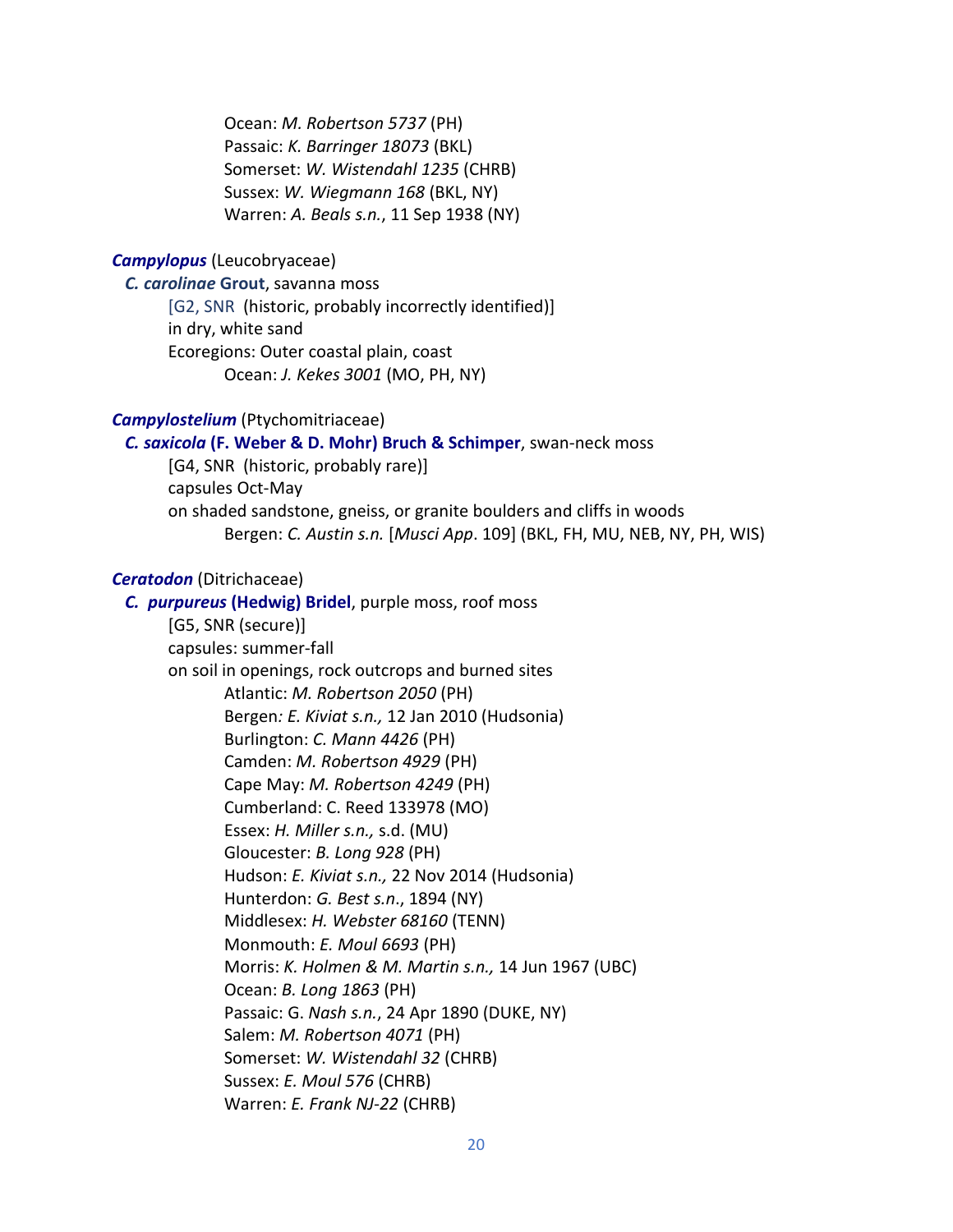Ocean: *M. Robertson 5737* (PH) Passaic: *K. Barringer 18073* (BKL) Somerset: *W. Wistendahl 1235* (CHRB) Sussex: *W. Wiegmann 168* (BKL, NY) Warren: *A. Beals s.n.*, 11 Sep 1938 (NY)

#### *Campylopus* (Leucobryaceae)

*C. carolinae* **Grout**, savanna moss

[G2, SNR(historic, probably incorrectly identified)] in dry, white sand Ecoregions: Outer coastal plain, coast Ocean: *J. Kekes 3001* (MO, PH, NY)

# *Campylostelium* (Ptychomitriaceae)

 *C. saxicola* **(F. Weber & D. Mohr) Bruch & Schimper**, swan-neck moss [G4, SNR(historic, probably rare)] capsules Oct-May on shaded sandstone, gneiss, or granite boulders and cliffs in woods Bergen: *C. Austin s.n.* [*Musci App*. 109] (BKL, FH, MU, NEB, NY, PH, WIS)

#### *Ceratodon* (Ditrichaceae)

 *C. purpureus* **(Hedwig) Bridel**, purple moss, roof moss [G5, SNR (secure)] capsules: summer-fall on soil in openings, rock outcrops and burned sites Atlantic: *M. Robertson 2050* (PH) Bergen*: E. Kiviat s.n.,* 12 Jan 2010 (Hudsonia) Burlington: *C. Mann 4426* (PH) Camden: *M. Robertson 4929* (PH) Cape May: *M. Robertson 4249* (PH) Cumberland: C. Reed 133978 (MO) Essex: *H. Miller s.n.,* s.d. (MU) Gloucester: *B. Long 928* (PH) Hudson: *E. Kiviat s.n.,* 22 Nov 2014 (Hudsonia) Hunterdon: *G. Best s.n*., 1894 (NY) Middlesex: *H. Webster 68160* (TENN) Monmouth: *E. Moul 6693* (PH) Morris: *K. Holmen & M. Martin s.n.,* 14 Jun 1967 (UBC) Ocean: *B. Long 1863* (PH) Passaic: G. *Nash s.n.*, 24 Apr 1890 (DUKE, NY) Salem: *M. Robertson 4071* (PH) Somerset: *W. Wistendahl 32* (CHRB) Sussex: *E. Moul 576* (CHRB) Warren: *E. Frank NJ-22* (CHRB)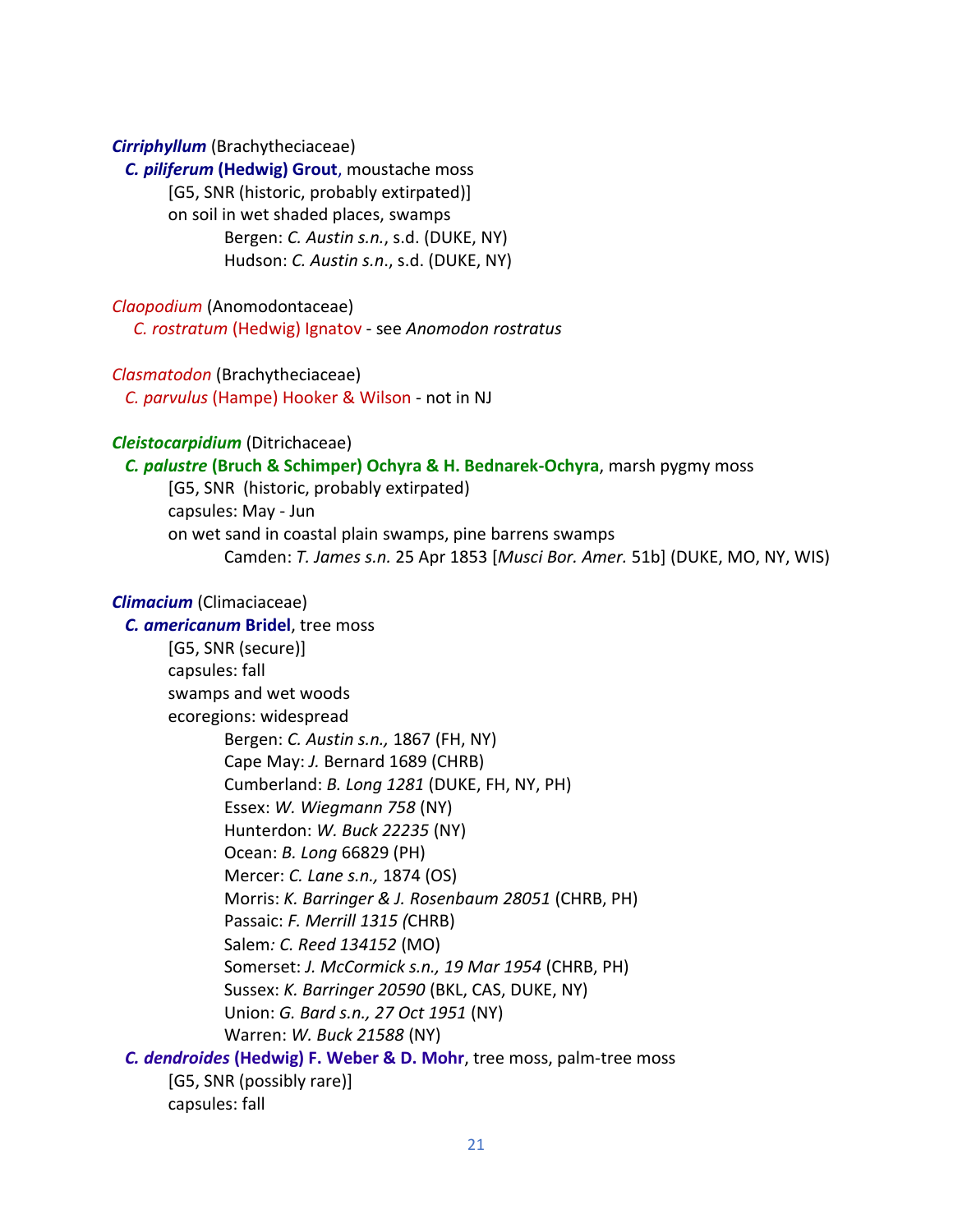#### *Cirriphyllum* (Brachytheciaceae)

 *C. piliferum* **(Hedwig) Grout**, moustache moss [G5, SNR (historic, probably extirpated)] on soil in wet shaded places, swamps Bergen: *C. Austin s.n.*, s.d. (DUKE, NY) Hudson: *C. Austin s.n*., s.d. (DUKE, NY)

*Claopodium* (Anomodontaceae)

*C. rostratum* (Hedwig) Ignatov - see *Anomodon rostratus*

#### *Clasmatodon* (Brachytheciaceae)

 *C. parvulus* (Hampe) Hooker & Wilson - not in NJ

#### *Cleistocarpidium* (Ditrichaceae)

*C. palustre* **(Bruch & Schimper) Ochyra & H. Bednarek-Ochyra**, marsh pygmy moss

[G5, SNR (historic, probably extirpated) capsules: May - Jun on wet sand in coastal plain swamps, pine barrens swamps Camden: *T. James s.n.* 25 Apr 1853 [*Musci Bor. Amer.* 51b] (DUKE, MO, NY, WIS)

# *Climacium* (Climaciaceae)

 *C. americanum* **Bridel**, tree moss [G5, SNR (secure)] capsules: fall swamps and wet woods ecoregions: widespread Bergen: *C. Austin s.n.,* 1867 (FH, NY) Cape May: *J.* Bernard 1689 (CHRB) Cumberland: *B. Long 1281* (DUKE, FH, NY, PH) Essex: *W. Wiegmann 758* (NY) Hunterdon: *W. Buck 22235* (NY) Ocean: *B. Long* 66829 (PH) Mercer: *C. Lane s.n.,* 1874 (OS) Morris: *K. Barringer & J. Rosenbaum 28051* (CHRB, PH) Passaic: *F. Merrill 1315 (*CHRB) Salem*: C. Reed 134152* (MO) Somerset: *J. McCormick s.n., 19 Mar 1954* (CHRB, PH) Sussex: *K. Barringer 20590* (BKL, CAS, DUKE, NY) Union: *G. Bard s.n., 27 Oct 1951* (NY) Warren: *W. Buck 21588* (NY) *C. dendroides* **(Hedwig) F. Weber & D. Mohr**, tree moss, palm-tree moss [G5, SNR (possibly rare)] capsules: fall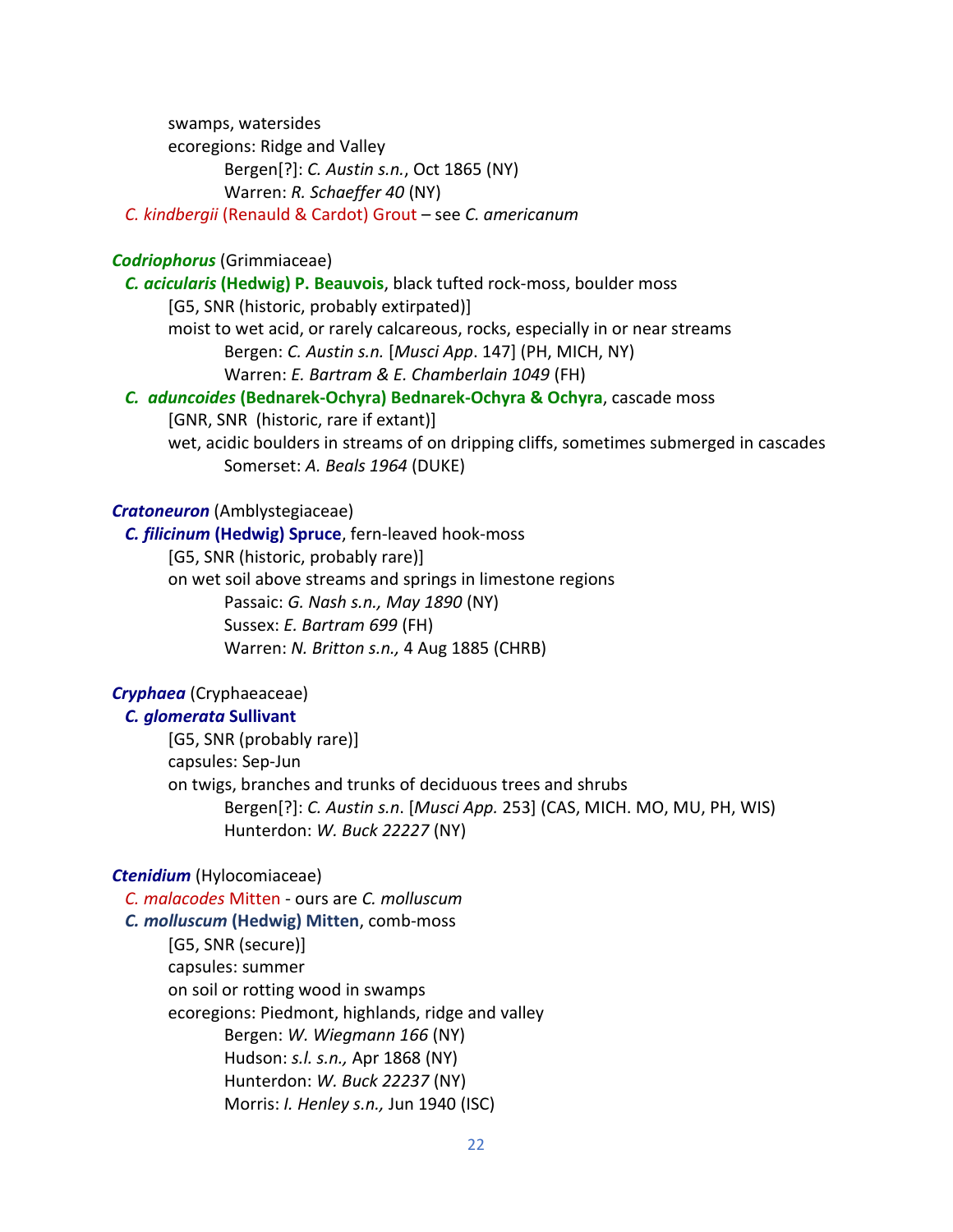swamps, watersides ecoregions: Ridge and Valley Bergen[?]: *C. Austin s.n.*, Oct 1865 (NY) Warren: *R. Schaeffer 40* (NY)

 *C. kindbergii* (Renauld & Cardot) Grout – see *C. americanum*

## *Codriophorus* (Grimmiaceae)

 *C. acicularis* **(Hedwig) P. Beauvois**, black tufted rock-moss, boulder moss [G5, SNR (historic, probably extirpated)] moist to wet acid, or rarely calcareous, rocks, especially in or near streams Bergen: *C. Austin s.n.* [*Musci App*. 147] (PH, MICH, NY) Warren: *E. Bartram & E. Chamberlain 1049* (FH) *C. aduncoides* **(Bednarek-Ochyra) Bednarek-Ochyra & Ochyra**, cascade moss

[GNR, SNR (historic, rare if extant)]

wet, acidic boulders in streams of on dripping cliffs, sometimes submerged in cascades Somerset: *A. Beals 1964* (DUKE)

# *Cratoneuron* (Amblystegiaceae)

 *C. filicinum* **(Hedwig) Spruce**, fern-leaved hook-moss [G5, SNR (historic, probably rare)] on wet soil above streams and springs in limestone regions Passaic: *G. Nash s.n., May 1890* (NY) Sussex: *E. Bartram 699* (FH)

Warren: *N. Britton s.n.,* 4 Aug 1885 (CHRB)

# *Cryphaea* (Cryphaeaceae)

# *C. glomerata* **Sullivant**

[G5, SNR (probably rare)] capsules: Sep-Jun on twigs, branches and trunks of deciduous trees and shrubs Bergen[?]: *C. Austin s.n*. [*Musci App.* 253] (CAS, MICH. MO, MU, PH, WIS) Hunterdon: *W. Buck 22227* (NY)

# *Ctenidium* (Hylocomiaceae)

 *C. malacodes* Mitten - ours are *C. molluscum C. molluscum* **(Hedwig) Mitten**, comb-moss [G5, SNR (secure)] capsules: summer on soil or rotting wood in swamps ecoregions: Piedmont, highlands, ridge and valley Bergen: *W. Wiegmann 166* (NY) Hudson: *s.l. s.n.,* Apr 1868 (NY) Hunterdon: *W. Buck 22237* (NY) Morris: *I. Henley s.n.,* Jun 1940 (ISC)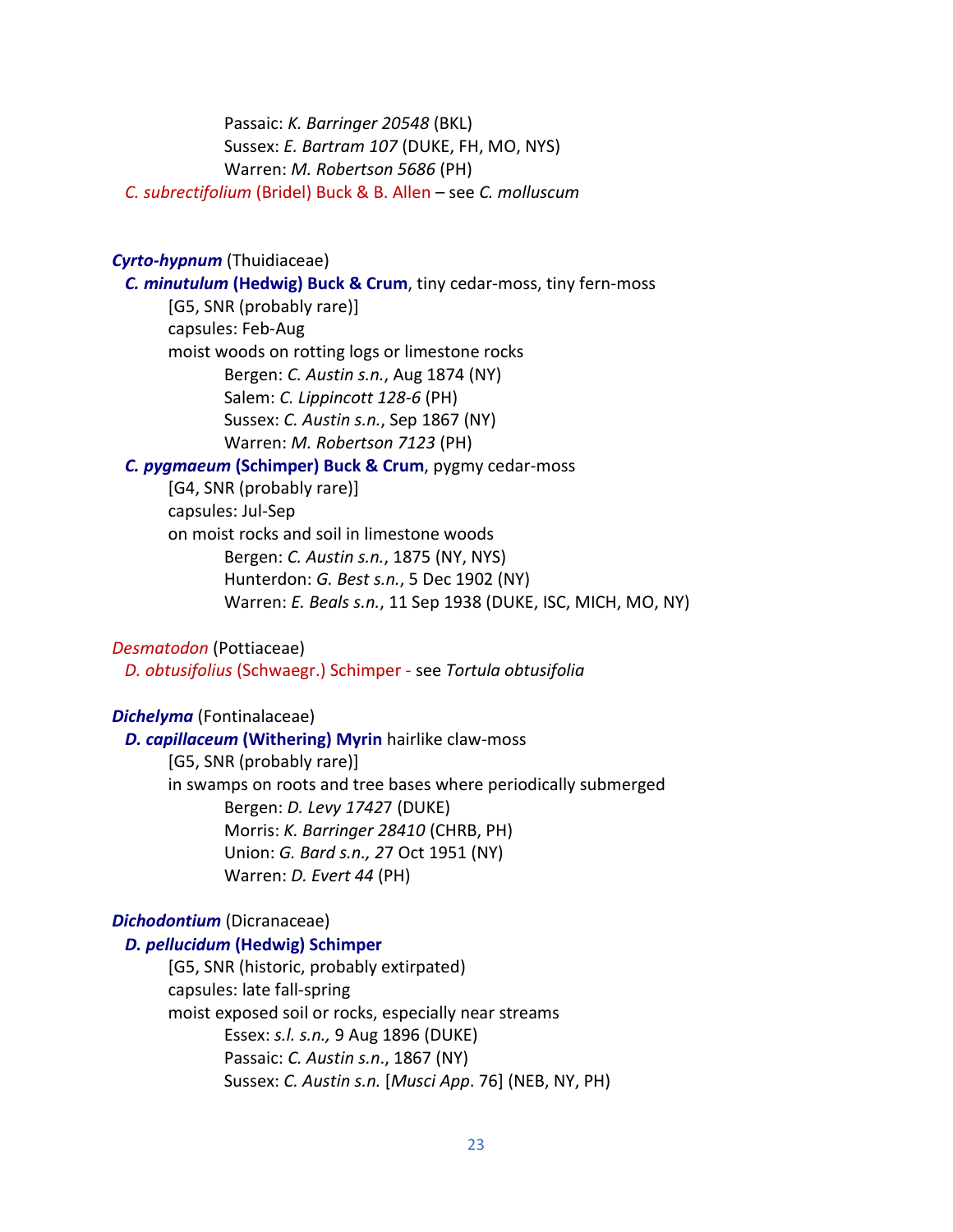Passaic: *K. Barringer 20548* (BKL) Sussex: *E. Bartram 107* (DUKE, FH, MO, NYS) Warren: *M. Robertson 5686* (PH)

*C. subrectifolium* (Bridel) Buck & B. Allen – see *C. molluscum*

# *Cyrto-hypnum* (Thuidiaceae)

*C. minutulum* **(Hedwig) Buck & Crum**, tiny cedar-moss, tiny fern-moss

[G5, SNR (probably rare)] capsules: Feb-Aug moist woods on rotting logs or limestone rocks Bergen: *C. Austin s.n.*, Aug 1874 (NY) Salem: *C. Lippincott 128-6* (PH) Sussex: *C. Austin s.n.*, Sep 1867 (NY) Warren: *M. Robertson 7123* (PH)

## *C. pygmaeum* **(Schimper) Buck & Crum**, pygmy cedar-moss

[G4, SNR (probably rare)] capsules: Jul-Sep on moist rocks and soil in limestone woods Bergen: *C. Austin s.n.*, 1875 (NY, NYS) Hunterdon: *G. Best s.n.*, 5 Dec 1902 (NY) Warren: *E. Beals s.n.*, 11 Sep 1938 (DUKE, ISC, MICH, MO, NY)

#### *Desmatodon* (Pottiaceae)

*D. obtusifolius* (Schwaegr.) Schimper - see *Tortula obtusifolia*

## *Dichelyma* (Fontinalaceae)

 *D. capillaceum* **(Withering) Myrin** hairlike claw-moss [G5, SNR (probably rare)] in swamps on roots and tree bases where periodically submerged Bergen: *D. Levy 1742*7 (DUKE) Morris: *K. Barringer 28410* (CHRB, PH) Union: *G. Bard s.n., 2*7 Oct 1951 (NY) Warren: *D. Evert 44* (PH)

#### *Dichodontium* (Dicranaceae)

#### *D. pellucidum* **(Hedwig) Schimper**

[G5, SNR (historic, probably extirpated) capsules: late fall-spring moist exposed soil or rocks, especially near streams Essex: *s.l. s.n.,* 9 Aug 1896 (DUKE) Passaic: *C. Austin s.n*., 1867 (NY) Sussex: *C. Austin s.n.* [*Musci App*. 76] (NEB, NY, PH)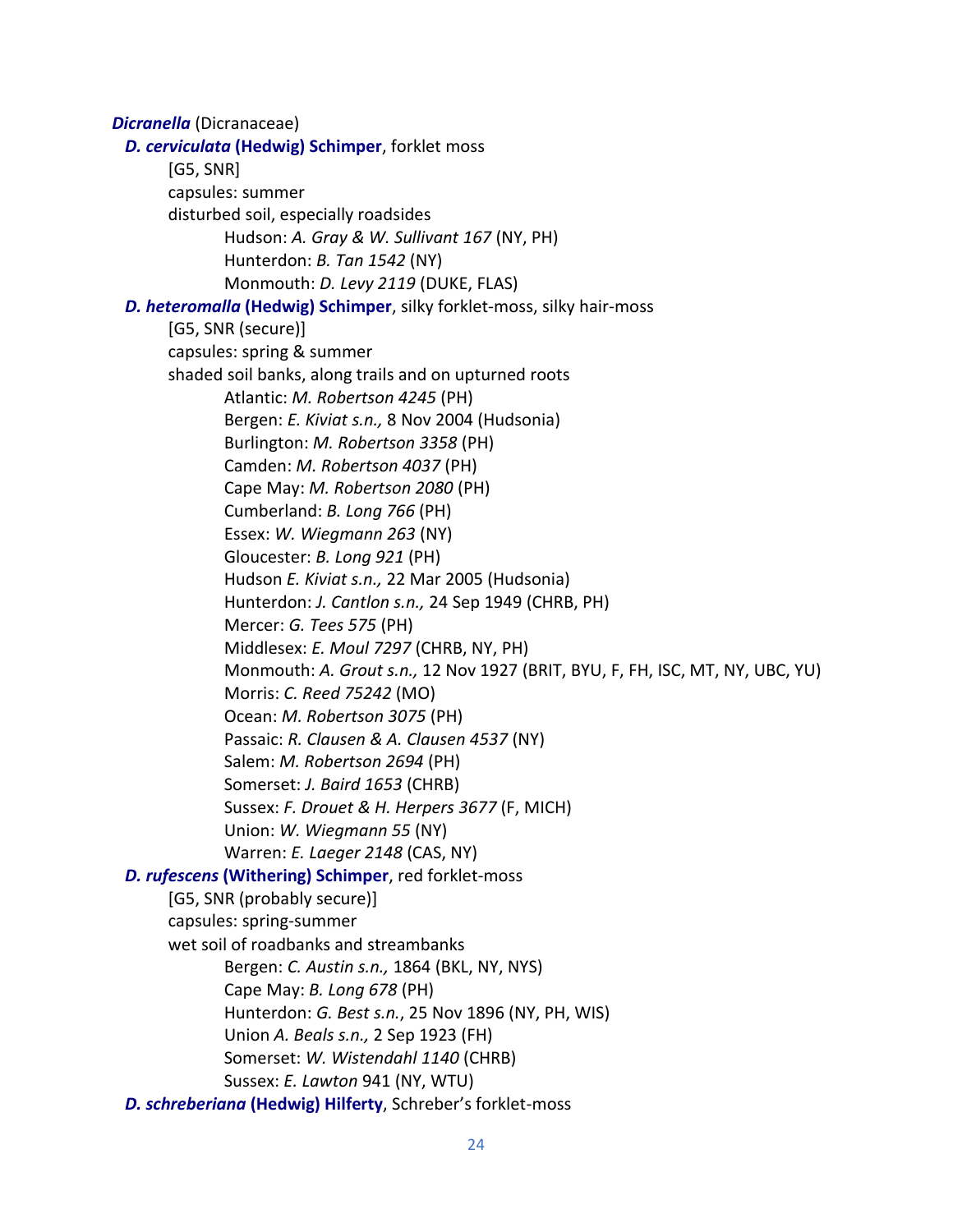*Dicranella* (Dicranaceae)  *D. cerviculata* **(Hedwig) Schimper**, forklet moss [G5, SNR] capsules: summer disturbed soil, especially roadsides Hudson: *A. Gray & W. Sullivant 167* (NY, PH) Hunterdon: *B. Tan 1542* (NY) Monmouth: *D. Levy 2119* (DUKE, FLAS)  *D. heteromalla* **(Hedwig) Schimper**, silky forklet-moss, silky hair-moss [G5, SNR (secure)] capsules: spring & summer shaded soil banks, along trails and on upturned roots Atlantic: *M. Robertson 4245* (PH) Bergen: *E. Kiviat s.n.,* 8 Nov 2004 (Hudsonia) Burlington: *M. Robertson 3358* (PH) Camden: *M. Robertson 4037* (PH) Cape May: *M. Robertson 2080* (PH) Cumberland: *B. Long 766* (PH) Essex: *W. Wiegmann 263* (NY) Gloucester: *B. Long 921* (PH) Hudson *E. Kiviat s.n.,* 22 Mar 2005 (Hudsonia) Hunterdon: *J. Cantlon s.n.,* 24 Sep 1949 (CHRB, PH) Mercer: *G. Tees 575* (PH) Middlesex: *E. Moul 7297* (CHRB, NY, PH) Monmouth: *A. Grout s.n.,* 12 Nov 1927 (BRIT, BYU, F, FH, ISC, MT, NY, UBC, YU) Morris: *C. Reed 75242* (MO) Ocean: *M. Robertson 3075* (PH) Passaic: *R. Clausen & A. Clausen 4537* (NY) Salem: *M. Robertson 2694* (PH) Somerset: *J. Baird 1653* (CHRB) Sussex: *F. Drouet & H. Herpers 3677* (F, MICH) Union: *W. Wiegmann 55* (NY) Warren: *E. Laeger 2148* (CAS, NY) *D. rufescens* **(Withering) Schimper**, red forklet-moss [G5, SNR (probably secure)] capsules: spring-summer wet soil of roadbanks and streambanks Bergen: *C. Austin s.n.,* 1864 (BKL, NY, NYS) Cape May: *B. Long 678* (PH) Hunterdon: *G. Best s.n.*, 25 Nov 1896 (NY, PH, WIS) Union *A. Beals s.n.,* 2 Sep 1923 (FH) Somerset: *W. Wistendahl 1140* (CHRB) Sussex: *E. Lawton* 941 (NY, WTU)  *D. schreberiana* **(Hedwig) Hilferty**, Schreber's forklet-moss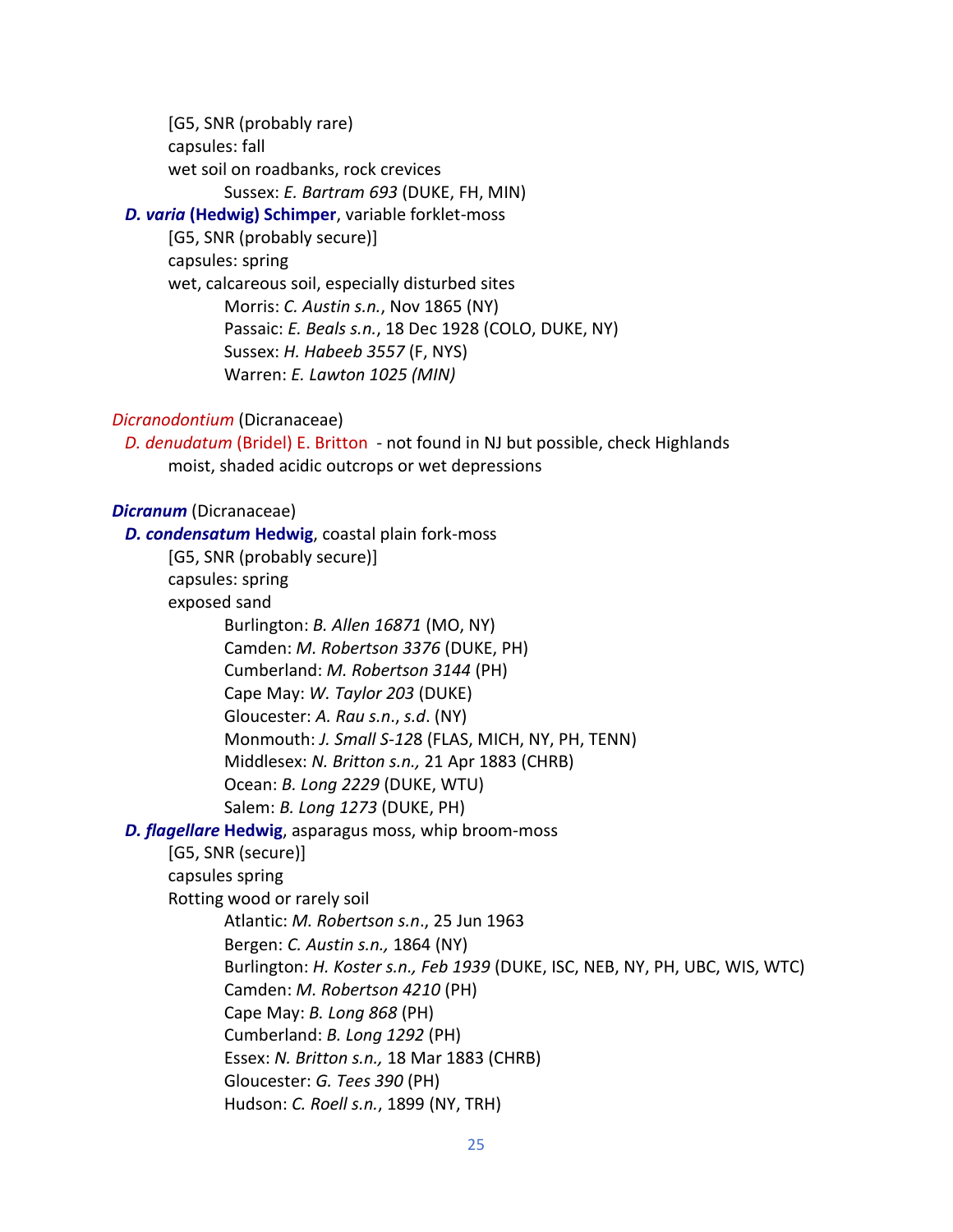[G5, SNR (probably rare) capsules: fall wet soil on roadbanks, rock crevices Sussex: *E. Bartram 693* (DUKE, FH, MIN)

# *D. varia* **(Hedwig) Schimper**, variable forklet-moss

[G5, SNR (probably secure)] capsules: spring wet, calcareous soil, especially disturbed sites Morris: *C. Austin s.n.*, Nov 1865 (NY) Passaic: *E. Beals s.n.*, 18 Dec 1928 (COLO, DUKE, NY) Sussex: *H. Habeeb 3557* (F, NYS) Warren: *E. Lawton 1025 (MIN)*

# *Dicranodontium* (Dicranaceae)

 *D. denudatum* (Bridel) E. Britton - not found in NJ but possible, check Highlands moist, shaded acidic outcrops or wet depressions

## *Dicranum* (Dicranaceae)

 *D. condensatum* **Hedwig**, coastal plain fork-moss [G5, SNR (probably secure)] capsules: spring exposed sand Burlington: *B. Allen 16871* (MO, NY) Camden: *M. Robertson 3376* (DUKE, PH) Cumberland: *M. Robertson 3144* (PH) Cape May: *W. Taylor 203* (DUKE) Gloucester: *A. Rau s.n*., *s.d*. (NY) Monmouth: *J. Small S-12*8 (FLAS, MICH, NY, PH, TENN) Middlesex: *N. Britton s.n.,* 21 Apr 1883 (CHRB) Ocean: *B. Long 2229* (DUKE, WTU) Salem: *B. Long 1273* (DUKE, PH)  *D. flagellare* **Hedwig**, asparagus moss, whip broom-moss [G5, SNR (secure)] capsules spring Rotting wood or rarely soil Atlantic: *M. Robertson s.n*., 25 Jun 1963 Bergen: *C. Austin s.n.,* 1864 (NY) Burlington: *H. Koster s.n., Feb 1939* (DUKE, ISC, NEB, NY, PH, UBC, WIS, WTC) Camden: *M. Robertson 4210* (PH) Cape May: *B. Long 868* (PH) Cumberland: *B. Long 1292* (PH) Essex: *N. Britton s.n.,* 18 Mar 1883 (CHRB) Gloucester: *G. Tees 390* (PH) Hudson: *C. Roell s.n.*, 1899 (NY, TRH)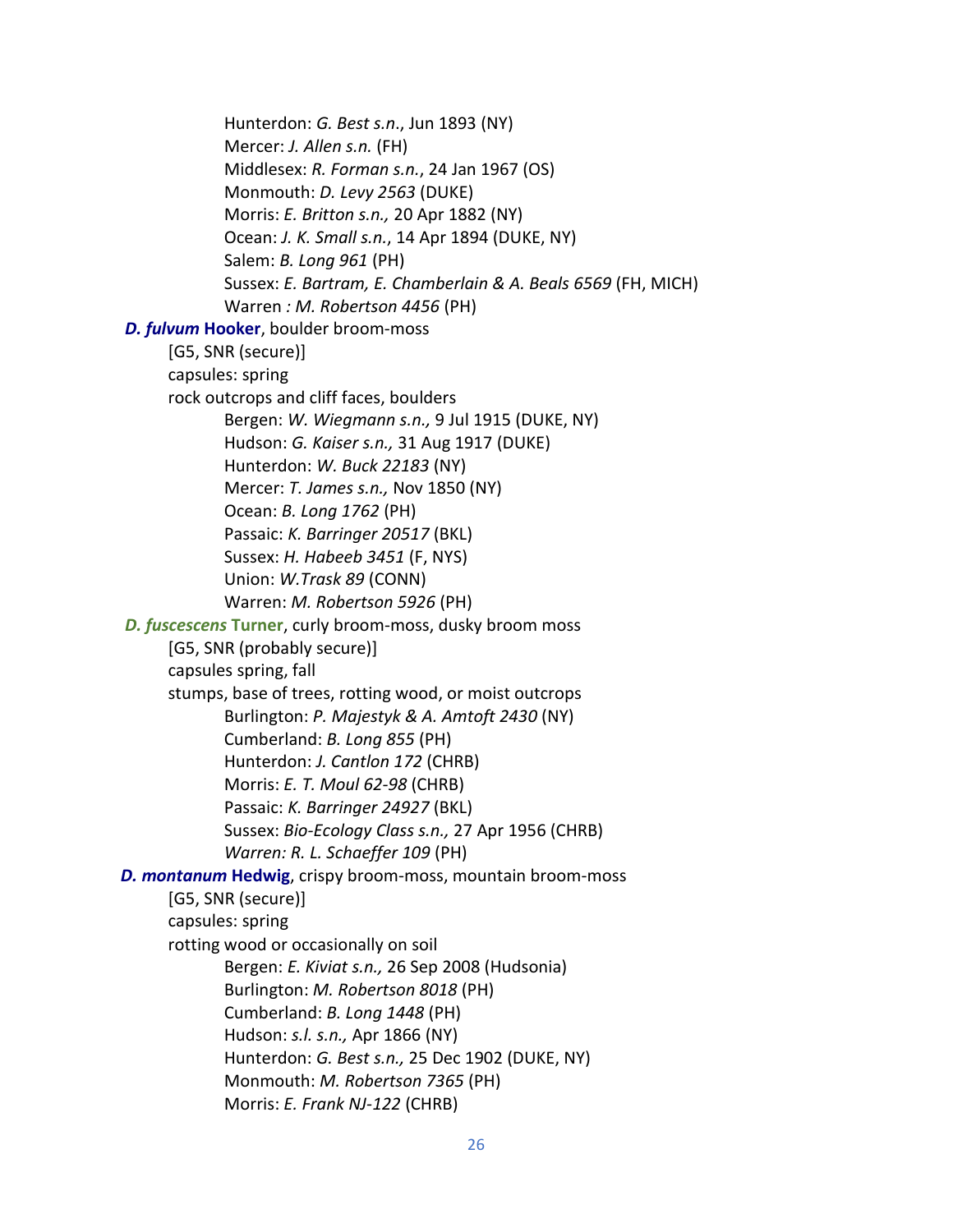Hunterdon: *G. Best s.n*., Jun 1893 (NY) Mercer: *J. Allen s.n.* (FH) Middlesex: *R. Forman s.n.*, 24 Jan 1967 (OS) Monmouth: *D. Levy 2563* (DUKE) Morris: *E. Britton s.n.,* 20 Apr 1882 (NY) Ocean: *J. K. Small s.n.*, 14 Apr 1894 (DUKE, NY) Salem: *B. Long 961* (PH) Sussex: *E. Bartram, E. Chamberlain & A. Beals 6569* (FH, MICH) Warren *: M. Robertson 4456* (PH)  *D. fulvum* **Hooker**, boulder broom-moss [G5, SNR (secure)] capsules: spring rock outcrops and cliff faces, boulders Bergen: *W. Wiegmann s.n.,* 9 Jul 1915 (DUKE, NY) Hudson: *G. Kaiser s.n.,* 31 Aug 1917 (DUKE) Hunterdon: *W. Buck 22183* (NY) Mercer: *T. James s.n.,* Nov 1850 (NY) Ocean: *B. Long 1762* (PH) Passaic: *K. Barringer 20517* (BKL) Sussex: *H. Habeeb 3451* (F, NYS) Union: *W.Trask 89* (CONN) Warren: *M. Robertson 5926* (PH)  *D. fuscescens* **Turner**, curly broom-moss, dusky broom moss [G5, SNR (probably secure)] capsules spring, fall stumps, base of trees, rotting wood, or moist outcrops Burlington: *P. Majestyk & A. Amtoft 2430* (NY) Cumberland: *B. Long 855* (PH) Hunterdon: *J. Cantlon 172* (CHRB) Morris: *E. T. Moul 62-98* (CHRB) Passaic: *K. Barringer 24927* (BKL) Sussex: *Bio-Ecology Class s.n.,* 27 Apr 1956 (CHRB) *Warren: R. L. Schaeffer 109* (PH)  *D. montanum* **Hedwig**, crispy broom-moss, mountain broom-moss [G5, SNR (secure)] capsules: spring rotting wood or occasionally on soil Bergen: *E. Kiviat s.n.,* 26 Sep 2008 (Hudsonia) Burlington: *M. Robertson 8018* (PH) Cumberland: *B. Long 1448* (PH) Hudson: *s.l. s.n.,* Apr 1866 (NY) Hunterdon: *G. Best s.n.,* 25 Dec 1902 (DUKE, NY) Monmouth: *M. Robertson 7365* (PH) Morris: *E. Frank NJ-122* (CHRB)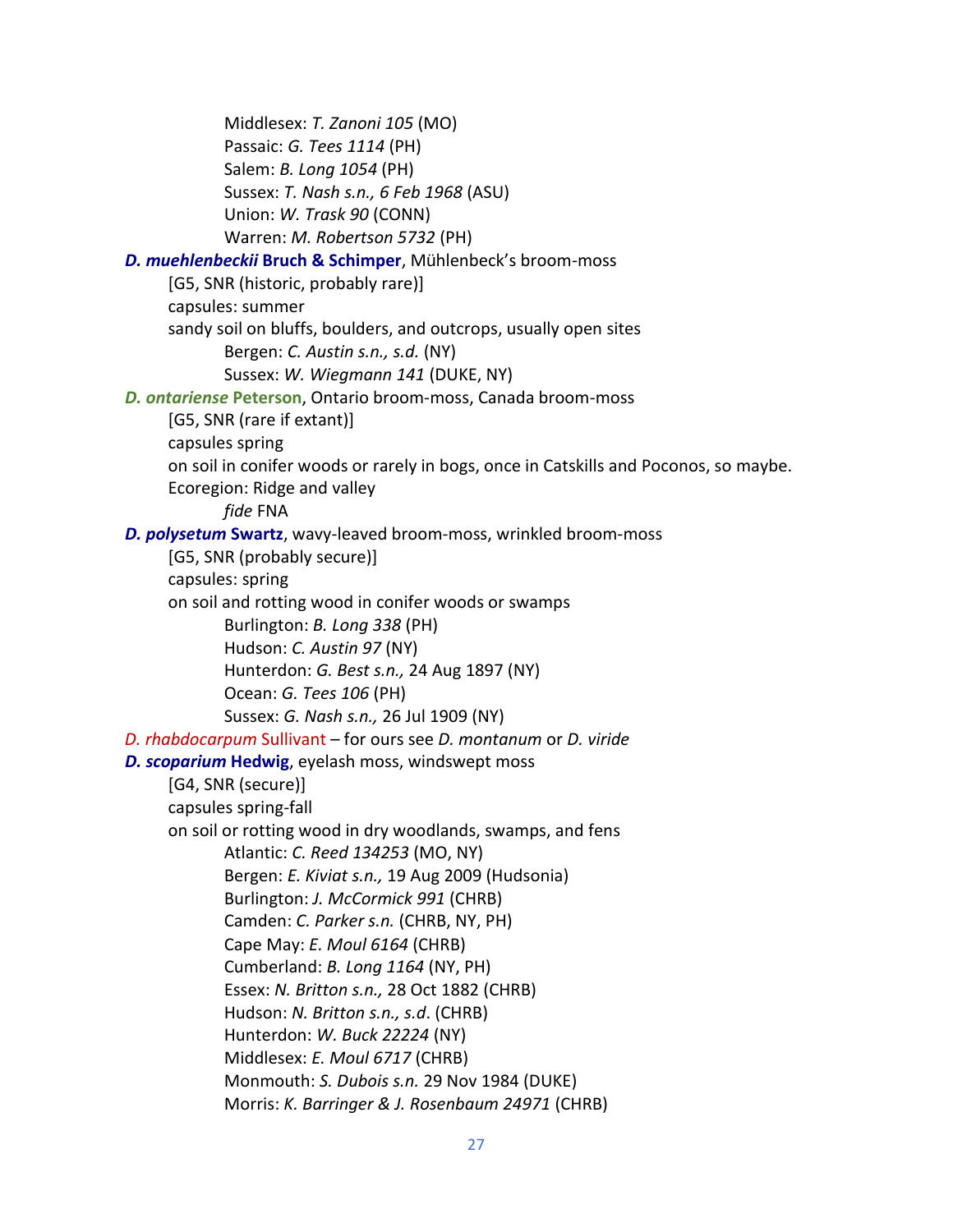Middlesex: *T. Zanoni 105* (MO) Passaic: *G. Tees 1114* (PH) Salem: *B. Long 1054* (PH) Sussex: *T. Nash s.n., 6 Feb 1968* (ASU) Union: *W. Trask 90* (CONN) Warren: *M. Robertson 5732* (PH)  *D. muehlenbeckii* **Bruch & Schimper**, Mühlenbeck's broom-moss [G5, SNR (historic, probably rare)] capsules: summer sandy soil on bluffs, boulders, and outcrops, usually open sites Bergen: *C. Austin s.n., s.d.* (NY) Sussex: *W. Wiegmann 141* (DUKE, NY)  *D. ontariense* **Peterson**, Ontario broom-moss, Canada broom-moss [G5, SNR (rare if extant)] capsules spring on soil in conifer woods or rarely in bogs, once in Catskills and Poconos, so maybe. Ecoregion: Ridge and valley *fide* FNA  *D. polysetum* **Swartz**, wavy-leaved broom-moss, wrinkled broom-moss [G5, SNR (probably secure)] capsules: spring on soil and rotting wood in conifer woods or swamps Burlington: *B. Long 338* (PH) Hudson: *C. Austin 97* (NY) Hunterdon: *G. Best s.n.,* 24 Aug 1897 (NY) Ocean: *G. Tees 106* (PH) Sussex: *G. Nash s.n.,* 26 Jul 1909 (NY)  *D. rhabdocarpum* Sullivant – for ours see *D. montanum* or *D. viride D. scoparium* **Hedwig**, eyelash moss, windswept moss [G4, SNR (secure)] capsules spring-fall on soil or rotting wood in dry woodlands, swamps, and fens Atlantic: *C. Reed 134253* (MO, NY) Bergen: *E. Kiviat s.n.,* 19 Aug 2009 (Hudsonia) Burlington: *J. McCormick 991* (CHRB) Camden: *C. Parker s.n.* (CHRB, NY, PH) Cape May: *E. Moul 6164* (CHRB) Cumberland: *B. Long 1164* (NY, PH) Essex: *N. Britton s.n.,* 28 Oct 1882 (CHRB) Hudson: *N. Britton s.n., s.d*. (CHRB) Hunterdon: *W. Buck 22224* (NY) Middlesex: *E. Moul 6717* (CHRB) Monmouth: *S. Dubois s.n.* 29 Nov 1984 (DUKE) Morris: *K. Barringer & J. Rosenbaum 24971* (CHRB)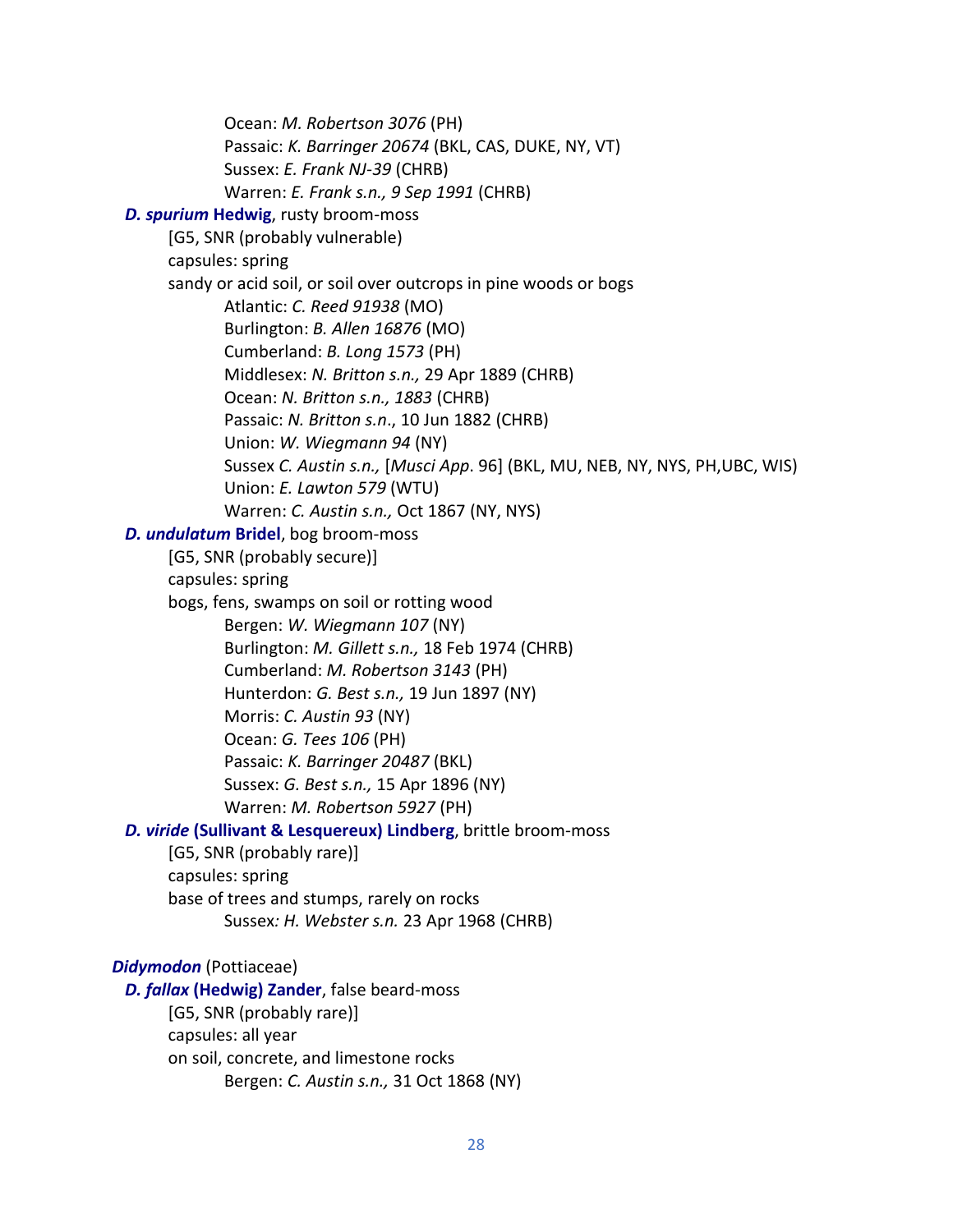Ocean: *M. Robertson 3076* (PH) Passaic: *K. Barringer 20674* (BKL, CAS, DUKE, NY, VT) Sussex: *E. Frank NJ-39* (CHRB) Warren: *E. Frank s.n., 9 Sep 1991* (CHRB) *D. spurium* **Hedwig**, rusty broom-moss [G5, SNR (probably vulnerable) capsules: spring sandy or acid soil, or soil over outcrops in pine woods or bogs Atlantic: *C. Reed 91938* (MO) Burlington: *B. Allen 16876* (MO) Cumberland: *B. Long 1573* (PH) Middlesex: *N. Britton s.n.,* 29 Apr 1889 (CHRB) Ocean: *N. Britton s.n., 1883* (CHRB) Passaic: *N. Britton s.n*., 10 Jun 1882 (CHRB) Union: *W. Wiegmann 94* (NY) Sussex *C. Austin s.n.,* [*Musci App*. 96] (BKL, MU, NEB, NY, NYS, PH,UBC, WIS) Union: *E. Lawton 579* (WTU) Warren: *C. Austin s.n.,* Oct 1867 (NY, NYS)  *D. undulatum* **Bridel**, bog broom-moss [G5, SNR (probably secure)] capsules: spring bogs, fens, swamps on soil or rotting wood Bergen: *W. Wiegmann 107* (NY) Burlington: *M. Gillett s.n.,* 18 Feb 1974 (CHRB) Cumberland: *M. Robertson 3143* (PH) Hunterdon: *G. Best s.n.,* 19 Jun 1897 (NY) Morris: *C. Austin 93* (NY) Ocean: *G. Tees 106* (PH) Passaic: *K. Barringer 20487* (BKL) Sussex: *G. Best s.n.,* 15 Apr 1896 (NY) Warren: *M. Robertson 5927* (PH)  *D. viride* **(Sullivant & Lesquereux) Lindberg**, brittle broom-moss [G5, SNR (probably rare)] capsules: spring base of trees and stumps, rarely on rocks Sussex*: H. Webster s.n.* 23 Apr 1968 (CHRB) *Didymodon* (Pottiaceae)  *D. fallax* **(Hedwig) Zander**, false beard-moss [G5, SNR (probably rare)] capsules: all year

on soil, concrete, and limestone rocks

Bergen: *C. Austin s.n.,* 31 Oct 1868 (NY)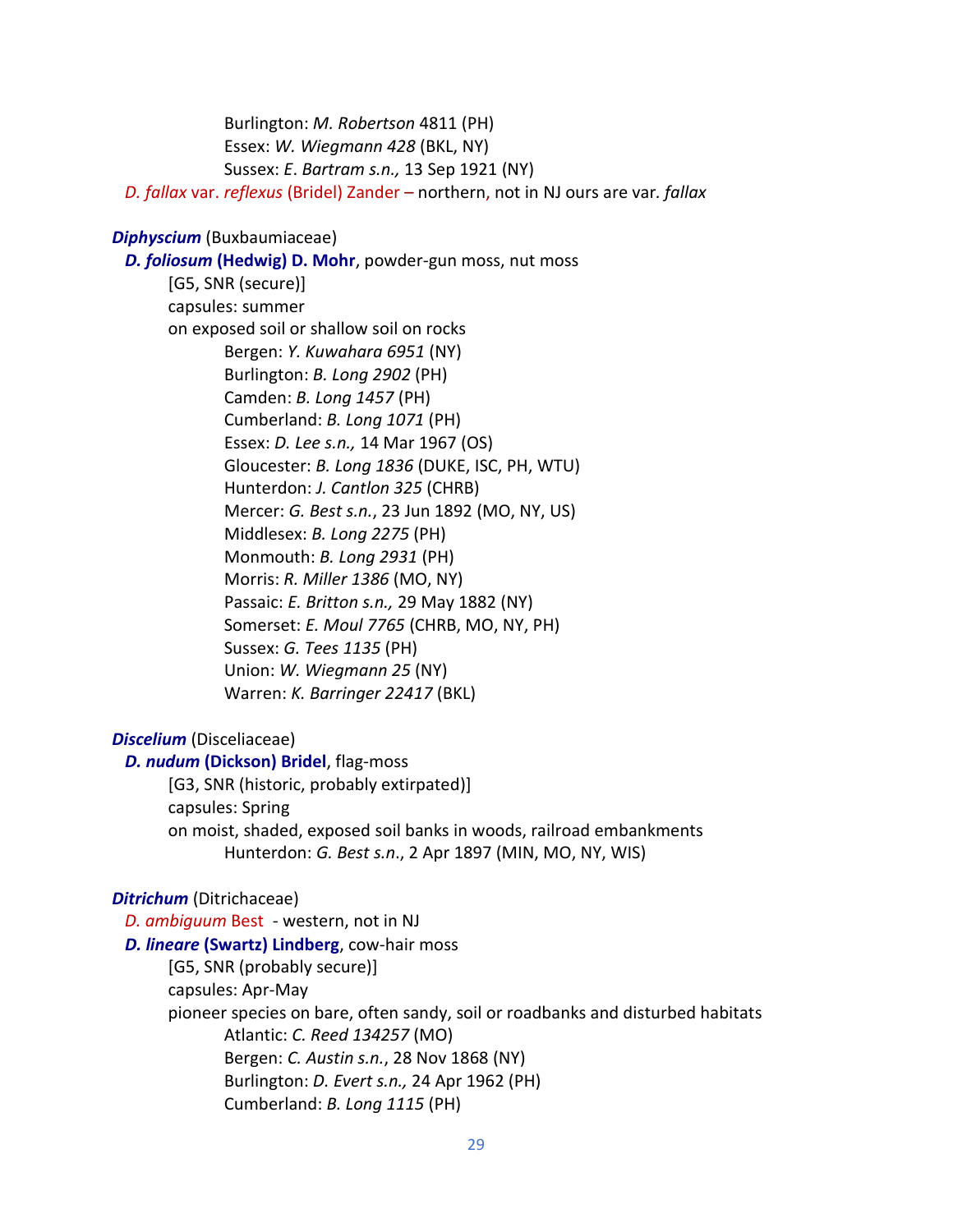Burlington: *M. Robertson* 4811 (PH) Essex: *W. Wiegmann 428* (BKL, NY) Sussex: *E*. *Bartram s.n.,* 13 Sep 1921 (NY) *D. fallax* var. *reflexus* (Bridel) Zander – northern, not in NJ ours are var*. fallax*

## *Diphyscium* (Buxbaumiaceae)

 *D. foliosum* **(Hedwig) D. Mohr**, powder-gun moss, nut moss [G5, SNR (secure)] capsules: summer on exposed soil or shallow soil on rocks Bergen: *Y. Kuwahara 6951* (NY) Burlington: *B. Long 2902* (PH) Camden: *B. Long 1457* (PH) Cumberland: *B. Long 1071* (PH) Essex: *D. Lee s.n.,* 14 Mar 1967 (OS) Gloucester: *B. Long 1836* (DUKE, ISC, PH, WTU) Hunterdon: *J. Cantlon 325* (CHRB) Mercer: *G. Best s.n.*, 23 Jun 1892 (MO, NY, US) Middlesex: *B. Long 2275* (PH) Monmouth: *B. Long 2931* (PH) Morris: *R. Miller 1386* (MO, NY) Passaic: *E. Britton s.n.,* 29 May 1882 (NY) Somerset: *E. Moul 7765* (CHRB, MO, NY, PH) Sussex: *G. Tees 1135* (PH) Union: *W. Wiegmann 25* (NY) Warren: *K. Barringer 22417* (BKL)

#### *Discelium* (Disceliaceae)

 *D. nudum* **(Dickson) Bridel**, flag-moss [G3, SNR (historic, probably extirpated)] capsules: Spring on moist, shaded, exposed soil banks in woods, railroad embankments Hunterdon: *G. Best s.n*., 2 Apr 1897 (MIN, MO, NY, WIS)

#### *Ditrichum* (Ditrichaceae)

 *D. ambiguum* Best - western, not in NJ  *D. lineare* **(Swartz) Lindberg**, cow-hair moss [G5, SNR (probably secure)] capsules: Apr-May pioneer species on bare, often sandy, soil or roadbanks and disturbed habitats Atlantic: *C. Reed 134257* (MO) Bergen: *C. Austin s.n.*, 28 Nov 1868 (NY) Burlington: *D. Evert s.n.,* 24 Apr 1962 (PH) Cumberland: *B. Long 1115* (PH)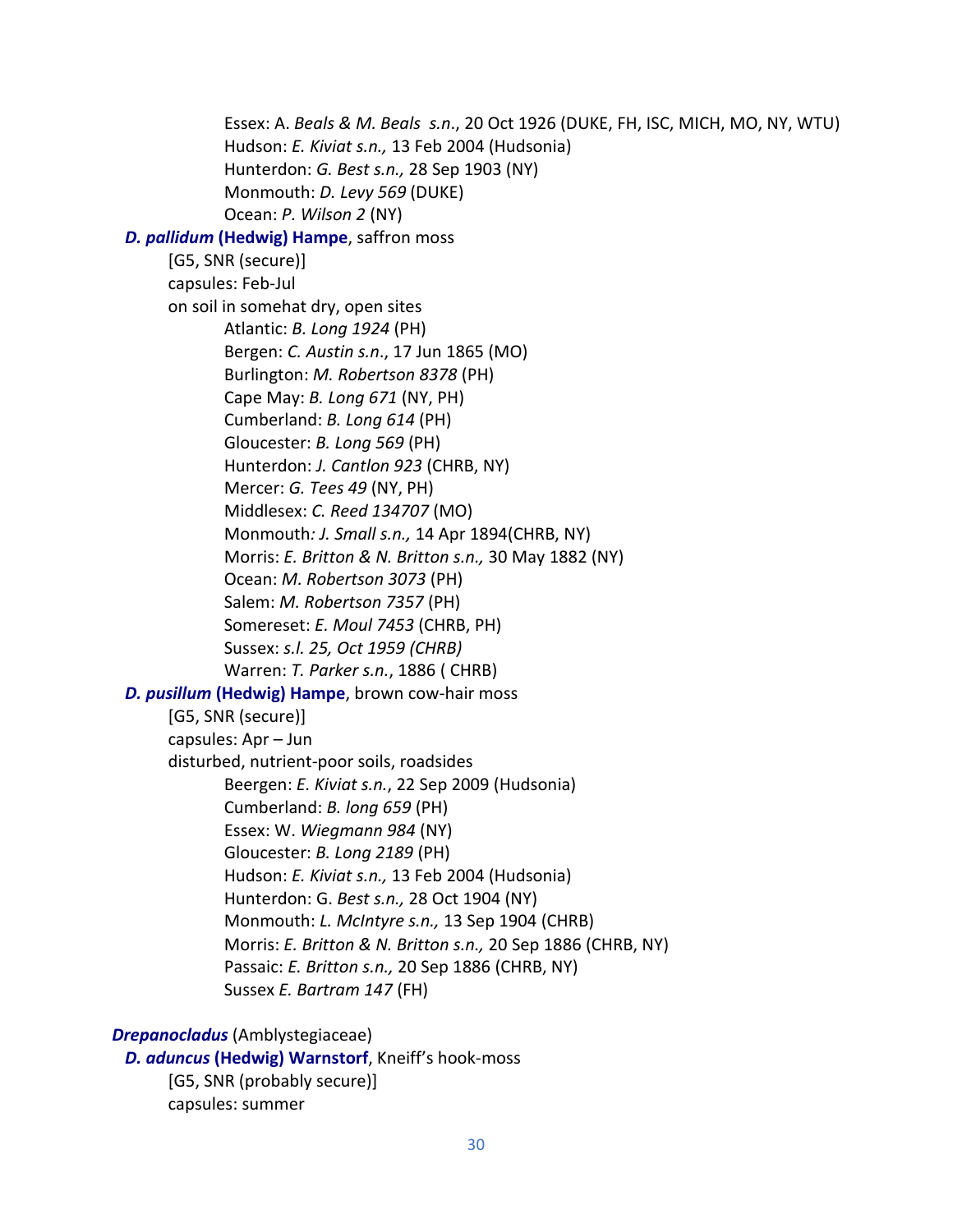Essex: A. *Beals & M. Beals s.n*., 20 Oct 1926 (DUKE, FH, ISC, MICH, MO, NY, WTU) Hudson: *E. Kiviat s.n.,* 13 Feb 2004 (Hudsonia) Hunterdon: *G. Best s.n.,* 28 Sep 1903 (NY) Monmouth: *D. Levy 569* (DUKE) Ocean: *P. Wilson 2* (NY)  *D. pallidum* **(Hedwig) Hampe**, saffron moss [G5, SNR (secure)] capsules: Feb-Jul on soil in somehat dry, open sites Atlantic: *B. Long 1924* (PH) Bergen: *C. Austin s.n*., 17 Jun 1865 (MO) Burlington: *M. Robertson 8378* (PH) Cape May: *B. Long 671* (NY, PH) Cumberland: *B. Long 614* (PH) Gloucester: *B. Long 569* (PH) Hunterdon: *J. Cantlon 923* (CHRB, NY) Mercer: *G. Tees 49* (NY, PH) Middlesex: *C. Reed 134707* (MO) Monmouth*: J. Small s.n.,* 14 Apr 1894(CHRB, NY) Morris: *E. Britton & N. Britton s.n.,* 30 May 1882 (NY) Ocean: *M. Robertson 3073* (PH) Salem: *M. Robertson 7357* (PH) Somereset: *E. Moul 7453* (CHRB, PH) Sussex: *s.l. 25, Oct 1959 (CHRB)* Warren: *T. Parker s.n.*, 1886 ( CHRB) *D. pusillum* **(Hedwig) Hampe**, brown cow-hair moss [G5, SNR (secure)] capsules: Apr – Jun disturbed, nutrient-poor soils, roadsides Beergen: *E. Kiviat s.n.*, 22 Sep 2009 (Hudsonia) Cumberland: *B. long 659* (PH) Essex: W. *Wiegmann 984* (NY) Gloucester: *B. Long 2189* (PH) Hudson: *E. Kiviat s.n.,* 13 Feb 2004 (Hudsonia) Hunterdon: G. *Best s.n.,* 28 Oct 1904 (NY) Monmouth: *L. McIntyre s.n.,* 13 Sep 1904 (CHRB) Morris: *E. Britton & N. Britton s.n.,* 20 Sep 1886 (CHRB, NY) Passaic: *E. Britton s.n.,* 20 Sep 1886 (CHRB, NY) Sussex *E. Bartram 147* (FH) *Drepanocladus* (Amblystegiaceae)  *D. aduncus* **(Hedwig) Warnstorf**, Kneiff's hook-moss

[G5, SNR (probably secure)] capsules: summer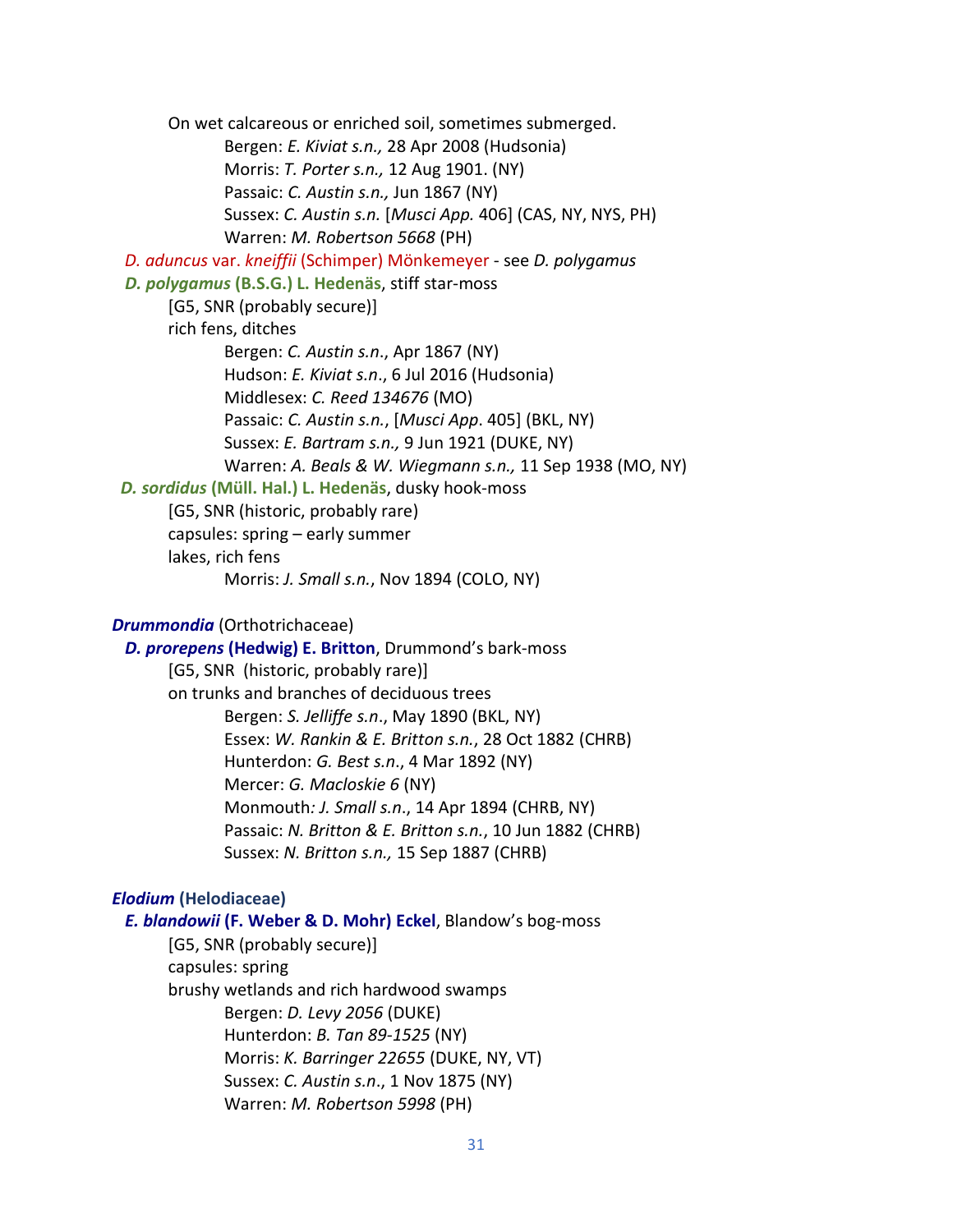On wet calcareous or enriched soil, sometimes submerged. Bergen: *E. Kiviat s.n.,* 28 Apr 2008 (Hudsonia) Morris: *T. Porter s.n.,* 12 Aug 1901. (NY) Passaic: *C. Austin s.n.,* Jun 1867 (NY) Sussex: *C. Austin s.n.* [*Musci App.* 406] (CAS, NY, NYS, PH) Warren: *M. Robertson 5668* (PH)  *D. aduncus* var. *kneiffii* (Schimper) Mönkemeyer - see *D. polygamus D. polygamus* **(B.S.G.) L. Hedenäs**, stiff star-moss [G5, SNR (probably secure)] rich fens, ditches Bergen: *C. Austin s.n*., Apr 1867 (NY) Hudson: *E. Kiviat s.n*., 6 Jul 2016 (Hudsonia) Middlesex: *C. Reed 134676* (MO) Passaic: *C. Austin s.n.*, [*Musci App*. 405] (BKL, NY) Sussex: *E. Bartram s.n.,* 9 Jun 1921 (DUKE, NY) Warren: *A. Beals & W. Wiegmann s.n.,* 11 Sep 1938 (MO, NY) *D. sordidus* **(Müll. Hal.) L. Hedenäs**, dusky hook-moss [G5, SNR (historic, probably rare) capsules: spring – early summer lakes, rich fens Morris: *J. Small s.n.*, Nov 1894 (COLO, NY)

# *Drummondia* (Orthotrichaceae)

 *D. prorepens* **(Hedwig) E. Britton**, Drummond's bark-moss [G5, SNR (historic, probably rare)] on trunks and branches of deciduous trees Bergen: *S. Jelliffe s.n*., May 1890 (BKL, NY) Essex: *W. Rankin & E. Britton s.n.*, 28 Oct 1882 (CHRB) Hunterdon: *G. Best s.n*., 4 Mar 1892 (NY) Mercer: *G. Macloskie 6* (NY) Monmouth*: J. Small s.n*., 14 Apr 1894 (CHRB, NY) Passaic: *N. Britton & E. Britton s.n.*, 10 Jun 1882 (CHRB) Sussex: *N. Britton s.n.,* 15 Sep 1887 (CHRB)

# *Elodium* **(Helodiaceae)**

 *E. blandowii* **(F. Weber & D. Mohr) Eckel**, Blandow's bog-moss [G5, SNR (probably secure)] capsules: spring brushy wetlands and rich hardwood swamps Bergen: *D. Levy 2056* (DUKE) Hunterdon: *B. Tan 89-1525* (NY) Morris: *K. Barringer 22655* (DUKE, NY, VT) Sussex: *C. Austin s.n*., 1 Nov 1875 (NY) Warren: *M. Robertson 5998* (PH)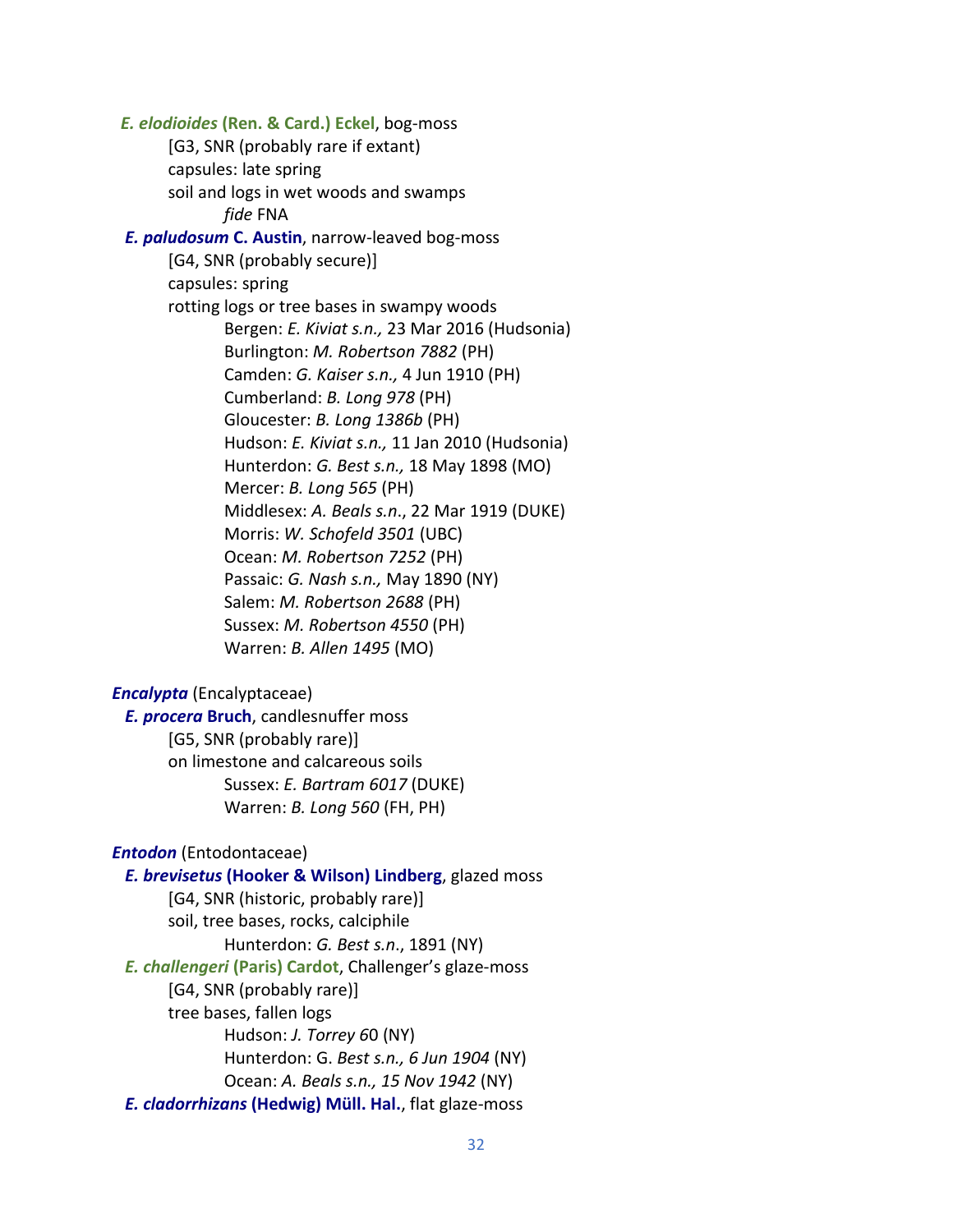*E. elodioides* **(Ren. & Card.) Eckel**, bog-moss [G3, SNR (probably rare if extant) capsules: late spring soil and logs in wet woods and swamps *fide* FNA  *E. paludosum* **C. Austin**, narrow-leaved bog-moss [G4, SNR (probably secure)] capsules: spring rotting logs or tree bases in swampy woods Bergen: *E. Kiviat s.n.,* 23 Mar 2016 (Hudsonia) Burlington: *M. Robertson 7882* (PH) Camden: *G. Kaiser s.n.,* 4 Jun 1910 (PH) Cumberland: *B. Long 978* (PH) Gloucester: *B. Long 1386b* (PH) Hudson: *E. Kiviat s.n.,* 11 Jan 2010 (Hudsonia) Hunterdon: *G. Best s.n.,* 18 May 1898 (MO) Mercer: *B. Long 565* (PH) Middlesex: *A. Beals s.n*., 22 Mar 1919 (DUKE) Morris: *W. Schofeld 3501* (UBC) Ocean: *M. Robertson 7252* (PH) Passaic: *G. Nash s.n.,* May 1890 (NY) Salem: *M. Robertson 2688* (PH) Sussex: *M. Robertson 4550* (PH) Warren: *B. Allen 1495* (MO) *Encalypta* (Encalyptaceae)  *E. procera* **Bruch**, candlesnuffer moss [G5, SNR (probably rare)] on limestone and calcareous soils Sussex: *E. Bartram 6017* (DUKE) Warren: *B. Long 560* (FH, PH) *Entodon* (Entodontaceae) *E. brevisetus* **(Hooker & Wilson) Lindberg**, glazed moss [G4, SNR (historic, probably rare)]

soil, tree bases, rocks, calciphile Hunterdon: *G. Best s.n*., 1891 (NY) *E. challengeri* **(Paris) Cardot**, Challenger's glaze-moss [G4, SNR (probably rare)] tree bases, fallen logs Hudson: *J. Torrey 6*0 (NY) Hunterdon: G. *Best s.n., 6 Jun 1904* (NY) Ocean: *A. Beals s.n., 15 Nov 1942* (NY)  *E. cladorrhizans* **(Hedwig) Müll. Hal.**, flat glaze-moss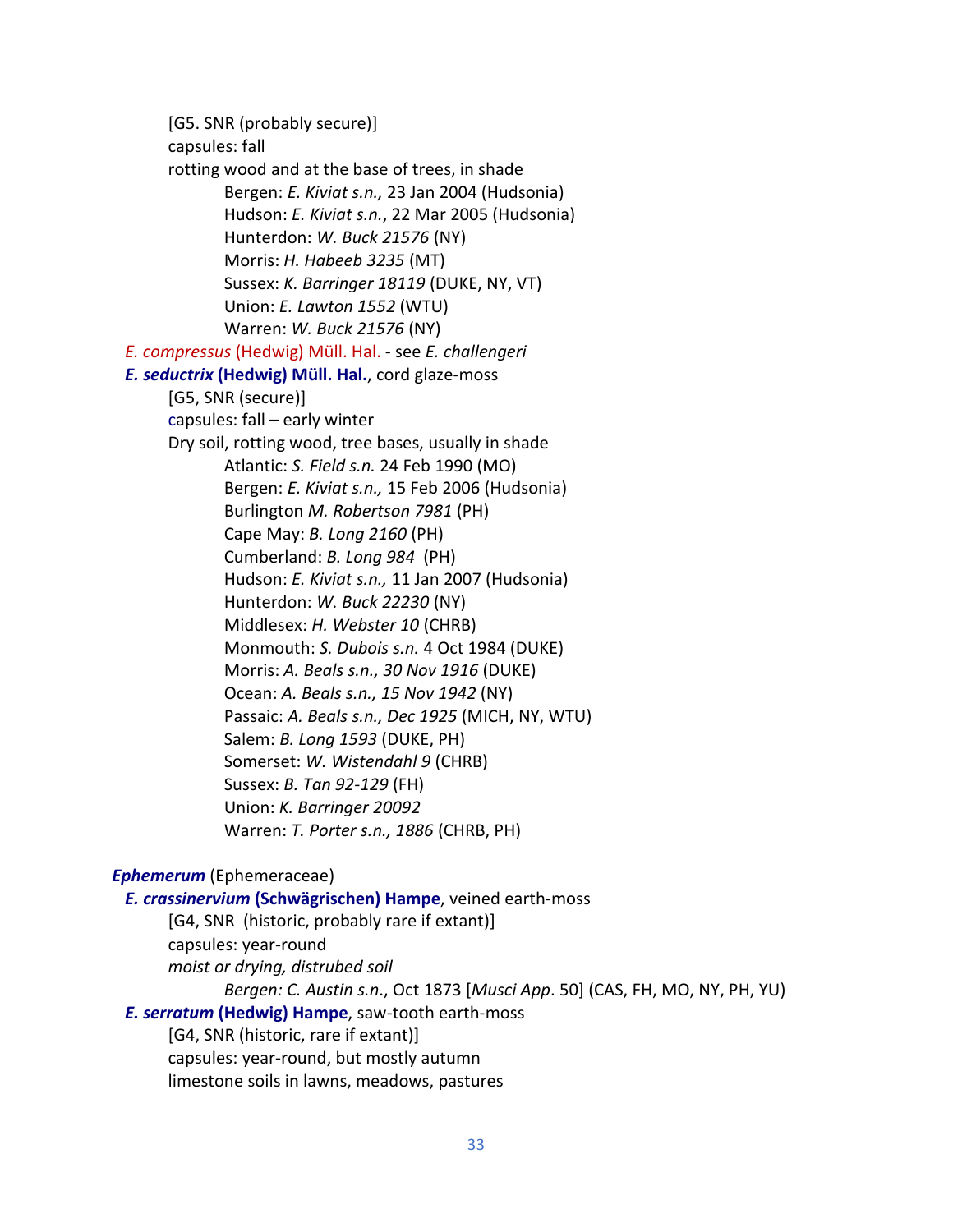[G5. SNR (probably secure)] capsules: fall rotting wood and at the base of trees, in shade Bergen: *E. Kiviat s.n.,* 23 Jan 2004 (Hudsonia) Hudson: *E. Kiviat s.n.*, 22 Mar 2005 (Hudsonia) Hunterdon: *W. Buck 21576* (NY) Morris: *H. Habeeb 3235* (MT) Sussex: *K. Barringer 18119* (DUKE, NY, VT) Union: *E. Lawton 1552* (WTU) Warren: *W. Buck 21576* (NY)  *E. compressus* (Hedwig) Müll. Hal. - see *E. challengeri E. seductrix* **(Hedwig) Müll. Hal.**, cord glaze-moss [G5, SNR (secure)] capsules: fall – early winter Dry soil, rotting wood, tree bases, usually in shade Atlantic: *S. Field s.n.* 24 Feb 1990 (MO) Bergen: *E. Kiviat s.n.,* 15 Feb 2006 (Hudsonia) Burlington *M. Robertson 7981* (PH) Cape May: *B. Long 2160* (PH) Cumberland: *B. Long 984* (PH) Hudson: *E. Kiviat s.n.,* 11 Jan 2007 (Hudsonia) Hunterdon: *W. Buck 22230* (NY) Middlesex: *H. Webster 10* (CHRB) Monmouth: *S. Dubois s.n.* 4 Oct 1984 (DUKE) Morris: *A. Beals s.n., 30 Nov 1916* (DUKE) Ocean: *A. Beals s.n., 15 Nov 1942* (NY) Passaic: *A. Beals s.n., Dec 1925* (MICH, NY, WTU) Salem: *B. Long 1593* (DUKE, PH) Somerset: *W. Wistendahl 9* (CHRB) Sussex: *B. Tan 92-129* (FH) Union: *K. Barringer 20092* Warren: *T. Porter s.n., 1886* (CHRB, PH)

# *Ephemerum* (Ephemeraceae)

# *E. crassinervium* **(Schwägrischen) Hampe**, veined earth-moss [G4, SNR (historic, probably rare if extant)]

capsules: year-round *moist or drying, distrubed soil Bergen: C. Austin s.n*., Oct 1873 [*Musci App*. 50] (CAS, FH, MO, NY, PH, YU)  *E. serratum* **(Hedwig) Hampe**, saw-tooth earth-moss [G4, SNR (historic, rare if extant)] capsules: year-round, but mostly autumn limestone soils in lawns, meadows, pastures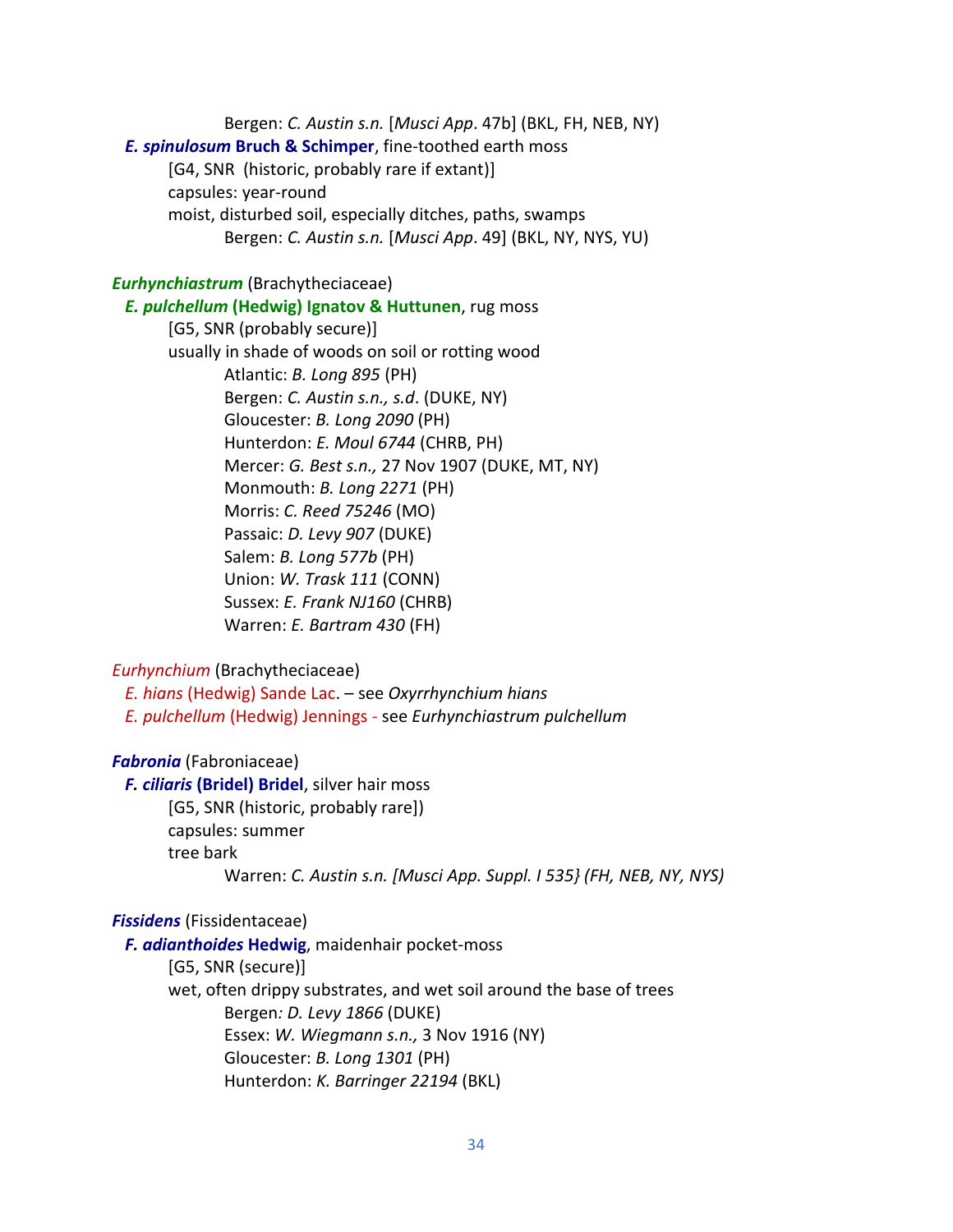Bergen: *C. Austin s.n.* [*Musci App*. 47b] (BKL, FH, NEB, NY)  *E. spinulosum* **Bruch & Schimper**, fine-toothed earth moss [G4, SNR (historic, probably rare if extant)] capsules: year-round moist, disturbed soil, especially ditches, paths, swamps Bergen: *C. Austin s.n.* [*Musci App*. 49] (BKL, NY, NYS, YU)

# *Eurhynchiastrum* (Brachytheciaceae)

#### *E. pulchellum* **(Hedwig) Ignatov & Huttunen**, rug moss

[G5, SNR (probably secure)] usually in shade of woods on soil or rotting wood Atlantic: *B. Long 895* (PH) Bergen: *C. Austin s.n., s.d*. (DUKE, NY) Gloucester: *B. Long 2090* (PH) Hunterdon: *E. Moul 6744* (CHRB, PH) Mercer: *G. Best s.n.,* 27 Nov 1907 (DUKE, MT, NY) Monmouth: *B. Long 2271* (PH) Morris: *C. Reed 75246* (MO) Passaic: *D. Levy 907* (DUKE) Salem: *B. Long 577b* (PH) Union: *W. Trask 111* (CONN) Sussex: *E. Frank NJ160* (CHRB) Warren: *E. Bartram 430* (FH)

# *Eurhynchium* (Brachytheciaceae)

 *E. hians* (Hedwig) Sande Lac. – see *Oxyrrhynchium hians E. pulchellum* (Hedwig) Jennings - see *Eurhynchiastrum pulchellum*

# *Fabronia* (Fabroniaceae)

 *F. ciliaris* **(Bridel) Bridel**, silver hair moss [G5, SNR (historic, probably rare]) capsules: summer tree bark Warren: *C. Austin s.n. [Musci App. Suppl. I 535} (FH, NEB, NY, NYS)*

#### *Fissidens* (Fissidentaceae)

 *F. adianthoides* **Hedwig**, maidenhair pocket-moss [G5, SNR (secure)] wet, often drippy substrates, and wet soil around the base of trees Bergen*: D. Levy 1866* (DUKE) Essex: *W. Wiegmann s.n.,* 3 Nov 1916 (NY) Gloucester: *B. Long 1301* (PH)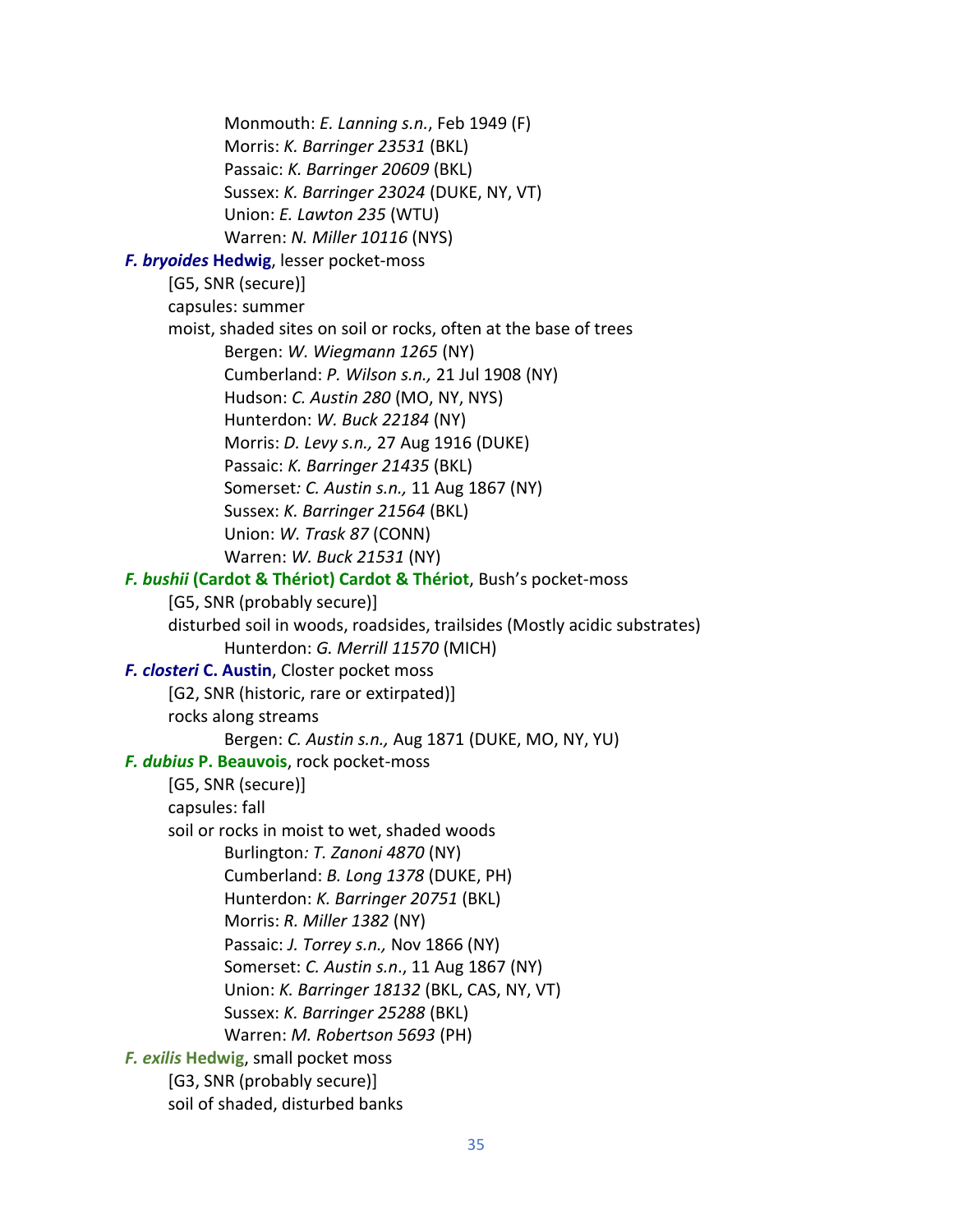Monmouth: *E. Lanning s.n.*, Feb 1949 (F) Morris: *K. Barringer 23531* (BKL) Passaic: *K. Barringer 20609* (BKL) Sussex: *K. Barringer 23024* (DUKE, NY, VT) Union: *E. Lawton 235* (WTU) Warren: *N. Miller 10116* (NYS)  *F. bryoides* **Hedwig**, lesser pocket-moss [G5, SNR (secure)] capsules: summer moist, shaded sites on soil or rocks, often at the base of trees Bergen: *W. Wiegmann 1265* (NY) Cumberland: *P. Wilson s.n.,* 21 Jul 1908 (NY) Hudson: *C. Austin 280* (MO, NY, NYS) Hunterdon: *W. Buck 22184* (NY) Morris: *D. Levy s.n.,* 27 Aug 1916 (DUKE) Passaic: *K. Barringer 21435* (BKL) Somerset*: C. Austin s.n.,* 11 Aug 1867 (NY) Sussex: *K. Barringer 21564* (BKL) Union: *W. Trask 87* (CONN) Warren: *W. Buck 21531* (NY) *F. bushii* **(Cardot & Thériot) Cardot & Thériot**, Bush's pocket-moss [G5, SNR (probably secure)] disturbed soil in woods, roadsides, trailsides (Mostly acidic substrates) Hunterdon: *G. Merrill 11570* (MICH)  *F. closteri* **C. Austin**, Closter pocket moss [G2, SNR (historic, rare or extirpated)] rocks along streams Bergen: *C. Austin s.n.,* Aug 1871 (DUKE, MO, NY, YU)  *F. dubius* **P. Beauvois**, rock pocket-moss [G5, SNR (secure)] capsules: fall soil or rocks in moist to wet, shaded woods Burlington*: T. Zanoni 4870* (NY) Cumberland: *B. Long 1378* (DUKE, PH) Hunterdon: *K. Barringer 20751* (BKL) Morris: *R. Miller 1382* (NY) Passaic: *J. Torrey s.n.,* Nov 1866 (NY) Somerset: *C. Austin s.n*., 11 Aug 1867 (NY) Union: *K. Barringer 18132* (BKL, CAS, NY, VT) Sussex: *K. Barringer 25288* (BKL) Warren: *M. Robertson 5693* (PH) *F. exilis* **Hedwig**, small pocket moss [G3, SNR (probably secure)] soil of shaded, disturbed banks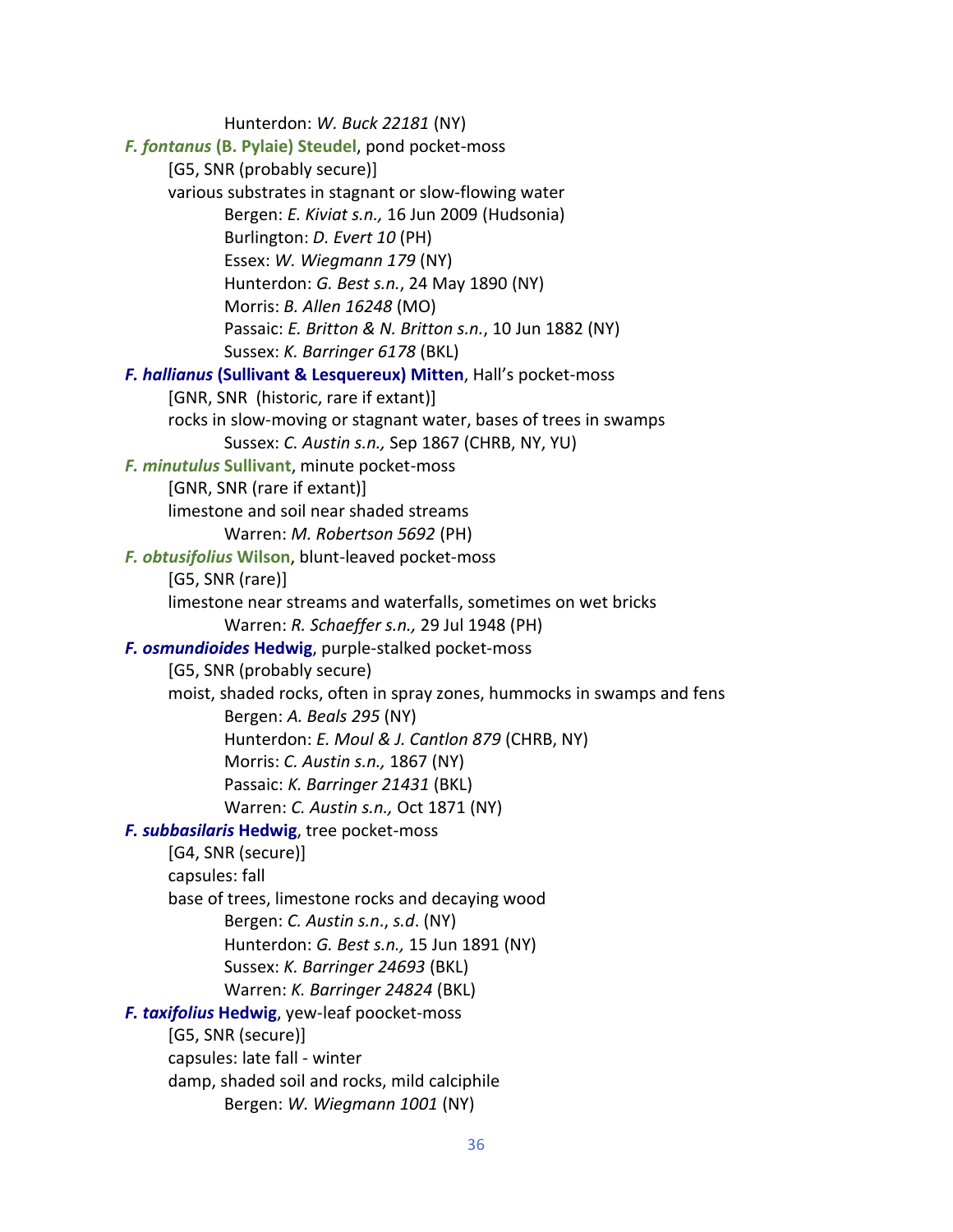Hunterdon: *W. Buck 22181* (NY)  *F. fontanus* **(B. Pylaie) Steudel**, pond pocket-moss [G5, SNR (probably secure)] various substrates in stagnant or slow-flowing water Bergen: *E. Kiviat s.n.,* 16 Jun 2009 (Hudsonia) Burlington: *D. Evert 10* (PH) Essex: *W. Wiegmann 179* (NY) Hunterdon: *G. Best s.n.*, 24 May 1890 (NY) Morris: *B. Allen 16248* (MO) Passaic: *E. Britton & N. Britton s.n.*, 10 Jun 1882 (NY) Sussex: *K. Barringer 6178* (BKL)  *F. hallianus* **(Sullivant & Lesquereux) Mitten**, Hall's pocket-moss [GNR, SNR (historic, rare if extant)] rocks in slow-moving or stagnant water, bases of trees in swamps Sussex: *C. Austin s.n.,* Sep 1867 (CHRB, NY, YU) *F. minutulus* **Sullivant**, minute pocket-moss [GNR, SNR (rare if extant)] limestone and soil near shaded streams Warren: *M. Robertson 5692* (PH)  *F. obtusifolius* **Wilson**, blunt-leaved pocket-moss [G5, SNR (rare)] limestone near streams and waterfalls, sometimes on wet bricks Warren: *R. Schaeffer s.n.,* 29 Jul 1948 (PH)  *F. osmundioides* **Hedwig**, purple-stalked pocket-moss [G5, SNR (probably secure) moist, shaded rocks, often in spray zones, hummocks in swamps and fens Bergen: *A. Beals 295* (NY) Hunterdon: *E. Moul & J. Cantlon 879* (CHRB, NY) Morris: *C. Austin s.n.,* 1867 (NY) Passaic: *K. Barringer 21431* (BKL) Warren: *C. Austin s.n.,* Oct 1871 (NY)  *F. subbasilaris* **Hedwig**, tree pocket-moss [G4, SNR (secure)] capsules: fall base of trees, limestone rocks and decaying wood Bergen: *C. Austin s.n*., *s.d*. (NY) Hunterdon: *G. Best s.n.,* 15 Jun 1891 (NY) Sussex: *K. Barringer 24693* (BKL) Warren: *K. Barringer 24824* (BKL)  *F. taxifolius* **Hedwig**, yew-leaf poocket-moss [G5, SNR (secure)] capsules: late fall - winter damp, shaded soil and rocks, mild calciphile Bergen: *W. Wiegmann 1001* (NY)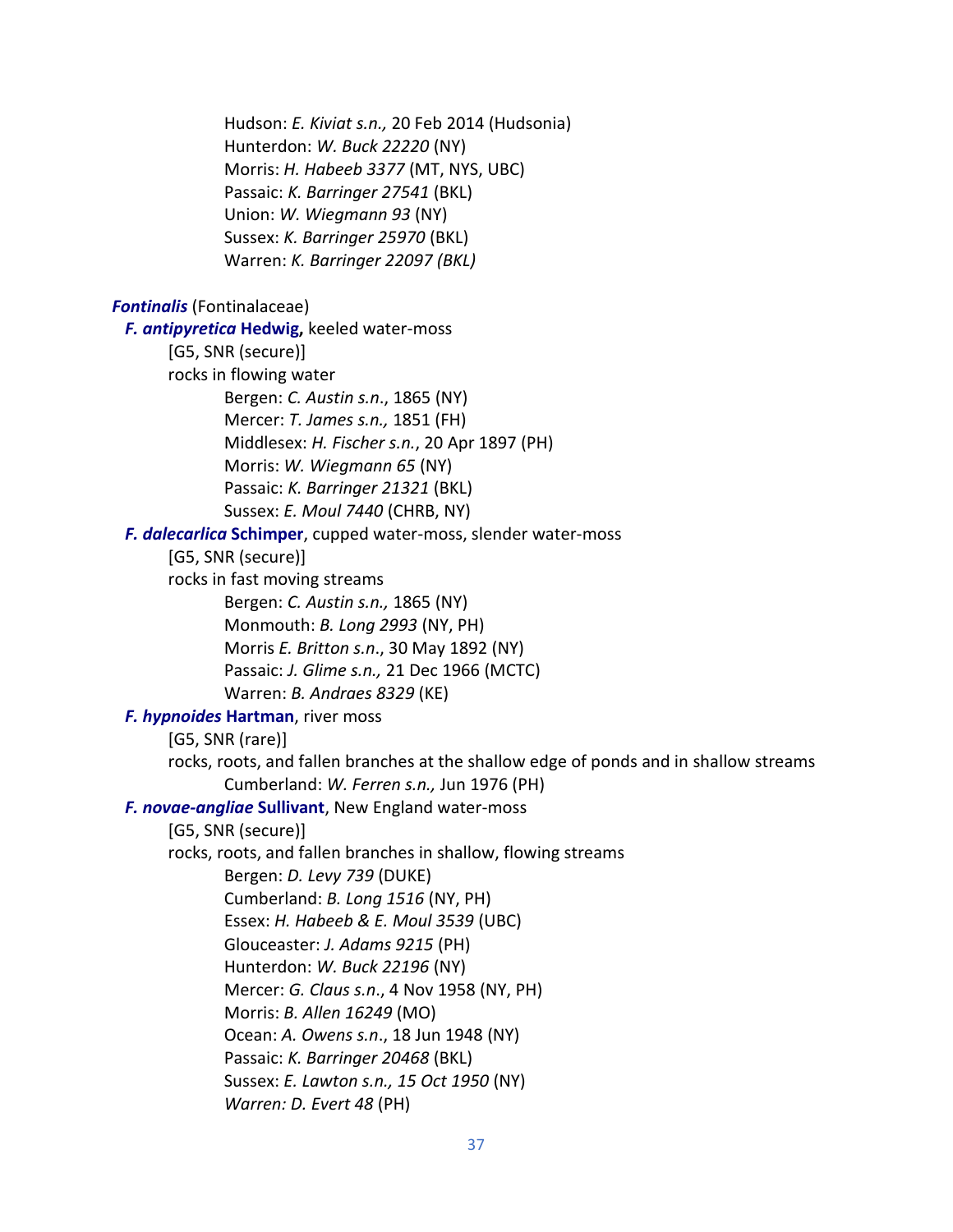Hudson: *E. Kiviat s.n.,* 20 Feb 2014 (Hudsonia) Hunterdon: *W. Buck 22220* (NY) Morris: *H. Habeeb 3377* (MT, NYS, UBC) Passaic: *K. Barringer 27541* (BKL) Union: *W. Wiegmann 93* (NY) Sussex: *K. Barringer 25970* (BKL) Warren: *K. Barringer 22097 (BKL) Fontinalis* (Fontinalaceae)  *F. antipyretica* **Hedwig,** keeled water-moss [G5, SNR (secure)] rocks in flowing water Bergen: *C. Austin s.n*., 1865 (NY) Mercer: *T. James s.n.,* 1851 (FH) Middlesex: *H. Fischer s.n.*, 20 Apr 1897 (PH) Morris: *W. Wiegmann 65* (NY) Passaic: *K. Barringer 21321* (BKL) Sussex: *E. Moul 7440* (CHRB, NY)  *F. dalecarlica* **Schimper**, cupped water-moss, slender water-moss [G5, SNR (secure)] rocks in fast moving streams Bergen: *C. Austin s.n.,* 1865 (NY) Monmouth: *B. Long 2993* (NY, PH) Morris *E. Britton s.n*., 30 May 1892 (NY) Passaic: *J. Glime s.n.,* 21 Dec 1966 (MCTC) Warren: *B. Andraes 8329* (KE)  *F. hypnoides* **Hartman**, river moss [G5, SNR (rare)] rocks, roots, and fallen branches at the shallow edge of ponds and in shallow streams Cumberland: *W. Ferren s.n.,* Jun 1976 (PH) *F. novae-angliae* **Sullivant**, New England water-moss [G5, SNR (secure)] rocks, roots, and fallen branches in shallow, flowing streams Bergen: *D. Levy 739* (DUKE) Cumberland: *B. Long 1516* (NY, PH) Essex: *H. Habeeb & E. Moul 3539* (UBC) Glouceaster: *J. Adams 9215* (PH) Hunterdon: *W. Buck 22196* (NY) Mercer: *G. Claus s.n*., 4 Nov 1958 (NY, PH) Morris: *B. Allen 16249* (MO) Ocean: *A. Owens s.n*., 18 Jun 1948 (NY) Passaic: *K. Barringer 20468* (BKL) Sussex: *E. Lawton s.n., 15 Oct 1950* (NY) *Warren: D. Evert 48* (PH)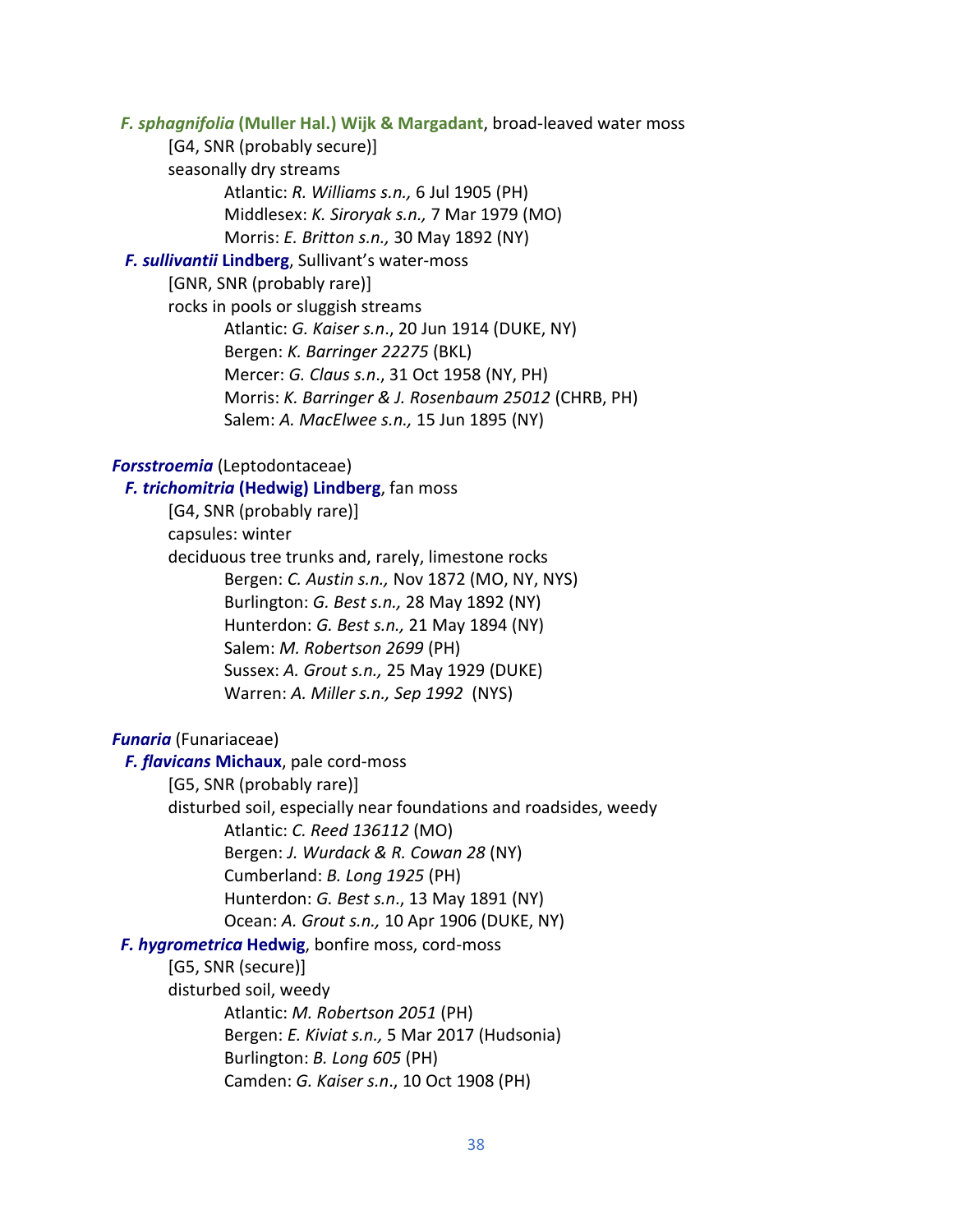*F. sphagnifolia* **(Muller Hal.) Wijk & Margadant**, broad-leaved water moss

[G4, SNR (probably secure)]

seasonally dry streams

- Atlantic: *R. Williams s.n.,* 6 Jul 1905 (PH)
- Middlesex: *K. Siroryak s.n.,* 7 Mar 1979 (MO)
- Morris: *E. Britton s.n.,* 30 May 1892 (NY)

## *F. sullivantii* **Lindberg**, Sullivant's water-moss

[GNR, SNR (probably rare)]

rocks in pools or sluggish streams Atlantic: *G. Kaiser s.n*., 20 Jun 1914 (DUKE, NY) Bergen: *K. Barringer 22275* (BKL) Mercer: *G. Claus s.n*., 31 Oct 1958 (NY, PH) Morris: *K. Barringer & J. Rosenbaum 25012* (CHRB, PH) Salem: *A. MacElwee s.n.,* 15 Jun 1895 (NY)

## *Forsstroemia* (Leptodontaceae)

# *F. trichomitria* **(Hedwig) Lindberg**, fan moss [G4, SNR (probably rare)] capsules: winter deciduous tree trunks and, rarely, limestone rocks Bergen: *C. Austin s.n.,* Nov 1872 (MO, NY, NYS) Burlington: *G. Best s.n.,* 28 May 1892 (NY) Hunterdon: *G. Best s.n.,* 21 May 1894 (NY) Salem: *M. Robertson 2699* (PH) Sussex: *A. Grout s.n.,* 25 May 1929 (DUKE) Warren: *A. Miller s.n., Sep 1992* (NYS)

## *Funaria* (Funariaceae)

 *F. flavicans* **Michaux**, pale cord-moss

[G5, SNR (probably rare)]

disturbed soil, especially near foundations and roadsides, weedy Atlantic: *C. Reed 136112* (MO)

Bergen: *J. Wurdack & R. Cowan 28* (NY)

Cumberland: *B. Long 1925* (PH)

Hunterdon: *G. Best s.n*., 13 May 1891 (NY)

Ocean: *A. Grout s.n.,* 10 Apr 1906 (DUKE, NY)

## *F. hygrometrica* **Hedwig**, bonfire moss, cord-moss

## [G5, SNR (secure)]

disturbed soil, weedy

Atlantic: *M. Robertson 2051* (PH) Bergen: *E. Kiviat s.n.,* 5 Mar 2017 (Hudsonia) Burlington: *B. Long 605* (PH) Camden: *G. Kaiser s.n*., 10 Oct 1908 (PH)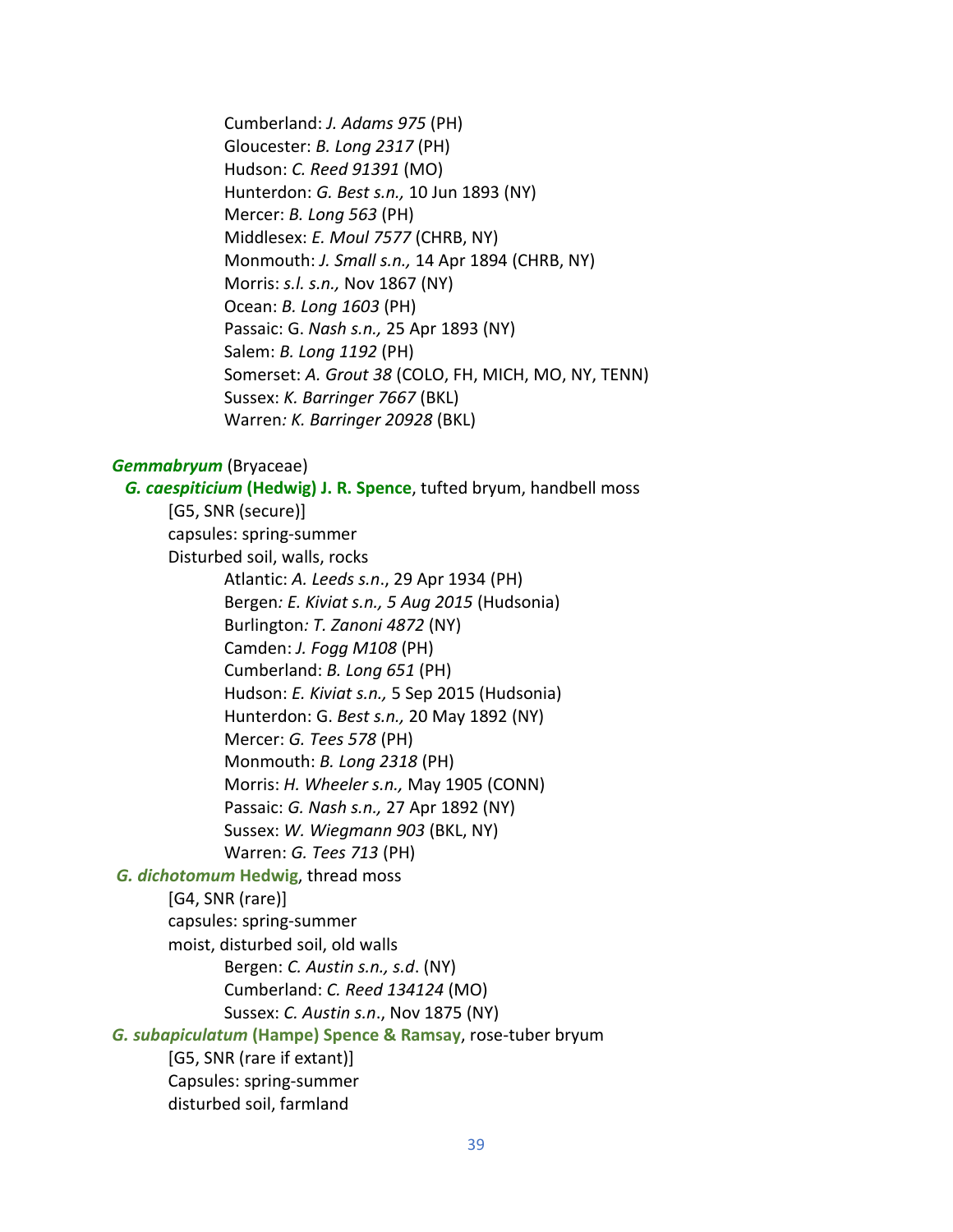Cumberland: *J. Adams 975* (PH) Gloucester: *B. Long 2317* (PH) Hudson: *C. Reed 91391* (MO) Hunterdon: *G. Best s.n.,* 10 Jun 1893 (NY) Mercer: *B. Long 563* (PH) Middlesex: *E. Moul 7577* (CHRB, NY) Monmouth: *J. Small s.n.,* 14 Apr 1894 (CHRB, NY) Morris: *s.l. s.n.,* Nov 1867 (NY) Ocean: *B. Long 1603* (PH) Passaic: G. *Nash s.n.,* 25 Apr 1893 (NY) Salem: *B. Long 1192* (PH) Somerset: *A. Grout 38* (COLO, FH, MICH, MO, NY, TENN) Sussex: *K. Barringer 7667* (BKL) Warren*: K. Barringer 20928* (BKL)

#### *Gemmabryum* (Bryaceae)

 *G. caespiticium* **(Hedwig) J. R. Spence**, tufted bryum, handbell moss [G5, SNR (secure)] capsules: spring-summer Disturbed soil, walls, rocks Atlantic: *A. Leeds s.n*., 29 Apr 1934 (PH) Bergen*: E. Kiviat s.n., 5 Aug 2015* (Hudsonia)

> Burlington*: T. Zanoni 4872* (NY) Camden: *J. Fogg M108* (PH) Cumberland: *B. Long 651* (PH) Hudson: *E. Kiviat s.n.,* 5 Sep 2015 (Hudsonia) Hunterdon: G. *Best s.n.,* 20 May 1892 (NY) Mercer: *G. Tees 578* (PH) Monmouth: *B. Long 2318* (PH) Morris: *H. Wheeler s.n.,* May 1905 (CONN) Passaic: *G. Nash s.n.,* 27 Apr 1892 (NY) Sussex: *W. Wiegmann 903* (BKL, NY)

Warren: *G. Tees 713* (PH)

### *G. dichotomum* **Hedwig**, thread moss

[G4, SNR (rare)]

capsules: spring-summer

moist, disturbed soil, old walls

Bergen: *C. Austin s.n., s.d*. (NY) Cumberland: *C. Reed 134124* (MO) Sussex: *C. Austin s.n*., Nov 1875 (NY)

*G. subapiculatum* **(Hampe) Spence & Ramsay**, rose-tuber bryum

[G5, SNR (rare if extant)] Capsules: spring-summer disturbed soil, farmland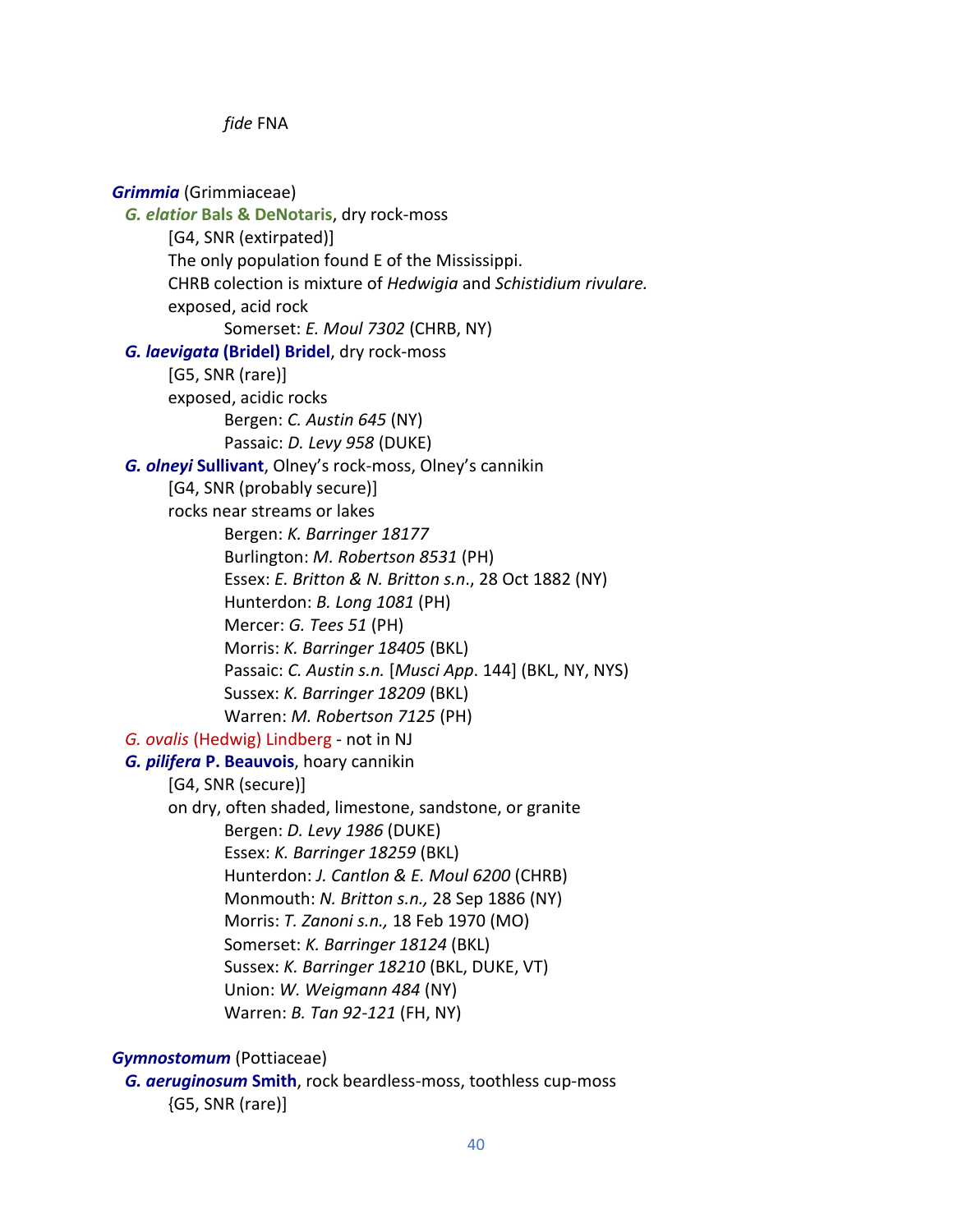*fide* FNA

*Grimmia* (Grimmiaceae)

 *G. elatior* **Bals & DeNotaris**, dry rock-moss [G4, SNR (extirpated)] The only population found E of the Mississippi. CHRB colection is mixture of *Hedwigia* and *Schistidium rivulare.* exposed, acid rock Somerset: *E. Moul 7302* (CHRB, NY)  *G. laevigata* **(Bridel) Bridel**, dry rock-moss [G5, SNR (rare)] exposed, acidic rocks Bergen: *C. Austin 645* (NY) Passaic: *D. Levy 958* (DUKE)  *G. olneyi* **Sullivant**, Olney's rock-moss, Olney's cannikin [G4, SNR (probably secure)] rocks near streams or lakes Bergen: *K. Barringer 18177* Burlington: *M. Robertson 8531* (PH) Essex: *E. Britton & N. Britton s.n*., 28 Oct 1882 (NY) Hunterdon: *B. Long 1081* (PH) Mercer: *G. Tees 51* (PH) Morris: *K. Barringer 18405* (BKL) Passaic: *C. Austin s.n.* [*Musci App*. 144] (BKL, NY, NYS) Sussex: *K. Barringer 18209* (BKL) Warren: *M. Robertson 7125* (PH) *G. ovalis* (Hedwig) Lindberg - not in NJ  *G. pilifera* **P. Beauvois**, hoary cannikin [G4, SNR (secure)] on dry, often shaded, limestone, sandstone, or granite Bergen: *D. Levy 1986* (DUKE) Essex: *K. Barringer 18259* (BKL) Hunterdon: *J. Cantlon & E. Moul 6200* (CHRB) Monmouth: *N. Britton s.n.,* 28 Sep 1886 (NY) Morris: *T. Zanoni s.n.,* 18 Feb 1970 (MO) Somerset: *K. Barringer 18124* (BKL) Sussex: *K. Barringer 18210* (BKL, DUKE, VT) Union: *W. Weigmann 484* (NY) Warren: *B. Tan 92-121* (FH, NY)

*Gymnostomum* (Pottiaceae)

 *G. aeruginosum* **Smith**, rock beardless-moss, toothless cup-moss {G5, SNR (rare)]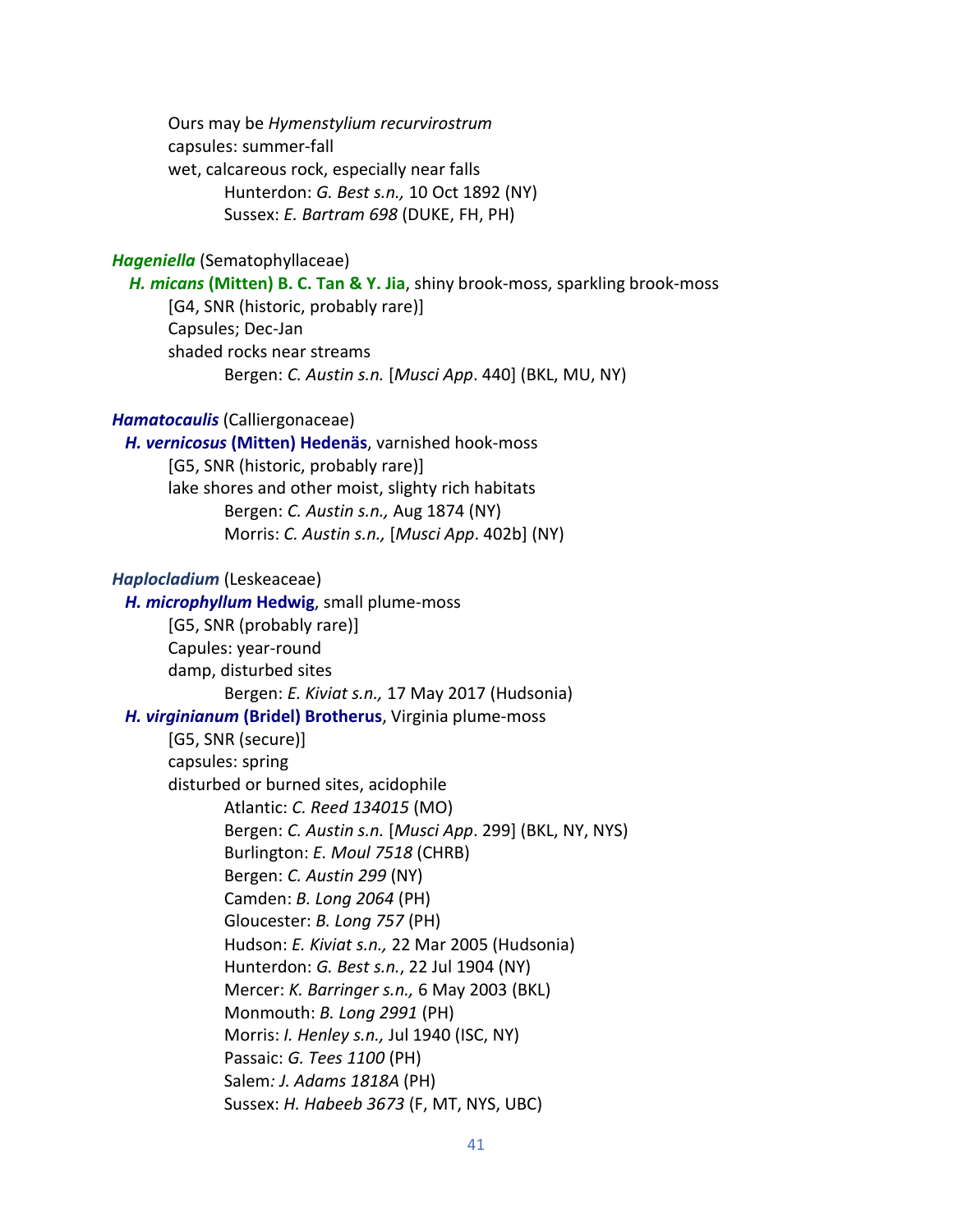Ours may be *Hymenstylium recurvirostrum* capsules: summer-fall wet, calcareous rock, especially near falls Hunterdon: *G. Best s.n.,* 10 Oct 1892 (NY) Sussex: *E. Bartram 698* (DUKE, FH, PH)

### *Hageniella* (Sematophyllaceae)

 *H. micans* **(Mitten) B. C. Tan & Y. Jia**, shiny brook-moss, sparkling brook-moss [G4, SNR (historic, probably rare)] Capsules; Dec-Jan shaded rocks near streams Bergen: *C. Austin s.n.* [*Musci App*. 440] (BKL, MU, NY)

## *Hamatocaulis* (Calliergonaceae)

 *H. vernicosus* **(Mitten) Hedenäs**, varnished hook-moss [G5, SNR (historic, probably rare)] lake shores and other moist, slighty rich habitats Bergen: *C. Austin s.n.,* Aug 1874 (NY) Morris: *C. Austin s.n.,* [*Musci App*. 402b] (NY)

#### *Haplocladium* (Leskeaceae)

*H. microphyllum* **Hedwig**, small plume-moss [G5, SNR (probably rare)] Capules: year-round damp, disturbed sites Bergen: *E. Kiviat s.n.,* 17 May 2017 (Hudsonia)  *H. virginianum* **(Bridel) Brotherus**, Virginia plume-moss [G5, SNR (secure)] capsules: spring disturbed or burned sites, acidophile Atlantic: *C. Reed 134015* (MO) Bergen: *C. Austin s.n.* [*Musci App*. 299] (BKL, NY, NYS) Burlington: *E. Moul 7518* (CHRB) Bergen: *C. Austin 299* (NY) Camden: *B. Long 2064* (PH) Gloucester: *B. Long 757* (PH) Hudson: *E. Kiviat s.n.,* 22 Mar 2005 (Hudsonia) Hunterdon: *G. Best s.n.*, 22 Jul 1904 (NY) Mercer: *K. Barringer s.n.,* 6 May 2003 (BKL) Monmouth: *B. Long 2991* (PH) Morris: *I. Henley s.n.,* Jul 1940 (ISC, NY) Passaic: *G. Tees 1100* (PH) Salem*: J. Adams 1818A* (PH) Sussex: *H. Habeeb 3673* (F, MT, NYS, UBC)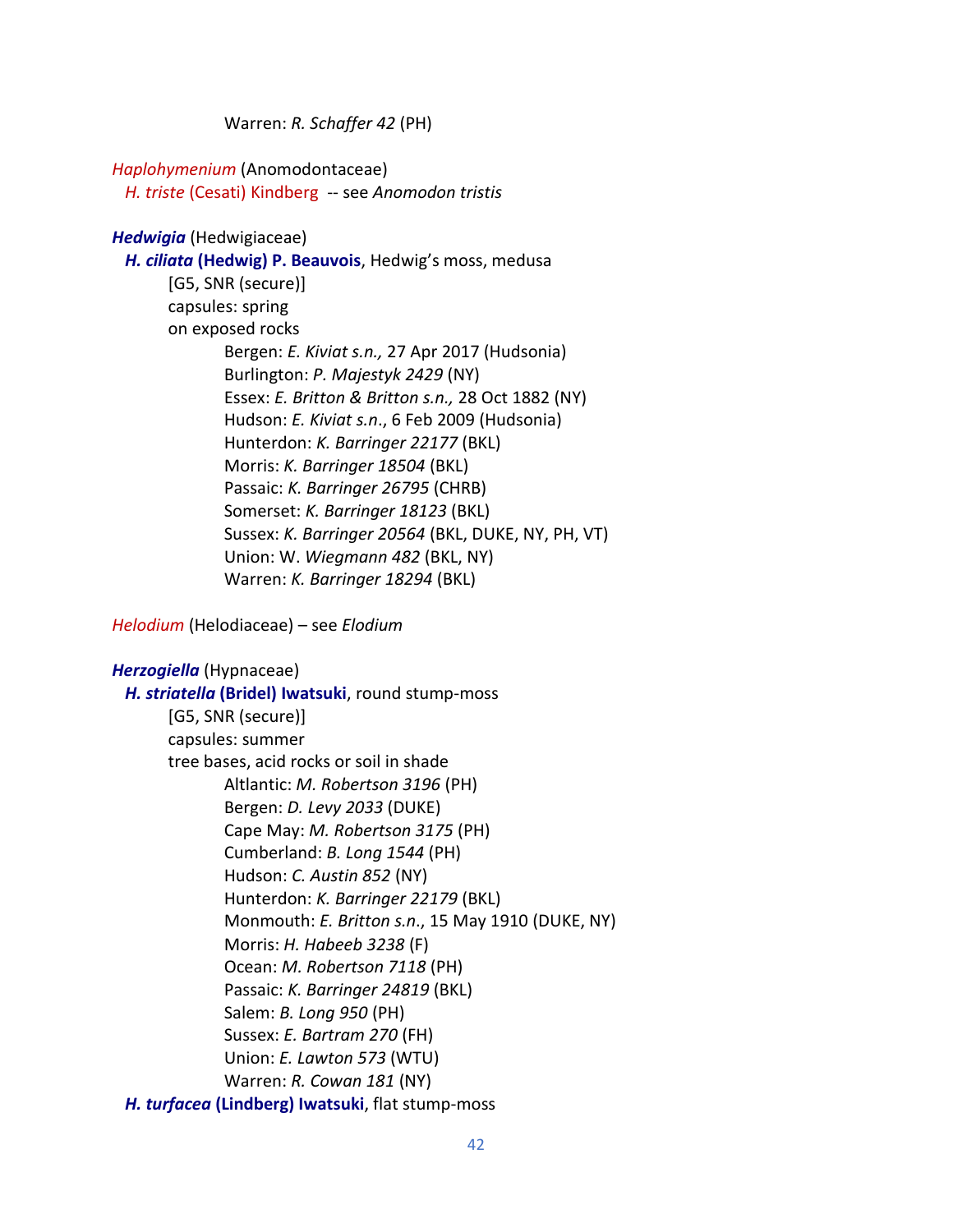Warren: *R. Schaffer 42* (PH)

*Haplohymenium* (Anomodontaceae) *H. triste* (Cesati) Kindberg -- see *Anomodon tristis*

*Hedwigia* (Hedwigiaceae)  *H. ciliata* **(Hedwig) P. Beauvois**, Hedwig's moss, medusa [G5, SNR (secure)] capsules: spring on exposed rocks Bergen: *E. Kiviat s.n.,* 27 Apr 2017 (Hudsonia) Burlington: *P. Majestyk 2429* (NY) Essex: *E. Britton & Britton s.n.,* 28 Oct 1882 (NY) Hudson: *E. Kiviat s.n*., 6 Feb 2009 (Hudsonia) Hunterdon: *K. Barringer 22177* (BKL) Morris: *K. Barringer 18504* (BKL) Passaic: *K. Barringer 26795* (CHRB) Somerset: *K. Barringer 18123* (BKL) Sussex: *K. Barringer 20564* (BKL, DUKE, NY, PH, VT) Union: W. *Wiegmann 482* (BKL, NY) Warren: *K. Barringer 18294* (BKL)

*Helodium* (Helodiaceae) – see *Elodium*

| Herzogiella (Hypnaceae)                           |
|---------------------------------------------------|
| H. striatella (Bridel) Iwatsuki, round stump-moss |
| [G5, SNR (secure)]                                |
| capsules: summer                                  |
| tree bases, acid rocks or soil in shade           |
| Altlantic: M. Robertson 3196 (PH)                 |
| Bergen: <i>D. Levy 2033</i> (DUKE)                |
| Cape May: <i>M. Robertson 3175</i> (PH)           |
| Cumberland: B. Long 1544 (PH)                     |
| Hudson: C. Austin 852 (NY)                        |
| Hunterdon: K. Barringer 22179 (BKL)               |
| Monmouth: E. Britton s.n., 15 May 1910 (DUKE, NY) |
| Morris: H. Habeeb 3238 (F)                        |
| Ocean: <i>M. Robertson 7118</i> (PH)              |
| Passaic: K. Barringer 24819 (BKL)                 |
| Salem: <i>B. Long 950</i> (PH)                    |
| Sussex: E. Bartram 270 (FH)                       |
| Union: E. Lawton 573 (WTU)                        |
| Warren: R. Cowan 181 (NY)                         |
| H. turfacea (Lindberg) Iwatsuki, flat stump-moss  |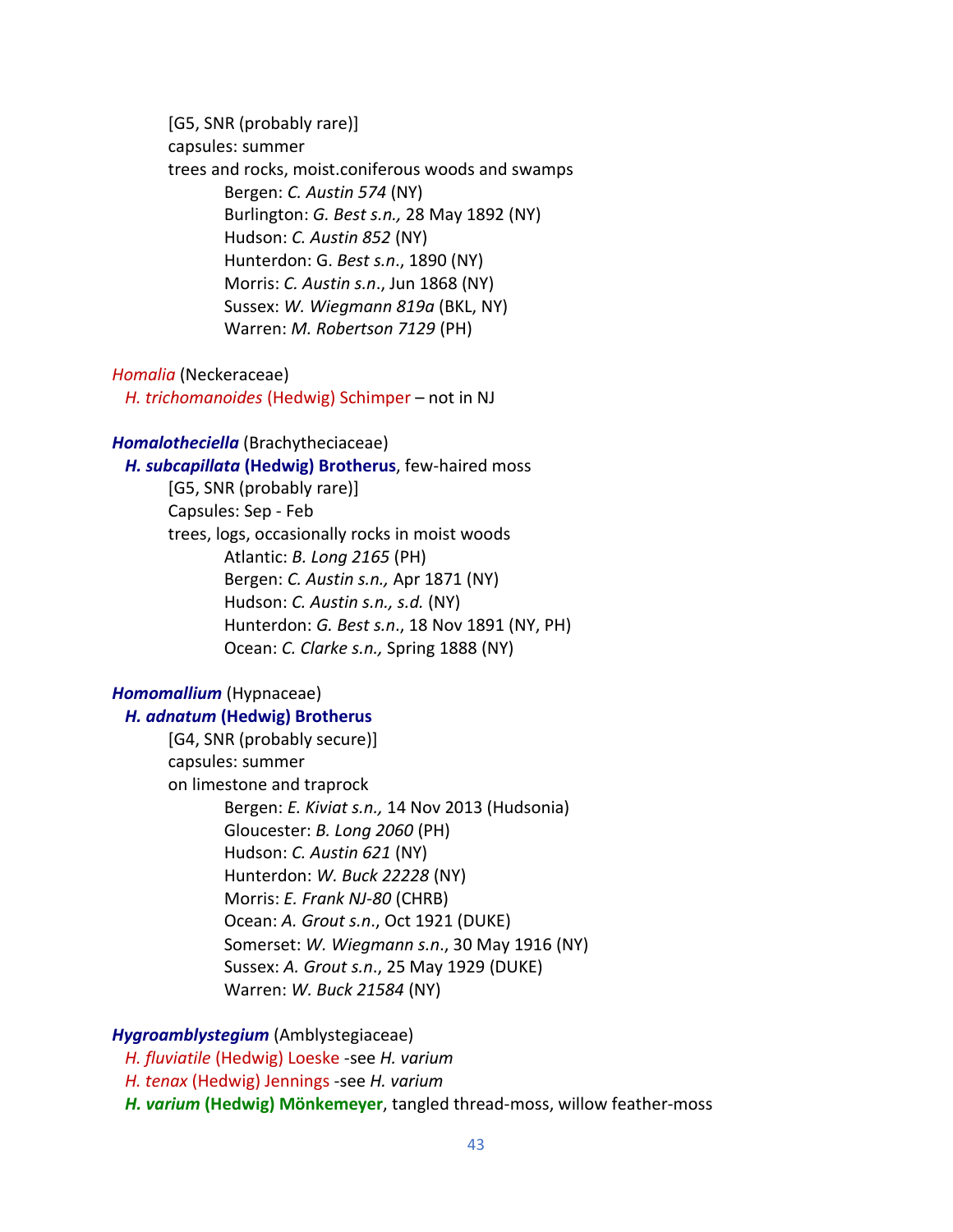[G5, SNR (probably rare)] capsules: summer trees and rocks, moist.coniferous woods and swamps Bergen: *C. Austin 574* (NY) Burlington: *G. Best s.n.,* 28 May 1892 (NY) Hudson: *C. Austin 852* (NY) Hunterdon: G. *Best s.n*., 1890 (NY) Morris: *C. Austin s.n*., Jun 1868 (NY) Sussex: *W. Wiegmann 819a* (BKL, NY) Warren: *M. Robertson 7129* (PH)

#### *Homalia* (Neckeraceae)

 *H. trichomanoides* (Hedwig) Schimper – not in NJ

#### *Homalotheciella* (Brachytheciaceae)

*H. subcapillata* **(Hedwig) Brotherus**, few-haired moss

[G5, SNR (probably rare)] Capsules: Sep - Feb trees, logs, occasionally rocks in moist woods Atlantic: *B. Long 2165* (PH) Bergen: *C. Austin s.n.,* Apr 1871 (NY) Hudson: *C. Austin s.n., s.d.* (NY) Hunterdon: *G. Best s.n*., 18 Nov 1891 (NY, PH) Ocean: *C. Clarke s.n.,* Spring 1888 (NY)

## *Homomallium* (Hypnaceae)

#### *H. adnatum* **(Hedwig) Brotherus**

[G4, SNR (probably secure)] capsules: summer on limestone and traprock Bergen: *E. Kiviat s.n.,* 14 Nov 2013 (Hudsonia) Gloucester: *B. Long 2060* (PH) Hudson: *C. Austin 621* (NY) Hunterdon: *W. Buck 22228* (NY) Morris: *E. Frank NJ-80* (CHRB) Ocean: *A. Grout s.n*., Oct 1921 (DUKE) Somerset: *W. Wiegmann s.n*., 30 May 1916 (NY) Sussex: *A. Grout s.n*., 25 May 1929 (DUKE) Warren: *W. Buck 21584* (NY)

## *Hygroamblystegium* (Amblystegiaceae)

 *H. fluviatile* (Hedwig) Loeske -see *H. varium H. tenax* (Hedwig) Jennings -see *H. varium H. varium* **(Hedwig) Mönkemeyer**, tangled thread-moss, willow feather-moss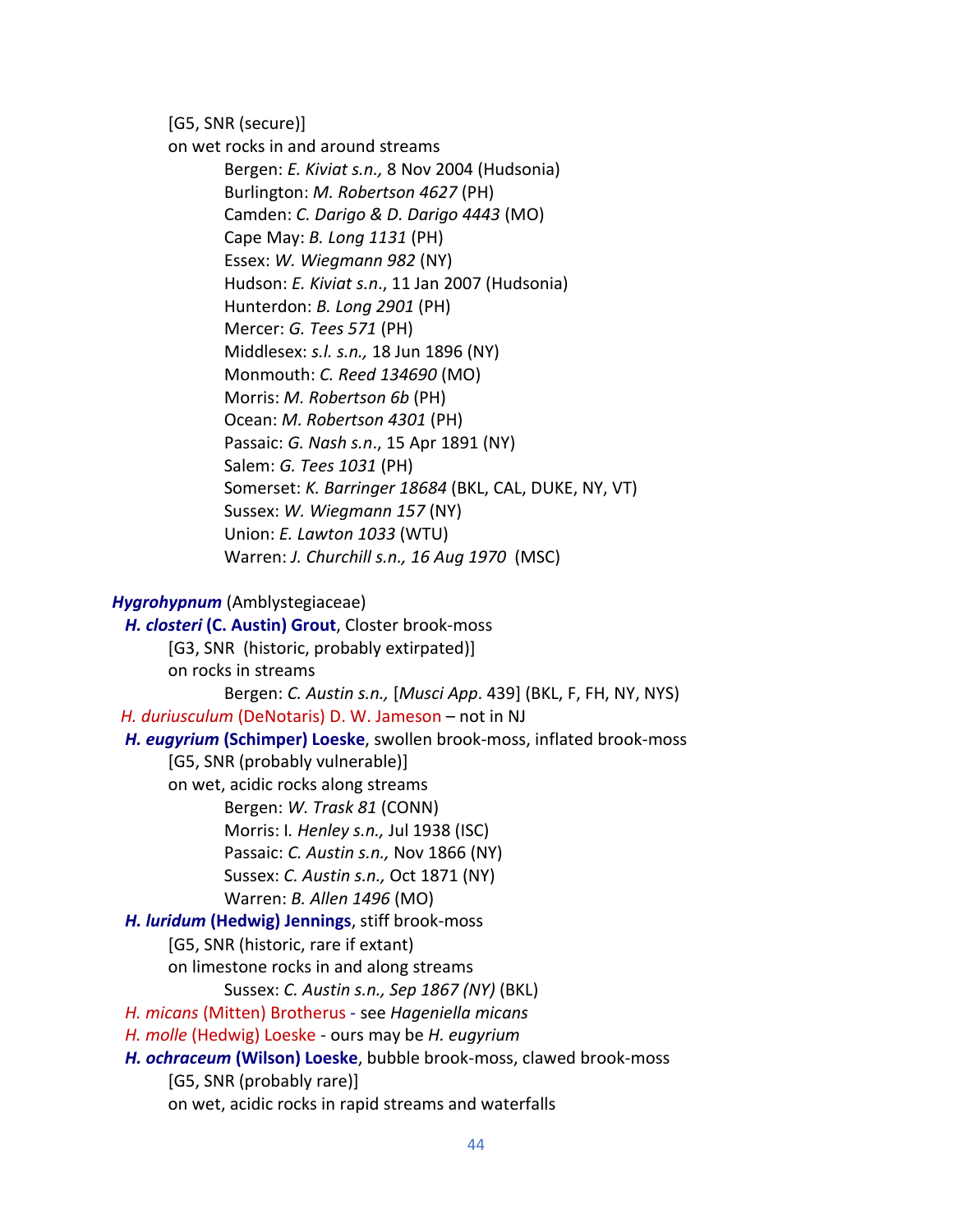[G5, SNR (secure)]

on wet rocks in and around streams Bergen: *E. Kiviat s.n.,* 8 Nov 2004 (Hudsonia) Burlington: *M. Robertson 4627* (PH) Camden: *C. Darigo & D. Darigo 4443* (MO) Cape May: *B. Long 1131* (PH) Essex: *W. Wiegmann 982* (NY) Hudson: *E. Kiviat s.n*., 11 Jan 2007 (Hudsonia) Hunterdon: *B. Long 2901* (PH) Mercer: *G. Tees 571* (PH) Middlesex: *s.l. s.n.,* 18 Jun 1896 (NY) Monmouth: *C. Reed 134690* (MO) Morris: *M. Robertson 6b* (PH) Ocean: *M. Robertson 4301* (PH) Passaic: *G. Nash s.n*., 15 Apr 1891 (NY) Salem: *G. Tees 1031* (PH) Somerset: *K. Barringer 18684* (BKL, CAL, DUKE, NY, VT) Sussex: *W. Wiegmann 157* (NY) Union: *E. Lawton 1033* (WTU) Warren: *J. Churchill s.n., 16 Aug 1970* (MSC)

#### *Hygrohypnum* (Amblystegiaceae)

 *H. closteri* **(C. Austin) Grout**, Closter brook-moss [G3, SNR (historic, probably extirpated)] on rocks in streams Bergen: *C. Austin s.n.,* [*Musci App*. 439] (BKL, F, FH, NY, NYS) *H. duriusculum* (DeNotaris) D. W. Jameson – not in NJ  *H. eugyrium* **(Schimper) Loeske**, swollen brook-moss, inflated brook-moss [G5, SNR (probably vulnerable)] on wet, acidic rocks along streams Bergen: *W. Trask 81* (CONN) Morris: I*. Henley s.n.,* Jul 1938 (ISC) Passaic: *C. Austin s.n.,* Nov 1866 (NY) Sussex: *C. Austin s.n.,* Oct 1871 (NY) Warren: *B. Allen 1496* (MO)  *H. luridum* **(Hedwig) Jennings**, stiff brook-moss [G5, SNR (historic, rare if extant) on limestone rocks in and along streams Sussex: *C. Austin s.n., Sep 1867 (NY)* (BKL)  *H. micans* (Mitten) Brotherus - see *Hageniella micans H. molle* (Hedwig) Loeske - ours may be *H. eugyrium H. ochraceum* **(Wilson) Loeske**, bubble brook-moss, clawed brook-moss [G5, SNR (probably rare)] on wet, acidic rocks in rapid streams and waterfalls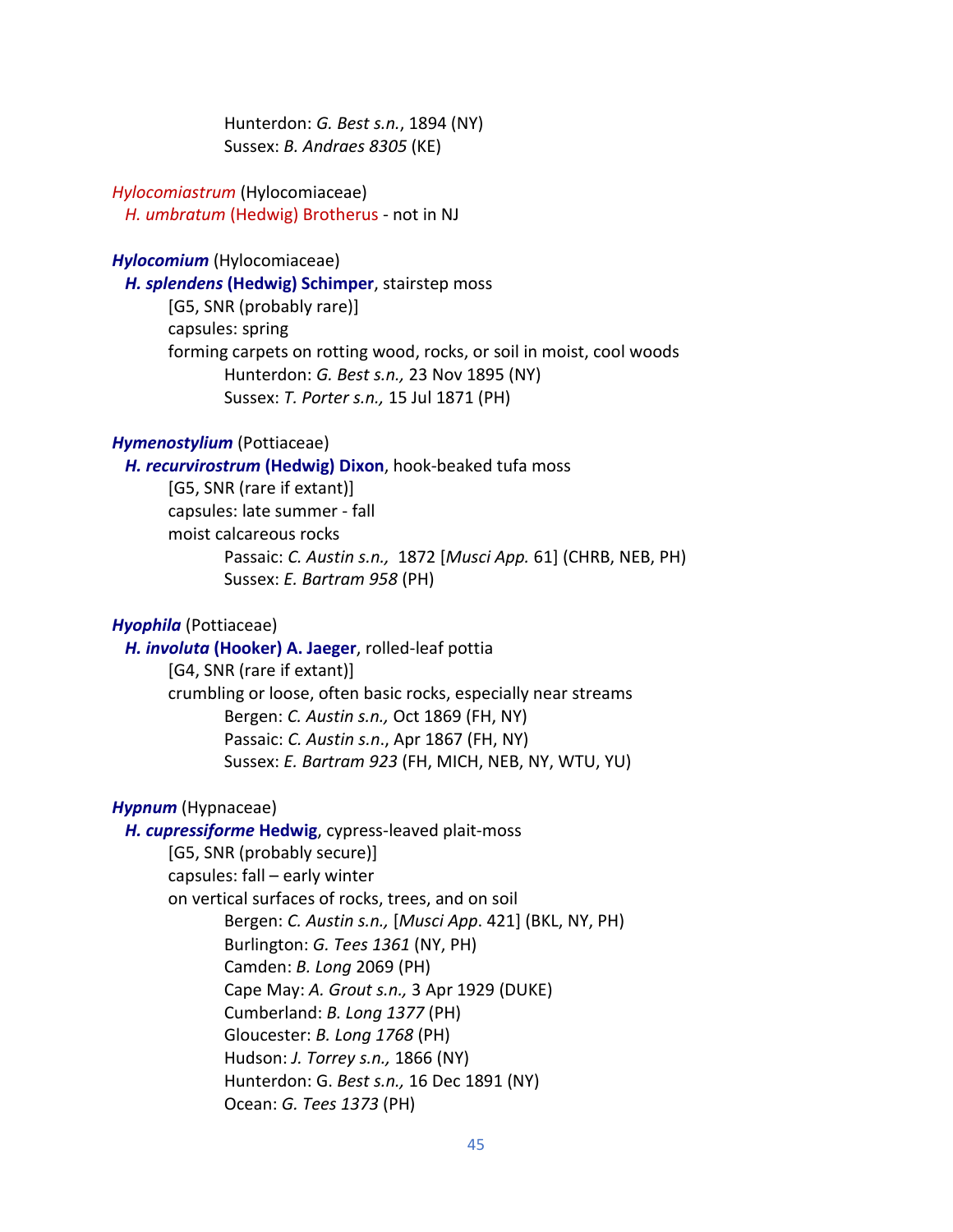Hunterdon: *G. Best s.n.*, 1894 (NY) Sussex: *B. Andraes 8305* (KE)

## *Hylocomiastrum* (Hylocomiaceae) *H. umbratum* (Hedwig) Brotherus - not in NJ

#### *Hylocomium* (Hylocomiaceae)

 *H. splendens* **(Hedwig) Schimper**, stairstep moss

[G5, SNR (probably rare)] capsules: spring forming carpets on rotting wood, rocks, or soil in moist, cool woods Hunterdon: *G. Best s.n.,* 23 Nov 1895 (NY) Sussex: *T. Porter s.n.,* 15 Jul 1871 (PH)

### *Hymenostylium* (Pottiaceae)

 *H. recurvirostrum* **(Hedwig) Dixon**, hook-beaked tufa moss

[G5, SNR (rare if extant)] capsules: late summer - fall moist calcareous rocks Passaic: *C. Austin s.n.,* 1872 [*Musci App.* 61] (CHRB, NEB, PH) Sussex: *E. Bartram 958* (PH)

### *Hyophila* (Pottiaceae)

 *H. involuta* **(Hooker) A. Jaeger**, rolled-leaf pottia [G4, SNR (rare if extant)] crumbling or loose, often basic rocks, especially near streams Bergen: *C. Austin s.n.,* Oct 1869 (FH, NY) Passaic: *C. Austin s.n*., Apr 1867 (FH, NY) Sussex: *E. Bartram 923* (FH, MICH, NEB, NY, WTU, YU)

### *Hypnum* (Hypnaceae)

 *H. cupressiforme* **Hedwig**, cypress-leaved plait-moss [G5, SNR (probably secure)] capsules: fall – early winter on vertical surfaces of rocks, trees, and on soil Bergen: *C. Austin s.n.,* [*Musci App*. 421] (BKL, NY, PH) Burlington: *G. Tees 1361* (NY, PH) Camden: *B. Long* 2069 (PH) Cape May: *A. Grout s.n.,* 3 Apr 1929 (DUKE) Cumberland: *B. Long 1377* (PH) Gloucester: *B. Long 1768* (PH) Hudson: *J. Torrey s.n.,* 1866 (NY) Hunterdon: G. *Best s.n.,* 16 Dec 1891 (NY) Ocean: *G. Tees 1373* (PH)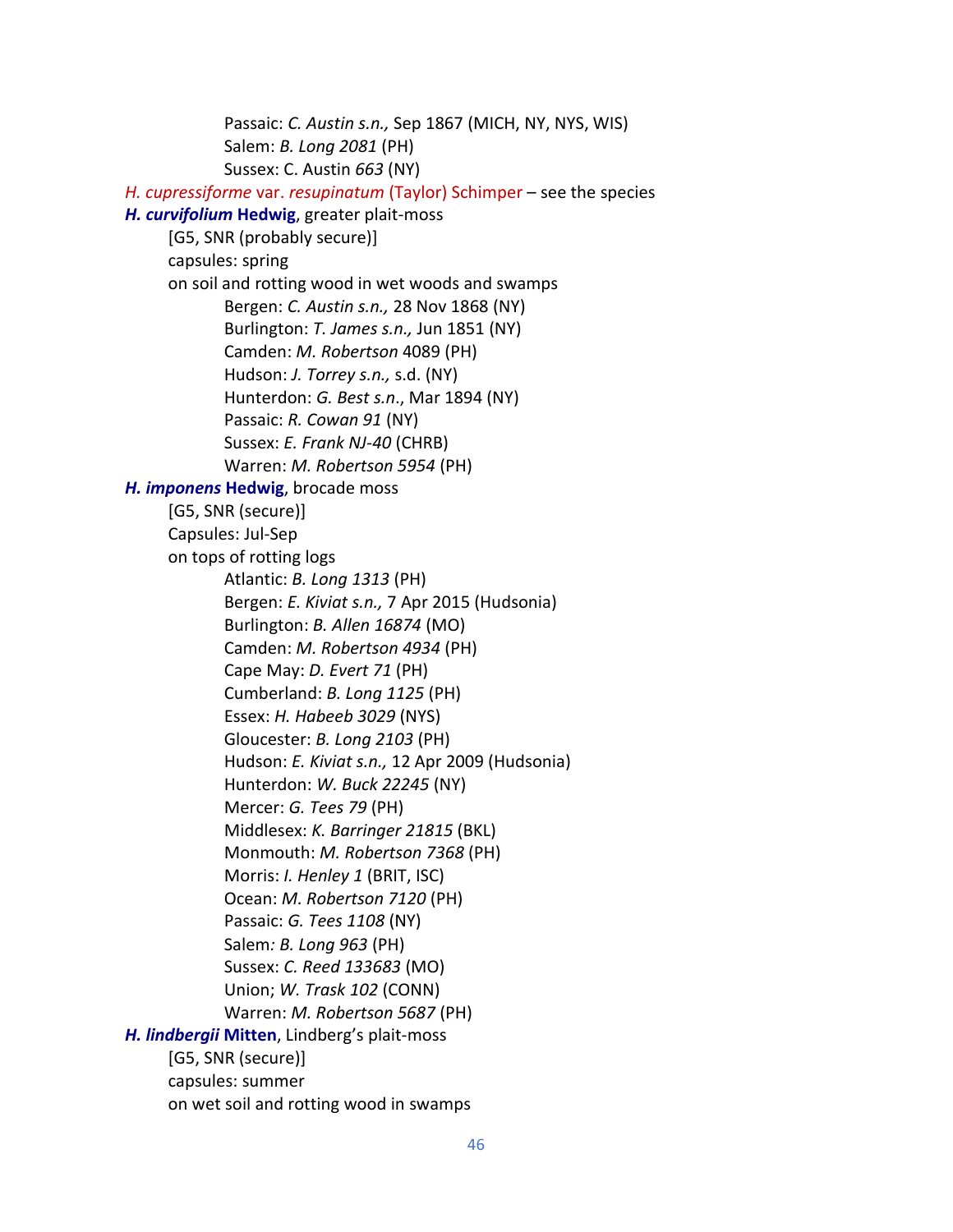Passaic: *C. Austin s.n.,* Sep 1867 (MICH, NY, NYS, WIS) Salem: *B. Long 2081* (PH) Sussex: C. Austin *663* (NY)  *H. cupressiforme* var. *resupinatum* (Taylor) Schimper – see the species  *H. curvifolium* **Hedwig**, greater plait-moss [G5, SNR (probably secure)] capsules: spring on soil and rotting wood in wet woods and swamps Bergen: *C. Austin s.n.,* 28 Nov 1868 (NY) Burlington: *T. James s.n.,* Jun 1851 (NY) Camden: *M. Robertson* 4089 (PH) Hudson: *J. Torrey s.n.,* s.d. (NY) Hunterdon: *G. Best s.n*., Mar 1894 (NY) Passaic: *R. Cowan 91* (NY) Sussex: *E. Frank NJ-40* (CHRB) Warren: *M. Robertson 5954* (PH)  *H. imponens* **Hedwig**, brocade moss [G5, SNR (secure)] Capsules: Jul-Sep on tops of rotting logs Atlantic: *B. Long 1313* (PH) Bergen: *E. Kiviat s.n.,* 7 Apr 2015 (Hudsonia) Burlington: *B. Allen 16874* (MO) Camden: *M. Robertson 4934* (PH) Cape May: *D. Evert 71* (PH) Cumberland: *B. Long 1125* (PH) Essex: *H. Habeeb 3029* (NYS) Gloucester: *B. Long 2103* (PH) Hudson: *E. Kiviat s.n.,* 12 Apr 2009 (Hudsonia) Hunterdon: *W. Buck 22245* (NY) Mercer: *G. Tees 79* (PH) Middlesex: *K. Barringer 21815* (BKL) Monmouth: *M. Robertson 7368* (PH) Morris: *I. Henley 1* (BRIT, ISC) Ocean: *M. Robertson 7120* (PH) Passaic: *G. Tees 1108* (NY) Salem*: B. Long 963* (PH) Sussex: *C. Reed 133683* (MO) Union; *W. Trask 102* (CONN) Warren: *M. Robertson 5687* (PH) *H. lindbergii* **Mitten**, Lindberg's plait-moss [G5, SNR (secure)] capsules: summer on wet soil and rotting wood in swamps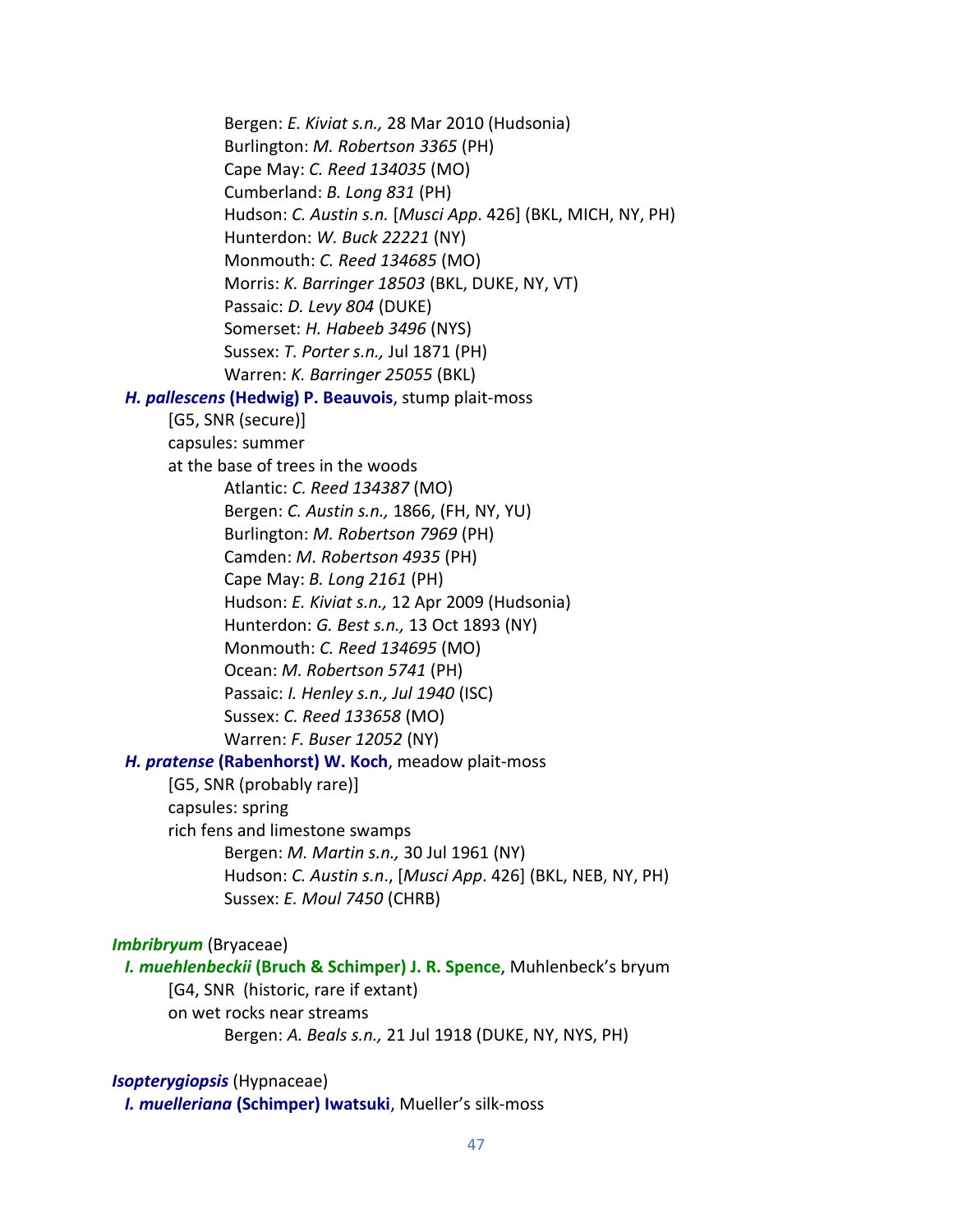Bergen: *E. Kiviat s.n.,* 28 Mar 2010 (Hudsonia) Burlington: *M. Robertson 3365* (PH) Cape May: *C. Reed 134035* (MO) Cumberland: *B. Long 831* (PH) Hudson: *C. Austin s.n.* [*Musci App*. 426] (BKL, MICH, NY, PH) Hunterdon: *W. Buck 22221* (NY) Monmouth: *C. Reed 134685* (MO) Morris: *K. Barringer 18503* (BKL, DUKE, NY, VT) Passaic: *D. Levy 804* (DUKE) Somerset: *H. Habeeb 3496* (NYS) Sussex: *T. Porter s.n.,* Jul 1871 (PH) Warren: *K. Barringer 25055* (BKL)  *H. pallescens* **(Hedwig) P. Beauvois**, stump plait-moss [G5, SNR (secure)] capsules: summer at the base of trees in the woods Atlantic: *C. Reed 134387* (MO) Bergen: *C. Austin s.n.,* 1866, (FH, NY, YU) Burlington: *M. Robertson 7969* (PH) Camden: *M. Robertson 4935* (PH) Cape May: *B. Long 2161* (PH) Hudson: *E. Kiviat s.n.,* 12 Apr 2009 (Hudsonia) Hunterdon: *G. Best s.n.,* 13 Oct 1893 (NY) Monmouth: *C. Reed 134695* (MO) Ocean: *M. Robertson 5741* (PH) Passaic: *I. Henley s.n., Jul 1940* (ISC) Sussex: *C. Reed 133658* (MO) Warren: *F. Buser 12052* (NY)  *H. pratense* **(Rabenhorst) W. Koch**, meadow plait-moss [G5, SNR (probably rare)] capsules: spring rich fens and limestone swamps Bergen: *M. Martin s.n.,* 30 Jul 1961 (NY) Hudson: *C. Austin s.n*., [*Musci App*. 426] (BKL, NEB, NY, PH) Sussex: *E. Moul 7450* (CHRB) *Imbribryum* (Bryaceae)  *I. muehlenbeckii* **(Bruch & Schimper) J. R. Spence**, Muhlenbeck's bryum

[G4, SNR (historic, rare if extant)

on wet rocks near streams

Bergen: *A. Beals s.n.,* 21 Jul 1918 (DUKE, NY, NYS, PH)

## *Isopterygiopsis* (Hypnaceae)

*I. muelleriana* **(Schimper) Iwatsuki**, Mueller's silk-moss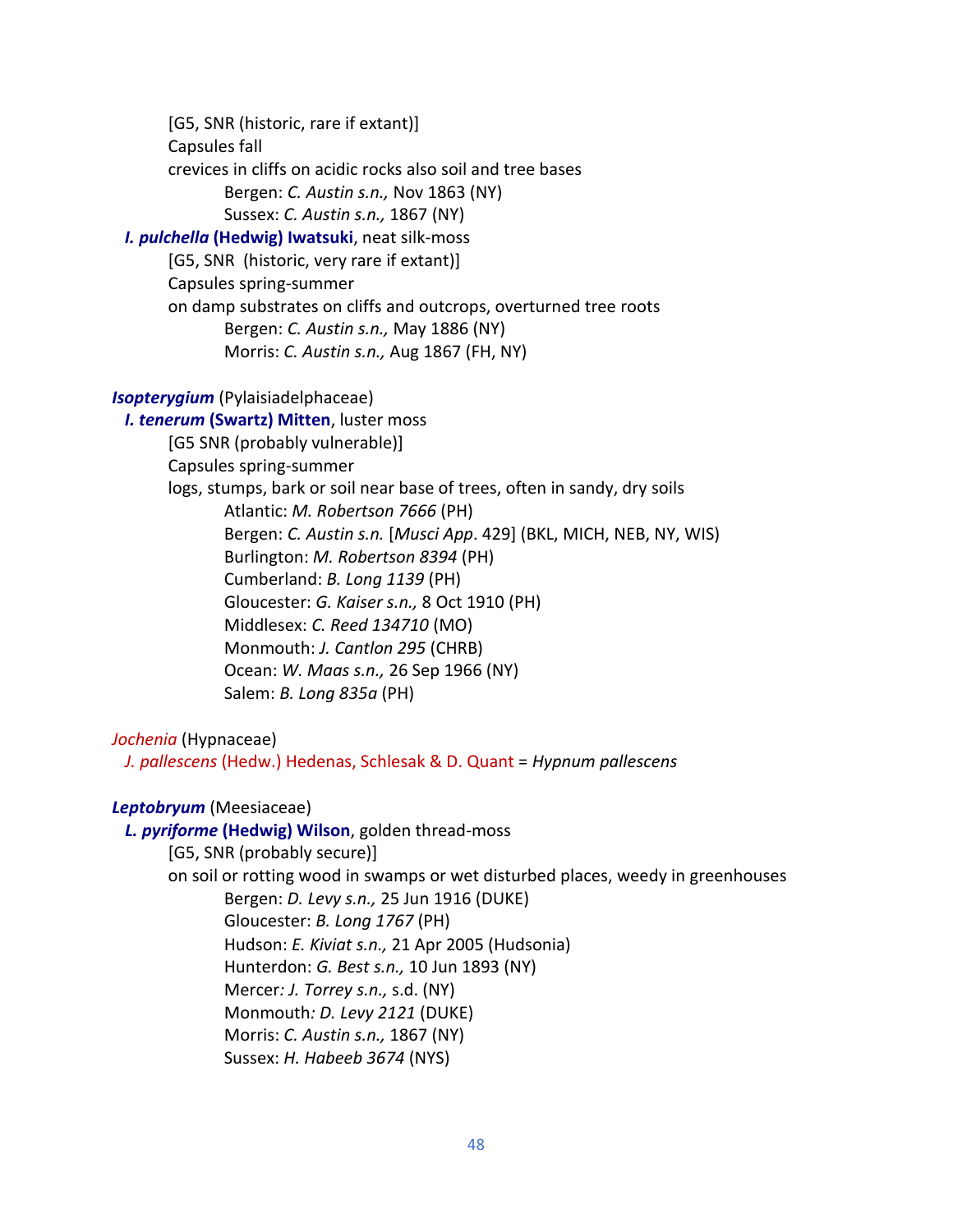[G5, SNR (historic, rare if extant)] Capsules fall crevices in cliffs on acidic rocks also soil and tree bases Bergen: *C. Austin s.n.,* Nov 1863 (NY) Sussex: *C. Austin s.n.,* 1867 (NY)  *I. pulchella* **(Hedwig) Iwatsuki**, neat silk-moss [G5, SNR (historic, very rare if extant)] Capsules spring-summer on damp substrates on cliffs and outcrops, overturned tree roots

Bergen: *C. Austin s.n.,* May 1886 (NY)

Morris: *C. Austin s.n.,* Aug 1867 (FH, NY)

## *Isopterygium* (Pylaisiadelphaceae)

 *I. tenerum* **(Swartz) Mitten**, luster moss [G5 SNR (probably vulnerable)] Capsules spring-summer logs, stumps, bark or soil near base of trees, often in sandy, dry soils Atlantic: *M. Robertson 7666* (PH) Bergen: *C. Austin s.n.* [*Musci App*. 429] (BKL, MICH, NEB, NY, WIS) Burlington: *M. Robertson 8394* (PH) Cumberland: *B. Long 1139* (PH) Gloucester: *G. Kaiser s.n.,* 8 Oct 1910 (PH) Middlesex: *C. Reed 134710* (MO) Monmouth: *J. Cantlon 295* (CHRB) Ocean: *W. Maas s.n.,* 26 Sep 1966 (NY) Salem: *B. Long 835a* (PH)

*Jochenia* (Hypnaceae)

*J. pallescens* (Hedw.) Hedenas, Schlesak & D. Quant = *Hypnum pallescens*

## *Leptobryum* (Meesiaceae)

### *L. pyriforme* **(Hedwig) Wilson**, golden thread-moss

[G5, SNR (probably secure)] on soil or rotting wood in swamps or wet disturbed places, weedy in greenhouses Bergen: *D. Levy s.n.,* 25 Jun 1916 (DUKE) Gloucester: *B. Long 1767* (PH) Hudson: *E. Kiviat s.n.,* 21 Apr 2005 (Hudsonia) Hunterdon: *G. Best s.n.,* 10 Jun 1893 (NY) Mercer*: J. Torrey s.n.,* s.d. (NY) Monmouth*: D. Levy 2121* (DUKE) Morris: *C. Austin s.n.,* 1867 (NY) Sussex: *H. Habeeb 3674* (NYS)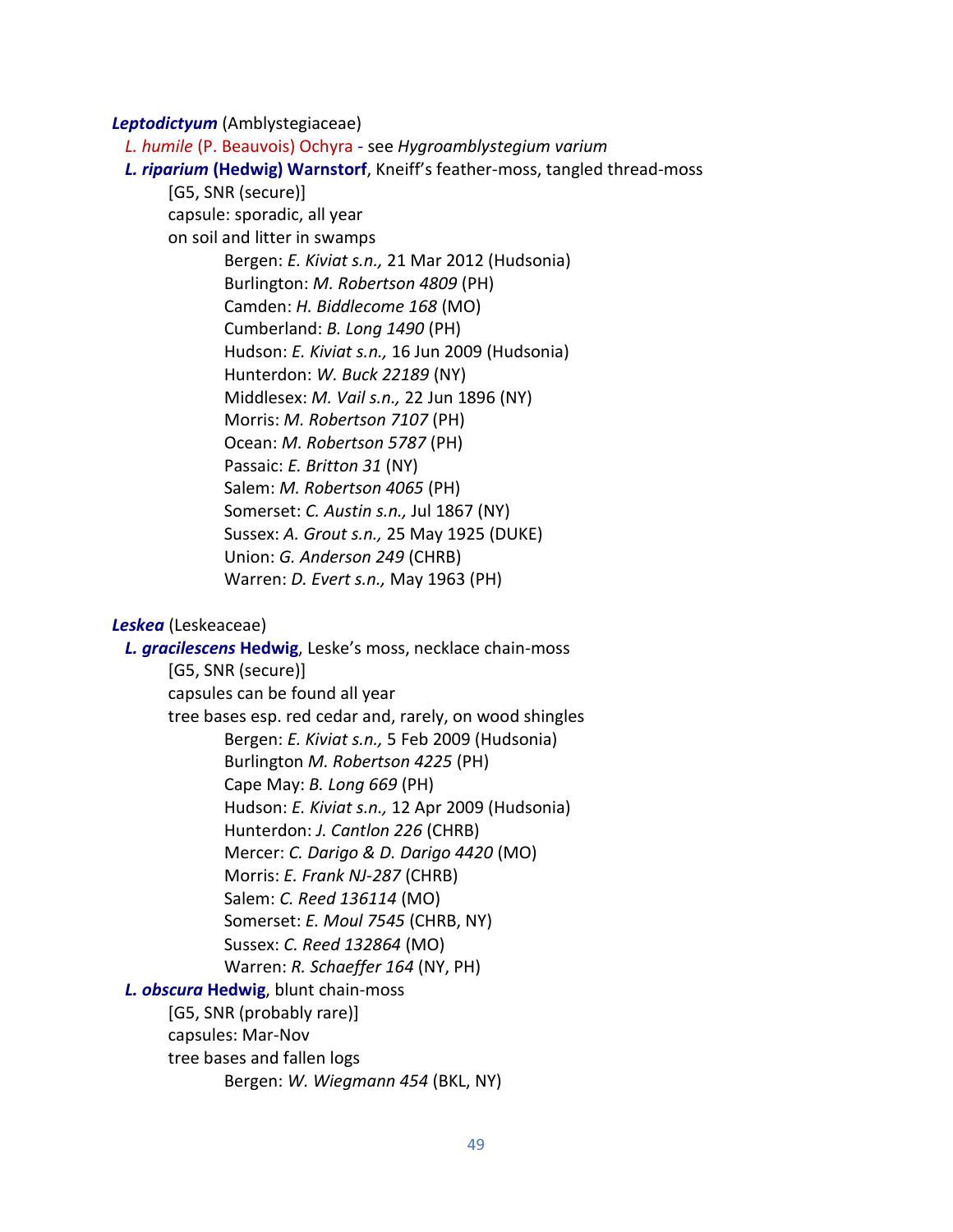*Leptodictyum* (Amblystegiaceae)

 *L. humile* (P. Beauvois) Ochyra - see *Hygroamblystegium varium*

#### *L. riparium* **(Hedwig) Warnstorf**, Kneiff's feather-moss, tangled thread-moss

[G5, SNR (secure)] capsule: sporadic, all year on soil and litter in swamps Bergen: *E. Kiviat s.n.,* 21 Mar 2012 (Hudsonia) Burlington: *M. Robertson 4809* (PH) Camden: *H. Biddlecome 168* (MO) Cumberland: *B. Long 1490* (PH) Hudson: *E. Kiviat s.n.,* 16 Jun 2009 (Hudsonia) Hunterdon: *W. Buck 22189* (NY) Middlesex: *M. Vail s.n.,* 22 Jun 1896 (NY) Morris: *M. Robertson 7107* (PH) Ocean: *M. Robertson 5787* (PH) Passaic: *E. Britton 31* (NY) Salem: *M. Robertson 4065* (PH) Somerset: *C. Austin s.n.,* Jul 1867 (NY) Sussex: *A. Grout s.n.,* 25 May 1925 (DUKE) Union: *G. Anderson 249* (CHRB) Warren: *D. Evert s.n.,* May 1963 (PH)

## *Leskea* (Leskeaceae)

 *L. gracilescens* **Hedwig**, Leske's moss, necklace chain-moss [G5, SNR (secure)] capsules can be found all year tree bases esp. red cedar and, rarely, on wood shingles Bergen: *E. Kiviat s.n.,* 5 Feb 2009 (Hudsonia) Burlington *M. Robertson 4225* (PH) Cape May: *B. Long 669* (PH) Hudson: *E. Kiviat s.n.,* 12 Apr 2009 (Hudsonia) Hunterdon: *J. Cantlon 226* (CHRB) Mercer: *C. Darigo & D. Darigo 4420* (MO) Morris: *E. Frank NJ-287* (CHRB) Salem: *C. Reed 136114* (MO) Somerset: *E. Moul 7545* (CHRB, NY) Sussex: *C. Reed 132864* (MO) Warren: *R. Schaeffer 164* (NY, PH)  *L. obscura* **Hedwig**, blunt chain-moss [G5, SNR (probably rare)] capsules: Mar-Nov tree bases and fallen logs Bergen: *W. Wiegmann 454* (BKL, NY)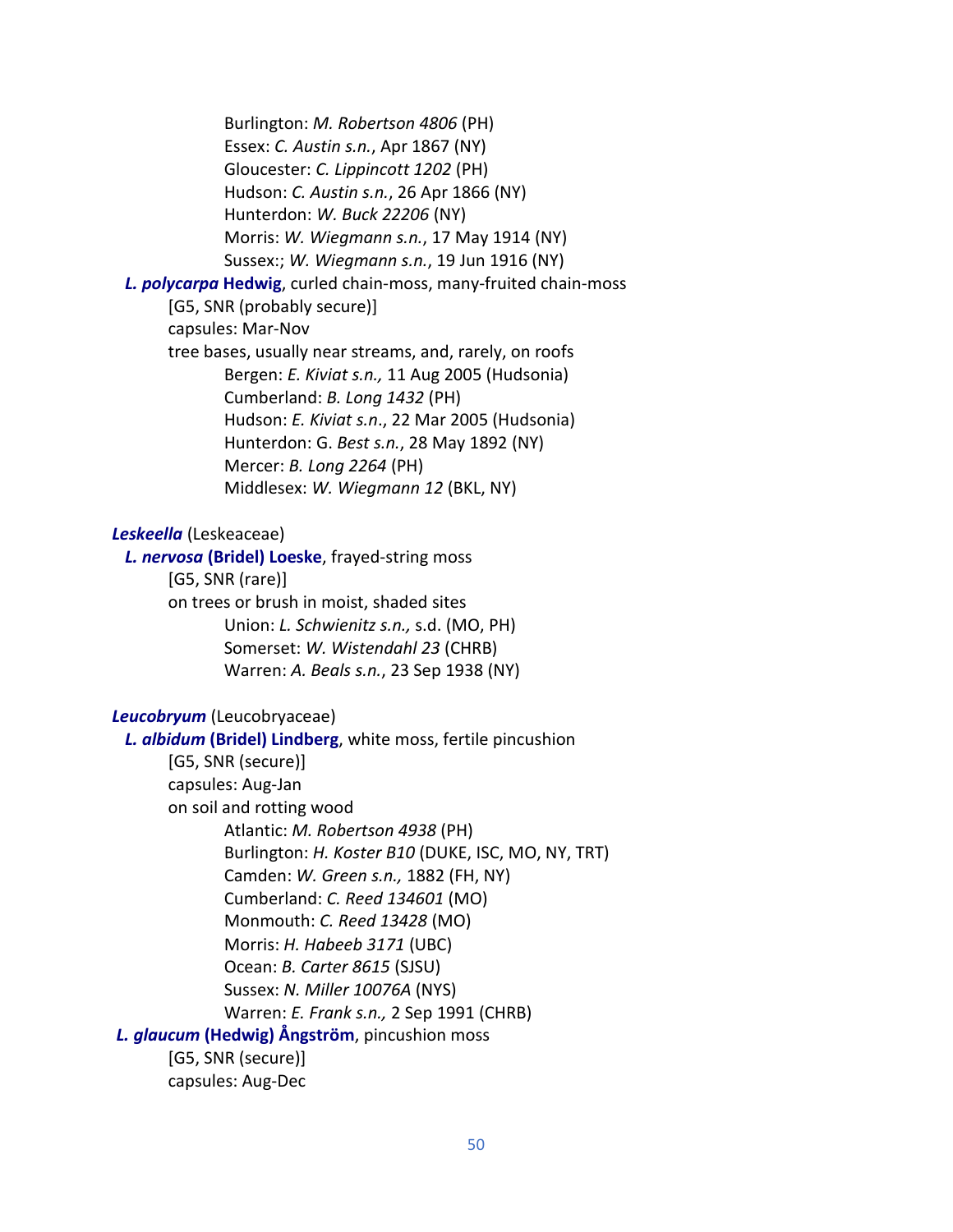Burlington: *M. Robertson 4806* (PH) Essex: *C. Austin s.n.*, Apr 1867 (NY) Gloucester: *C. Lippincott 1202* (PH) Hudson: *C. Austin s.n.*, 26 Apr 1866 (NY) Hunterdon: *W. Buck 22206* (NY) Morris: *W. Wiegmann s.n.*, 17 May 1914 (NY) Sussex:; *W. Wiegmann s.n.*, 19 Jun 1916 (NY)  *L. polycarpa* **Hedwig**, curled chain-moss, many-fruited chain-moss [G5, SNR (probably secure)] capsules: Mar-Nov tree bases, usually near streams, and, rarely, on roofs Bergen: *E. Kiviat s.n.,* 11 Aug 2005 (Hudsonia) Cumberland: *B. Long 1432* (PH) Hudson: *E. Kiviat s.n*., 22 Mar 2005 (Hudsonia) Hunterdon: G. *Best s.n.*, 28 May 1892 (NY) Mercer: *B. Long 2264* (PH) Middlesex: *W. Wiegmann 12* (BKL, NY) *Leskeella* (Leskeaceae)  *L. nervosa* **(Bridel) Loeske**, frayed-string moss [G5, SNR (rare)] on trees or brush in moist, shaded sites Union: *L. Schwienitz s.n.,* s.d. (MO, PH) Somerset: *W. Wistendahl 23* (CHRB) Warren: *A. Beals s.n.*, 23 Sep 1938 (NY) *Leucobryum* (Leucobryaceae)  *L. albidum* **(Bridel) Lindberg**, white moss, fertile pincushion [G5, SNR (secure)] capsules: Aug-Jan on soil and rotting wood Atlantic: *M. Robertson 4938* (PH) Burlington: *H. Koster B10* (DUKE, ISC, MO, NY, TRT) Camden: *W. Green s.n.,* 1882 (FH, NY) Cumberland: *C. Reed 134601* (MO) Monmouth: *C. Reed 13428* (MO) Morris: *H. Habeeb 3171* (UBC) Ocean: *B. Carter 8615* (SJSU) Sussex: *N. Miller 10076A* (NYS) Warren: *E. Frank s.n.,* 2 Sep 1991 (CHRB) *L. glaucum* **(Hedwig) Ångström**, pincushion moss

[G5, SNR (secure)] capsules: Aug-Dec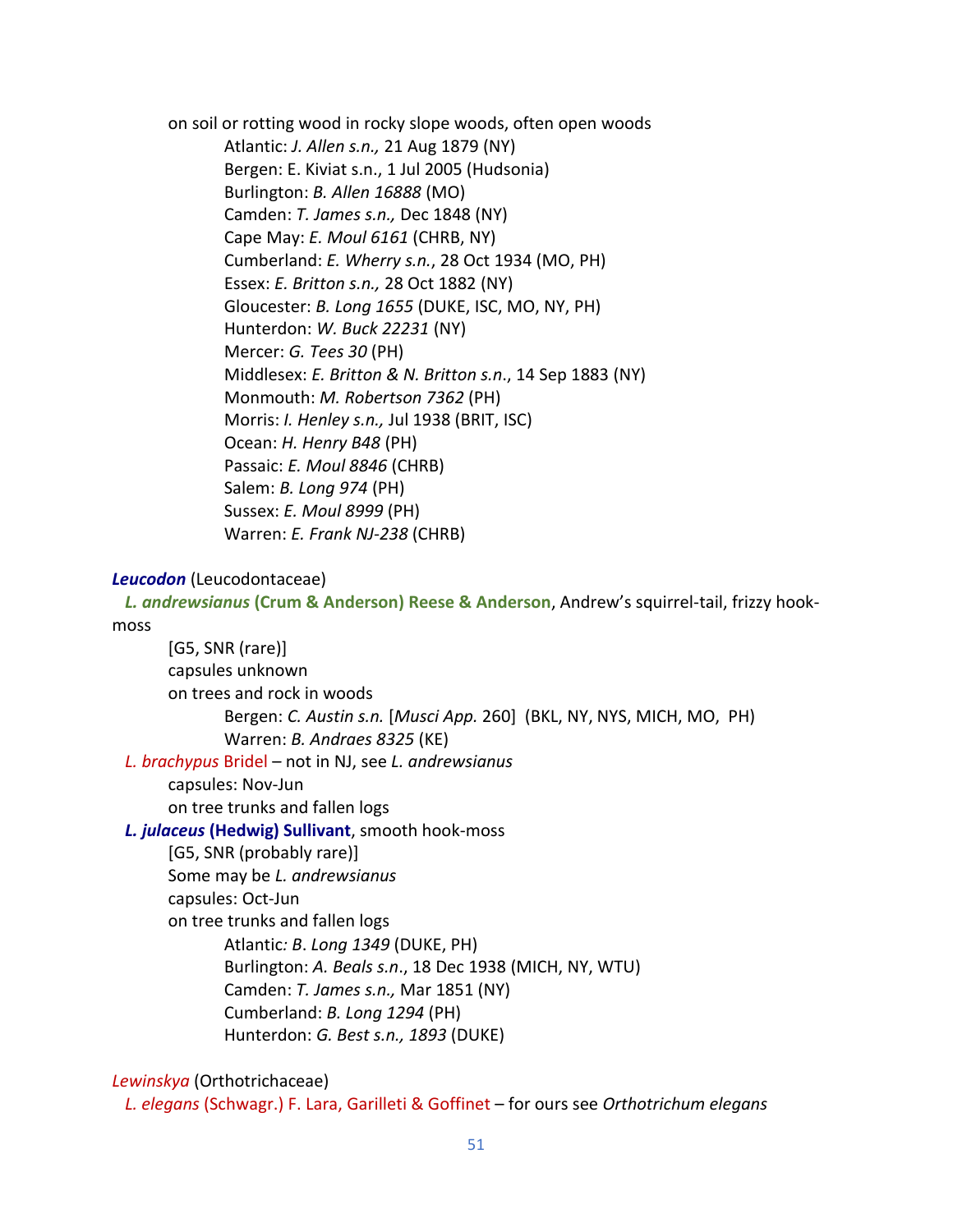on soil or rotting wood in rocky slope woods, often open woods Atlantic: *J. Allen s.n.,* 21 Aug 1879 (NY) Bergen: E. Kiviat s.n., 1 Jul 2005 (Hudsonia) Burlington: *B. Allen 16888* (MO) Camden: *T. James s.n.,* Dec 1848 (NY) Cape May: *E. Moul 6161* (CHRB, NY) Cumberland: *E. Wherry s.n.*, 28 Oct 1934 (MO, PH) Essex: *E. Britton s.n.,* 28 Oct 1882 (NY) Gloucester: *B. Long 1655* (DUKE, ISC, MO, NY, PH) Hunterdon: *W. Buck 22231* (NY) Mercer: *G. Tees 30* (PH) Middlesex: *E. Britton & N. Britton s.n*., 14 Sep 1883 (NY) Monmouth: *M. Robertson 7362* (PH) Morris: *I. Henley s.n.,* Jul 1938 (BRIT, ISC) Ocean: *H. Henry B48* (PH) Passaic: *E. Moul 8846* (CHRB) Salem: *B. Long 974* (PH) Sussex: *E. Moul 8999* (PH) Warren: *E. Frank NJ-238* (CHRB)

#### *Leucodon* (Leucodontaceae)

*L. andrewsianus* **(Crum & Anderson) Reese & Anderson**, Andrew's squirrel-tail, frizzy hookmoss

[G5, SNR (rare)] capsules unknown on trees and rock in woods Bergen: *C. Austin s.n.* [*Musci App.* 260] (BKL, NY, NYS, MICH, MO, PH) Warren: *B. Andraes 8325* (KE)  *L. brachypus* Bridel – not in NJ, see *L. andrewsianus* capsules: Nov-Jun on tree trunks and fallen logs  *L. julaceus* **(Hedwig) Sullivant**, smooth hook-moss [G5, SNR (probably rare)] Some may be *L. andrewsianus* capsules: Oct-Jun on tree trunks and fallen logs Atlantic*: B*. *Long 1349* (DUKE, PH) Burlington: *A. Beals s.n*., 18 Dec 1938 (MICH, NY, WTU) Camden: *T. James s.n.,* Mar 1851 (NY)

- Cumberland: *B. Long 1294* (PH)
- Hunterdon: *G. Best s.n., 1893* (DUKE)

## *Lewinskya* (Orthotrichaceae)

 *L. elegans* (Schwagr.) F. Lara, Garilleti & Goffinet – for ours see *Orthotrichum elegans*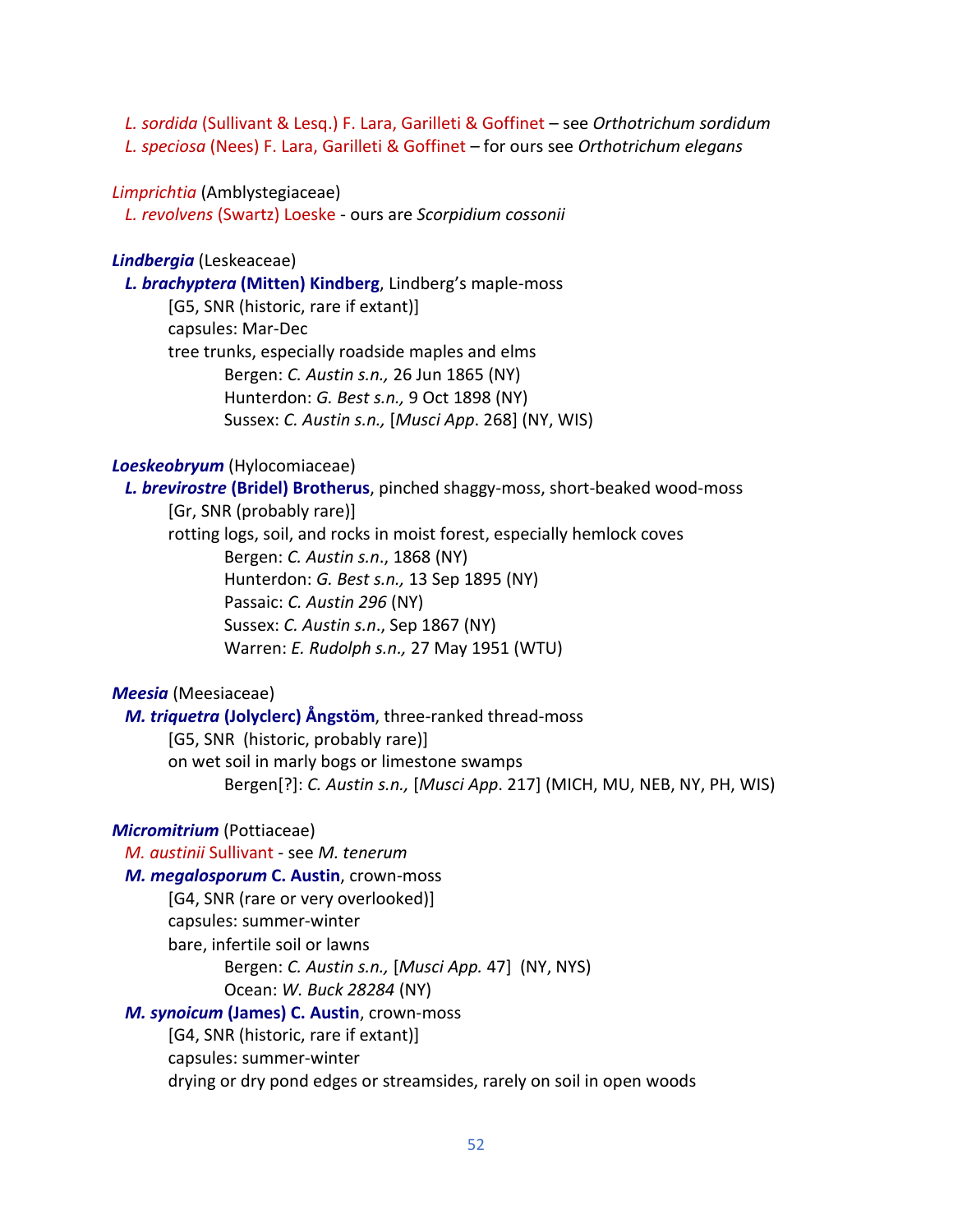*L. sordida* (Sullivant & Lesq.) F. Lara, Garilleti & Goffinet – see *Orthotrichum sordidum L. speciosa* (Nees) F. Lara, Garilleti & Goffinet – for ours see *Orthotrichum elegans*

#### *Limprichtia* (Amblystegiaceae)

 *L. revolvens* (Swartz) Loeske - ours are *Scorpidium cossonii*

#### *Lindbergia* (Leskeaceae)

 *L. brachyptera* **(Mitten) Kindberg**, Lindberg's maple-moss [G5, SNR (historic, rare if extant)] capsules: Mar-Dec tree trunks, especially roadside maples and elms Bergen: *C. Austin s.n.,* 26 Jun 1865 (NY) Hunterdon: *G. Best s.n.,* 9 Oct 1898 (NY) Sussex: *C. Austin s.n.,* [*Musci App*. 268] (NY, WIS)

### *Loeskeobryum* (Hylocomiaceae)

 *L. brevirostre* **(Bridel) Brotherus**, pinched shaggy-moss, short-beaked wood-moss [Gr, SNR (probably rare)] rotting logs, soil, and rocks in moist forest, especially hemlock coves Bergen: *C. Austin s.n*., 1868 (NY) Hunterdon: *G. Best s.n.,* 13 Sep 1895 (NY) Passaic: *C. Austin 296* (NY) Sussex: *C. Austin s.n*., Sep 1867 (NY) Warren: *E. Rudolph s.n.,* 27 May 1951 (WTU)

*Meesia* (Meesiaceae)

 *M. triquetra* **(Jolyclerc) Ångstöm**, three-ranked thread-moss [G5, SNR (historic, probably rare)] on wet soil in marly bogs or limestone swamps Bergen[?]: *C. Austin s.n.,* [*Musci App*. 217] (MICH, MU, NEB, NY, PH, WIS)

## *Micromitrium* (Pottiaceae)

 *M. austinii* Sullivant - see *M. tenerum*

## *M. megalosporum* **C. Austin**, crown-moss

[G4, SNR (rare or very overlooked)]

capsules: summer-winter

bare, infertile soil or lawns

Bergen: *C. Austin s.n.,* [*Musci App.* 47] (NY, NYS)

Ocean: *W. Buck 28284* (NY)

#### *M. synoicum* **(James) C. Austin**, crown-moss

[G4, SNR (historic, rare if extant)] capsules: summer-winter drying or dry pond edges or streamsides, rarely on soil in open woods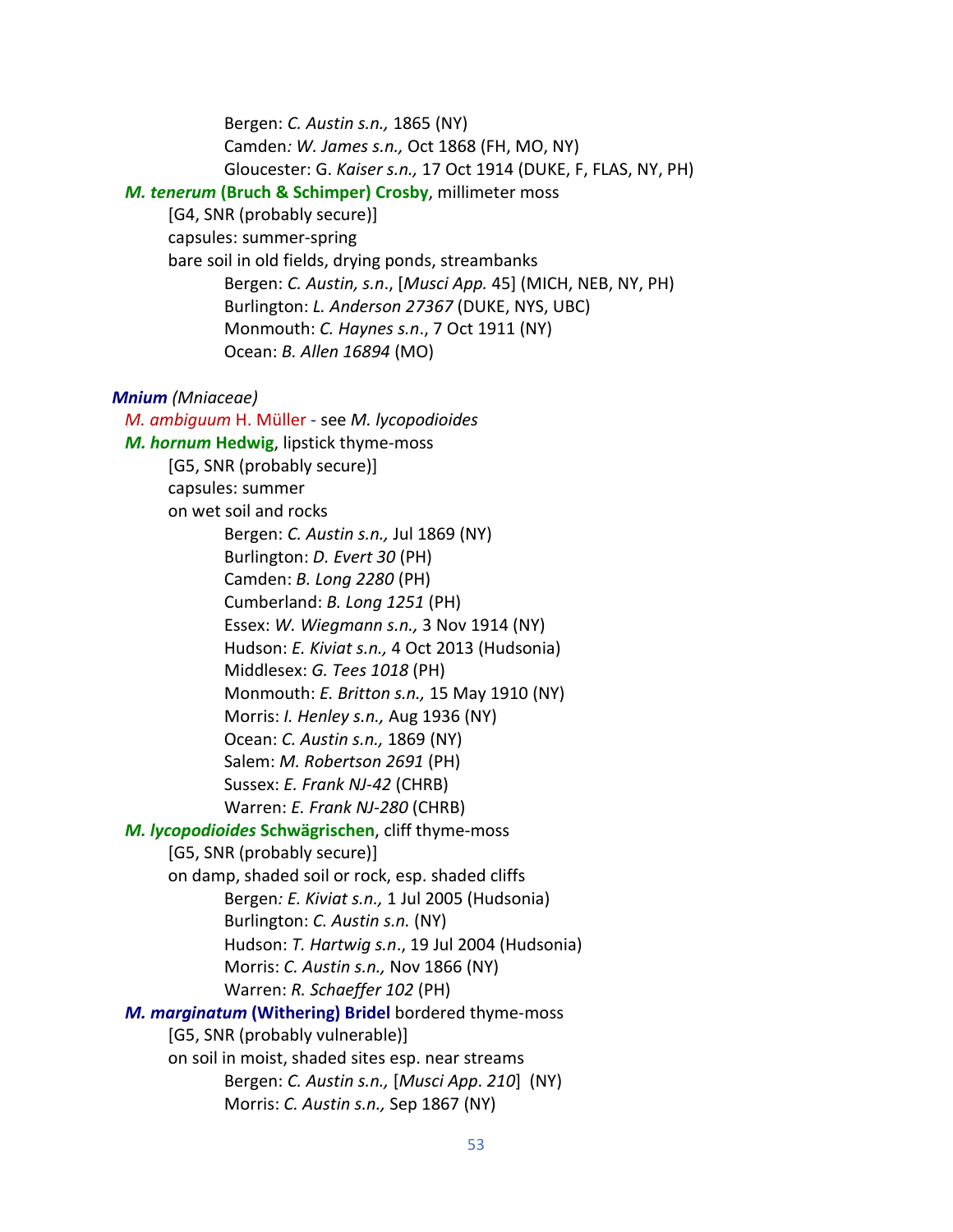Bergen: *C. Austin s.n.,* 1865 (NY) Camden*: W. James s.n.,* Oct 1868 (FH, MO, NY) Gloucester: G. *Kaiser s.n.,* 17 Oct 1914 (DUKE, F, FLAS, NY, PH) *M. tenerum* **(Bruch & Schimper) Crosby**, millimeter moss [G4, SNR (probably secure)] capsules: summer-spring bare soil in old fields, drying ponds, streambanks Bergen: *C. Austin, s.n*., [*Musci App.* 45] (MICH, NEB, NY, PH) Burlington: *L. Anderson 27367* (DUKE, NYS, UBC) Monmouth: *C. Haynes s.n*., 7 Oct 1911 (NY) Ocean: *B. Allen 16894* (MO) *Mnium (Mniaceae) M. ambiguum* H. Müller - see *M. lycopodioides M. hornum* **Hedwig**, lipstick thyme-moss [G5, SNR (probably secure)] capsules: summer on wet soil and rocks Bergen: *C. Austin s.n.,* Jul 1869 (NY) Burlington: *D. Evert 30* (PH) Camden: *B. Long 2280* (PH) Cumberland: *B. Long 1251* (PH) Essex: *W. Wiegmann s.n.,* 3 Nov 1914 (NY) Hudson: *E. Kiviat s.n.,* 4 Oct 2013 (Hudsonia) Middlesex: *G. Tees 1018* (PH) Monmouth: *E. Britton s.n.,* 15 May 1910 (NY) Morris: *I. Henley s.n.,* Aug 1936 (NY) Ocean: *C. Austin s.n.,* 1869 (NY) Salem: *M. Robertson 2691* (PH) Sussex: *E. Frank NJ-42* (CHRB) Warren: *E. Frank NJ-280* (CHRB) *M. lycopodioides* **Schwägrischen**, cliff thyme-moss [G5, SNR (probably secure)] on damp, shaded soil or rock, esp. shaded cliffs Bergen*: E. Kiviat s.n.,* 1 Jul 2005 (Hudsonia) Burlington: *C. Austin s.n.* (NY) Hudson: *T. Hartwig s.n*., 19 Jul 2004 (Hudsonia) Morris: *C. Austin s.n.,* Nov 1866 (NY) Warren: *R. Schaeffer 102* (PH)  *M. marginatum* **(Withering) Bridel** bordered thyme-moss [G5, SNR (probably vulnerable)] on soil in moist, shaded sites esp. near streams Bergen: *C. Austin s.n.,* [*Musci App*. *210*] (NY) Morris: *C. Austin s.n.,* Sep 1867 (NY)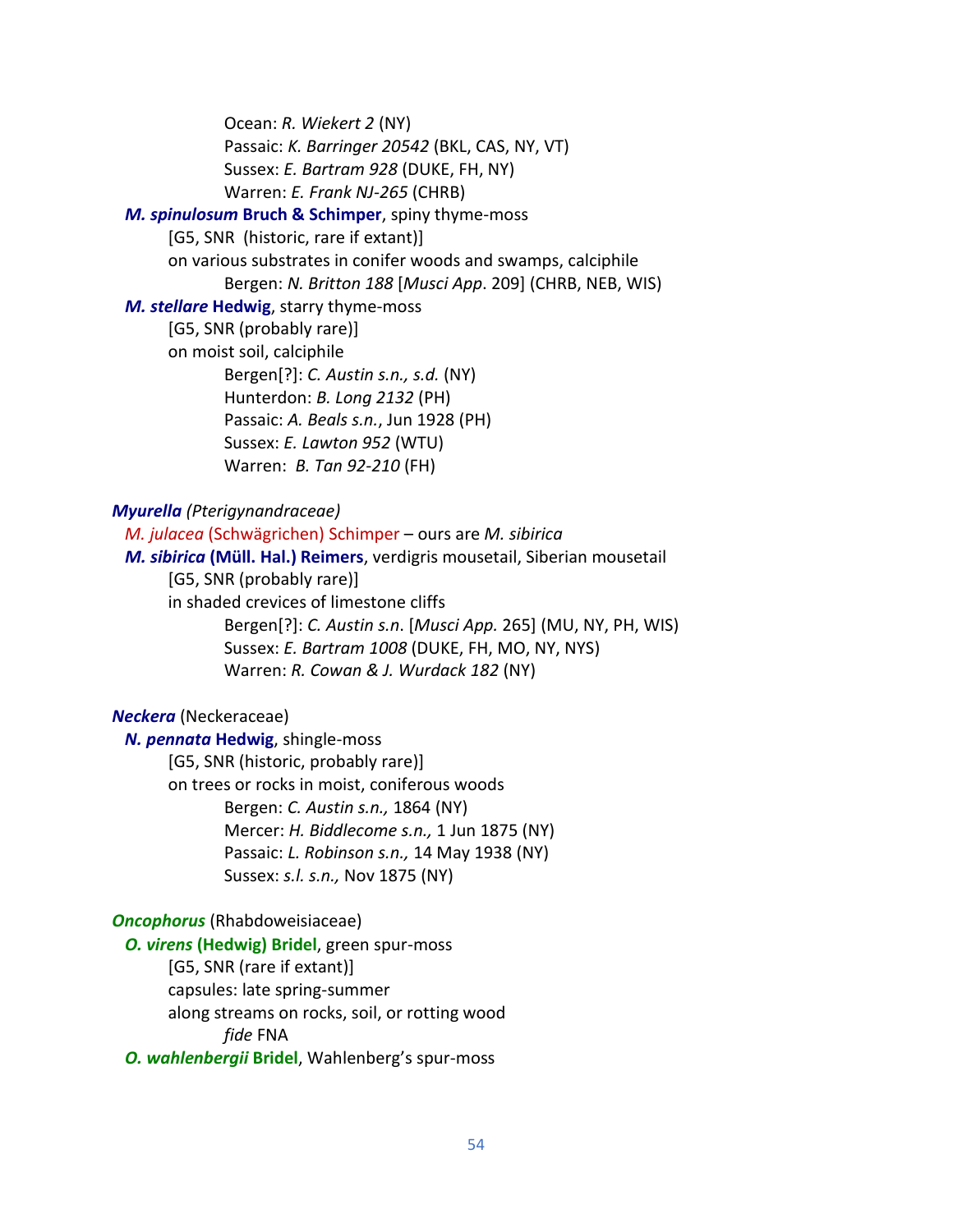Ocean: *R. Wiekert 2* (NY) Passaic: *K. Barringer 20542* (BKL, CAS, NY, VT) Sussex: *E. Bartram 928* (DUKE, FH, NY) Warren: *E. Frank NJ-265* (CHRB)

## *M. spinulosum* **Bruch & Schimper**, spiny thyme-moss

[G5, SNR (historic, rare if extant)]

on various substrates in conifer woods and swamps, calciphile Bergen: *N. Britton 188* [*Musci App*. 209] (CHRB, NEB, WIS)

#### *M. stellare* **Hedwig**, starry thyme-moss

[G5, SNR (probably rare)] on moist soil, calciphile Bergen[?]: *C. Austin s.n., s.d.* (NY) Hunterdon: *B. Long 2132* (PH) Passaic: *A. Beals s.n.*, Jun 1928 (PH) Sussex: *E. Lawton 952* (WTU) Warren: *B. Tan 92-210* (FH)

#### *Myurella (Pterigynandraceae)*

 *M. julacea* (Schwägrichen) Schimper – ours are *M. sibirica M. sibirica* **(Müll. Hal.) Reimers**, verdigris mousetail, Siberian mousetail [G5, SNR (probably rare)] in shaded crevices of limestone cliffs Bergen[?]: *C. Austin s.n*. [*Musci App.* 265] (MU, NY, PH, WIS) Sussex: *E. Bartram 1008* (DUKE, FH, MO, NY, NYS) Warren: *R. Cowan & J. Wurdack 182* (NY)

## *Neckera* (Neckeraceae)

 *N. pennata* **Hedwig**, shingle-moss [G5, SNR (historic, probably rare)] on trees or rocks in moist, coniferous woods Bergen: *C. Austin s.n.,* 1864 (NY) Mercer: *H. Biddlecome s.n.,* 1 Jun 1875 (NY) Passaic: *L. Robinson s.n.,* 14 May 1938 (NY) Sussex: *s.l. s.n.,* Nov 1875 (NY)

## *Oncophorus* (Rhabdoweisiaceae)

*O. virens* **(Hedwig) Bridel**, green spur-moss [G5, SNR (rare if extant)] capsules: late spring-summer along streams on rocks, soil, or rotting wood *fide* FNA

*O. wahlenbergii* **Bridel**, Wahlenberg's spur-moss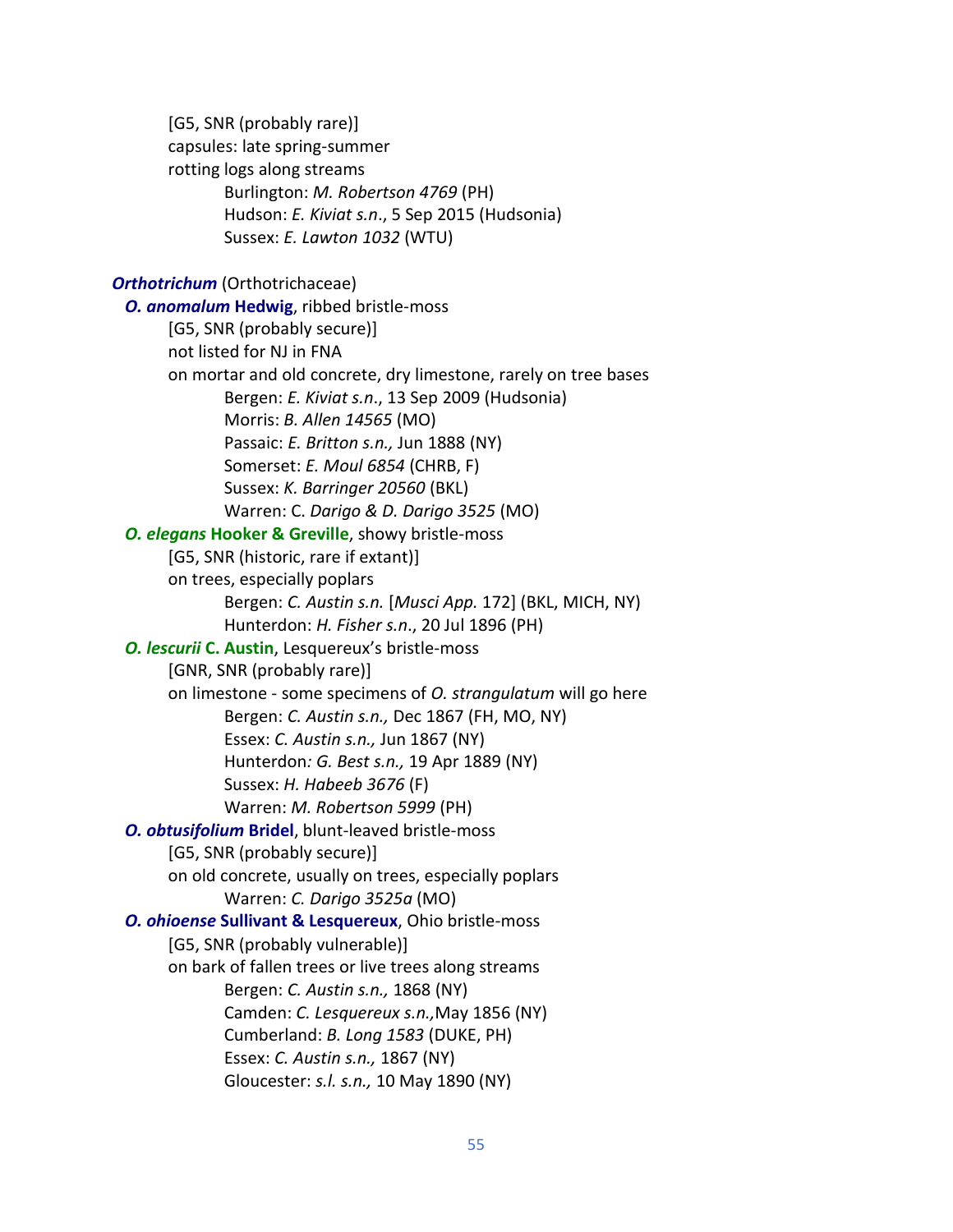[G5, SNR (probably rare)] capsules: late spring-summer rotting logs along streams Burlington: *M. Robertson 4769* (PH) Hudson: *E. Kiviat s.n*., 5 Sep 2015 (Hudsonia) Sussex: *E. Lawton 1032* (WTU) *Orthotrichum* (Orthotrichaceae)  *O. anomalum* **Hedwig**, ribbed bristle-moss [G5, SNR (probably secure)] not listed for NJ in FNA on mortar and old concrete, dry limestone, rarely on tree bases Bergen: *E. Kiviat s.n*., 13 Sep 2009 (Hudsonia) Morris: *B. Allen 14565* (MO) Passaic: *E. Britton s.n.,* Jun 1888 (NY) Somerset: *E. Moul 6854* (CHRB, F) Sussex: *K. Barringer 20560* (BKL) Warren: C. *Darigo & D. Darigo 3525* (MO) *O. elegans* **Hooker & Greville**, showy bristle-moss [G5, SNR (historic, rare if extant)] on trees, especially poplars Bergen: *C. Austin s.n.* [*Musci App.* 172] (BKL, MICH, NY) Hunterdon: *H. Fisher s.n*., 20 Jul 1896 (PH) *O. lescurii* **C. Austin**, Lesquereux's bristle-moss [GNR, SNR (probably rare)] on limestone - some specimens of *O. strangulatum* will go here Bergen: *C. Austin s.n.,* Dec 1867 (FH, MO, NY) Essex: *C. Austin s.n.,* Jun 1867 (NY) Hunterdon*: G. Best s.n.,* 19 Apr 1889 (NY) Sussex: *H. Habeeb 3676* (F) Warren: *M. Robertson 5999* (PH)  *O. obtusifolium* **Bridel**, blunt-leaved bristle-moss [G5, SNR (probably secure)] on old concrete, usually on trees, especially poplars Warren: *C. Darigo 3525a* (MO)  *O. ohioense* **Sullivant & Lesquereux**, Ohio bristle-moss [G5, SNR (probably vulnerable)] on bark of fallen trees or live trees along streams Bergen: *C. Austin s.n.,* 1868 (NY) Camden: *C. Lesquereux s.n.,*May 1856 (NY) Cumberland: *B. Long 1583* (DUKE, PH) Essex: *C. Austin s.n.,* 1867 (NY) Gloucester: *s.l. s.n.,* 10 May 1890 (NY)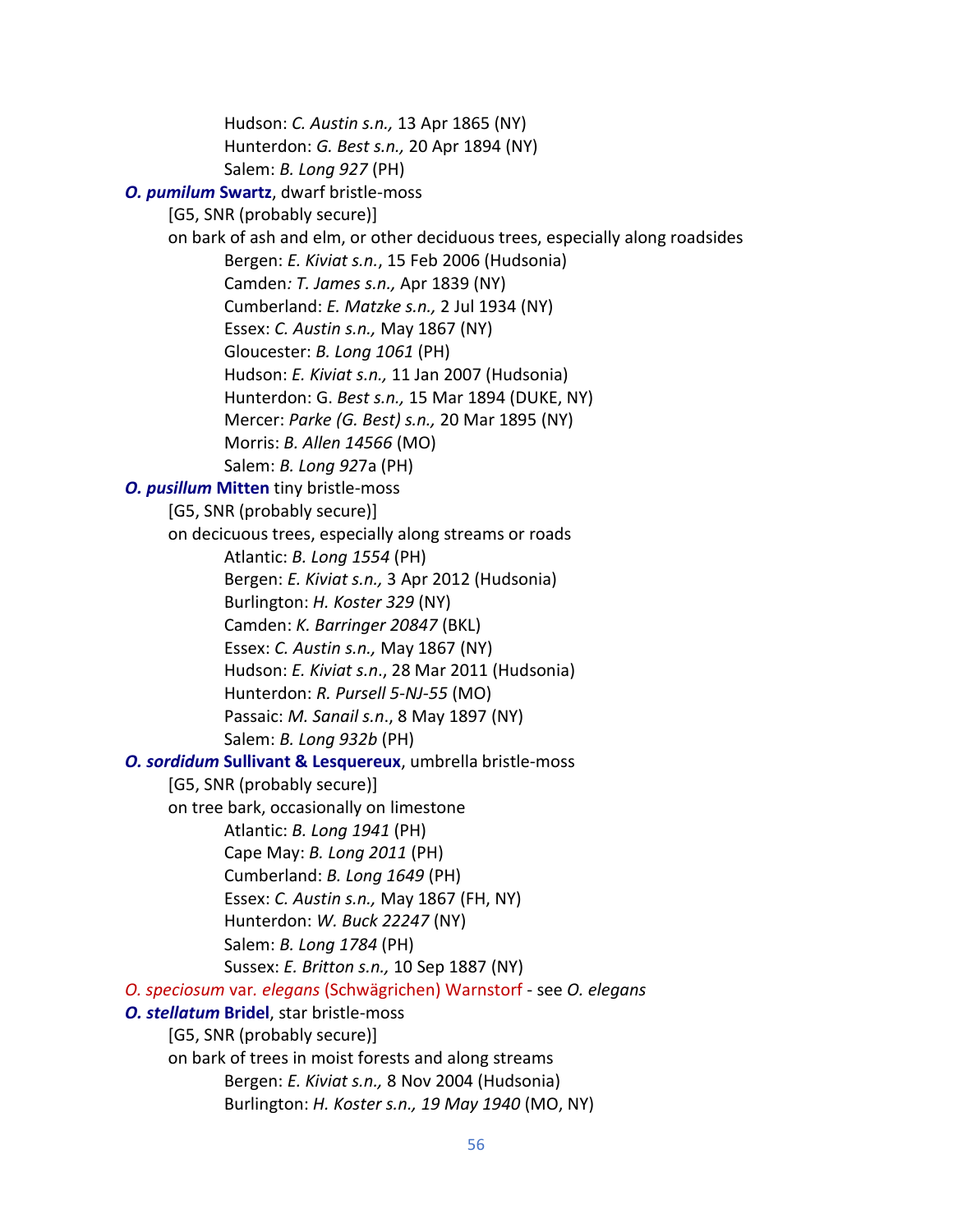Hudson: *C. Austin s.n.,* 13 Apr 1865 (NY) Hunterdon: *G. Best s.n.,* 20 Apr 1894 (NY) Salem: *B. Long 927* (PH) *O. pumilum* **Swartz**, dwarf bristle-moss [G5, SNR (probably secure)] on bark of ash and elm, or other deciduous trees, especially along roadsides Bergen: *E. Kiviat s.n.*, 15 Feb 2006 (Hudsonia) Camden*: T. James s.n.,* Apr 1839 (NY) Cumberland: *E. Matzke s.n.,* 2 Jul 1934 (NY) Essex: *C. Austin s.n.,* May 1867 (NY) Gloucester: *B. Long 1061* (PH) Hudson: *E. Kiviat s.n.,* 11 Jan 2007 (Hudsonia) Hunterdon: G. *Best s.n.,* 15 Mar 1894 (DUKE, NY) Mercer: *Parke (G. Best) s.n.,* 20 Mar 1895 (NY) Morris: *B. Allen 14566* (MO) Salem: *B. Long 92*7a (PH)  *O. pusillum* **Mitten** tiny bristle-moss [G5, SNR (probably secure)] on decicuous trees, especially along streams or roads Atlantic: *B. Long 1554* (PH) Bergen: *E. Kiviat s.n.,* 3 Apr 2012 (Hudsonia) Burlington: *H. Koster 329* (NY) Camden: *K. Barringer 20847* (BKL) Essex: *C. Austin s.n.,* May 1867 (NY) Hudson: *E. Kiviat s.n*., 28 Mar 2011 (Hudsonia) Hunterdon: *R. Pursell 5-NJ-55* (MO) Passaic: *M. Sanail s.n*., 8 May 1897 (NY) Salem: *B. Long 932b* (PH)  *O. sordidum* **Sullivant & Lesquereux**, umbrella bristle-moss [G5, SNR (probably secure)] on tree bark, occasionally on limestone Atlantic: *B. Long 1941* (PH) Cape May: *B. Long 2011* (PH) Cumberland: *B. Long 1649* (PH) Essex: *C. Austin s.n.,* May 1867 (FH, NY) Hunterdon: *W. Buck 22247* (NY) Salem: *B. Long 1784* (PH) Sussex: *E. Britton s.n.,* 10 Sep 1887 (NY) *O. speciosum* var*. elegans* (Schwägrichen) Warnstorf - see *O. elegans O. stellatum* **Bridel**, star bristle-moss [G5, SNR (probably secure)] on bark of trees in moist forests and along streams Bergen: *E. Kiviat s.n.,* 8 Nov 2004 (Hudsonia) Burlington: *H. Koster s.n., 19 May 1940* (MO, NY)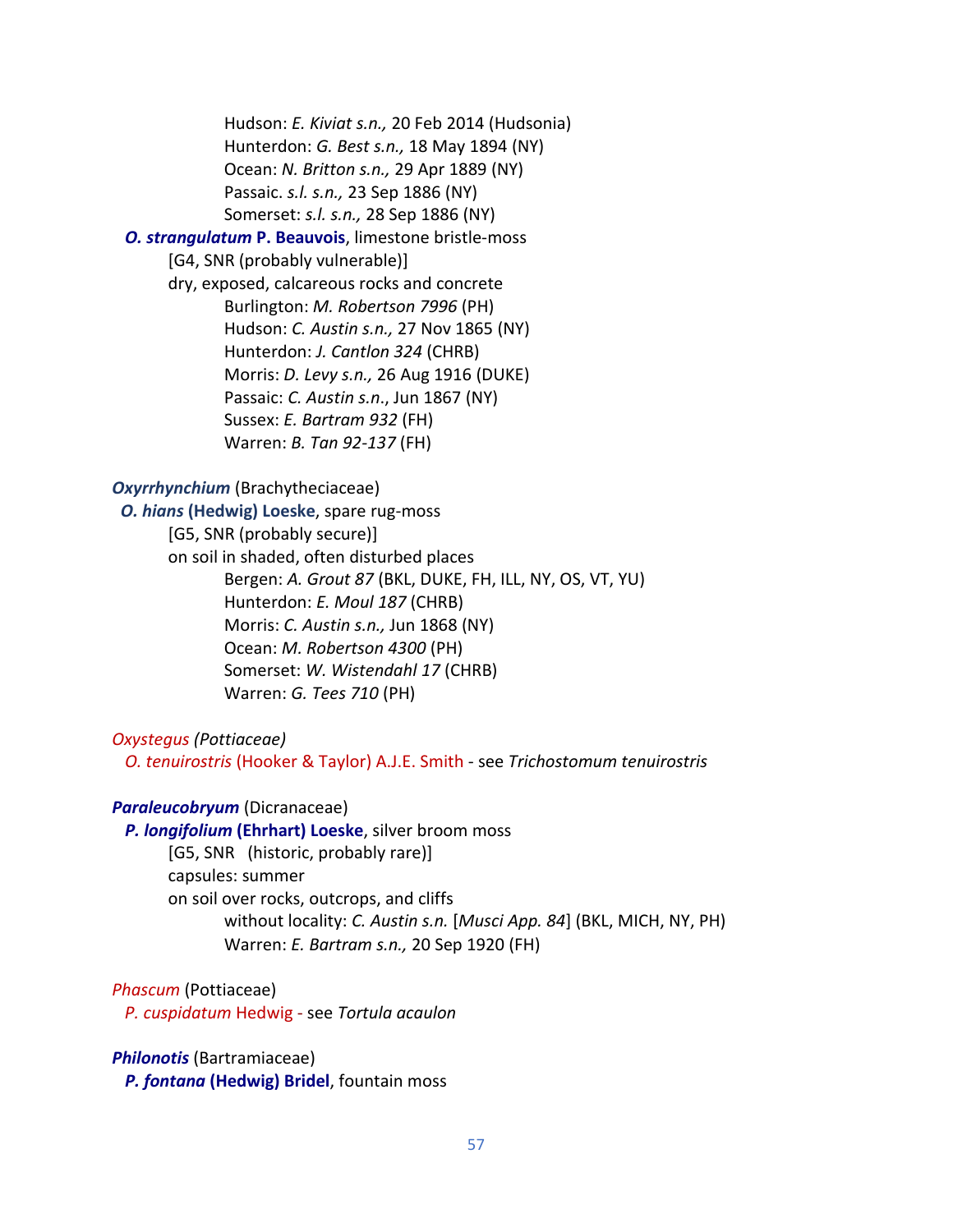Hudson: *E. Kiviat s.n.,* 20 Feb 2014 (Hudsonia) Hunterdon: *G. Best s.n.,* 18 May 1894 (NY) Ocean: *N. Britton s.n.,* 29 Apr 1889 (NY) Passaic. *s.l. s.n.,* 23 Sep 1886 (NY) Somerset: *s.l. s.n.,* 28 Sep 1886 (NY)

## *O. strangulatum* **P. Beauvois**, limestone bristle-moss

[G4, SNR (probably vulnerable)]

dry, exposed, calcareous rocks and concrete Burlington: *M. Robertson 7996* (PH) Hudson: *C. Austin s.n.,* 27 Nov 1865 (NY) Hunterdon: *J. Cantlon 324* (CHRB) Morris: *D. Levy s.n.,* 26 Aug 1916 (DUKE) Passaic: *C. Austin s.n*., Jun 1867 (NY) Sussex: *E. Bartram 932* (FH) Warren: *B. Tan 92-137* (FH)

#### *Oxyrrhynchium* (Brachytheciaceae)

 *O. hians* **(Hedwig) Loeske**, spare rug-moss [G5, SNR (probably secure)] on soil in shaded, often disturbed places Bergen: *A. Grout 87* (BKL, DUKE, FH, ILL, NY, OS, VT, YU) Hunterdon: *E. Moul 187* (CHRB) Morris: *C. Austin s.n.,* Jun 1868 (NY) Ocean: *M. Robertson 4300* (PH) Somerset: *W. Wistendahl 17* (CHRB) Warren: *G. Tees 710* (PH)

*Oxystegus (Pottiaceae)*

 *O. tenuirostris* (Hooker & Taylor) A.J.E. Smith - see *Trichostomum tenuirostris*

### *Paraleucobryum* (Dicranaceae)

 *P. longifolium* **(Ehrhart) Loeske**, silver broom moss [G5, SNR (historic, probably rare)]

> capsules: summer on soil over rocks, outcrops, and cliffs without locality: *C. Austin s.n.* [*Musci App. 84*] (BKL, MICH, NY, PH) Warren: *E. Bartram s.n.,* 20 Sep 1920 (FH)

*Phascum* (Pottiaceae)

*P. cuspidatum* Hedwig - see *Tortula acaulon*

*Philonotis* (Bartramiaceae) *P. fontana* **(Hedwig) Bridel**, fountain moss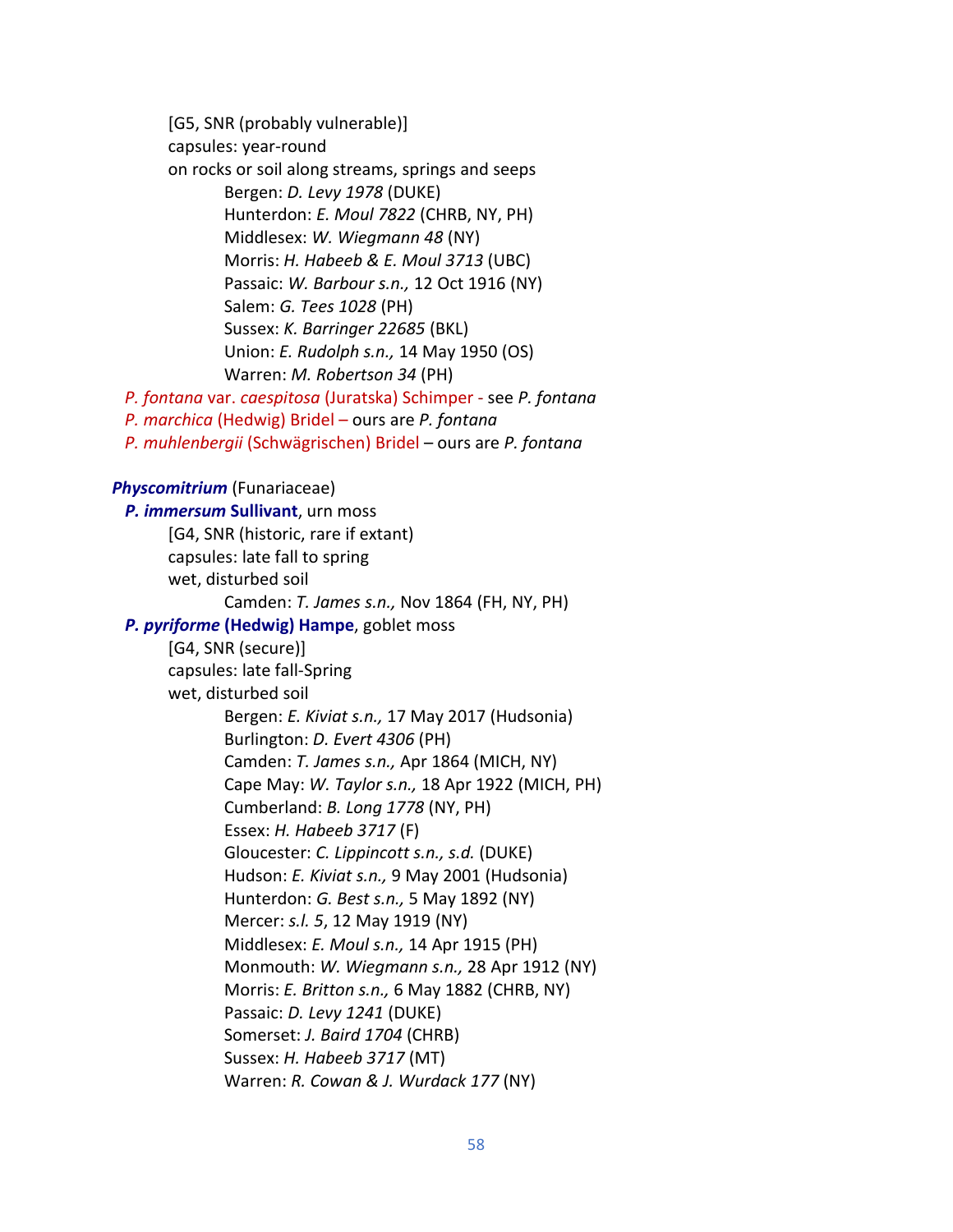[G5, SNR (probably vulnerable)] capsules: year-round on rocks or soil along streams, springs and seeps Bergen: *D. Levy 1978* (DUKE) Hunterdon: *E. Moul 7822* (CHRB, NY, PH) Middlesex: *W. Wiegmann 48* (NY) Morris: *H. Habeeb & E. Moul 3713* (UBC) Passaic: *W. Barbour s.n.,* 12 Oct 1916 (NY) Salem: *G. Tees 1028* (PH) Sussex: *K. Barringer 22685* (BKL) Union: *E. Rudolph s.n.,* 14 May 1950 (OS) Warren: *M. Robertson 34* (PH) *P. fontana* var. *caespitosa* (Juratska) Schimper - see *P. fontana P. marchica* (Hedwig) Bridel – ours are *P. fontana P. muhlenbergii* (Schwägrischen) Bridel – ours are *P. fontana Physcomitrium* (Funariaceae)  *P. immersum* **Sullivant**, urn moss [G4, SNR (historic, rare if extant) capsules: late fall to spring wet, disturbed soil Camden: *T. James s.n.,* Nov 1864 (FH, NY, PH)  *P. pyriforme* **(Hedwig) Hampe**, goblet moss [G4, SNR (secure)] capsules: late fall-Spring wet, disturbed soil Bergen: *E. Kiviat s.n.,* 17 May 2017 (Hudsonia) Burlington: *D. Evert 4306* (PH) Camden: *T. James s.n.,* Apr 1864 (MICH, NY) Cape May: *W. Taylor s.n.,* 18 Apr 1922 (MICH, PH) Cumberland: *B. Long 1778* (NY, PH) Essex: *H. Habeeb 3717* (F) Gloucester: *C. Lippincott s.n., s.d.* (DUKE) Hudson: *E. Kiviat s.n.,* 9 May 2001 (Hudsonia) Hunterdon: *G. Best s.n.,* 5 May 1892 (NY) Mercer: *s.l. 5*, 12 May 1919 (NY) Middlesex: *E. Moul s.n.,* 14 Apr 1915 (PH) Monmouth: *W. Wiegmann s.n.,* 28 Apr 1912 (NY) Morris: *E. Britton s.n.,* 6 May 1882 (CHRB, NY) Passaic: *D. Levy 1241* (DUKE) Somerset: *J. Baird 1704* (CHRB) Sussex: *H. Habeeb 3717* (MT) Warren: *R. Cowan & J. Wurdack 177* (NY)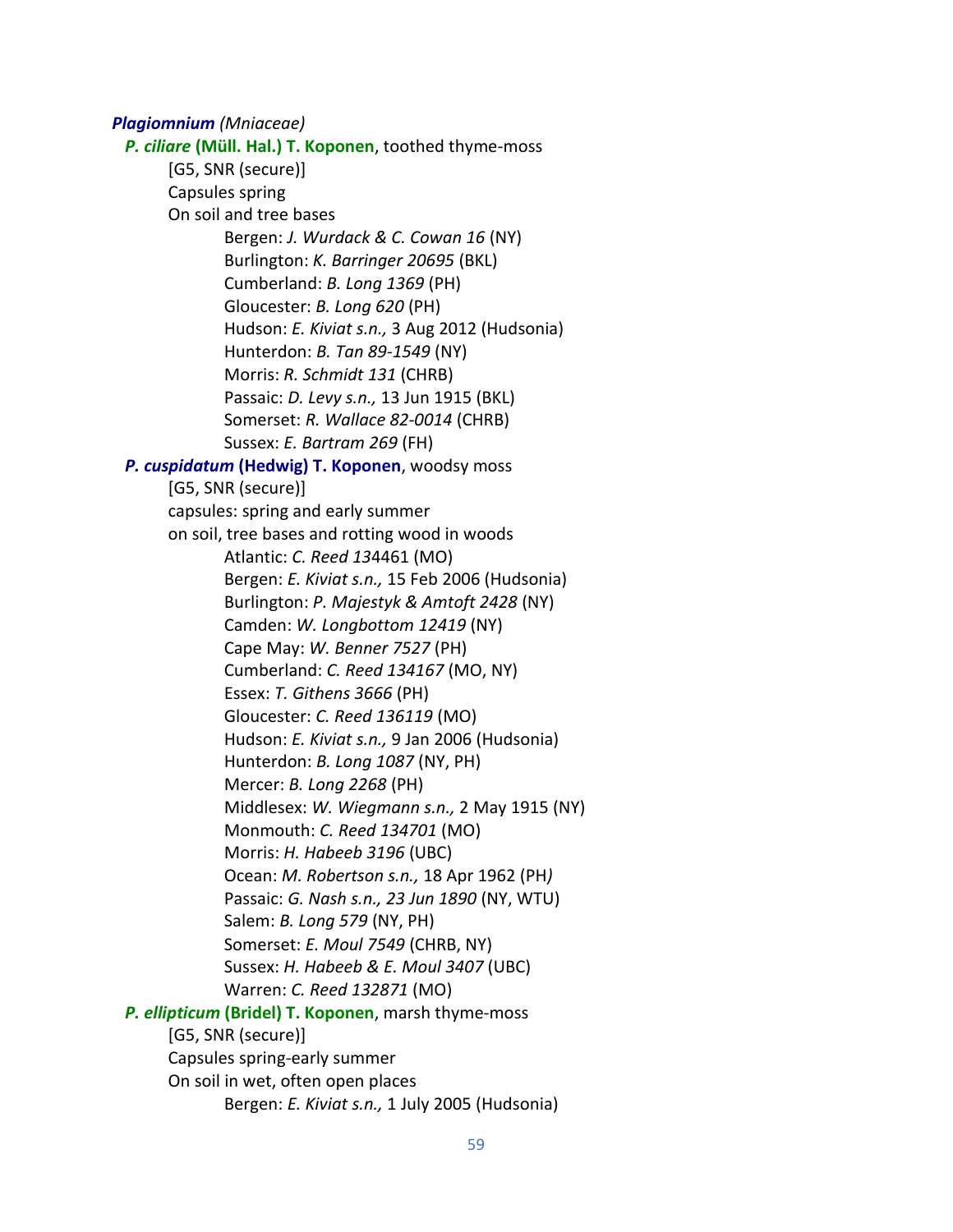*Plagiomnium (Mniaceae) P. ciliare* **(Müll. Hal.) T. Koponen**, toothed thyme-moss [G5, SNR (secure)] Capsules spring On soil and tree bases Bergen: *J. Wurdack & C. Cowan 16* (NY) Burlington: *K. Barringer 20695* (BKL) Cumberland: *B. Long 1369* (PH) Gloucester: *B. Long 620* (PH) Hudson: *E. Kiviat s.n.,* 3 Aug 2012 (Hudsonia) Hunterdon: *B. Tan 89-1549* (NY) Morris: *R. Schmidt 131* (CHRB) Passaic: *D. Levy s.n.,* 13 Jun 1915 (BKL) Somerset: *R. Wallace 82-0014* (CHRB) Sussex: *E. Bartram 269* (FH) *P. cuspidatum* **(Hedwig) T. Koponen**, woodsy moss [G5, SNR (secure)] capsules: spring and early summer on soil, tree bases and rotting wood in woods Atlantic: *C. Reed 13*4461 (MO) Bergen: *E. Kiviat s.n.,* 15 Feb 2006 (Hudsonia) Burlington: *P. Majestyk & Amtoft 2428* (NY) Camden: *W. Longbottom 12419* (NY) Cape May: *W. Benner 7527* (PH) Cumberland: *C. Reed 134167* (MO, NY) Essex: *T. Githens 3666* (PH) Gloucester: *C. Reed 136119* (MO) Hudson: *E. Kiviat s.n.,* 9 Jan 2006 (Hudsonia) Hunterdon: *B. Long 1087* (NY, PH) Mercer: *B. Long 2268* (PH) Middlesex: *W. Wiegmann s.n.,* 2 May 1915 (NY) Monmouth: *C. Reed 134701* (MO) Morris: *H. Habeeb 3196* (UBC) Ocean: *M. Robertson s.n.,* 18 Apr 1962 (PH*)* Passaic: *G. Nash s.n., 23 Jun 1890* (NY, WTU) Salem: *B. Long 579* (NY, PH) Somerset: *E. Moul 7549* (CHRB, NY) Sussex: *H. Habeeb & E. Moul 3407* (UBC) Warren: *C. Reed 132871* (MO)  *P. ellipticum* **(Bridel) T. Koponen**, marsh thyme-moss [G5, SNR (secure)] Capsules spring-early summer On soil in wet, often open places Bergen: *E. Kiviat s.n.,* 1 July 2005 (Hudsonia)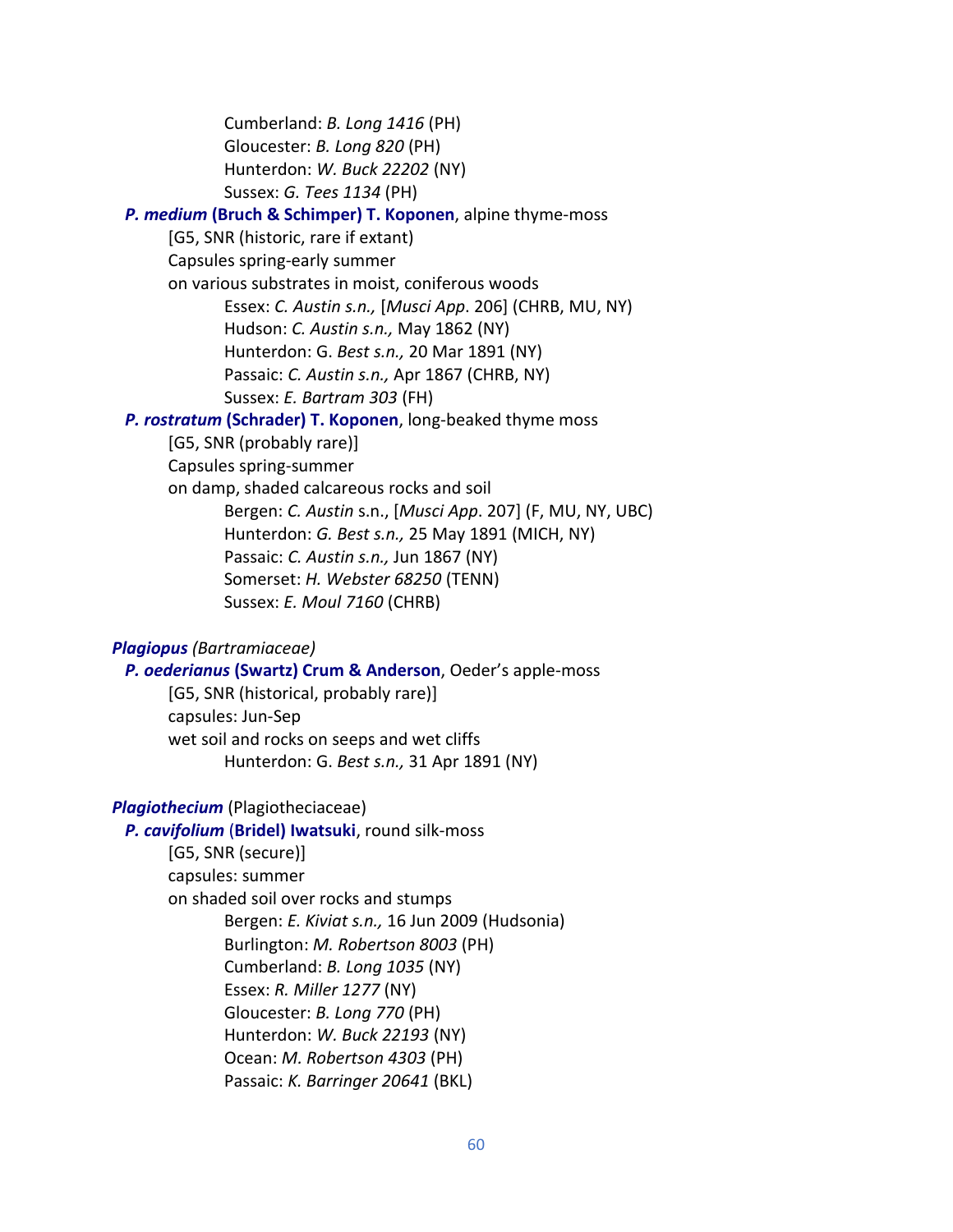Cumberland: *B. Long 1416* (PH) Gloucester: *B. Long 820* (PH) Hunterdon: *W. Buck 22202* (NY) Sussex: *G. Tees 1134* (PH)

## *P. medium* **(Bruch & Schimper) T. Koponen**, alpine thyme-moss

[G5, SNR (historic, rare if extant)

Capsules spring-early summer

on various substrates in moist, coniferous woods

Essex: *C. Austin s.n.,* [*Musci App*. 206] (CHRB, MU, NY) Hudson: *C. Austin s.n.,* May 1862 (NY)

Hunterdon: G. *Best s.n.,* 20 Mar 1891 (NY)

Passaic: *C. Austin s.n.,* Apr 1867 (CHRB, NY)

Sussex: *E. Bartram 303* (FH)

## *P. rostratum* **(Schrader) T. Koponen**, long-beaked thyme moss

[G5, SNR (probably rare)]

Capsules spring-summer

on damp, shaded calcareous rocks and soil Bergen: *C. Austin* s.n., [*Musci App*. 207] (F, MU, NY, UBC) Hunterdon: *G. Best s.n.,* 25 May 1891 (MICH, NY) Passaic: *C. Austin s.n.,* Jun 1867 (NY) Somerset: *H. Webster 68250* (TENN) Sussex: *E. Moul 7160* (CHRB)

## *Plagiopus (Bartramiaceae)*

 *P. oederianus* **(Swartz) Crum & Anderson**, Oeder's apple-moss [G5, SNR (historical, probably rare)] capsules: Jun-Sep wet soil and rocks on seeps and wet cliffs Hunterdon: G. *Best s.n.,* 31 Apr 1891 (NY)

## *Plagiothecium* (Plagiotheciaceae)

 *P. cavifolium* (**Bridel) Iwatsuki**, round silk-moss [G5, SNR (secure)] capsules: summer on shaded soil over rocks and stumps Bergen: *E. Kiviat s.n.,* 16 Jun 2009 (Hudsonia) Burlington: *M. Robertson 8003* (PH) Cumberland: *B. Long 1035* (NY) Essex: *R. Miller 1277* (NY) Gloucester: *B. Long 770* (PH) Hunterdon: *W. Buck 22193* (NY) Ocean: *M. Robertson 4303* (PH) Passaic: *K. Barringer 20641* (BKL)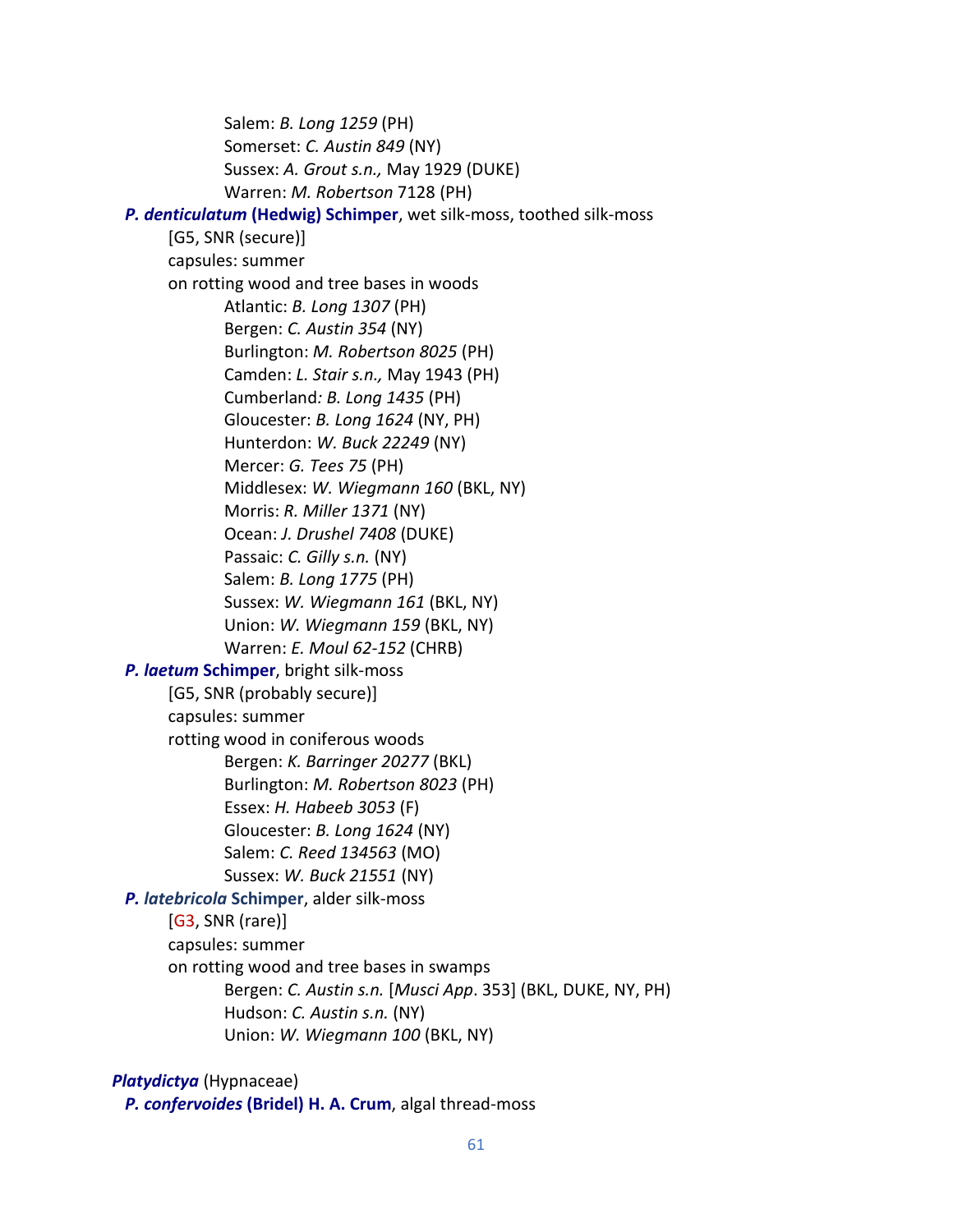Salem: *B. Long 1259* (PH) Somerset: *C. Austin 849* (NY) Sussex: *A. Grout s.n.,* May 1929 (DUKE) Warren: *M. Robertson* 7128 (PH)  *P. denticulatum* **(Hedwig) Schimper**, wet silk-moss, toothed silk-moss [G5, SNR (secure)] capsules: summer on rotting wood and tree bases in woods Atlantic: *B. Long 1307* (PH) Bergen: *C. Austin 354* (NY) Burlington: *M. Robertson 8025* (PH) Camden: *L. Stair s.n.,* May 1943 (PH) Cumberland*: B. Long 1435* (PH) Gloucester: *B. Long 1624* (NY, PH) Hunterdon: *W. Buck 22249* (NY) Mercer: *G. Tees 75* (PH) Middlesex: *W. Wiegmann 160* (BKL, NY) Morris: *R. Miller 1371* (NY) Ocean: *J. Drushel 7408* (DUKE) Passaic: *C. Gilly s.n.* (NY) Salem: *B. Long 1775* (PH) Sussex: *W. Wiegmann 161* (BKL, NY) Union: *W. Wiegmann 159* (BKL, NY) Warren: *E. Moul 62-152* (CHRB)  *P. laetum* **Schimper**, bright silk-moss [G5, SNR (probably secure)] capsules: summer rotting wood in coniferous woods Bergen: *K. Barringer 20277* (BKL) Burlington: *M. Robertson 8023* (PH) Essex: *H. Habeeb 3053* (F) Gloucester: *B. Long 1624* (NY) Salem: *C. Reed 134563* (MO) Sussex: *W. Buck 21551* (NY) *P. latebricola* **Schimper**, alder silk-moss [G3, SNR (rare)] capsules: summer on rotting wood and tree bases in swamps Bergen: *C. Austin s.n.* [*Musci App*. 353] (BKL, DUKE, NY, PH) Hudson: *C. Austin s.n.* (NY) Union: *W. Wiegmann 100* (BKL, NY)

*Platydictya* (Hypnaceae)

*P. confervoides* **(Bridel) H. A. Crum**, algal thread-moss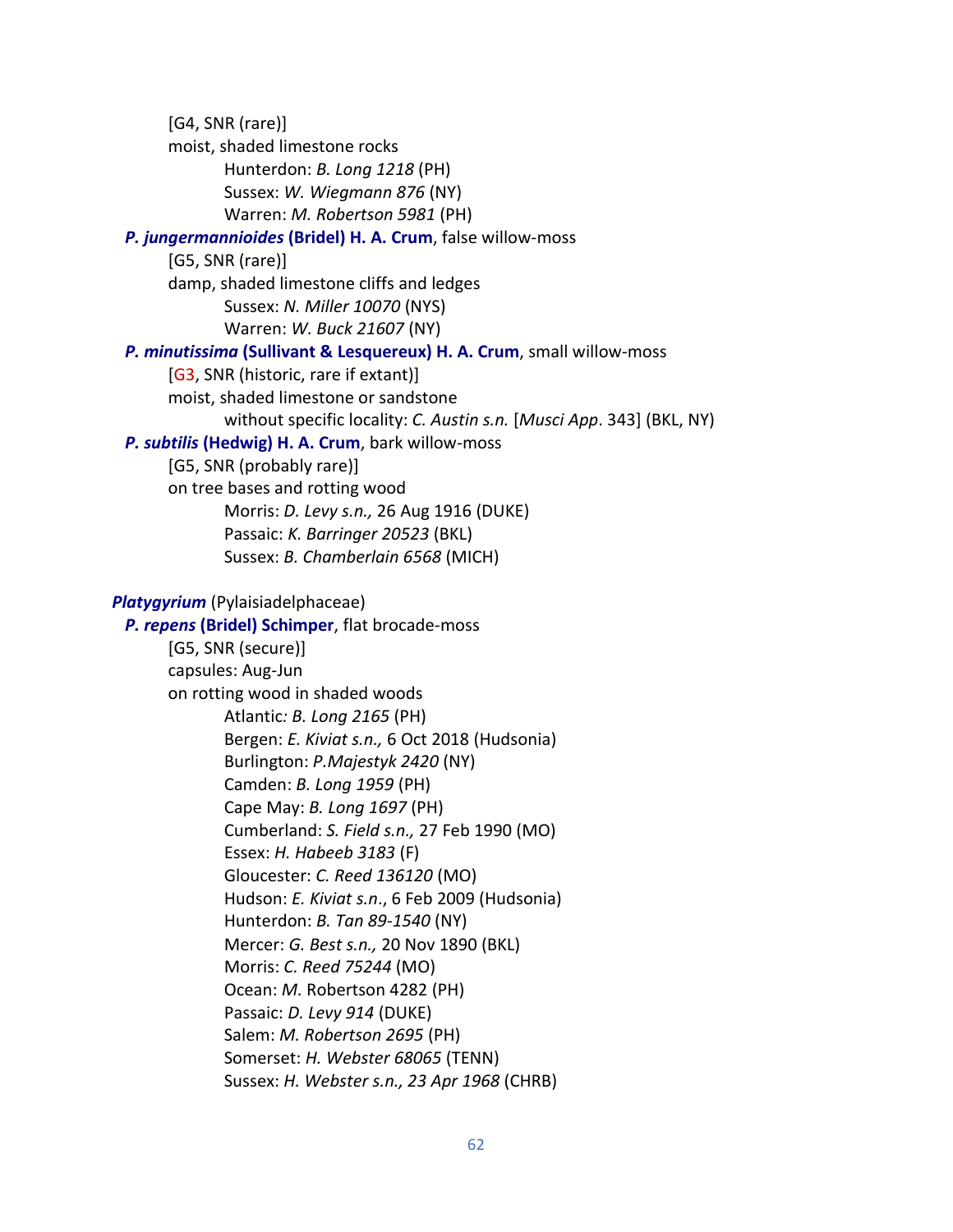[G4, SNR (rare)] moist, shaded limestone rocks Hunterdon: *B. Long 1218* (PH) Sussex: *W. Wiegmann 876* (NY) Warren: *M. Robertson 5981* (PH)  *P. jungermannioides* **(Bridel) H. A. Crum**, false willow-moss [G5, SNR (rare)] damp, shaded limestone cliffs and ledges Sussex: *N. Miller 10070* (NYS) Warren: *W. Buck 21607* (NY)  *P. minutissima* **(Sullivant & Lesquereux) H. A. Crum**, small willow-moss [G3, SNR (historic, rare if extant)] moist, shaded limestone or sandstone without specific locality: *C. Austin s.n.* [*Musci App*. 343] (BKL, NY) *P. subtilis* **(Hedwig) H. A. Crum**, bark willow-moss [G5, SNR (probably rare)] on tree bases and rotting wood Morris: *D. Levy s.n.,* 26 Aug 1916 (DUKE) Passaic: *K. Barringer 20523* (BKL) Sussex: *B. Chamberlain 6568* (MICH) *Platygyrium* (Pylaisiadelphaceae) *P. repens* **(Bridel) Schimper**, flat brocade-moss [G5, SNR (secure)] capsules: Aug-Jun on rotting wood in shaded woods Atlantic*: B. Long 2165* (PH) Bergen: *E. Kiviat s.n.,* 6 Oct 2018 (Hudsonia) Burlington: *P.Majestyk 2420* (NY) Camden: *B. Long 1959* (PH) Cape May: *B. Long 1697* (PH) Cumberland: *S. Field s.n.,* 27 Feb 1990 (MO) Essex: *H. Habeeb 3183* (F) Gloucester: *C. Reed 136120* (MO) Hudson: *E. Kiviat s.n*., 6 Feb 2009 (Hudsonia) Hunterdon: *B. Tan 89-1540* (NY) Mercer: *G. Best s.n.,* 20 Nov 1890 (BKL) Morris: *C. Reed 75244* (MO) Ocean: *M.* Robertson 4282 (PH) Passaic: *D. Levy 914* (DUKE) Salem: *M. Robertson 2695* (PH) Somerset: *H. Webster 68065* (TENN) Sussex: *H. Webster s.n., 23 Apr 1968* (CHRB)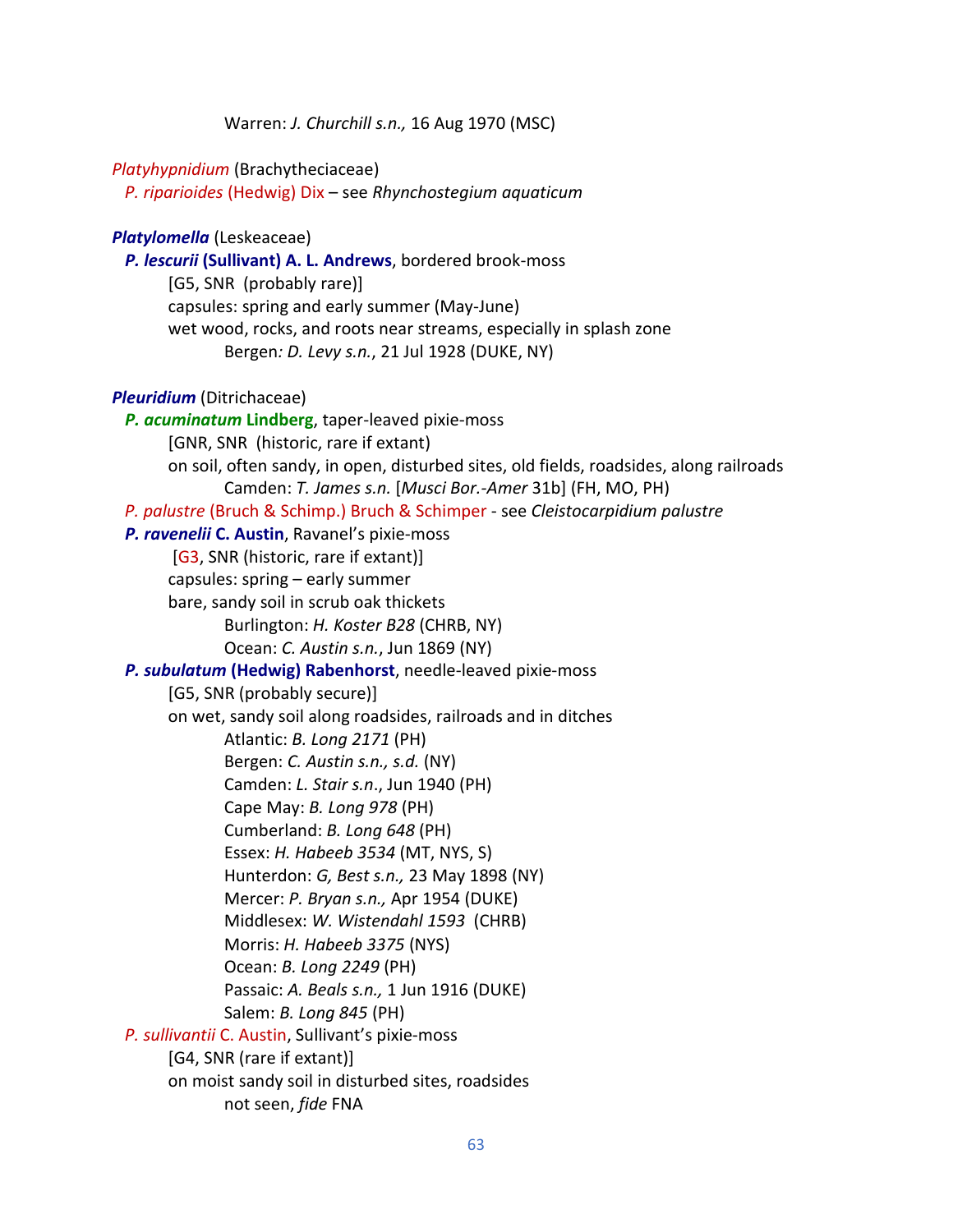Warren: *J. Churchill s.n.,* 16 Aug 1970 (MSC)

#### *Platyhypnidium* (Brachytheciaceae)

 *P. riparioides* (Hedwig) Dix – see *Rhynchostegium aquaticum*

#### *Platylomella* (Leskeaceae)

 *P. lescurii* **(Sullivant) A. L. Andrews**, bordered brook-moss [G5, SNR (probably rare)] capsules: spring and early summer (May-June) wet wood, rocks, and roots near streams, especially in splash zone Bergen*: D. Levy s.n.*, 21 Jul 1928 (DUKE, NY)

#### *Pleuridium* (Ditrichaceae)

 *P. acuminatum* **Lindberg**, taper-leaved pixie-moss [GNR, SNR(historic, rare if extant) on soil, often sandy, in open, disturbed sites, old fields, roadsides, along railroads Camden: *T. James s.n.* [*Musci Bor.-Amer* 31b] (FH, MO, PH)  *P. palustre* (Bruch & Schimp.) Bruch & Schimper - see *Cleistocarpidium palustre P. ravenelii* **C. Austin**, Ravanel's pixie-moss [G3, SNR (historic, rare if extant)] capsules: spring – early summer bare, sandy soil in scrub oak thickets Burlington: *H. Koster B28* (CHRB, NY) Ocean: *C. Austin s.n.*, Jun 1869 (NY)  *P. subulatum* **(Hedwig) Rabenhorst**, needle-leaved pixie-moss [G5, SNR (probably secure)] on wet, sandy soil along roadsides, railroads and in ditches Atlantic: *B. Long 2171* (PH) Bergen: *C. Austin s.n., s.d.* (NY) Camden: *L. Stair s.n*., Jun 1940 (PH) Cape May: *B. Long 978* (PH) Cumberland: *B. Long 648* (PH) Essex: *H. Habeeb 3534* (MT, NYS, S) Hunterdon: *G, Best s.n.,* 23 May 1898 (NY) Mercer: *P. Bryan s.n.,* Apr 1954 (DUKE) Middlesex: *W. Wistendahl 1593* (CHRB) Morris: *H. Habeeb 3375* (NYS) Ocean: *B. Long 2249* (PH) Passaic: *A. Beals s.n.,* 1 Jun 1916 (DUKE) Salem: *B. Long 845* (PH)  *P. sullivantii* C. Austin, Sullivant's pixie-moss [G4, SNR (rare if extant)] on moist sandy soil in disturbed sites, roadsides not seen, *fide* FNA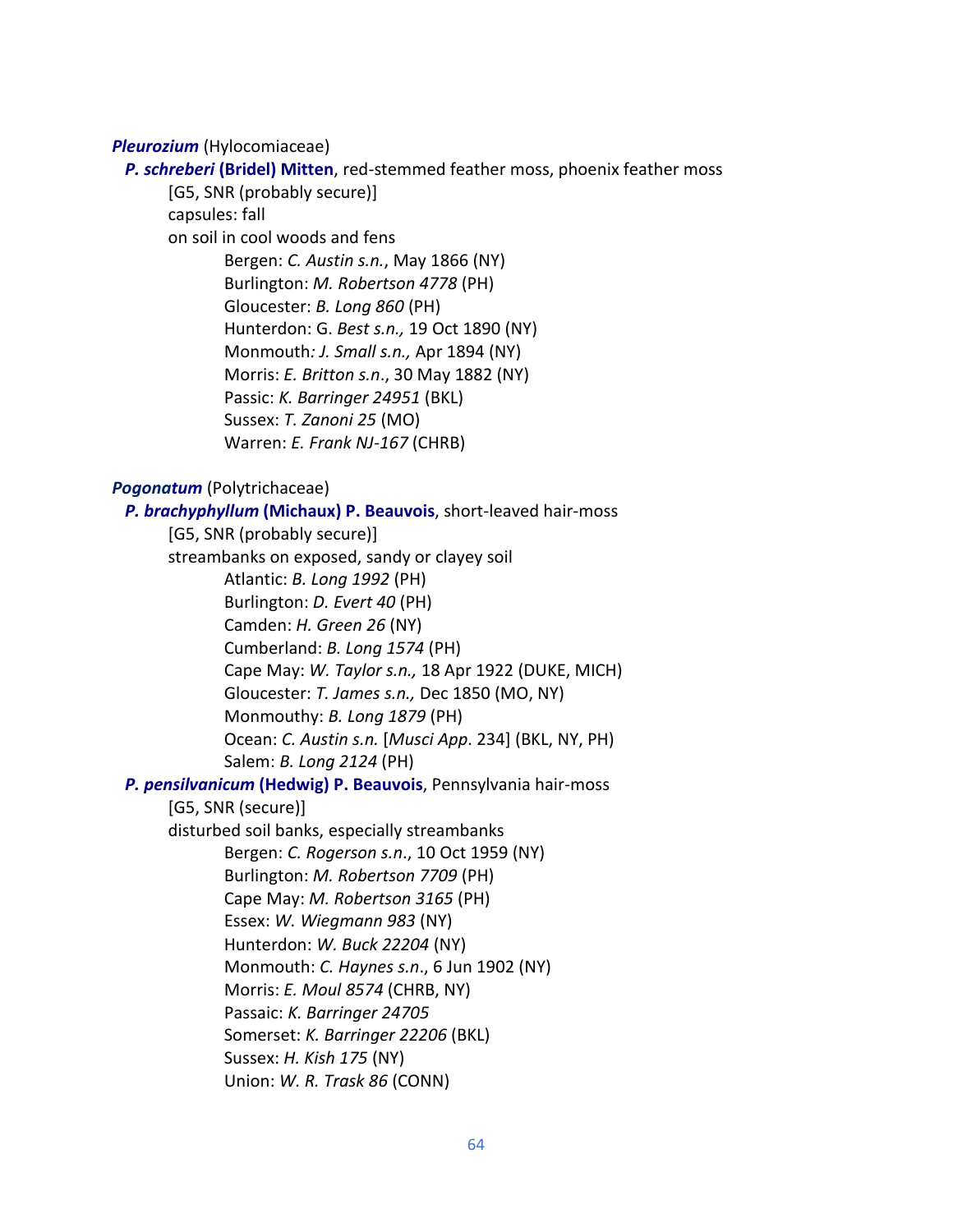## *Pleurozium* (Hylocomiaceae)

#### *P. schreberi* **(Bridel) Mitten**, red-stemmed feather moss, phoenix feather moss

[G5, SNR (probably secure)] capsules: fall

on soil in cool woods and fens

Bergen: *C. Austin s.n.*, May 1866 (NY) Burlington: *M. Robertson 4778* (PH) Gloucester: *B. Long 860* (PH) Hunterdon: G. *Best s.n.,* 19 Oct 1890 (NY) Monmouth*: J. Small s.n.,* Apr 1894 (NY) Morris: *E. Britton s.n*., 30 May 1882 (NY) Passic: *K. Barringer 24951* (BKL) Sussex: *T. Zanoni 25* (MO) Warren: *E. Frank NJ-167* (CHRB)

### *Pogonatum* (Polytrichaceae)

 *P. brachyphyllum* **(Michaux) P. Beauvois**, short-leaved hair-moss [G5, SNR (probably secure)] streambanks on exposed, sandy or clayey soil Atlantic: *B. Long 1992* (PH) Burlington: *D. Evert 40* (PH) Camden: *H. Green 26* (NY) Cumberland: *B. Long 1574* (PH) Cape May: *W. Taylor s.n.,* 18 Apr 1922 (DUKE, MICH) Gloucester: *T. James s.n.,* Dec 1850 (MO, NY) Monmouthy: *B. Long 1879* (PH) Ocean: *C. Austin s.n.* [*Musci App*. 234] (BKL, NY, PH) Salem: *B. Long 2124* (PH)  *P. pensilvanicum* **(Hedwig) P. Beauvois**, Pennsylvania hair-moss [G5, SNR (secure)] disturbed soil banks, especially streambanks Bergen: *C. Rogerson s.n*., 10 Oct 1959 (NY) Burlington: *M. Robertson 7709* (PH) Cape May: *M. Robertson 3165* (PH) Essex: *W. Wiegmann 983* (NY) Hunterdon: *W. Buck 22204* (NY) Monmouth: *C. Haynes s.n*., 6 Jun 1902 (NY) Morris: *E. Moul 8574* (CHRB, NY) Passaic: *K. Barringer 24705* Somerset: *K. Barringer 22206* (BKL) Sussex: *H. Kish 175* (NY) Union: *W. R. Trask 86* (CONN)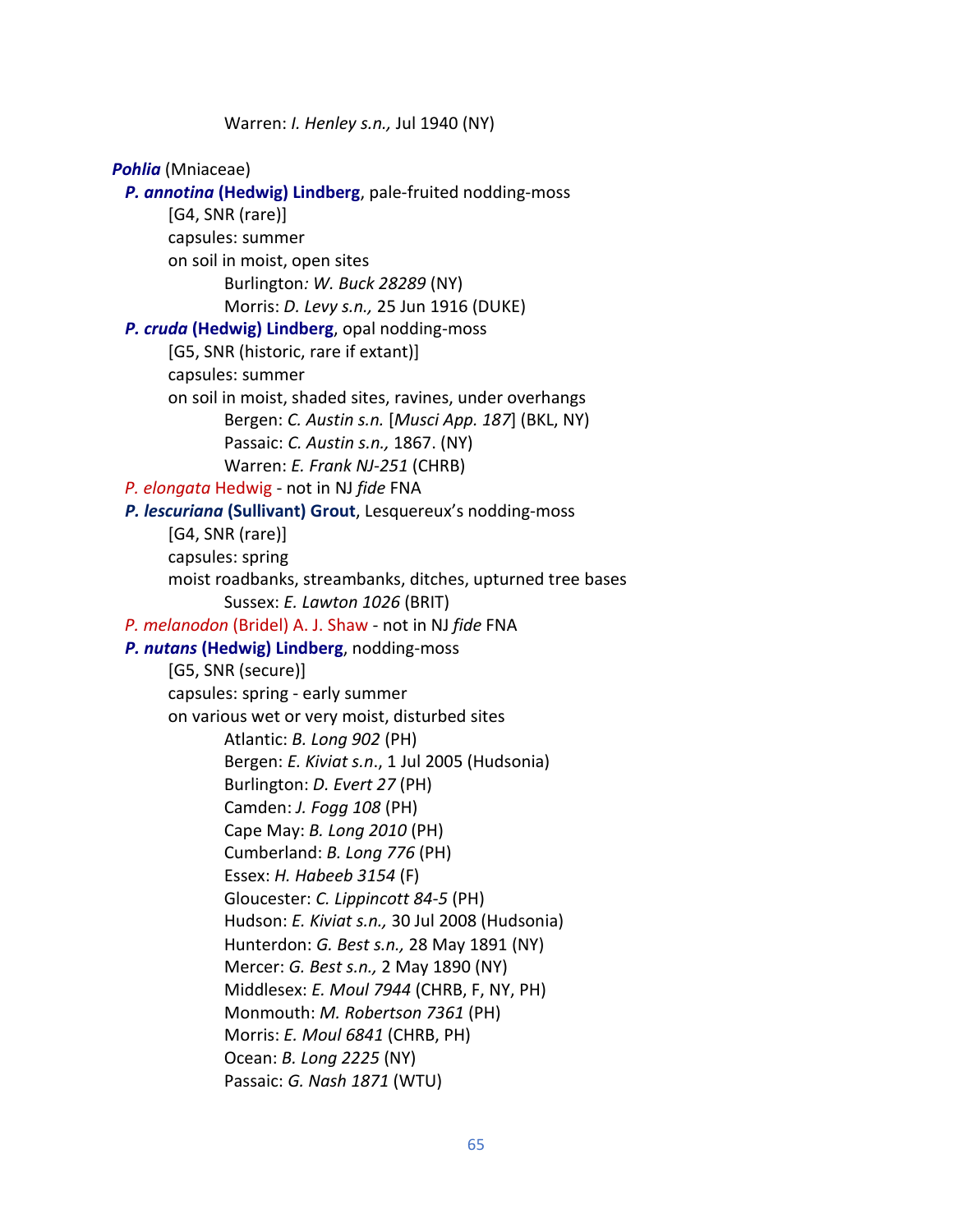Warren: *I. Henley s.n.,* Jul 1940 (NY) *Pohlia* (Mniaceae) *P. annotina* **(Hedwig) Lindberg**, pale-fruited nodding-moss [G4, SNR (rare)] capsules: summer on soil in moist, open sites Burlington*: W. Buck 28289* (NY) Morris: *D. Levy s.n.,* 25 Jun 1916 (DUKE)  *P. cruda* **(Hedwig) Lindberg**, opal nodding-moss [G5, SNR (historic, rare if extant)] capsules: summer on soil in moist, shaded sites, ravines, under overhangs Bergen: *C. Austin s.n.* [*Musci App. 187*] (BKL, NY) Passaic: *C. Austin s.n.,* 1867. (NY) Warren: *E. Frank NJ-251* (CHRB)  *P. elongata* Hedwig - not in NJ *fide* FNA  *P. lescuriana* **(Sullivant) Grout**, Lesquereux's nodding-moss [G4, SNR (rare)] capsules: spring moist roadbanks, streambanks, ditches, upturned tree bases Sussex: *E. Lawton 1026* (BRIT) *P. melanodon* (Bridel) A. J. Shaw - not in NJ *fide* FNA  *P. nutans* **(Hedwig) Lindberg**, nodding-moss [G5, SNR (secure)] capsules: spring - early summer on various wet or very moist, disturbed sites Atlantic: *B. Long 902* (PH) Bergen: *E. Kiviat s.n*., 1 Jul 2005 (Hudsonia) Burlington: *D. Evert 27* (PH) Camden: *J. Fogg 108* (PH) Cape May: *B. Long 2010* (PH) Cumberland: *B. Long 776* (PH) Essex: *H. Habeeb 3154* (F) Gloucester: *C. Lippincott 84-5* (PH) Hudson: *E. Kiviat s.n.,* 30 Jul 2008 (Hudsonia) Hunterdon: *G. Best s.n.,* 28 May 1891 (NY) Mercer: *G. Best s.n.,* 2 May 1890 (NY) Middlesex: *E. Moul 7944* (CHRB, F, NY, PH) Monmouth: *M. Robertson 7361* (PH) Morris: *E. Moul 6841* (CHRB, PH) Ocean: *B. Long 2225* (NY) Passaic: *G. Nash 1871* (WTU)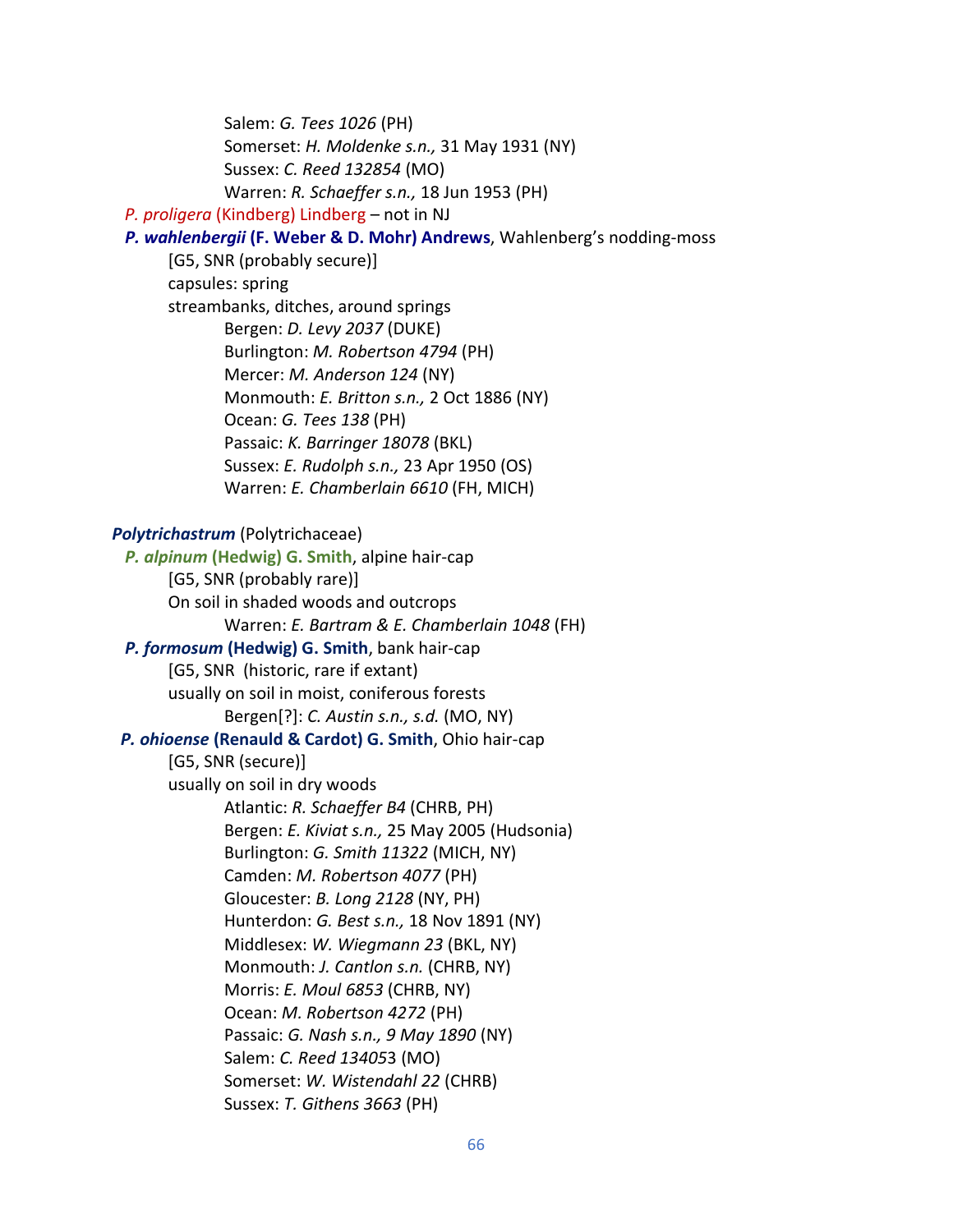Salem: *G. Tees 1026* (PH) Somerset: *H. Moldenke s.n.,* 31 May 1931 (NY) Sussex: *C. Reed 132854* (MO) Warren: *R. Schaeffer s.n.,* 18 Jun 1953 (PH)

## *P. proligera* (Kindberg) Lindberg – not in NJ

 *P. wahlenbergii* **(F. Weber & D. Mohr) Andrews**, Wahlenberg's nodding-moss

[G5, SNR (probably secure)] capsules: spring streambanks, ditches, around springs Bergen: *D. Levy 2037* (DUKE) Burlington: *M. Robertson 4794* (PH) Mercer: *M. Anderson 124* (NY) Monmouth: *E. Britton s.n.,* 2 Oct 1886 (NY) Ocean: *G. Tees 138* (PH) Passaic: *K. Barringer 18078* (BKL) Sussex: *E. Rudolph s.n.,* 23 Apr 1950 (OS) Warren: *E. Chamberlain 6610* (FH, MICH)

#### *Polytrichastrum* (Polytrichaceae)

 *P. alpinum* **(Hedwig) G. Smith**, alpine hair-cap [G5, SNR (probably rare)] On soil in shaded woods and outcrops Warren: *E. Bartram & E. Chamberlain 1048* (FH) *P. formosum* **(Hedwig) G. Smith**, bank hair-cap [G5, SNR (historic, rare if extant) usually on soil in moist, coniferous forests Bergen[?]: *C. Austin s.n., s.d.* (MO, NY) *P. ohioense* **(Renauld & Cardot) G. Smith**, Ohio hair-cap [G5, SNR (secure)] usually on soil in dry woods Atlantic: *R. Schaeffer B4* (CHRB, PH) Bergen: *E. Kiviat s.n.,* 25 May 2005 (Hudsonia) Burlington: *G. Smith 11322* (MICH, NY) Camden: *M. Robertson 4077* (PH) Gloucester: *B. Long 2128* (NY, PH) Hunterdon: *G. Best s.n.,* 18 Nov 1891 (NY) Middlesex: *W. Wiegmann 23* (BKL, NY) Monmouth: *J. Cantlon s.n.* (CHRB, NY) Morris: *E. Moul 6853* (CHRB, NY) Ocean: *M. Robertson 4272* (PH) Passaic: *G. Nash s.n., 9 May 1890* (NY) Salem: *C. Reed 13405*3 (MO) Somerset: *W. Wistendahl 22* (CHRB) Sussex: *T. Githens 3663* (PH)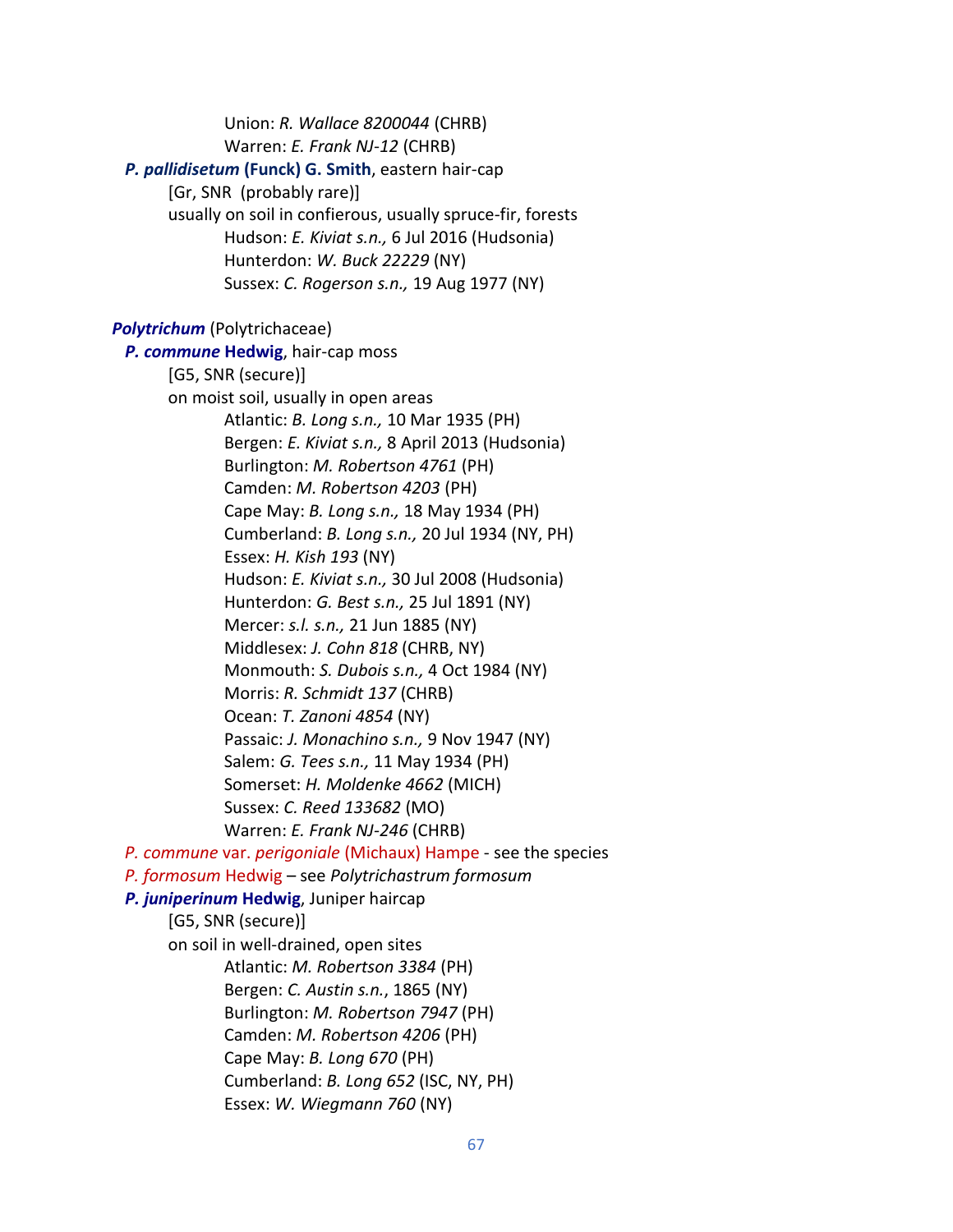Union: *R. Wallace 8200044* (CHRB) Warren: *E. Frank NJ-12* (CHRB) *P. pallidisetum* **(Funck) G. Smith**, eastern hair-cap [Gr, SNR (probably rare)] usually on soil in confierous, usually spruce-fir, forests Hudson: *E. Kiviat s.n.,* 6 Jul 2016 (Hudsonia) Hunterdon: *W. Buck 22229* (NY) Sussex: *C. Rogerson s.n.,* 19 Aug 1977 (NY) *Polytrichum* (Polytrichaceae)  *P. commune* **Hedwig**, hair-cap moss [G5, SNR (secure)] on moist soil, usually in open areas Atlantic: *B. Long s.n.,* 10 Mar 1935 (PH) Bergen: *E. Kiviat s.n.,* 8 April 2013 (Hudsonia) Burlington: *M. Robertson 4761* (PH) Camden: *M. Robertson 4203* (PH) Cape May: *B. Long s.n.,* 18 May 1934 (PH) Cumberland: *B. Long s.n.,* 20 Jul 1934 (NY, PH) Essex: *H. Kish 193* (NY) Hudson: *E. Kiviat s.n.,* 30 Jul 2008 (Hudsonia) Hunterdon: *G. Best s.n.,* 25 Jul 1891 (NY) Mercer: *s.l. s.n.,* 21 Jun 1885 (NY) Middlesex: *J. Cohn 818* (CHRB, NY) Monmouth: *S. Dubois s.n.,* 4 Oct 1984 (NY) Morris: *R. Schmidt 137* (CHRB) Ocean: *T. Zanoni 4854* (NY) Passaic: *J. Monachino s.n.,* 9 Nov 1947 (NY) Salem: *G. Tees s.n.,* 11 May 1934 (PH) Somerset: *H. Moldenke 4662* (MICH) Sussex: *C. Reed 133682* (MO) Warren: *E. Frank NJ-246* (CHRB)  *P. commune* var. *perigoniale* (Michaux) Hampe - see the species *P. formosum* Hedwig – see *Polytrichastrum formosum P. juniperinum* **Hedwig**, Juniper haircap [G5, SNR (secure)] on soil in well-drained, open sites Atlantic: *M. Robertson 3384* (PH) Bergen: *C. Austin s.n.*, 1865 (NY) Burlington: *M. Robertson 7947* (PH) Camden: *M. Robertson 4206* (PH) Cape May: *B. Long 670* (PH) Cumberland: *B. Long 652* (ISC, NY, PH) Essex: *W. Wiegmann 760* (NY)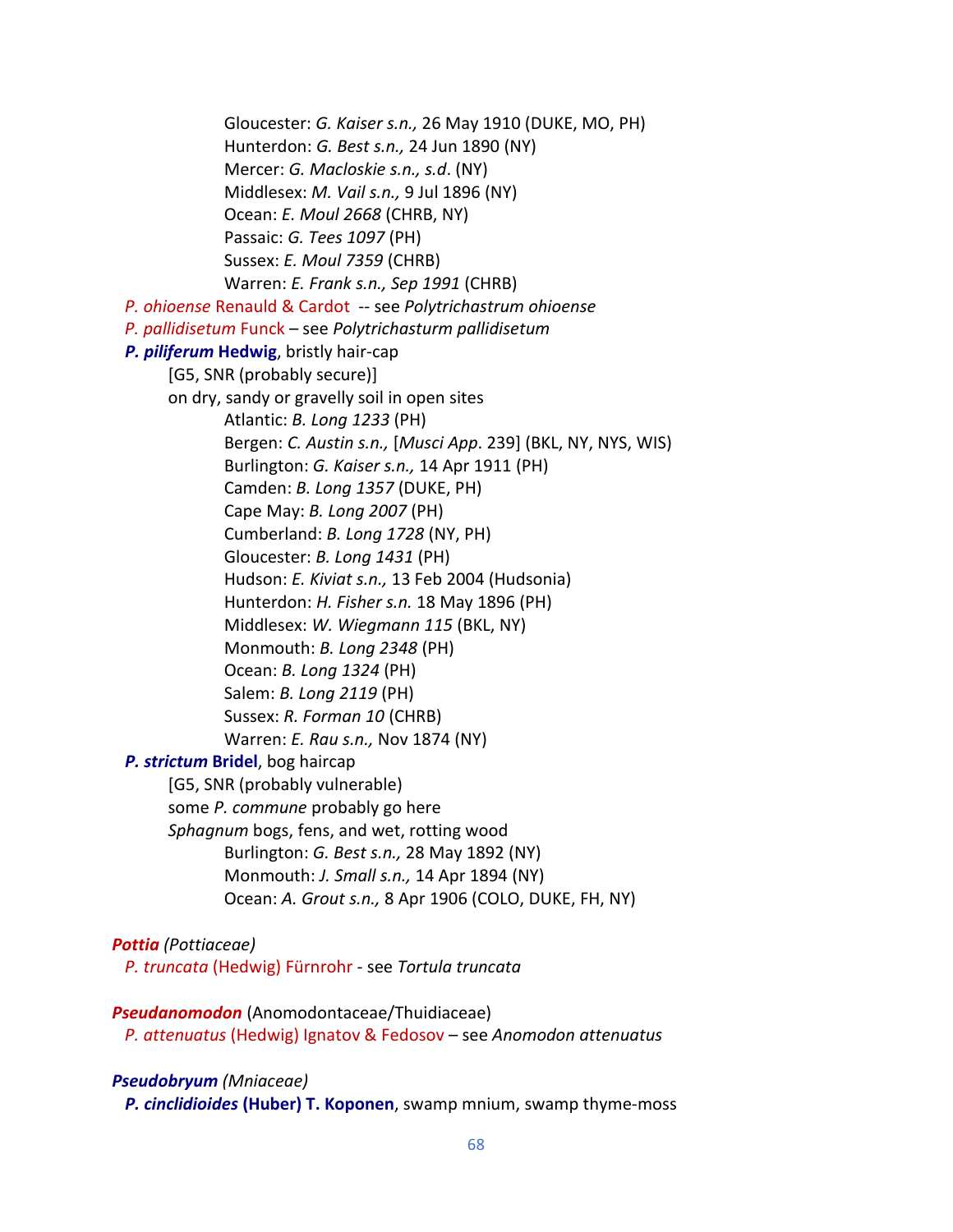Gloucester: *G. Kaiser s.n.,* 26 May 1910 (DUKE, MO, PH) Hunterdon: *G. Best s.n.,* 24 Jun 1890 (NY) Mercer: *G. Macloskie s.n., s.d*. (NY) Middlesex: *M. Vail s.n.,* 9 Jul 1896 (NY) Ocean: *E. Moul 2668* (CHRB, NY) Passaic: *G. Tees 1097* (PH) Sussex: *E. Moul 7359* (CHRB) Warren: *E. Frank s.n., Sep 1991* (CHRB)  *P. ohioense* Renauld & Cardot -- see *Polytrichastrum ohioense P. pallidisetum* Funck – see *Polytrichasturm pallidisetum P. piliferum* **Hedwig**, bristly hair-cap [G5, SNR (probably secure)] on dry, sandy or gravelly soil in open sites Atlantic: *B. Long 1233* (PH) Bergen: *C. Austin s.n.,* [*Musci App*. 239] (BKL, NY, NYS, WIS) Burlington: *G. Kaiser s.n.,* 14 Apr 1911 (PH) Camden: *B. Long 1357* (DUKE, PH) Cape May: *B. Long 2007* (PH) Cumberland: *B. Long 1728* (NY, PH) Gloucester: *B. Long 1431* (PH) Hudson: *E. Kiviat s.n.,* 13 Feb 2004 (Hudsonia) Hunterdon: *H. Fisher s.n.* 18 May 1896 (PH) Middlesex: *W. Wiegmann 115* (BKL, NY) Monmouth: *B. Long 2348* (PH) Ocean: *B. Long 1324* (PH) Salem: *B. Long 2119* (PH) Sussex: *R. Forman 10* (CHRB) Warren: *E. Rau s.n.,* Nov 1874 (NY)  *P. strictum* **Bridel**, bog haircap [G5, SNR (probably vulnerable) some *P. commune* probably go here *Sphagnum* bogs, fens, and wet, rotting wood Burlington: *G. Best s.n.,* 28 May 1892 (NY) Monmouth: *J. Small s.n.,* 14 Apr 1894 (NY) Ocean: *A. Grout s.n.,* 8 Apr 1906 (COLO, DUKE, FH, NY)

## *Pottia (Pottiaceae)*

*P. truncata* (Hedwig) Fürnrohr - see *Tortula truncata*

*Pseudanomodon* (Anomodontaceae/Thuidiaceae) *P. attenuatus* (Hedwig) Ignatov & Fedosov – see *Anomodon attenuatus*

## *Pseudobryum (Mniaceae)*

 *P. cinclidioides* **(Huber) T. Koponen**, swamp mnium, swamp thyme-moss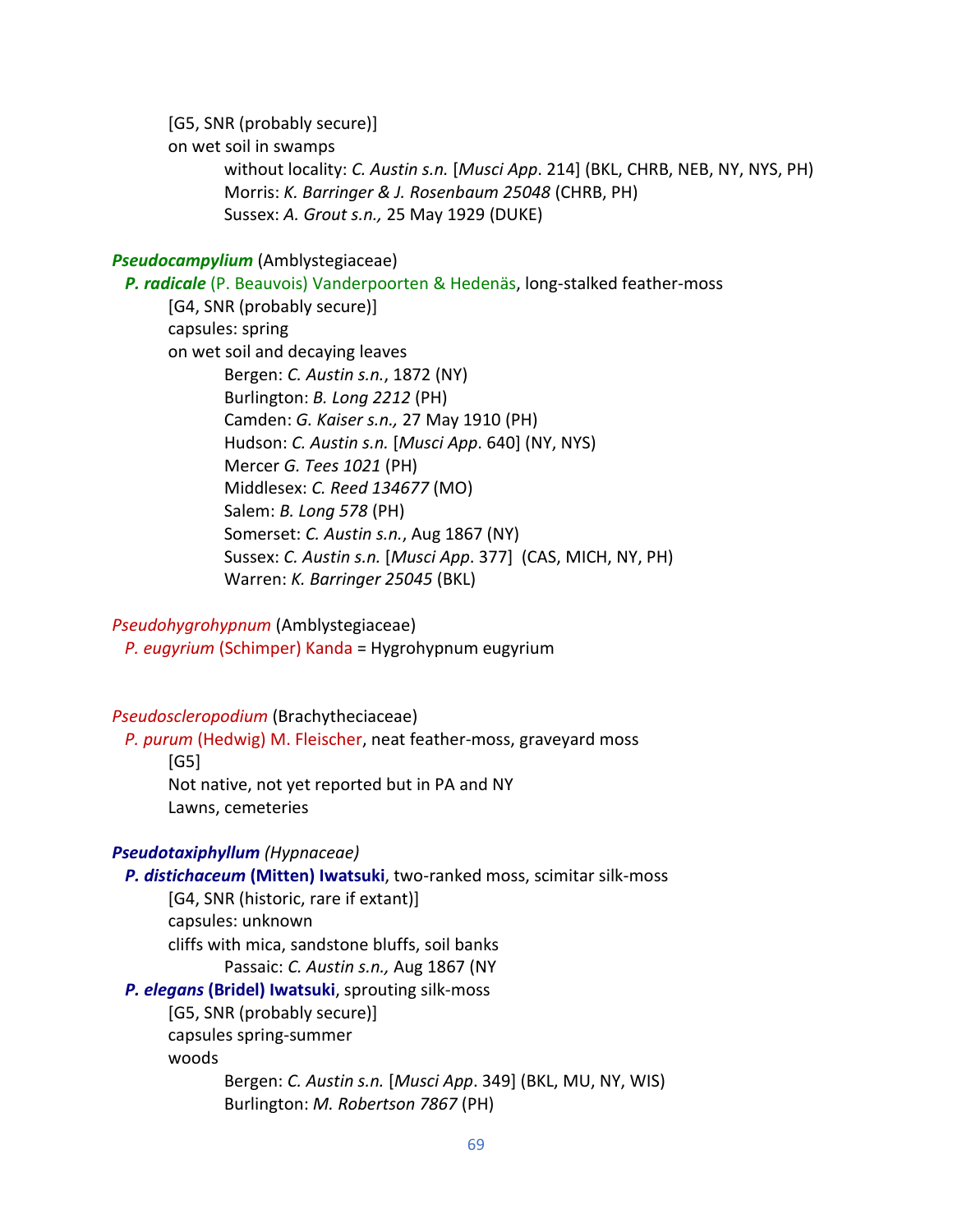[G5, SNR (probably secure)] on wet soil in swamps without locality: *C. Austin s.n.* [*Musci App*. 214] (BKL, CHRB, NEB, NY, NYS, PH) Morris: *K. Barringer & J. Rosenbaum 25048* (CHRB, PH) Sussex: *A. Grout s.n.,* 25 May 1929 (DUKE)

### *Pseudocampylium* (Amblystegiaceae)

 *P. radicale* (P. Beauvois) Vanderpoorten & Hedenäs, long-stalked feather-moss [G4, SNR (probably secure)] capsules: spring on wet soil and decaying leaves Bergen: *C. Austin s.n.*, 1872 (NY) Burlington: *B. Long 2212* (PH) Camden: *G. Kaiser s.n.,* 27 May 1910 (PH) Hudson: *C. Austin s.n.* [*Musci App*. 640] (NY, NYS) Mercer *G. Tees 1021* (PH) Middlesex: *C. Reed 134677* (MO) Salem: *B. Long 578* (PH) Somerset: *C. Austin s.n.*, Aug 1867 (NY) Sussex: *C. Austin s.n.* [*Musci App*. 377] (CAS, MICH, NY, PH) Warren: *K. Barringer 25045* (BKL)

*Pseudohygrohypnum* (Amblystegiaceae) *P. eugyrium* (Schimper) Kanda = Hygrohypnum eugyrium

*Pseudoscleropodium* (Brachytheciaceae)

 *P. purum* (Hedwig) M. Fleischer, neat feather-moss, graveyard moss [G5] Not native, not yet reported but in PA and NY Lawns, cemeteries

### *Pseudotaxiphyllum (Hypnaceae)*

 *P. distichaceum* **(Mitten) Iwatsuki**, two-ranked moss, scimitar silk-moss [G4, SNR (historic, rare if extant)] capsules: unknown cliffs with mica, sandstone bluffs, soil banks Passaic: *C. Austin s.n.,* Aug 1867 (NY *P. elegans* **(Bridel) Iwatsuki**, sprouting silk-moss [G5, SNR (probably secure)] capsules spring-summer woods Bergen: *C. Austin s.n.* [*Musci App*. 349] (BKL, MU, NY, WIS) Burlington: *M. Robertson 7867* (PH)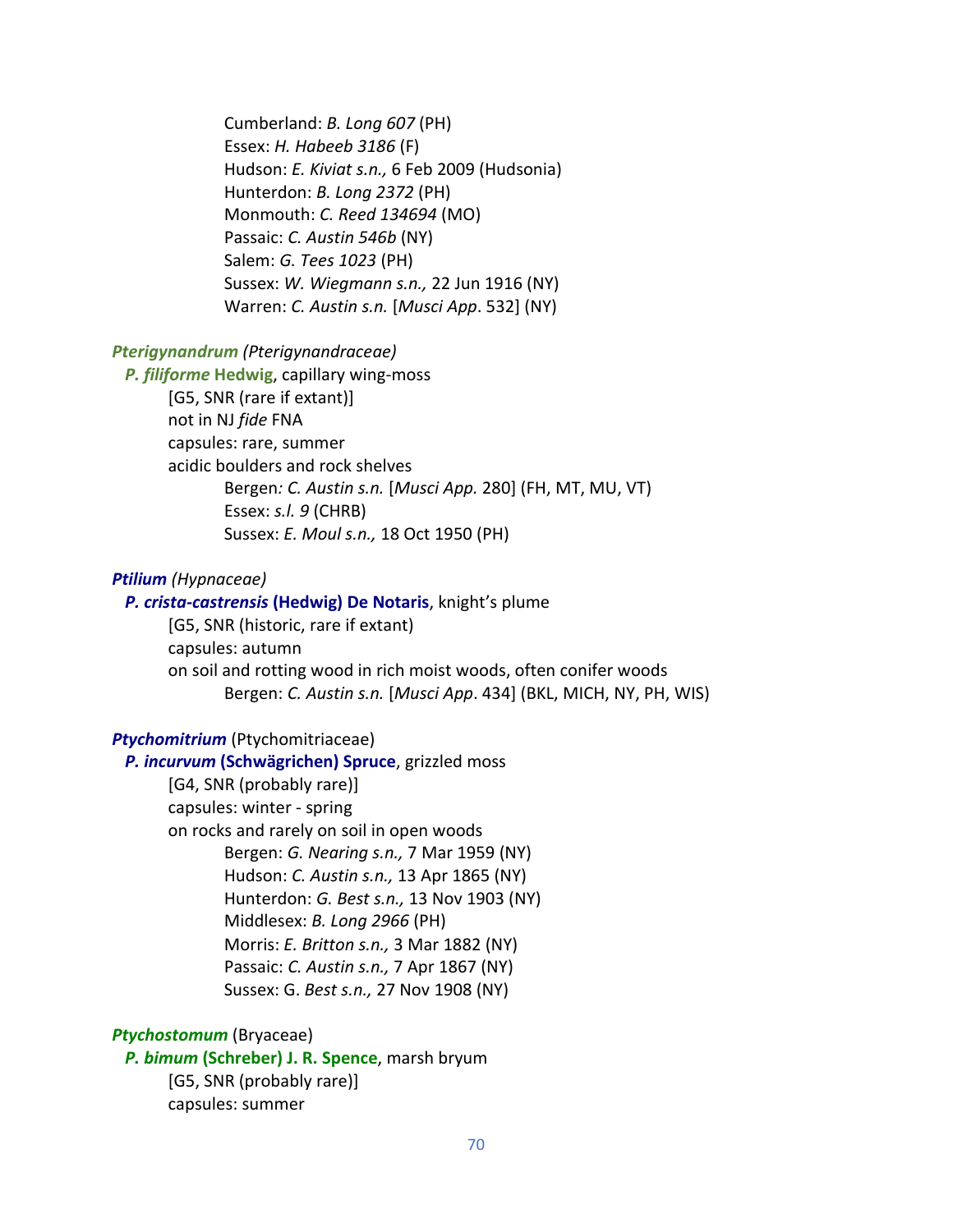Cumberland: *B. Long 607* (PH) Essex: *H. Habeeb 3186* (F) Hudson: *E. Kiviat s.n.,* 6 Feb 2009 (Hudsonia) Hunterdon: *B. Long 2372* (PH) Monmouth: *C. Reed 134694* (MO) Passaic: *C. Austin 546b* (NY) Salem: *G. Tees 1023* (PH) Sussex: *W. Wiegmann s.n.,* 22 Jun 1916 (NY) Warren: *C. Austin s.n.* [*Musci App*. 532] (NY)

## *Pterigynandrum (Pterigynandraceae)*

 *P. filiforme* **Hedwig**, capillary wing-moss [G5, SNR (rare if extant)] not in NJ *fide* FNA capsules: rare, summer acidic boulders and rock shelves Bergen*: C. Austin s.n.* [*Musci App.* 280] (FH, MT, MU, VT) Essex: *s.l. 9* (CHRB) Sussex: *E. Moul s.n.,* 18 Oct 1950 (PH)

#### *Ptilium (Hypnaceae)*

### *P. crista-castrensis* **(Hedwig) De Notaris**, knight's plume

[G5, SNR (historic, rare if extant) capsules: autumn on soil and rotting wood in rich moist woods, often conifer woods Bergen: *C. Austin s.n.* [*Musci App*. 434] (BKL, MICH, NY, PH, WIS)

## *Ptychomitrium* (Ptychomitriaceae)

 *P. incurvum* **(Schwägrichen) Spruce**, grizzled moss [G4, SNR (probably rare)] capsules: winter - spring on rocks and rarely on soil in open woods Bergen: *G. Nearing s.n.,* 7 Mar 1959 (NY) Hudson: *C. Austin s.n.,* 13 Apr 1865 (NY) Hunterdon: *G. Best s.n.,* 13 Nov 1903 (NY) Middlesex: *B. Long 2966* (PH) Morris: *E. Britton s.n.,* 3 Mar 1882 (NY) Passaic: *C. Austin s.n.,* 7 Apr 1867 (NY) Sussex: G. *Best s.n.,* 27 Nov 1908 (NY)

*Ptychostomum* (Bryaceae)

 *P. bimum* **(Schreber) J. R. Spence**, marsh bryum [G5, SNR (probably rare)] capsules: summer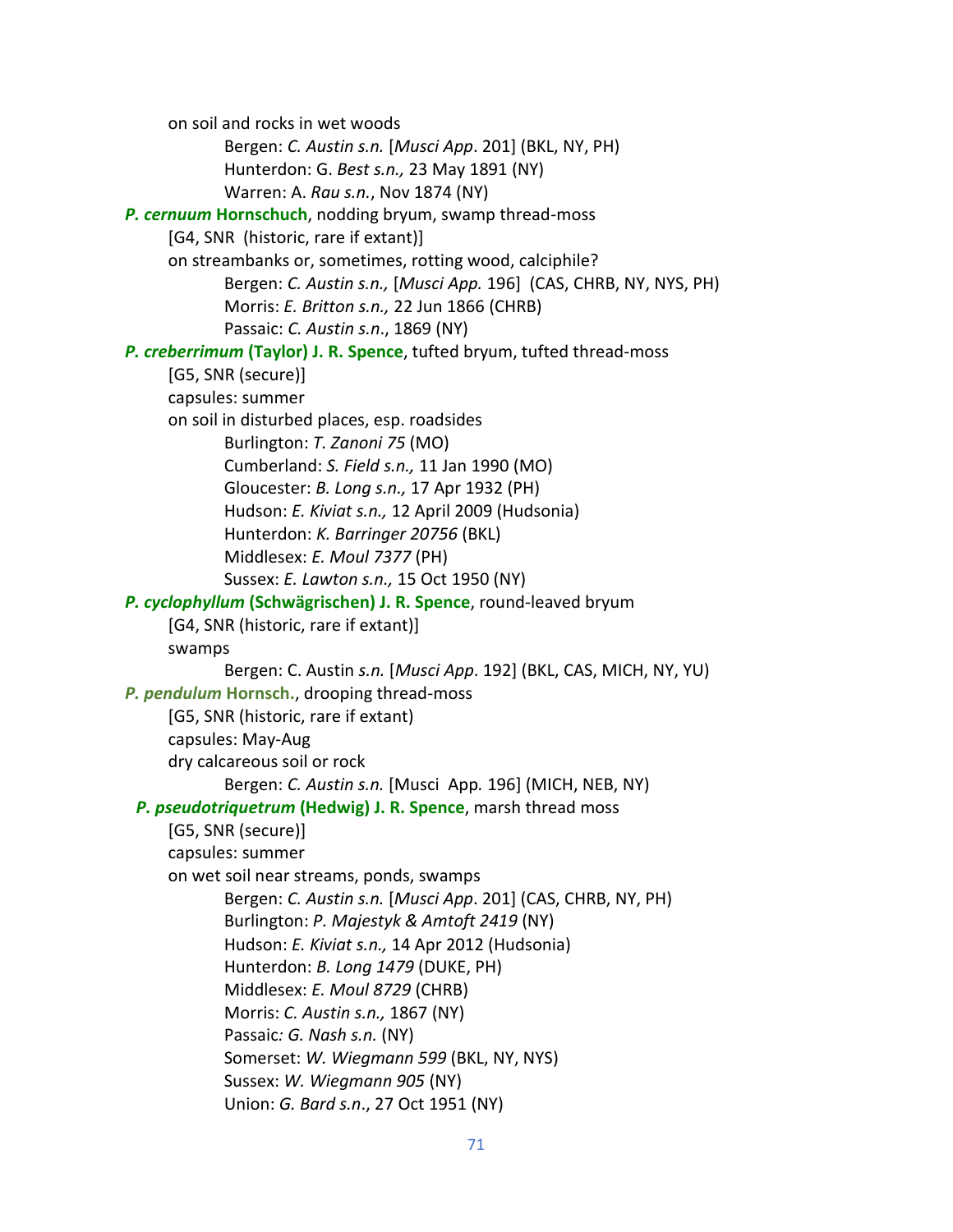on soil and rocks in wet woods Bergen: *C. Austin s.n.* [*Musci App*. 201] (BKL, NY, PH) Hunterdon: G. *Best s.n.,* 23 May 1891 (NY) Warren: A. *Rau s.n.*, Nov 1874 (NY)  *P. cernuum* **Hornschuch**, nodding bryum, swamp thread-moss [G4, SNR (historic, rare if extant)] on streambanks or, sometimes, rotting wood, calciphile? Bergen: *C. Austin s.n.,* [*Musci App.* 196] (CAS, CHRB, NY, NYS, PH) Morris: *E. Britton s.n.,* 22 Jun 1866 (CHRB) Passaic: *C. Austin s.n*., 1869 (NY) *P. creberrimum* **(Taylor) J. R. Spence**, tufted bryum, tufted thread-moss [G5, SNR (secure)] capsules: summer on soil in disturbed places, esp. roadsides Burlington: *T. Zanoni 75* (MO) Cumberland: *S. Field s.n.,* 11 Jan 1990 (MO) Gloucester: *B. Long s.n.,* 17 Apr 1932 (PH) Hudson: *E. Kiviat s.n.,* 12 April 2009 (Hudsonia) Hunterdon: *K. Barringer 20756* (BKL) Middlesex: *E. Moul 7377* (PH) Sussex: *E. Lawton s.n.,* 15 Oct 1950 (NY)  *P. cyclophyllum* **(Schwägrischen) J. R. Spence**, round-leaved bryum [G4, SNR (historic, rare if extant)] swamps Bergen: C. Austin *s.n.* [*Musci App*. 192] (BKL, CAS, MICH, NY, YU) *P. pendulum* **Hornsch.**, drooping thread-moss [G5, SNR (historic, rare if extant) capsules: May-Aug dry calcareous soil or rock Bergen: *C. Austin s.n.* [Musci App*.* 196] (MICH, NEB, NY)  *P. pseudotriquetrum* **(Hedwig) J. R. Spence**, marsh thread moss [G5, SNR (secure)] capsules: summer on wet soil near streams, ponds, swamps Bergen: *C. Austin s.n.* [*Musci App*. 201] (CAS, CHRB, NY, PH) Burlington: *P. Majestyk & Amtoft 2419* (NY) Hudson: *E. Kiviat s.n.,* 14 Apr 2012 (Hudsonia) Hunterdon: *B. Long 1479* (DUKE, PH) Middlesex: *E. Moul 8729* (CHRB) Morris: *C. Austin s.n.,* 1867 (NY) Passaic*: G. Nash s.n.* (NY) Somerset: *W. Wiegmann 599* (BKL, NY, NYS) Sussex: *W. Wiegmann 905* (NY) Union: *G. Bard s.n*., 27 Oct 1951 (NY)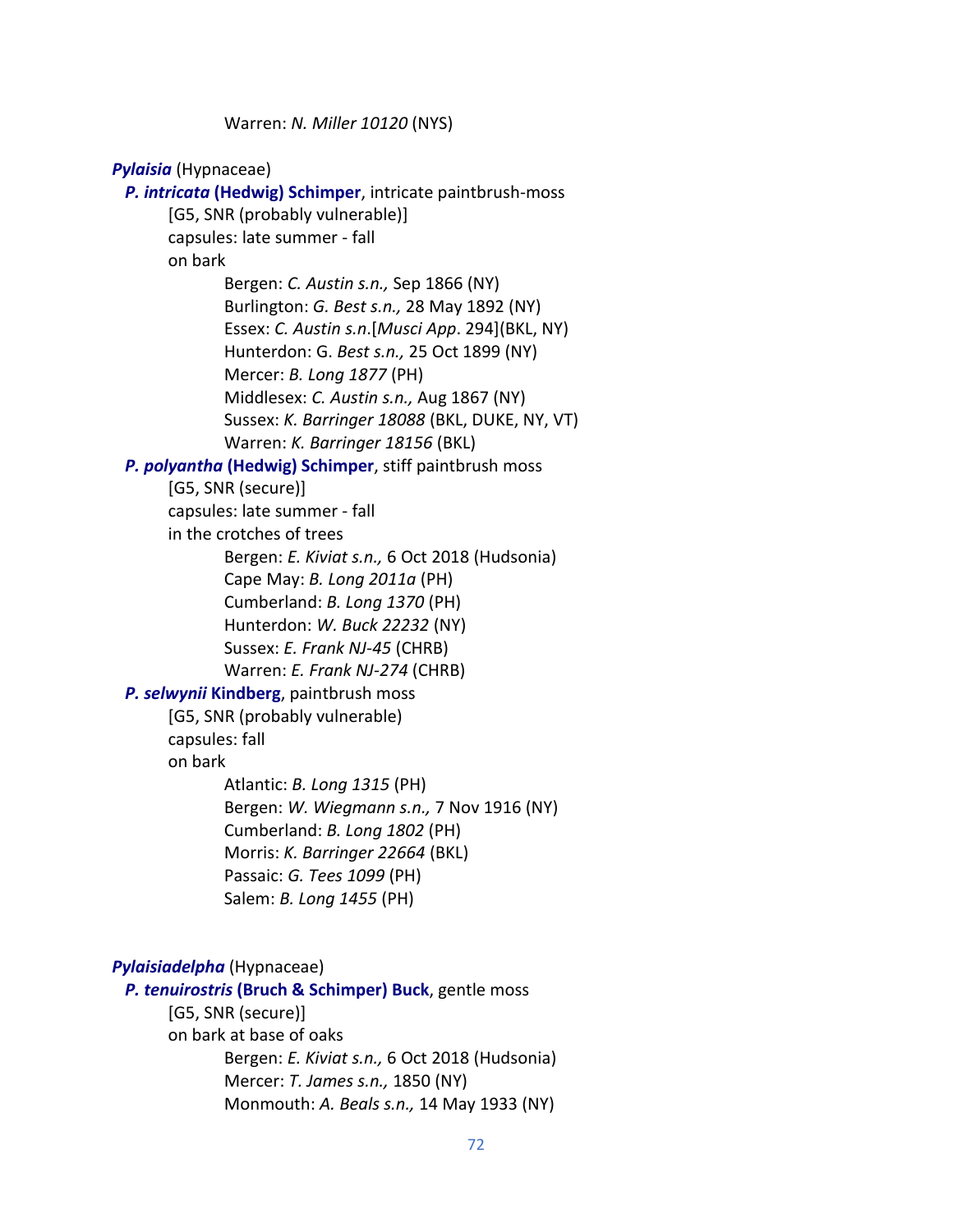Warren: *N. Miller 10120* (NYS)

*Pylaisia* (Hypnaceae)  *P. intricata* **(Hedwig) Schimper**, intricate paintbrush-moss [G5, SNR (probably vulnerable)] capsules: late summer - fall on bark Bergen: *C. Austin s.n.,* Sep 1866 (NY) Burlington: *G. Best s.n.,* 28 May 1892 (NY) Essex: *C. Austin s.n*.[*Musci App*. 294](BKL, NY) Hunterdon: G. *Best s.n.,* 25 Oct 1899 (NY) Mercer: *B. Long 1877* (PH) Middlesex: *C. Austin s.n.,* Aug 1867 (NY) Sussex: *K. Barringer 18088* (BKL, DUKE, NY, VT) Warren: *K. Barringer 18156* (BKL) *P. polyantha* **(Hedwig) Schimper**, stiff paintbrush moss [G5, SNR (secure)] capsules: late summer - fall in the crotches of trees Bergen: *E. Kiviat s.n.,* 6 Oct 2018 (Hudsonia) Cape May: *B. Long 2011a* (PH) Cumberland: *B. Long 1370* (PH) Hunterdon: *W. Buck 22232* (NY) Sussex: *E. Frank NJ-45* (CHRB) Warren: *E. Frank NJ-274* (CHRB)  *P. selwynii* **Kindberg**, paintbrush moss [G5, SNR (probably vulnerable) capsules: fall on bark Atlantic: *B. Long 1315* (PH) Bergen: *W. Wiegmann s.n.,* 7 Nov 1916 (NY) Cumberland: *B. Long 1802* (PH) Morris: *K. Barringer 22664* (BKL) Passaic: *G. Tees 1099* (PH) Salem: *B. Long 1455* (PH) *Pylaisiadelpha* (Hypnaceae)  *P. tenuirostris* **(Bruch & Schimper) Buck**, gentle moss [G5, SNR (secure)] on bark at base of oaks

> Bergen: *E. Kiviat s.n.,* 6 Oct 2018 (Hudsonia) Mercer: *T. James s.n.,* 1850 (NY) Monmouth: *A. Beals s.n.,* 14 May 1933 (NY)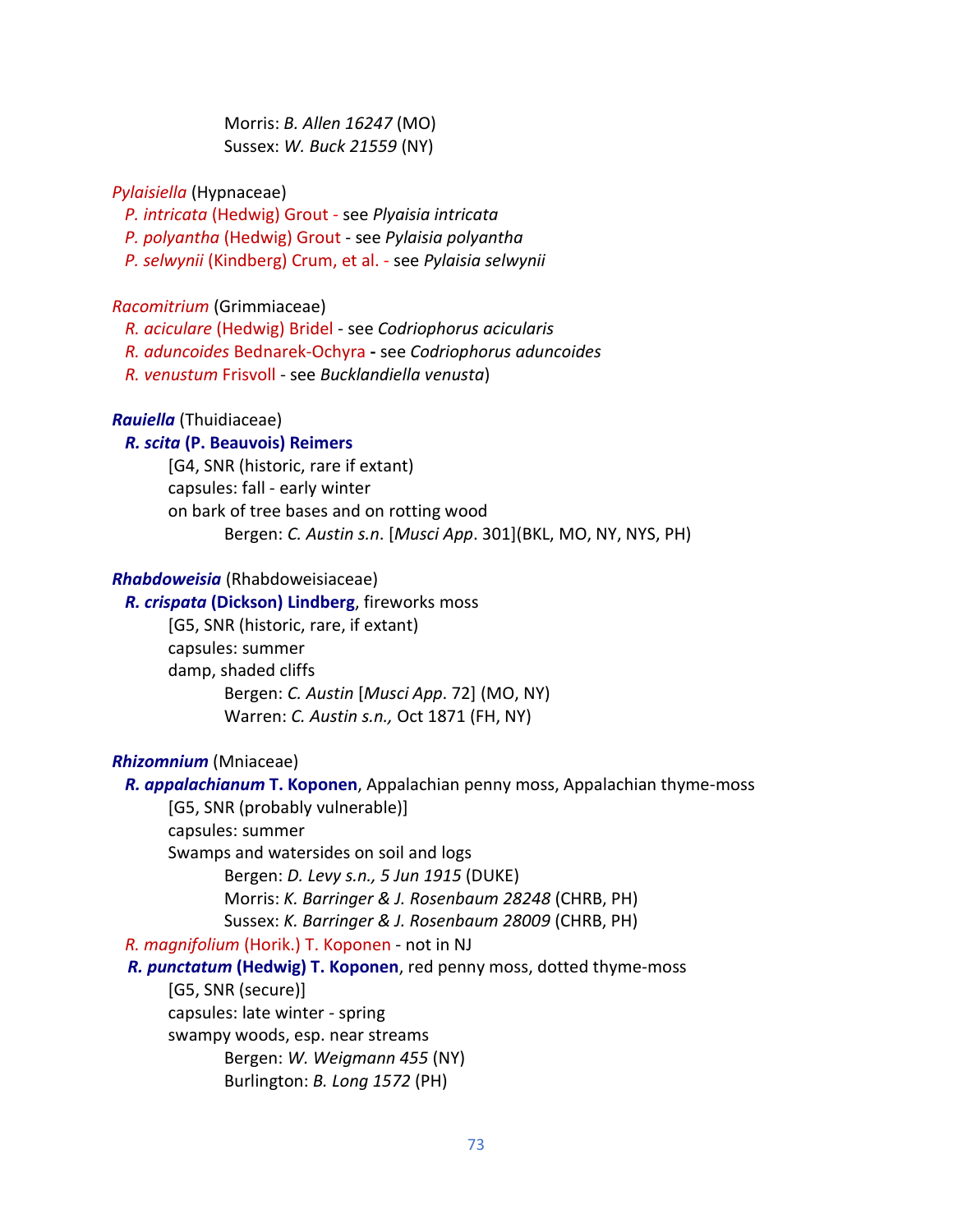Morris: *B. Allen 16247* (MO) Sussex: *W. Buck 21559* (NY)

### *Pylaisiella* (Hypnaceae)

*P. intricata* (Hedwig) Grout - see *Plyaisia intricata*

- *P. polyantha* (Hedwig) Grout see *Pylaisia polyantha*
- *P. selwynii* (Kindberg) Crum, et al. see *Pylaisia selwynii*

### *Racomitrium* (Grimmiaceae)

*R. aciculare* (Hedwig) Bridel - see *Codriophorus acicularis*

- *R. aduncoides* Bednarek-Ochyra **-** see *Codriophorus aduncoides*
- *R. venustum* Frisvoll see *Bucklandiella venusta*)

## *Rauiella* (Thuidiaceae)

# *R. scita* **(P. Beauvois) Reimers**

[G4, SNR (historic, rare if extant) capsules: fall - early winter on bark of tree bases and on rotting wood Bergen: *C. Austin s.n*. [*Musci App*. 301](BKL, MO, NY, NYS, PH)

### *Rhabdoweisia* (Rhabdoweisiaceae)

### *R. crispata* **(Dickson) Lindberg**, fireworks moss

[G5, SNR (historic, rare, if extant) capsules: summer damp, shaded cliffs Bergen: *C. Austin* [*Musci App*. 72] (MO, NY) Warren: *C. Austin s.n.,* Oct 1871 (FH, NY)

## *Rhizomnium* (Mniaceae)

 *R. appalachianum* **T. Koponen**, Appalachian penny moss, Appalachian thyme-moss [G5, SNR (probably vulnerable)] capsules: summer Swamps and watersides on soil and logs Bergen: *D. Levy s.n., 5 Jun 1915* (DUKE) Morris: *K. Barringer & J. Rosenbaum 28248* (CHRB, PH) Sussex: *K. Barringer & J. Rosenbaum 28009* (CHRB, PH)  *R. magnifolium* (Horik.) T. Koponen - not in NJ *R. punctatum* **(Hedwig) T. Koponen**, red penny moss, dotted thyme-moss [G5, SNR (secure)] capsules: late winter - spring swampy woods, esp. near streams Bergen: *W. Weigmann 455* (NY) Burlington: *B. Long 1572* (PH)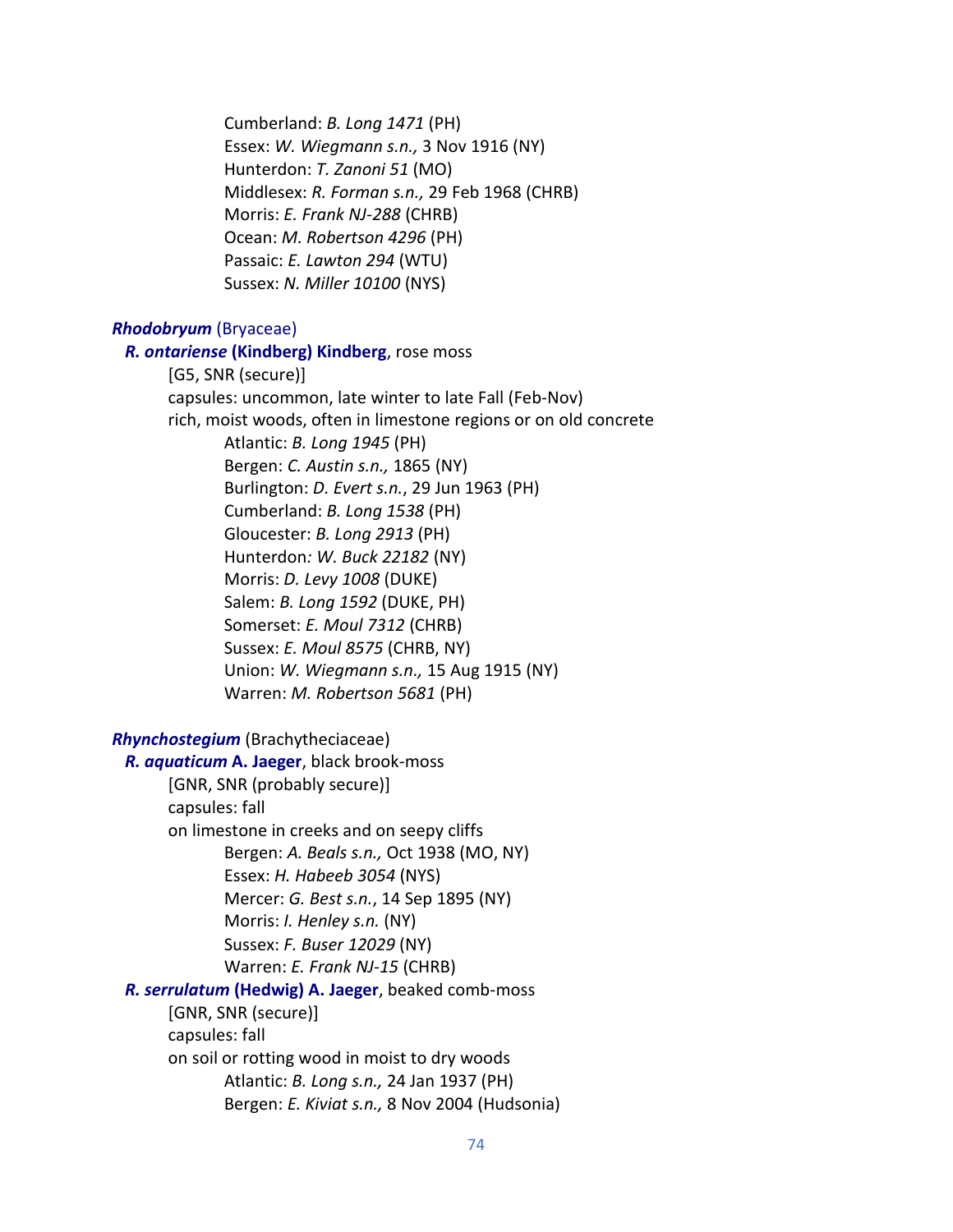Cumberland: *B. Long 1471* (PH) Essex: *W. Wiegmann s.n.,* 3 Nov 1916 (NY) Hunterdon: *T. Zanoni 51* (MO) Middlesex: *R. Forman s.n.,* 29 Feb 1968 (CHRB) Morris: *E. Frank NJ-288* (CHRB) Ocean: *M. Robertson 4296* (PH) Passaic: *E. Lawton 294* (WTU) Sussex: *N. Miller 10100* (NYS)

### *Rhodobryum* (Bryaceae)

 *R. ontariense* **(Kindberg) Kindberg**, rose moss [G5, SNR (secure)] capsules: uncommon, late winter to late Fall (Feb-Nov) rich, moist woods, often in limestone regions or on old concrete Atlantic: *B. Long 1945* (PH) Bergen: *C. Austin s.n.,* 1865 (NY) Burlington: *D. Evert s.n.*, 29 Jun 1963 (PH) Cumberland: *B. Long 1538* (PH) Gloucester: *B. Long 2913* (PH) Hunterdon*: W. Buck 22182* (NY) Morris: *D. Levy 1008* (DUKE) Salem: *B. Long 1592* (DUKE, PH) Somerset: *E. Moul 7312* (CHRB) Sussex: *E. Moul 8575* (CHRB, NY) Union: *W. Wiegmann s.n.,* 15 Aug 1915 (NY) Warren: *M. Robertson 5681* (PH)

*Rhynchostegium* (Brachytheciaceae)

 *R. aquaticum* **A. Jaeger**, black brook-moss [GNR, SNR (probably secure)] capsules: fall on limestone in creeks and on seepy cliffs Bergen: *A. Beals s.n.,* Oct 1938 (MO, NY) Essex: *H. Habeeb 3054* (NYS) Mercer: *G. Best s.n.*, 14 Sep 1895 (NY) Morris: *I. Henley s.n.* (NY) Sussex: *F. Buser 12029* (NY) Warren: *E. Frank NJ-15* (CHRB) *R. serrulatum* **(Hedwig) A. Jaeger**, beaked comb-moss [GNR, SNR (secure)] capsules: fall on soil or rotting wood in moist to dry woods Atlantic: *B. Long s.n.,* 24 Jan 1937 (PH)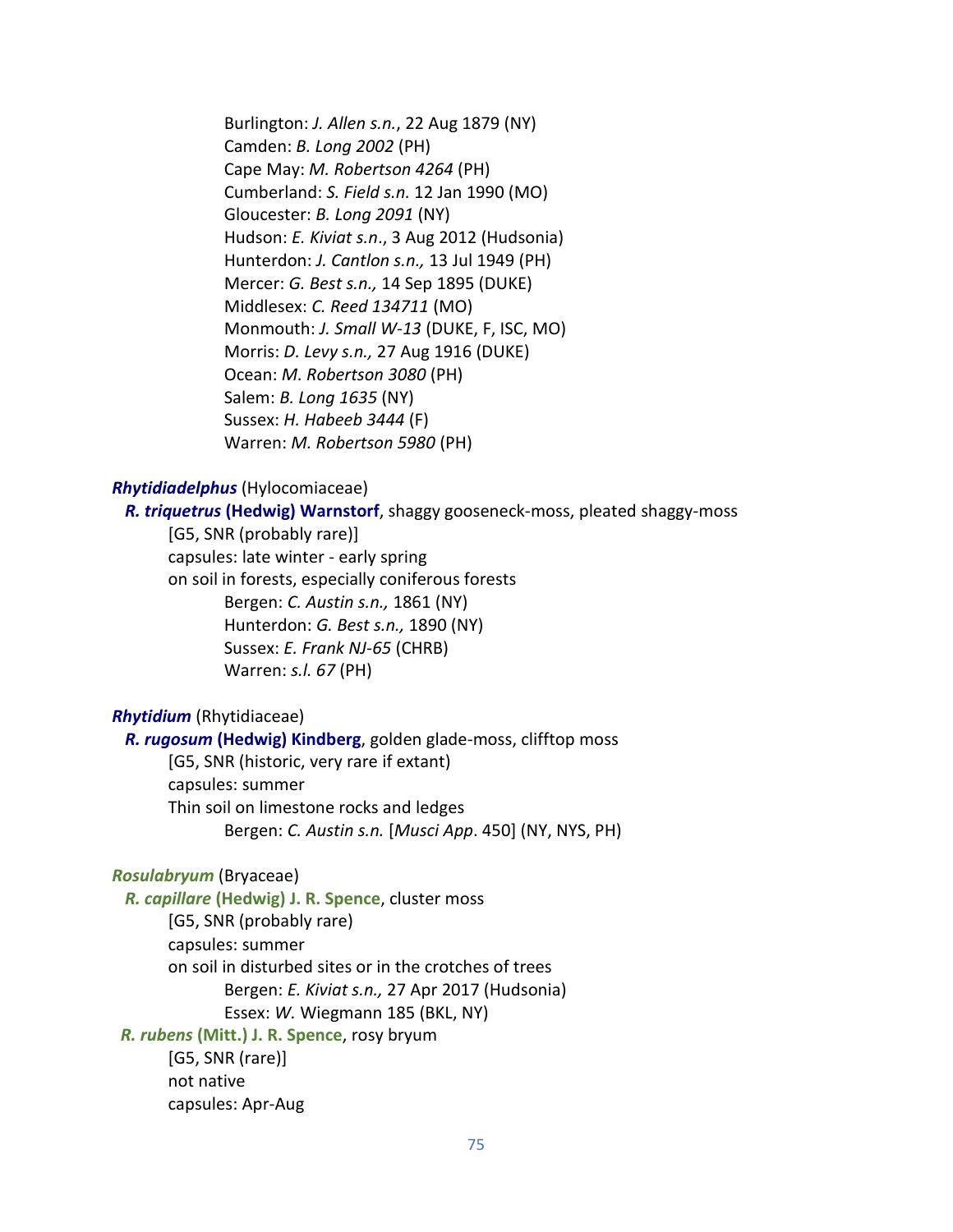Burlington: *J. Allen s.n.*, 22 Aug 1879 (NY) Camden: *B. Long 2002* (PH) Cape May: *M. Robertson 4264* (PH) Cumberland: *S. Field s.n.* 12 Jan 1990 (MO) Gloucester: *B. Long 2091* (NY) Hudson: *E. Kiviat s.n*., 3 Aug 2012 (Hudsonia) Hunterdon: *J. Cantlon s.n.,* 13 Jul 1949 (PH) Mercer: *G. Best s.n.,* 14 Sep 1895 (DUKE) Middlesex: *C. Reed 134711* (MO) Monmouth: *J. Small W-13* (DUKE, F, ISC, MO) Morris: *D. Levy s.n.,* 27 Aug 1916 (DUKE) Ocean: *M. Robertson 3080* (PH) Salem: *B. Long 1635* (NY) Sussex: *H. Habeeb 3444* (F) Warren: *M. Robertson 5980* (PH)

#### *Rhytidiadelphus* (Hylocomiaceae)

 *R. triquetrus* **(Hedwig) Warnstorf**, shaggy gooseneck-moss, pleated shaggy-moss

[G5, SNR (probably rare)] capsules: late winter - early spring on soil in forests, especially coniferous forests Bergen: *C. Austin s.n.,* 1861 (NY) Hunterdon: *G. Best s.n.,* 1890 (NY) Sussex: *E. Frank NJ-65* (CHRB) Warren: *s.l. 67* (PH)

### *Rhytidium* (Rhytidiaceae)

 *R. rugosum* **(Hedwig) Kindberg**, golden glade-moss, clifftop moss [G5, SNR (historic, very rare if extant) capsules: summer Thin soil on limestone rocks and ledges Bergen: *C. Austin s.n.* [*Musci App*. 450] (NY, NYS, PH)

# *Rosulabryum* (Bryaceae)

 *R. capillare* **(Hedwig) J. R. Spence**, cluster moss [G5, SNR (probably rare) capsules: summer on soil in disturbed sites or in the crotches of trees Bergen: *E. Kiviat s.n.,* 27 Apr 2017 (Hudsonia) Essex: *W.* Wiegmann 185 (BKL, NY)

 *R. rubens* **(Mitt.) J. R. Spence**, rosy bryum

[G5, SNR (rare)] not native capsules: Apr-Aug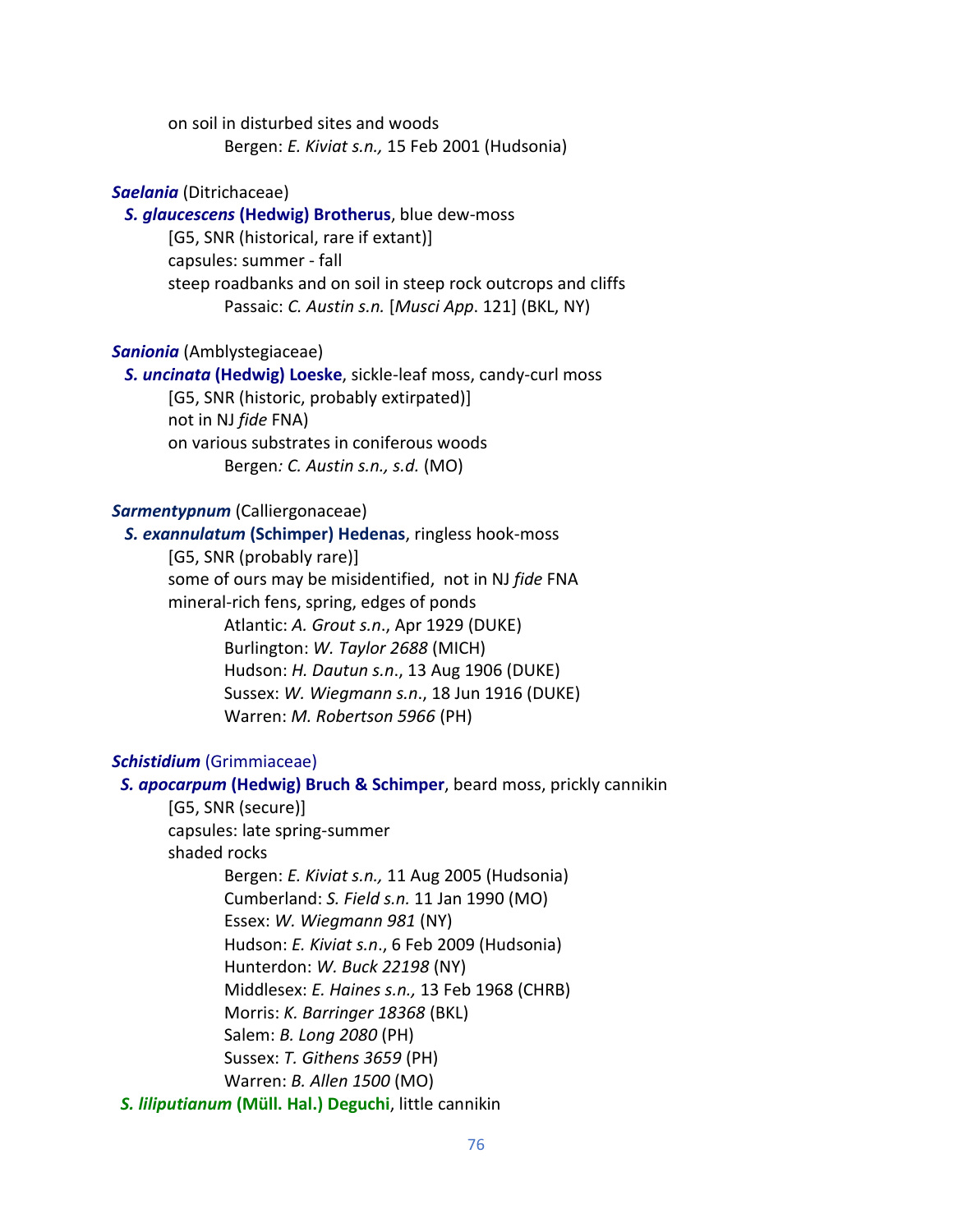on soil in disturbed sites and woods Bergen: *E. Kiviat s.n.,* 15 Feb 2001 (Hudsonia)

### *Saelania* (Ditrichaceae)

 *S. glaucescens* **(Hedwig) Brotherus**, blue dew-moss

[G5, SNR (historical, rare if extant)] capsules: summer - fall steep roadbanks and on soil in steep rock outcrops and cliffs Passaic: *C. Austin s.n.* [*Musci App*. 121] (BKL, NY)

# *Sanionia* (Amblystegiaceae)

 *S. uncinata* **(Hedwig) Loeske**, sickle-leaf moss, candy-curl moss [G5, SNR (historic, probably extirpated)] not in NJ *fide* FNA) on various substrates in coniferous woods Bergen*: C. Austin s.n., s.d.* (MO)

#### *Sarmentypnum* (Calliergonaceae)

*S. exannulatum* **(Schimper) Hedenas**, ringless hook-moss [G5, SNR (probably rare)]

some of ours may be misidentified, not in NJ *fide* FNA mineral-rich fens, spring, edges of ponds Atlantic: *A. Grout s.n*., Apr 1929 (DUKE) Burlington: *W. Taylor 2688* (MICH) Hudson: *H. Dautun s.n*., 13 Aug 1906 (DUKE) Sussex: *W. Wiegmann s.n*., 18 Jun 1916 (DUKE) Warren: *M. Robertson 5966* (PH)

### *Schistidium* (Grimmiaceae)

*S. apocarpum* **(Hedwig) Bruch & Schimper**, beard moss, prickly cannikin [G5, SNR (secure)] capsules: late spring-summer shaded rocks Bergen: *E. Kiviat s.n.,* 11 Aug 2005 (Hudsonia) Cumberland: *S. Field s.n.* 11 Jan 1990 (MO) Essex: *W. Wiegmann 981* (NY) Hudson: *E. Kiviat s.n*., 6 Feb 2009 (Hudsonia) Hunterdon: *W. Buck 22198* (NY) Middlesex: *E. Haines s.n.,* 13 Feb 1968 (CHRB) Morris: *K. Barringer 18368* (BKL) Salem: *B. Long 2080* (PH) Sussex: *T. Githens 3659* (PH) Warren: *B. Allen 1500* (MO) *S. liliputianum* **(Müll. Hal.) Deguchi**, little cannikin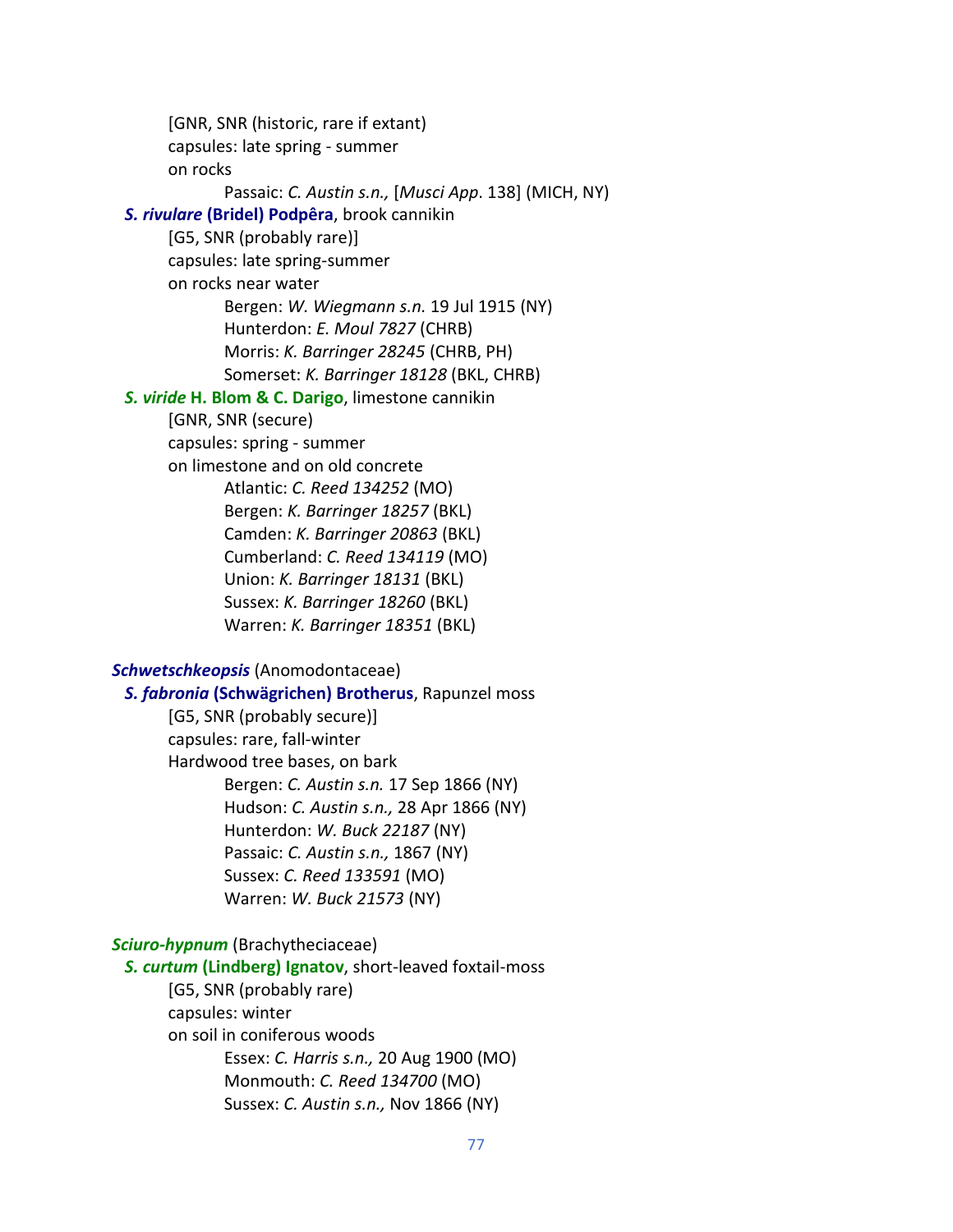[GNR, SNR (historic, rare if extant) capsules: late spring - summer on rocks Passaic: *C. Austin s.n.,* [*Musci App*. 138] (MICH, NY)  *S. rivulare* **(Bridel) Podpêra**, brook cannikin [G5, SNR (probably rare)] capsules: late spring-summer on rocks near water Bergen: *W. Wiegmann s.n.* 19 Jul 1915 (NY) Hunterdon: *E. Moul 7827* (CHRB) Morris: *K. Barringer 28245* (CHRB, PH) Somerset: *K. Barringer 18128* (BKL, CHRB) *S. viride* **H. Blom & C. Darigo**, limestone cannikin [GNR, SNR (secure) capsules: spring - summer on limestone and on old concrete Atlantic: *C. Reed 134252* (MO) Bergen: *K. Barringer 18257* (BKL) Camden: *K. Barringer 20863* (BKL) Cumberland: *C. Reed 134119* (MO) Union: *K. Barringer 18131* (BKL) Sussex: *K. Barringer 18260* (BKL) Warren: *K. Barringer 18351* (BKL) *Schwetschkeopsis* (Anomodontaceae) *S. fabronia* **(Schwägrichen) Brotherus**, Rapunzel moss [G5, SNR (probably secure)] capsules: rare, fall-winter Hardwood tree bases, on bark Bergen: *C. Austin s.n.* 17 Sep 1866 (NY)

> Hudson: *C. Austin s.n.,* 28 Apr 1866 (NY) Hunterdon: *W. Buck 22187* (NY) Passaic: *C. Austin s.n.,* 1867 (NY) Sussex: *C. Reed 133591* (MO) Warren: *W. Buck 21573* (NY)

*Sciuro-hypnum* (Brachytheciaceae)

 *S. curtum* **(Lindberg) Ignatov**, short-leaved foxtail-moss [G5, SNR (probably rare)

capsules: winter

on soil in coniferous woods Essex: *C. Harris s.n.,* 20 Aug 1900 (MO) Monmouth: *C. Reed 134700* (MO) Sussex: *C. Austin s.n.,* Nov 1866 (NY)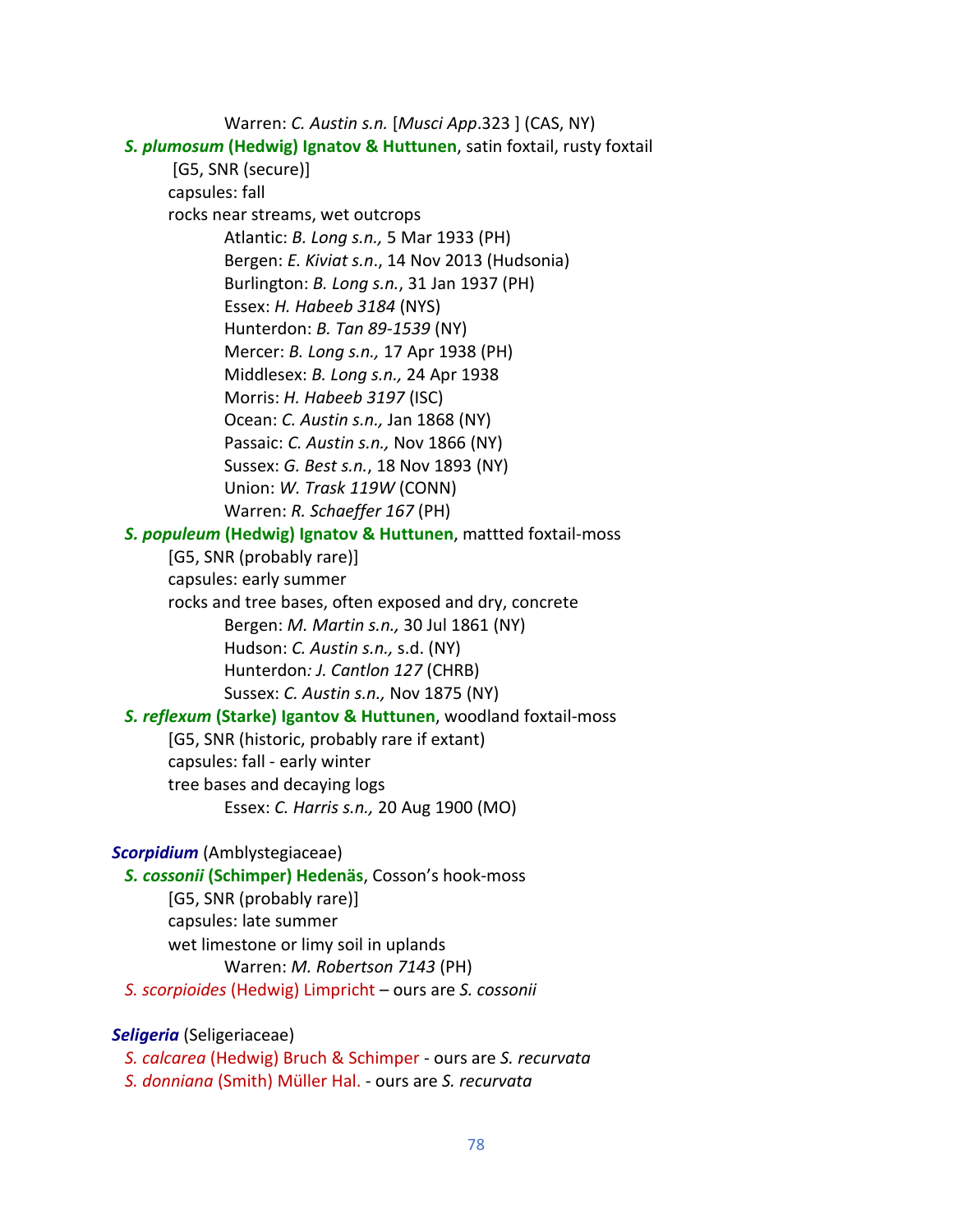Warren: *C. Austin s.n.* [*Musci App*.323 ] (CAS, NY)  *S. plumosum* **(Hedwig) Ignatov & Huttunen**, satin foxtail, rusty foxtail [G5, SNR (secure)] capsules: fall rocks near streams, wet outcrops Atlantic: *B. Long s.n.,* 5 Mar 1933 (PH) Bergen: *E. Kiviat s.n*., 14 Nov 2013 (Hudsonia) Burlington: *B. Long s.n.*, 31 Jan 1937 (PH) Essex: *H. Habeeb 3184* (NYS) Hunterdon: *B. Tan 89-1539* (NY) Mercer: *B. Long s.n.,* 17 Apr 1938 (PH) Middlesex: *B. Long s.n.,* 24 Apr 1938 Morris: *H. Habeeb 3197* (ISC) Ocean: *C. Austin s.n.,* Jan 1868 (NY) Passaic: *C. Austin s.n.,* Nov 1866 (NY) Sussex: *G. Best s.n.*, 18 Nov 1893 (NY) Union: *W. Trask 119W* (CONN) Warren: *R. Schaeffer 167* (PH)  *S. populeum* **(Hedwig) Ignatov & Huttunen**, mattted foxtail-moss [G5, SNR (probably rare)] capsules: early summer rocks and tree bases, often exposed and dry, concrete Bergen: *M. Martin s.n.,* 30 Jul 1861 (NY) Hudson: *C. Austin s.n.,* s.d. (NY) Hunterdon*: J. Cantlon 127* (CHRB) Sussex: *C. Austin s.n.,* Nov 1875 (NY)  *S. reflexum* **(Starke) Igantov & Huttunen**, woodland foxtail-moss [G5, SNR (historic, probably rare if extant) capsules: fall - early winter tree bases and decaying logs Essex: *C. Harris s.n.,* 20 Aug 1900 (MO) *Scorpidium* (Amblystegiaceae) *S. cossonii* **(Schimper) Hedenäs**, Cosson's hook-moss [G5, SNR (probably rare)] capsules: late summer wet limestone or limy soil in uplands Warren: *M. Robertson 7143* (PH)  *S. scorpioides* (Hedwig) Limpricht – ours are *S. cossonii*

# *Seligeria* (Seligeriaceae)

 *S. calcarea* (Hedwig) Bruch & Schimper - ours are *S. recurvata S. donniana* (Smith) Müller Hal. - ours are *S. recurvata*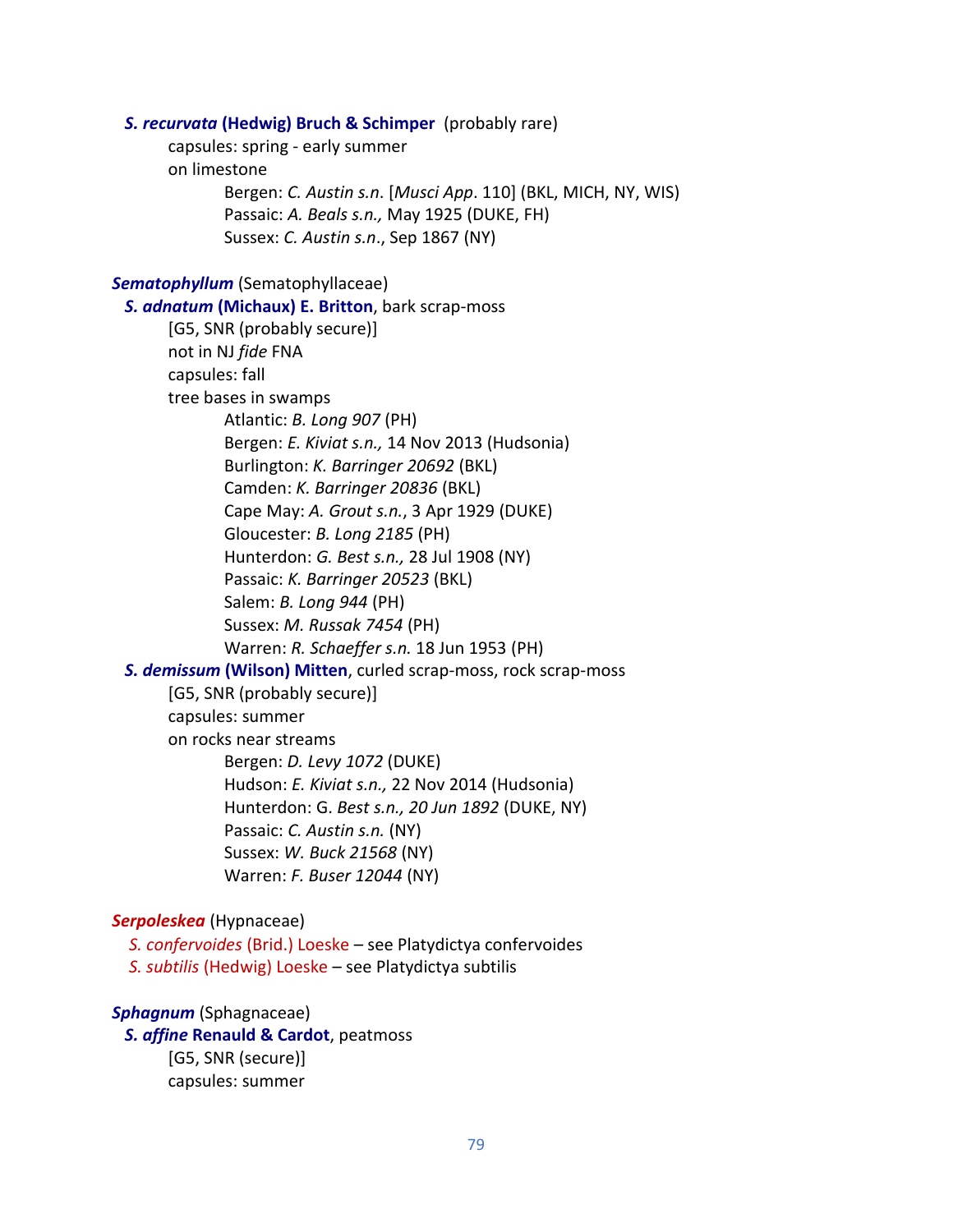*S. recurvata* **(Hedwig) Bruch & Schimper** (probably rare) capsules: spring - early summer on limestone Bergen: *C. Austin s.n*. [*Musci App*. 110] (BKL, MICH, NY, WIS) Passaic: *A. Beals s.n.,* May 1925 (DUKE, FH) Sussex: *C. Austin s.n*., Sep 1867 (NY) *Sematophyllum* (Sematophyllaceae) *S. adnatum* **(Michaux) E. Britton**, bark scrap-moss [G5, SNR (probably secure)] not in NJ *fide* FNA capsules: fall tree bases in swamps Atlantic: *B. Long 907* (PH) Bergen: *E. Kiviat s.n.,* 14 Nov 2013 (Hudsonia) Burlington: *K. Barringer 20692* (BKL) Camden: *K. Barringer 20836* (BKL) Cape May: *A. Grout s.n.*, 3 Apr 1929 (DUKE) Gloucester: *B. Long 2185* (PH) Hunterdon: *G. Best s.n.,* 28 Jul 1908 (NY) Passaic: *K. Barringer 20523* (BKL) Salem: *B. Long 944* (PH) Sussex: *M. Russak 7454* (PH) Warren: *R. Schaeffer s.n.* 18 Jun 1953 (PH)  *S. demissum* **(Wilson) Mitten**, curled scrap-moss, rock scrap-moss [G5, SNR (probably secure)] capsules: summer on rocks near streams Bergen: *D. Levy 1072* (DUKE) Hudson: *E. Kiviat s.n.,* 22 Nov 2014 (Hudsonia) Hunterdon: G. *Best s.n., 20 Jun 1892* (DUKE, NY) Passaic: *C. Austin s.n.* (NY) Sussex: *W. Buck 21568* (NY) Warren: *F. Buser 12044* (NY) *Serpoleskea* (Hypnaceae) *S. confervoides* (Brid.) Loeske – see Platydictya confervoides  *S. subtilis* (Hedwig) Loeske – see Platydictya subtilis

# *Sphagnum* (Sphagnaceae)

 *S. affine* **Renauld & Cardot**, peatmoss [G5, SNR (secure)] capsules: summer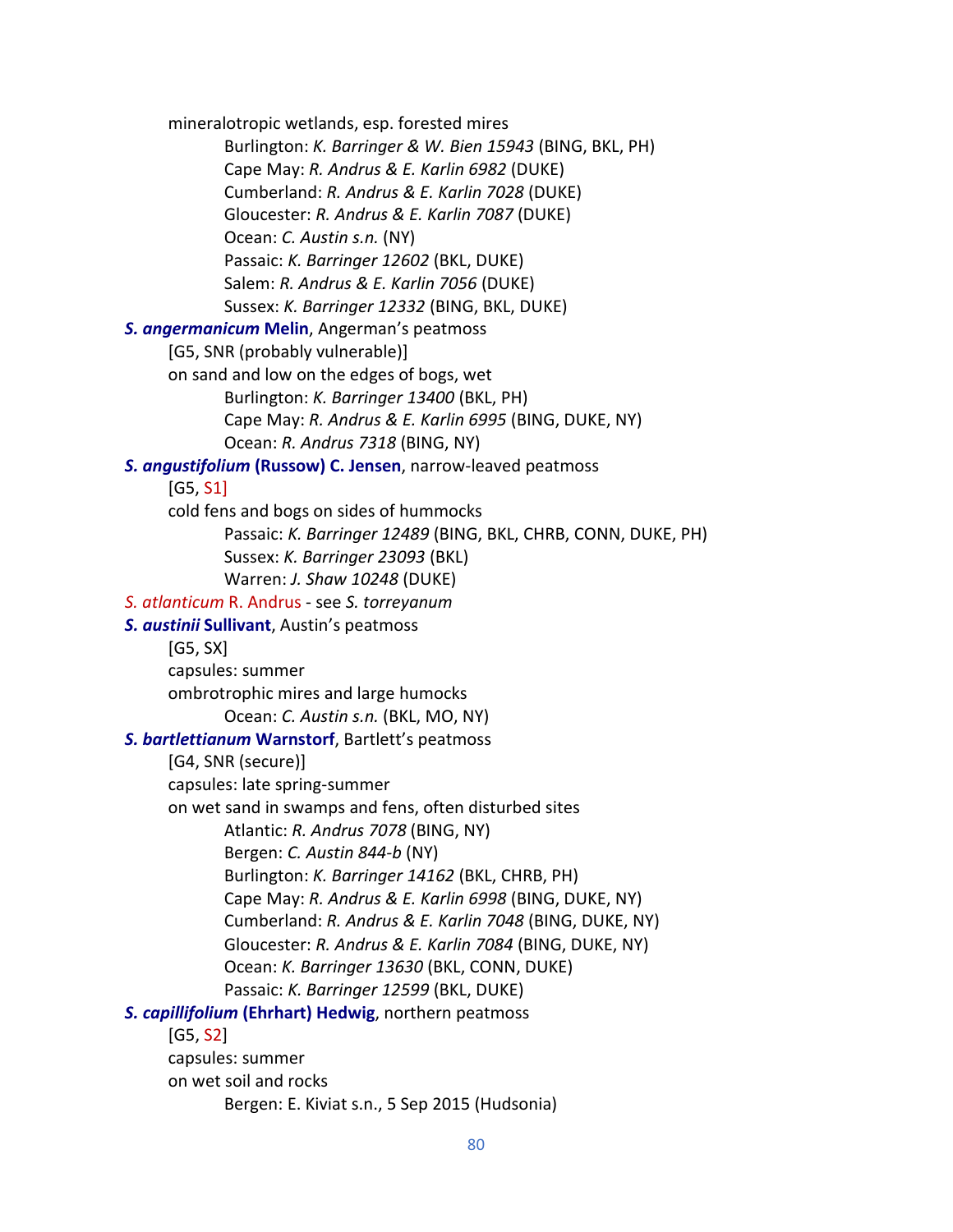mineralotropic wetlands, esp. forested mires Burlington: *K. Barringer & W. Bien 15943* (BING, BKL, PH) Cape May: *R. Andrus & E. Karlin 6982* (DUKE) Cumberland: *R. Andrus & E. Karlin 7028* (DUKE) Gloucester: *R. Andrus & E. Karlin 7087* (DUKE) Ocean: *C. Austin s.n.* (NY) Passaic: *K. Barringer 12602* (BKL, DUKE) Salem: *R. Andrus & E. Karlin 7056* (DUKE) Sussex: *K. Barringer 12332* (BING, BKL, DUKE)  *S. angermanicum* **Melin**, Angerman's peatmoss [G5, SNR (probably vulnerable)] on sand and low on the edges of bogs, wet Burlington: *K. Barringer 13400* (BKL, PH) Cape May: *R. Andrus & E. Karlin 6995* (BING, DUKE, NY) Ocean: *R. Andrus 7318* (BING, NY) *S. angustifolium* **(Russow) C. Jensen**, narrow-leaved peatmoss [G5, S1] cold fens and bogs on sides of hummocks Passaic: *K. Barringer 12489* (BING, BKL, CHRB, CONN, DUKE, PH) Sussex: *K. Barringer 23093* (BKL) Warren: *J. Shaw 10248* (DUKE) *S. atlanticum* R. Andrus - see *S. torreyanum S. austinii* **Sullivant**, Austin's peatmoss [G5, SX] capsules: summer ombrotrophic mires and large humocks Ocean: *C. Austin s.n.* (BKL, MO, NY)  *S. bartlettianum* **Warnstorf**, Bartlett's peatmoss [G4, SNR (secure)] capsules: late spring-summer on wet sand in swamps and fens, often disturbed sites Atlantic: *R. Andrus 7078* (BING, NY) Bergen: *C. Austin 844-b* (NY) Burlington: *K. Barringer 14162* (BKL, CHRB, PH) Cape May: *R. Andrus & E. Karlin 6998* (BING, DUKE, NY) Cumberland: *R. Andrus & E. Karlin 7048* (BING, DUKE, NY) Gloucester: *R. Andrus & E. Karlin 7084* (BING, DUKE, NY) Ocean: *K. Barringer 13630* (BKL, CONN, DUKE) Passaic: *K. Barringer 12599* (BKL, DUKE)  *S. capillifolium* **(Ehrhart) Hedwig**, northern peatmoss [G5, S2] capsules: summer on wet soil and rocks Bergen: E. Kiviat s.n., 5 Sep 2015 (Hudsonia)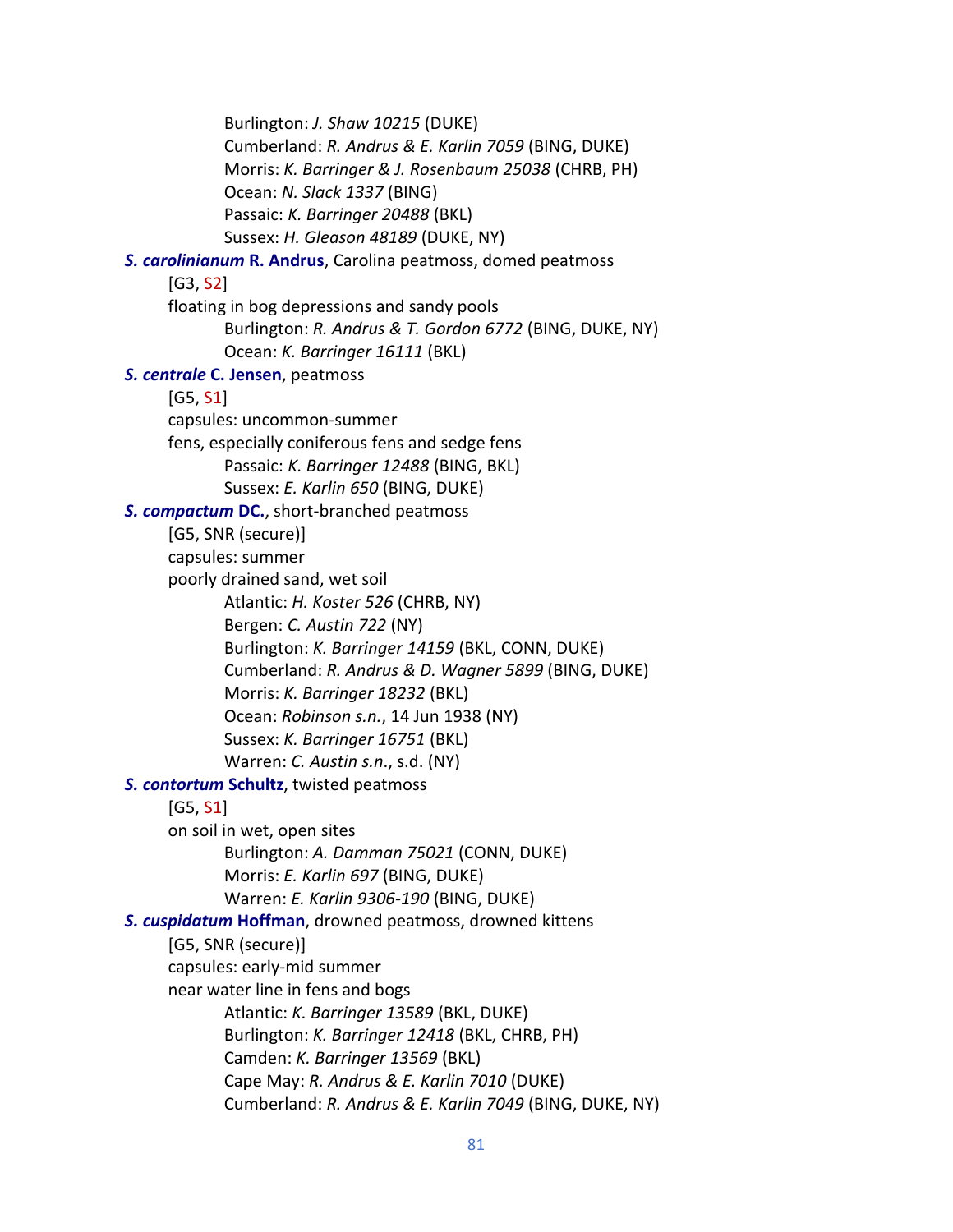Burlington: *J. Shaw 10215* (DUKE) Cumberland: *R. Andrus & E. Karlin 7059* (BING, DUKE) Morris: *K. Barringer & J. Rosenbaum 25038* (CHRB, PH) Ocean: *N. Slack 1337* (BING) Passaic: *K. Barringer 20488* (BKL) Sussex: *H. Gleason 48189* (DUKE, NY) *S. carolinianum* **R. Andrus**, Carolina peatmoss, domed peatmoss [G3, S2] floating in bog depressions and sandy pools Burlington: *R. Andrus & T. Gordon 6772* (BING, DUKE, NY) Ocean: *K. Barringer 16111* (BKL)  *S. centrale* **C. Jensen**, peatmoss [G5, S1] capsules: uncommon-summer fens, especially coniferous fens and sedge fens Passaic: *K. Barringer 12488* (BING, BKL) Sussex: *E. Karlin 650* (BING, DUKE)  *S. compactum* **DC.**, short-branched peatmoss [G5, SNR (secure)] capsules: summer poorly drained sand, wet soil Atlantic: *H. Koster 526* (CHRB, NY) Bergen: *C. Austin 722* (NY) Burlington: *K. Barringer 14159* (BKL, CONN, DUKE) Cumberland: *R. Andrus & D. Wagner 5899* (BING, DUKE) Morris: *K. Barringer 18232* (BKL) Ocean: *Robinson s.n.*, 14 Jun 1938 (NY) Sussex: *K. Barringer 16751* (BKL) Warren: *C. Austin s.n*., s.d. (NY) *S. contortum* **Schultz**, twisted peatmoss [G5, S1] on soil in wet, open sites Burlington: *A. Damman 75021* (CONN, DUKE) Morris: *E. Karlin 697* (BING, DUKE) Warren: *E. Karlin 9306-190* (BING, DUKE)  *S. cuspidatum* **Hoffman**, drowned peatmoss, drowned kittens [G5, SNR (secure)] capsules: early-mid summer near water line in fens and bogs Atlantic: *K. Barringer 13589* (BKL, DUKE) Burlington: *K. Barringer 12418* (BKL, CHRB, PH) Camden: *K. Barringer 13569* (BKL) Cape May: *R. Andrus & E. Karlin 7010* (DUKE) Cumberland: *R. Andrus & E. Karlin 7049* (BING, DUKE, NY)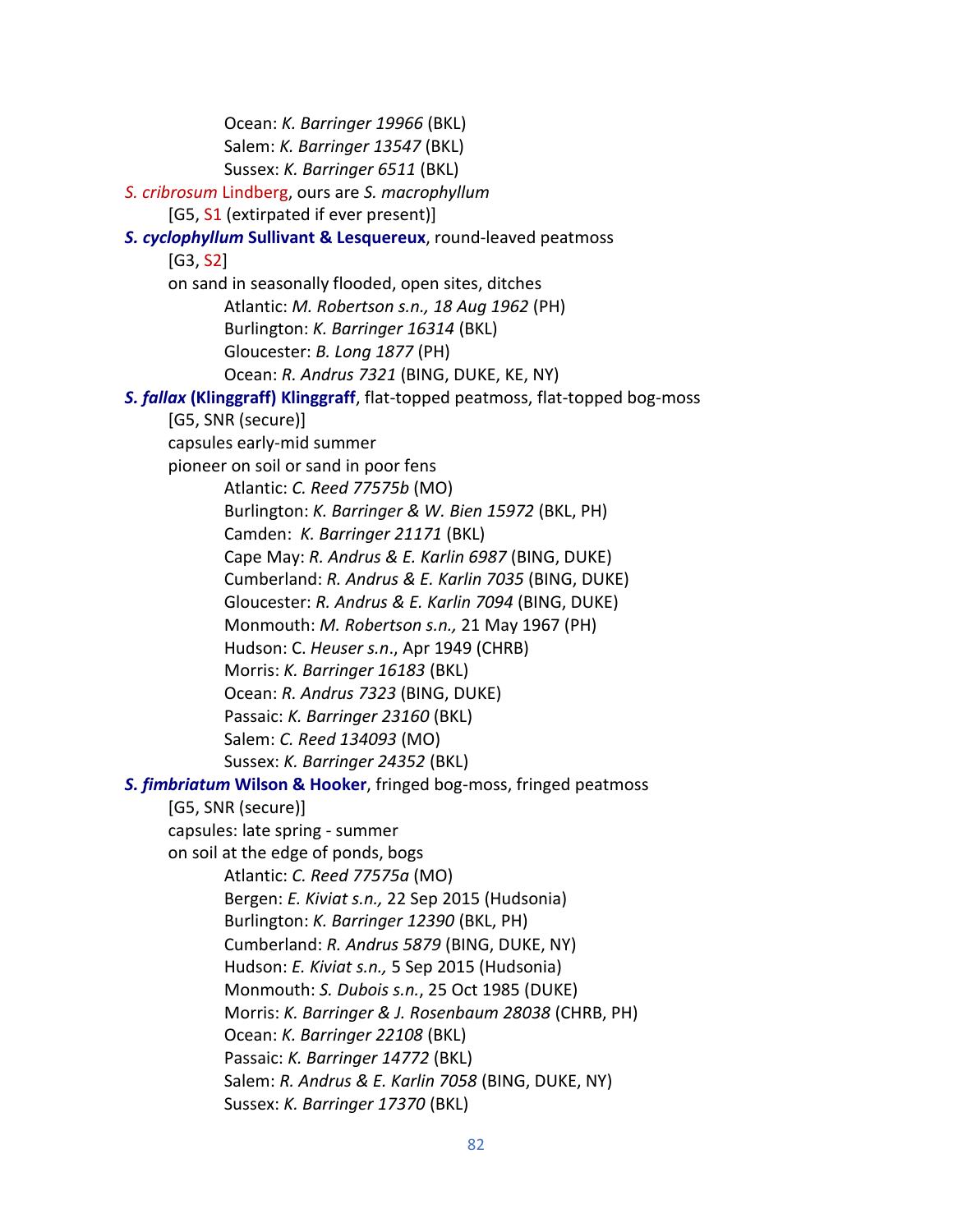Ocean: *K. Barringer 19966* (BKL) Salem: *K. Barringer 13547* (BKL) Sussex: *K. Barringer 6511* (BKL)  *S. cribrosum* Lindberg, ours are *S. macrophyllum* [G5, S1 (extirpated if ever present)] *S. cyclophyllum* **Sullivant & Lesquereux**, round-leaved peatmoss [G3, S2] on sand in seasonally flooded, open sites, ditches Atlantic: *M. Robertson s.n., 18 Aug 1962* (PH) Burlington: *K. Barringer 16314* (BKL) Gloucester: *B. Long 1877* (PH) Ocean: *R. Andrus 7321* (BING, DUKE, KE, NY) *S. fallax* **(Klinggraff) Klinggraff**, flat-topped peatmoss, flat-topped bog-moss [G5, SNR (secure)] capsules early-mid summer pioneer on soil or sand in poor fens Atlantic: *C. Reed 77575b* (MO) Burlington: *K. Barringer & W. Bien 15972* (BKL, PH) Camden: *K. Barringer 21171* (BKL) Cape May: *R. Andrus & E. Karlin 6987* (BING, DUKE) Cumberland: *R. Andrus & E. Karlin 7035* (BING, DUKE) Gloucester: *R. Andrus & E. Karlin 7094* (BING, DUKE) Monmouth: *M. Robertson s.n.,* 21 May 1967 (PH) Hudson: C. *Heuser s.n*., Apr 1949 (CHRB) Morris: *K. Barringer 16183* (BKL) Ocean: *R. Andrus 7323* (BING, DUKE) Passaic: *K. Barringer 23160* (BKL) Salem: *C. Reed 134093* (MO) Sussex: *K. Barringer 24352* (BKL)  *S. fimbriatum* **Wilson & Hooker**, fringed bog-moss, fringed peatmoss [G5, SNR (secure)] capsules: late spring - summer on soil at the edge of ponds, bogs Atlantic: *C. Reed 77575a* (MO) Bergen: *E. Kiviat s.n.,* 22 Sep 2015 (Hudsonia) Burlington: *K. Barringer 12390* (BKL, PH) Cumberland: *R. Andrus 5879* (BING, DUKE, NY) Hudson: *E. Kiviat s.n.,* 5 Sep 2015 (Hudsonia) Monmouth: *S. Dubois s.n.*, 25 Oct 1985 (DUKE) Morris: *K. Barringer & J. Rosenbaum 28038* (CHRB, PH) Ocean: *K. Barringer 22108* (BKL) Passaic: *K. Barringer 14772* (BKL) Salem: *R. Andrus & E. Karlin 7058* (BING, DUKE, NY) Sussex: *K. Barringer 17370* (BKL)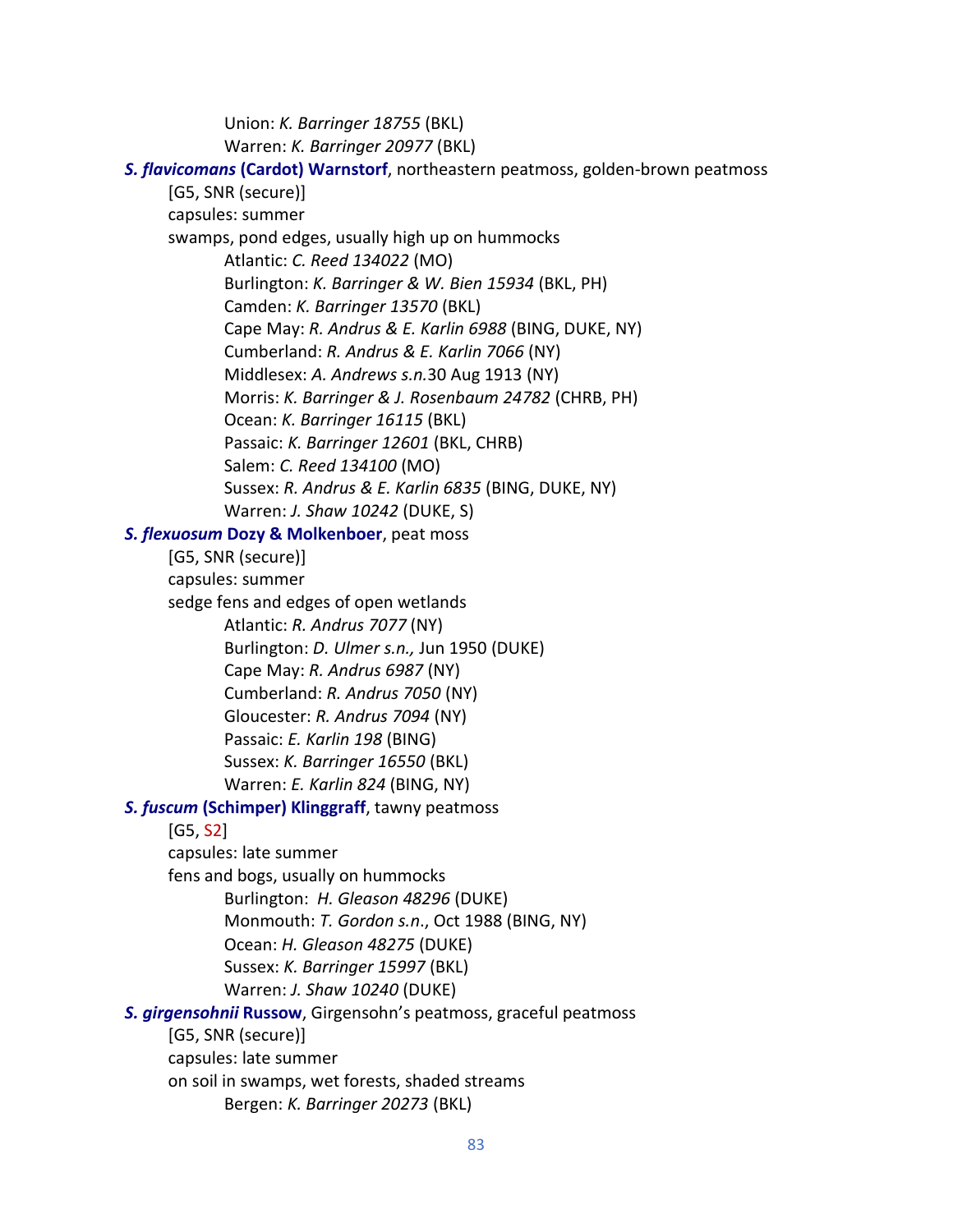Union: *K. Barringer 18755* (BKL) Warren: *K. Barringer 20977* (BKL)

 *S. flavicomans* **(Cardot) Warnstorf**, northeastern peatmoss, golden-brown peatmoss [G5, SNR (secure)] capsules: summer swamps, pond edges, usually high up on hummocks Atlantic: *C. Reed 134022* (MO) Burlington: *K. Barringer & W. Bien 15934* (BKL, PH) Camden: *K. Barringer 13570* (BKL) Cape May: *R. Andrus & E. Karlin 6988* (BING, DUKE, NY) Cumberland: *R. Andrus & E. Karlin 7066* (NY) Middlesex: *A. Andrews s.n.*30 Aug 1913 (NY) Morris: *K. Barringer & J. Rosenbaum 24782* (CHRB, PH) Ocean: *K. Barringer 16115* (BKL) Passaic: *K. Barringer 12601* (BKL, CHRB) Salem: *C. Reed 134100* (MO) Sussex: *R. Andrus & E. Karlin 6835* (BING, DUKE, NY) Warren: *J. Shaw 10242* (DUKE, S) *S. flexuosum* **Dozy & Molkenboer**, peat moss [G5, SNR (secure)] capsules: summer sedge fens and edges of open wetlands Atlantic: *R. Andrus 7077* (NY) Burlington: *D. Ulmer s.n.,* Jun 1950 (DUKE) Cape May: *R. Andrus 6987* (NY) Cumberland: *R. Andrus 7050* (NY) Gloucester: *R. Andrus 7094* (NY) Passaic: *E. Karlin 198* (BING) Sussex: *K. Barringer 16550* (BKL) Warren: *E. Karlin 824* (BING, NY)  *S. fuscum* **(Schimper) Klinggraff**, tawny peatmoss [G5, S2] capsules: late summer fens and bogs, usually on hummocks Burlington: *H. Gleason 48296* (DUKE) Monmouth: *T. Gordon s.n*., Oct 1988 (BING, NY) Ocean: *H. Gleason 48275* (DUKE) Sussex: *K. Barringer 15997* (BKL) Warren: *J. Shaw 10240* (DUKE)  *S. girgensohnii* **Russow**, Girgensohn's peatmoss, graceful peatmoss [G5, SNR (secure)] capsules: late summer on soil in swamps, wet forests, shaded streams Bergen: *K. Barringer 20273* (BKL)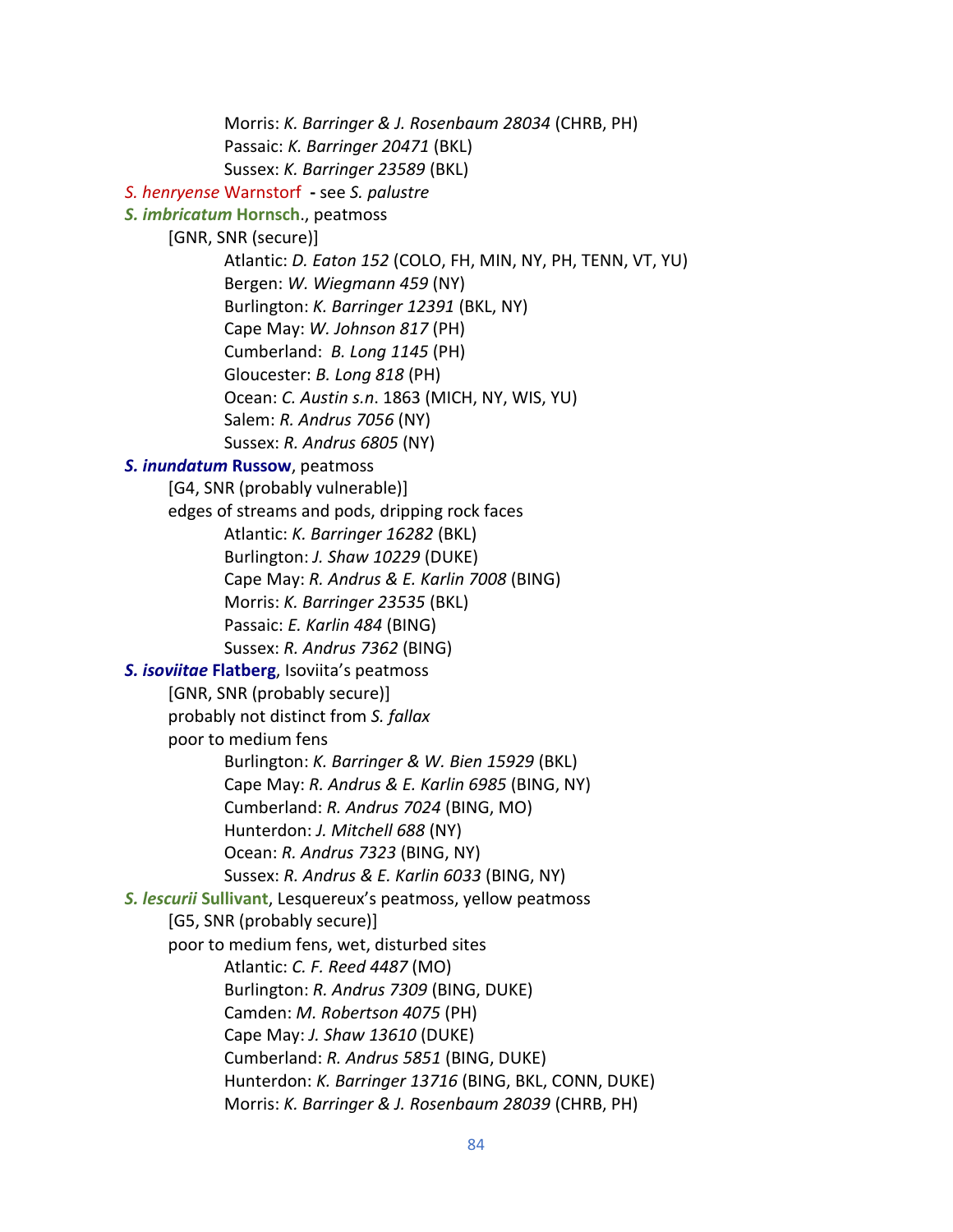Morris: *K. Barringer & J. Rosenbaum 28034* (CHRB, PH) Passaic: *K. Barringer 20471* (BKL) Sussex: *K. Barringer 23589* (BKL)  *S. henryense* Warnstorf **-** see *S. palustre S. imbricatum* **Hornsch**., peatmoss [GNR, SNR (secure)] Atlantic: *D. Eaton 152* (COLO, FH, MIN, NY, PH, TENN, VT, YU) Bergen: *W. Wiegmann 459* (NY) Burlington: *K. Barringer 12391* (BKL, NY) Cape May: *W. Johnson 817* (PH) Cumberland: *B. Long 1145* (PH) Gloucester: *B. Long 818* (PH) Ocean: *C. Austin s.n*. 1863 (MICH, NY, WIS, YU) Salem: *R. Andrus 7056* (NY) Sussex: *R. Andrus 6805* (NY)  *S. inundatum* **Russow**, peatmoss [G4, SNR (probably vulnerable)] edges of streams and pods, dripping rock faces Atlantic: *K. Barringer 16282* (BKL) Burlington: *J. Shaw 10229* (DUKE) Cape May: *R. Andrus & E. Karlin 7008* (BING) Morris: *K. Barringer 23535* (BKL) Passaic: *E. Karlin 484* (BING) Sussex: *R. Andrus 7362* (BING)  *S. isoviitae* **Flatberg**, Isoviita's peatmoss [GNR, SNR (probably secure)] probably not distinct from *S. fallax* poor to medium fens Burlington: *K. Barringer & W. Bien 15929* (BKL) Cape May: *R. Andrus & E. Karlin 6985* (BING, NY) Cumberland: *R. Andrus 7024* (BING, MO) Hunterdon: *J. Mitchell 688* (NY) Ocean: *R. Andrus 7323* (BING, NY) Sussex: *R. Andrus & E. Karlin 6033* (BING, NY) *S. lescurii* **Sullivant**, Lesquereux's peatmoss, yellow peatmoss [G5, SNR (probably secure)] poor to medium fens, wet, disturbed sites Atlantic: *C. F. Reed 4487* (MO) Burlington: *R. Andrus 7309* (BING, DUKE) Camden: *M. Robertson 4075* (PH) Cape May: *J. Shaw 13610* (DUKE) Cumberland: *R. Andrus 5851* (BING, DUKE) Hunterdon: *K. Barringer 13716* (BING, BKL, CONN, DUKE) Morris: *K. Barringer & J. Rosenbaum 28039* (CHRB, PH)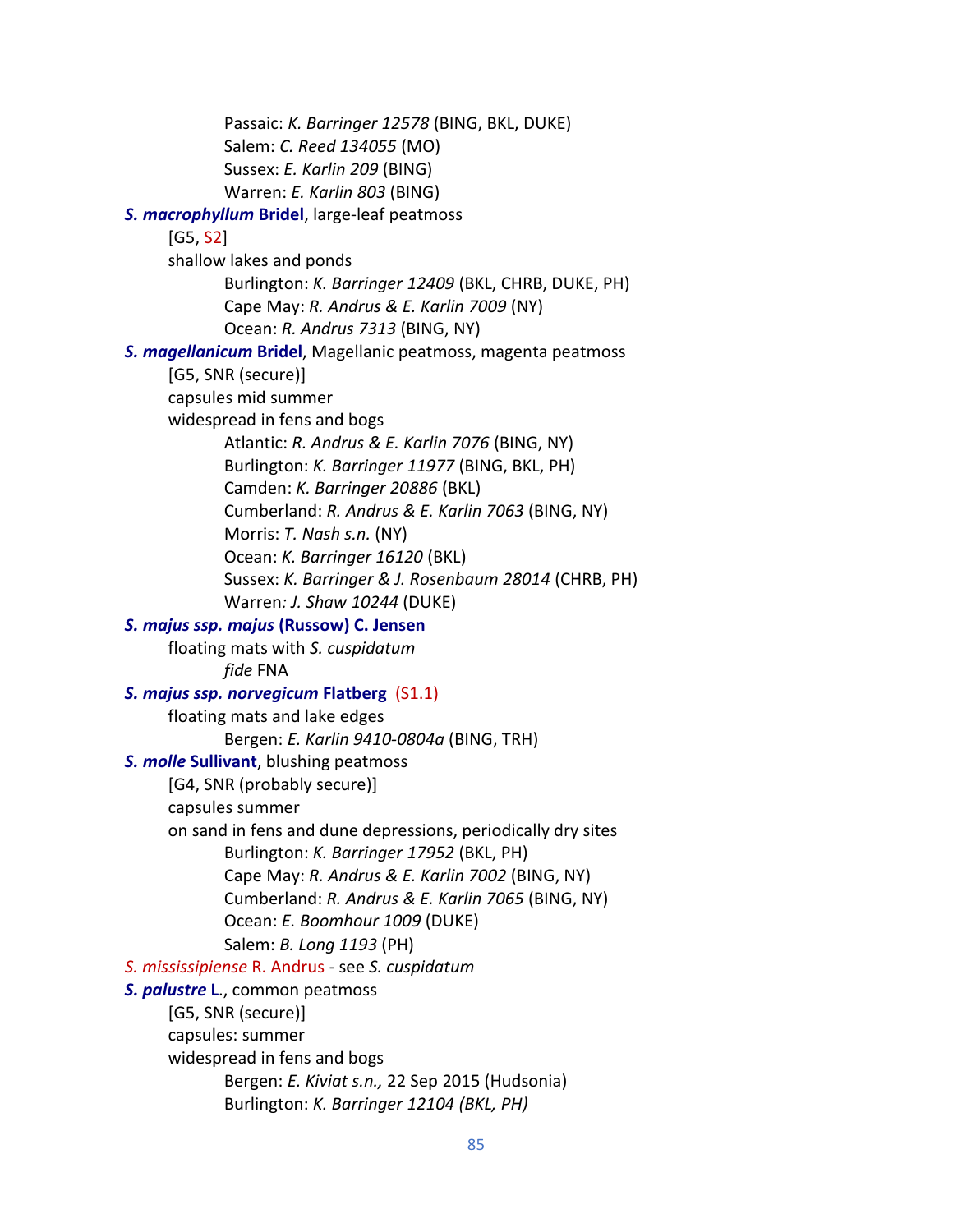Passaic: *K. Barringer 12578* (BING, BKL, DUKE) Salem: *C. Reed 134055* (MO) Sussex: *E. Karlin 209* (BING) Warren: *E. Karlin 803* (BING) *S. macrophyllum* **Bridel**, large-leaf peatmoss [G5, S2] shallow lakes and ponds Burlington: *K. Barringer 12409* (BKL, CHRB, DUKE, PH) Cape May: *R. Andrus & E. Karlin 7009* (NY) Ocean: *R. Andrus 7313* (BING, NY) *S. magellanicum* **Bridel**, Magellanic peatmoss, magenta peatmoss [G5, SNR (secure)] capsules mid summer widespread in fens and bogs Atlantic: *R. Andrus & E. Karlin 7076* (BING, NY) Burlington: *K. Barringer 11977* (BING, BKL, PH) Camden: *K. Barringer 20886* (BKL) Cumberland: *R. Andrus & E. Karlin 7063* (BING, NY) Morris: *T. Nash s.n.* (NY) Ocean: *K. Barringer 16120* (BKL) Sussex: *K. Barringer & J. Rosenbaum 28014* (CHRB, PH) Warren*: J. Shaw 10244* (DUKE) *S. majus ssp. majus* **(Russow) C. Jensen** floating mats with *S. cuspidatum fide* FNA  *S. majus ssp. norvegicum* **Flatberg** (S1.1) floating mats and lake edges Bergen: *E. Karlin 9410-0804a* (BING, TRH)  *S. molle* **Sullivant**, blushing peatmoss [G4, SNR (probably secure)] capsules summer on sand in fens and dune depressions, periodically dry sites Burlington: *K. Barringer 17952* (BKL, PH) Cape May: *R. Andrus & E. Karlin 7002* (BING, NY) Cumberland: *R. Andrus & E. Karlin 7065* (BING, NY) Ocean: *E. Boomhour 1009* (DUKE) Salem: *B. Long 1193* (PH)  *S. mississipiense* R. Andrus - see *S. cuspidatum S. palustre* **L**., common peatmoss [G5, SNR (secure)] capsules: summer widespread in fens and bogs Bergen: *E. Kiviat s.n.,* 22 Sep 2015 (Hudsonia) Burlington: *K. Barringer 12104 (BKL, PH)*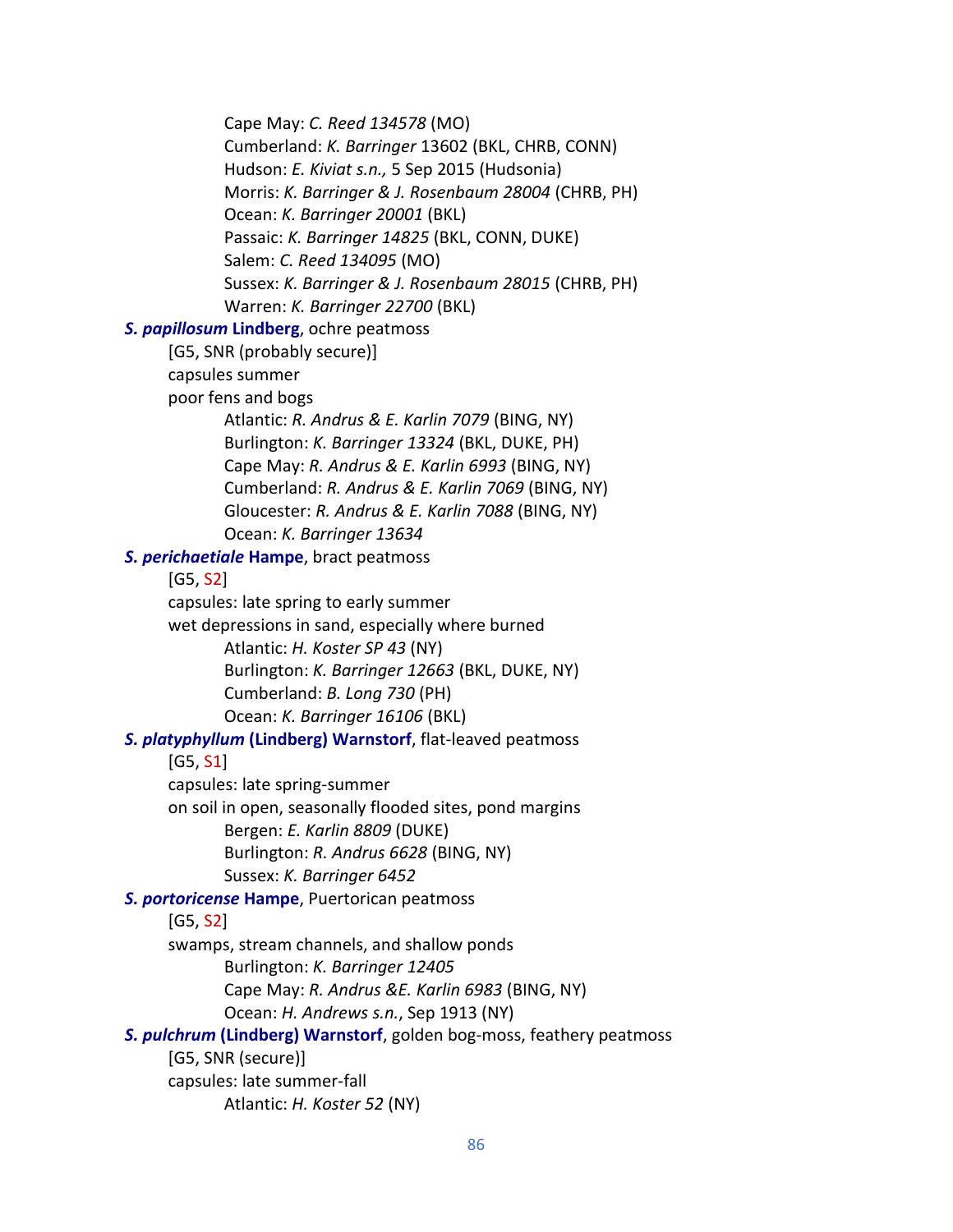Cape May: *C. Reed 134578* (MO) Cumberland: *K. Barringer* 13602 (BKL, CHRB, CONN) Hudson: *E. Kiviat s.n.,* 5 Sep 2015 (Hudsonia) Morris: *K. Barringer & J. Rosenbaum 28004* (CHRB, PH) Ocean: *K. Barringer 20001* (BKL) Passaic: *K. Barringer 14825* (BKL, CONN, DUKE) Salem: *C. Reed 134095* (MO) Sussex: *K. Barringer & J. Rosenbaum 28015* (CHRB, PH) Warren: *K. Barringer 22700* (BKL)  *S. papillosum* **Lindberg**, ochre peatmoss [G5, SNR (probably secure)] capsules summer poor fens and bogs Atlantic: *R. Andrus & E. Karlin 7079* (BING, NY) Burlington: *K. Barringer 13324* (BKL, DUKE, PH) Cape May: *R. Andrus & E. Karlin 6993* (BING, NY) Cumberland: *R. Andrus & E. Karlin 7069* (BING, NY) Gloucester: *R. Andrus & E. Karlin 7088* (BING, NY) Ocean: *K. Barringer 13634 S. perichaetiale* **Hampe**, bract peatmoss [G5, S2] capsules: late spring to early summer wet depressions in sand, especially where burned Atlantic: *H. Koster SP 43* (NY) Burlington: *K. Barringer 12663* (BKL, DUKE, NY) Cumberland: *B. Long 730* (PH) Ocean: *K. Barringer 16106* (BKL)  *S. platyphyllum* **(Lindberg) Warnstorf**, flat-leaved peatmoss [G5, S1] capsules: late spring-summer on soil in open, seasonally flooded sites, pond margins Bergen: *E. Karlin 8809* (DUKE) Burlington: *R. Andrus 6628* (BING, NY) Sussex: *K. Barringer 6452 S. portoricense* **Hampe**, Puertorican peatmoss [G5, S2] swamps, stream channels, and shallow ponds Burlington: *K. Barringer 12405* Cape May: *R. Andrus &E. Karlin 6983* (BING, NY) Ocean: *H. Andrews s.n.*, Sep 1913 (NY)  *S. pulchrum* **(Lindberg) Warnstorf**, golden bog-moss, feathery peatmoss [G5, SNR (secure)] capsules: late summer-fall Atlantic: *H. Koster 52* (NY)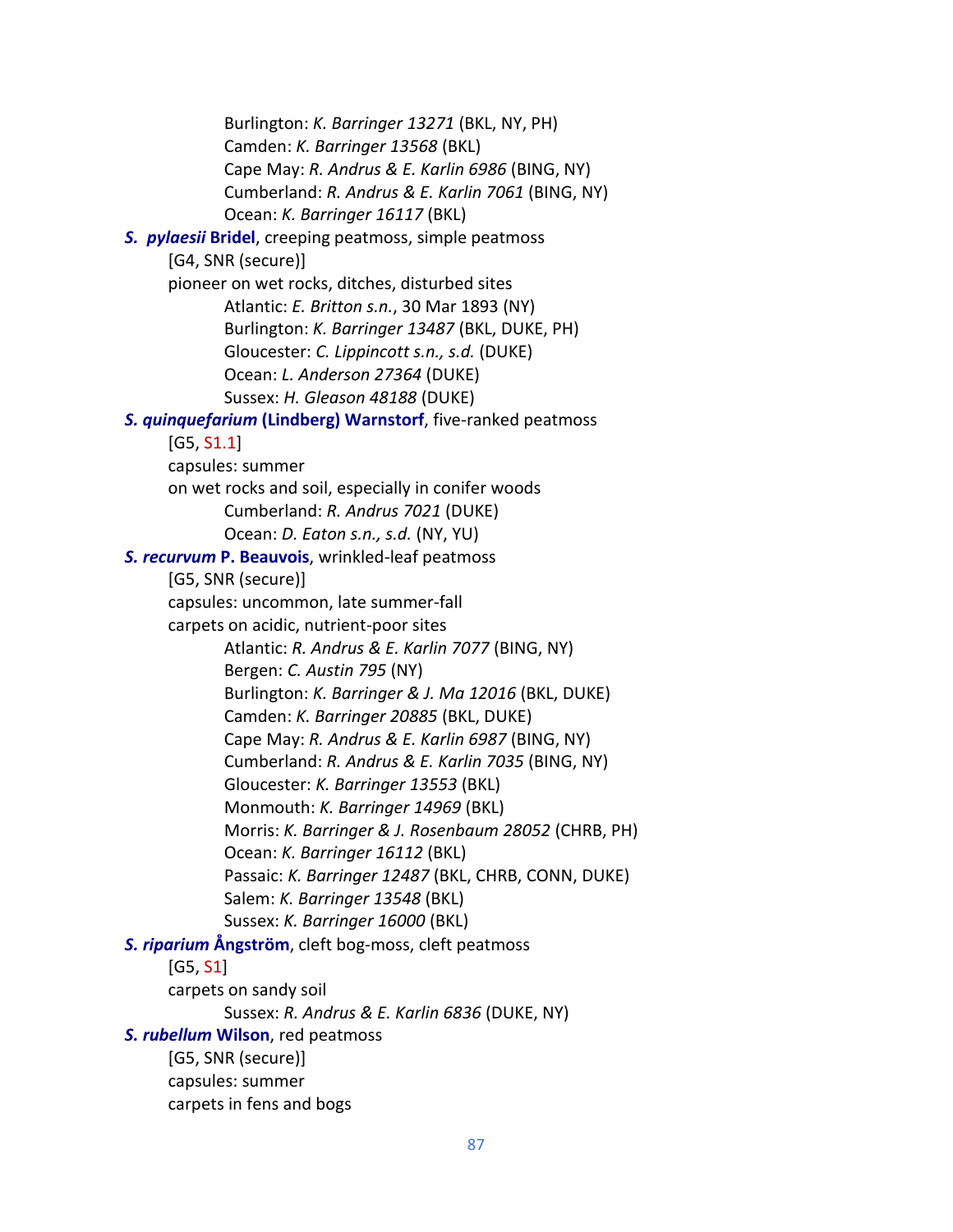Burlington: *K. Barringer 13271* (BKL, NY, PH) Camden: *K. Barringer 13568* (BKL) Cape May: *R. Andrus & E. Karlin 6986* (BING, NY) Cumberland: *R. Andrus & E. Karlin 7061* (BING, NY) Ocean: *K. Barringer 16117* (BKL) *S. pylaesii* **Bridel**, creeping peatmoss, simple peatmoss [G4, SNR (secure)] pioneer on wet rocks, ditches, disturbed sites Atlantic: *E. Britton s.n.*, 30 Mar 1893 (NY) Burlington: *K. Barringer 13487* (BKL, DUKE, PH) Gloucester: *C. Lippincott s.n., s.d.* (DUKE) Ocean: *L. Anderson 27364* (DUKE) Sussex: *H. Gleason 48188* (DUKE) *S. quinquefarium* **(Lindberg) Warnstorf**, five-ranked peatmoss [G5, S1.1] capsules: summer on wet rocks and soil, especially in conifer woods Cumberland: *R. Andrus 7021* (DUKE) Ocean: *D. Eaton s.n., s.d.* (NY, YU)  *S. recurvum* **P. Beauvois**, wrinkled-leaf peatmoss [G5, SNR (secure)] capsules: uncommon, late summer-fall carpets on acidic, nutrient-poor sites Atlantic: *R. Andrus & E. Karlin 7077* (BING, NY) Bergen: *C. Austin 795* (NY) Burlington: *K. Barringer & J. Ma 12016* (BKL, DUKE) Camden: *K. Barringer 20885* (BKL, DUKE) Cape May: *R. Andrus & E. Karlin 6987* (BING, NY) Cumberland: *R. Andrus & E. Karlin 7035* (BING, NY) Gloucester: *K. Barringer 13553* (BKL) Monmouth: *K. Barringer 14969* (BKL) Morris: *K. Barringer & J. Rosenbaum 28052* (CHRB, PH) Ocean: *K. Barringer 16112* (BKL) Passaic: *K. Barringer 12487* (BKL, CHRB, CONN, DUKE) Salem: *K. Barringer 13548* (BKL) Sussex: *K. Barringer 16000* (BKL)  *S. riparium* **Ångström**, cleft bog-moss, cleft peatmoss [G5, S1] carpets on sandy soil Sussex: *R. Andrus & E. Karlin 6836* (DUKE, NY)  *S. rubellum* **Wilson**, red peatmoss [G5, SNR (secure)] capsules: summer carpets in fens and bogs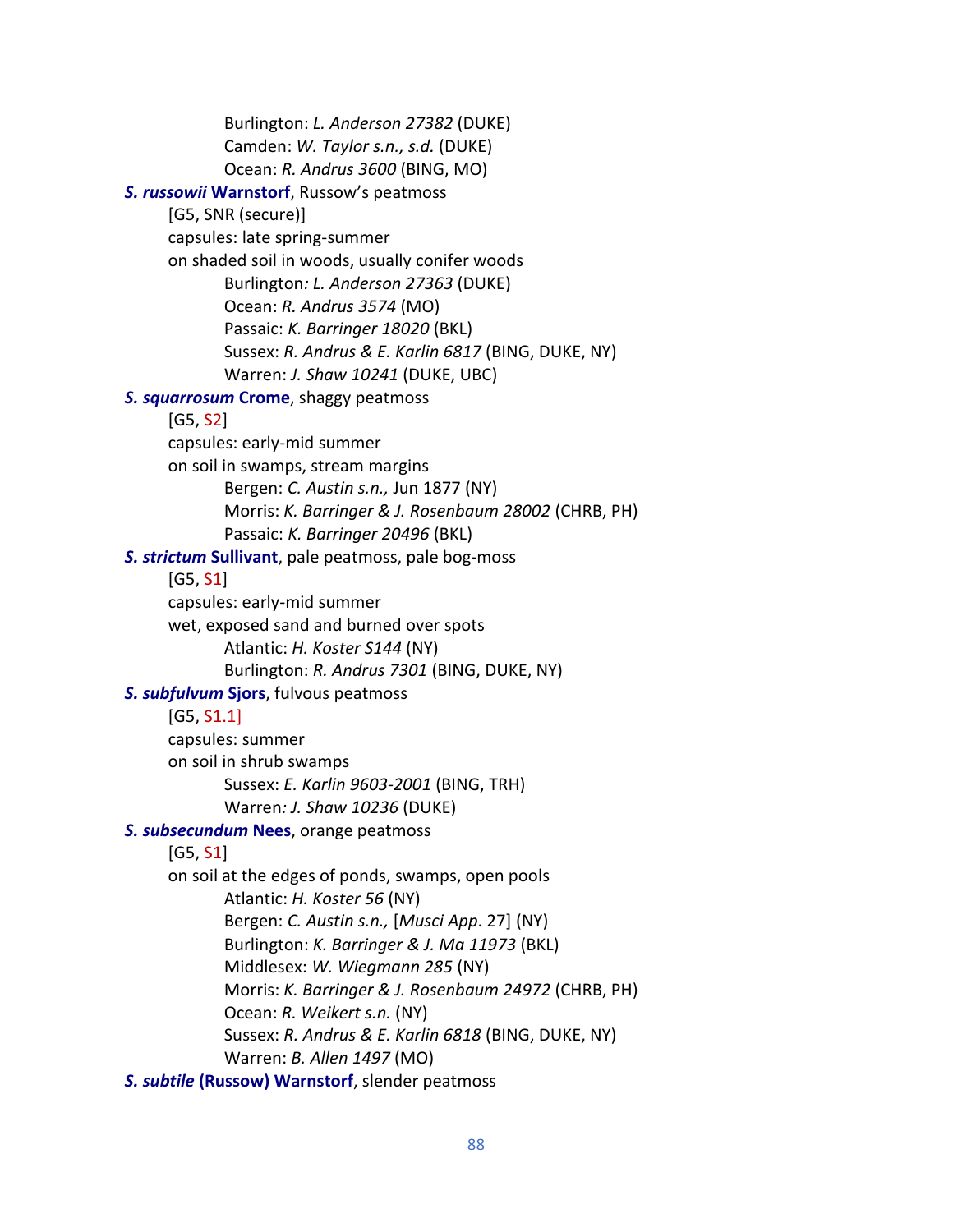Burlington: *L. Anderson 27382* (DUKE) Camden: *W. Taylor s.n., s.d.* (DUKE) Ocean: *R. Andrus 3600* (BING, MO)  *S. russowii* **Warnstorf**, Russow's peatmoss [G5, SNR (secure)] capsules: late spring-summer on shaded soil in woods, usually conifer woods Burlington*: L. Anderson 27363* (DUKE) Ocean: *R. Andrus 3574* (MO) Passaic: *K. Barringer 18020* (BKL) Sussex: *R. Andrus & E. Karlin 6817* (BING, DUKE, NY) Warren: *J. Shaw 10241* (DUKE, UBC)  *S. squarrosum* **Crome**, shaggy peatmoss [G5, S2] capsules: early-mid summer on soil in swamps, stream margins Bergen: *C. Austin s.n.,* Jun 1877 (NY) Morris: *K. Barringer & J. Rosenbaum 28002* (CHRB, PH) Passaic: *K. Barringer 20496* (BKL) *S. strictum* **Sullivant**, pale peatmoss, pale bog-moss [G5, S1] capsules: early-mid summer wet, exposed sand and burned over spots Atlantic: *H. Koster S144* (NY) Burlington: *R. Andrus 7301* (BING, DUKE, NY)  *S. subfulvum* **Sjors**, fulvous peatmoss [G5, S1.1] capsules: summer on soil in shrub swamps Sussex: *E. Karlin 9603-2001* (BING, TRH) Warren*: J. Shaw 10236* (DUKE)  *S. subsecundum* **Nees**, orange peatmoss [G5, S1] on soil at the edges of ponds, swamps, open pools Atlantic: *H. Koster 56* (NY) Bergen: *C. Austin s.n.,* [*Musci App*. 27] (NY) Burlington: *K. Barringer & J. Ma 11973* (BKL) Middlesex: *W. Wiegmann 285* (NY) Morris: *K. Barringer & J. Rosenbaum 24972* (CHRB, PH) Ocean: *R. Weikert s.n.* (NY) Sussex: *R. Andrus & E. Karlin 6818* (BING, DUKE, NY) Warren: *B. Allen 1497* (MO) *S. subtile* **(Russow) Warnstorf**, slender peatmoss

88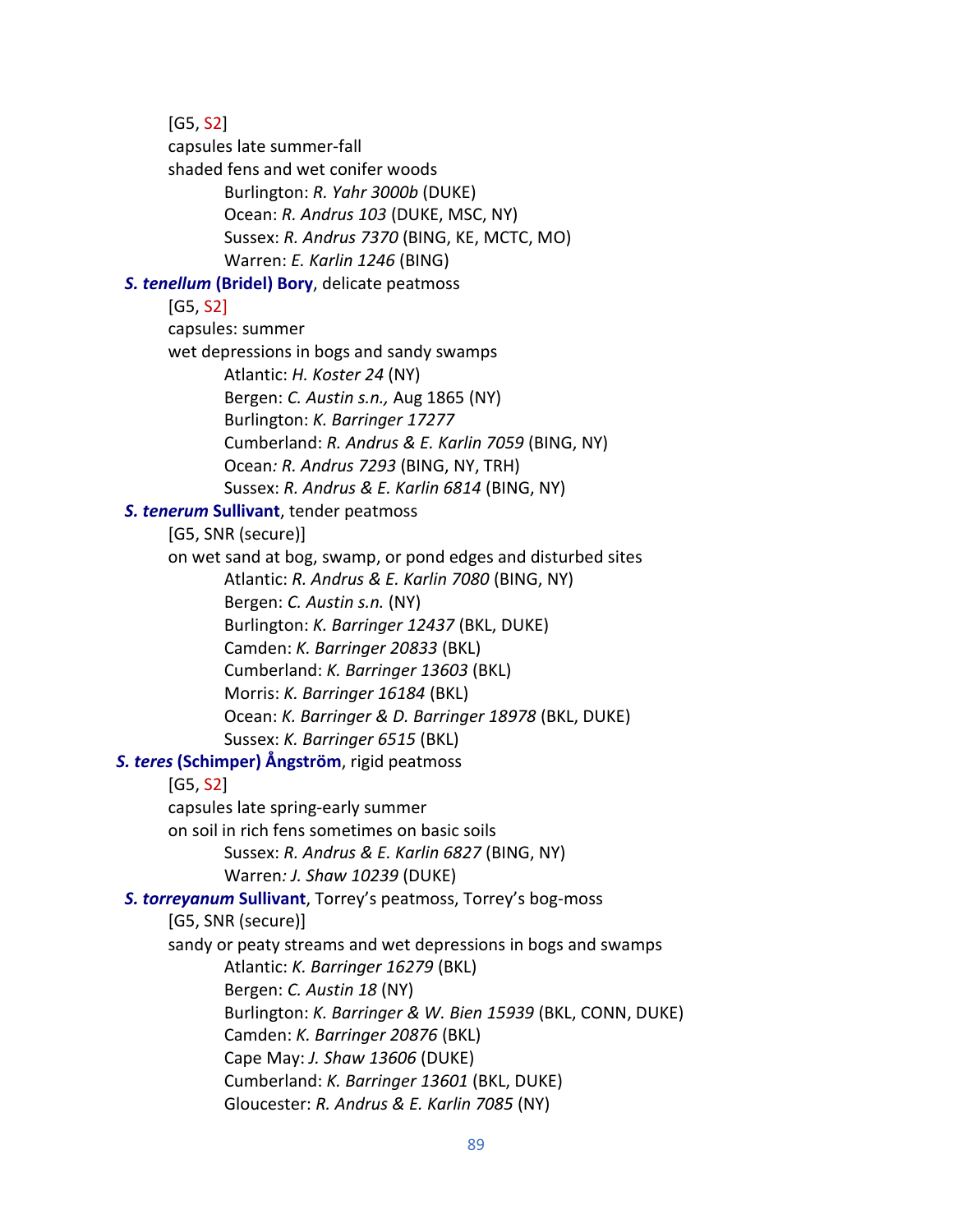[G5, S2] capsules late summer-fall shaded fens and wet conifer woods Burlington: *R. Yahr 3000b* (DUKE) Ocean: *R. Andrus 103* (DUKE, MSC, NY) Sussex: *R. Andrus 7370* (BING, KE, MCTC, MO) Warren: *E. Karlin 1246* (BING)  *S. tenellum* **(Bridel) Bory**, delicate peatmoss [G5, S2] capsules: summer wet depressions in bogs and sandy swamps Atlantic: *H. Koster 24* (NY) Bergen: *C. Austin s.n.,* Aug 1865 (NY) Burlington: *K. Barringer 17277* Cumberland: *R. Andrus & E. Karlin 7059* (BING, NY) Ocean*: R. Andrus 7293* (BING, NY, TRH) Sussex: *R. Andrus & E. Karlin 6814* (BING, NY)  *S. tenerum* **Sullivant**, tender peatmoss [G5, SNR (secure)] on wet sand at bog, swamp, or pond edges and disturbed sites Atlantic: *R. Andrus & E. Karlin 7080* (BING, NY) Bergen: *C. Austin s.n.* (NY) Burlington: *K. Barringer 12437* (BKL, DUKE) Camden: *K. Barringer 20833* (BKL) Cumberland: *K. Barringer 13603* (BKL) Morris: *K. Barringer 16184* (BKL) Ocean: *K. Barringer & D. Barringer 18978* (BKL, DUKE) Sussex: *K. Barringer 6515* (BKL) *S. teres* **(Schimper) Ångström**, rigid peatmoss  $[G5, S2]$ capsules late spring-early summer on soil in rich fens sometimes on basic soils Sussex: *R. Andrus & E. Karlin 6827* (BING, NY) Warren*: J. Shaw 10239* (DUKE)  *S. torreyanum* **Sullivant**, Torrey's peatmoss, Torrey's bog-moss [G5, SNR (secure)] sandy or peaty streams and wet depressions in bogs and swamps Atlantic: *K. Barringer 16279* (BKL) Bergen: *C. Austin 18* (NY) Burlington: *K. Barringer & W. Bien 15939* (BKL, CONN, DUKE) Camden: *K. Barringer 20876* (BKL) Cape May: *J. Shaw 13606* (DUKE) Cumberland: *K. Barringer 13601* (BKL, DUKE) Gloucester: *R. Andrus & E. Karlin 7085* (NY)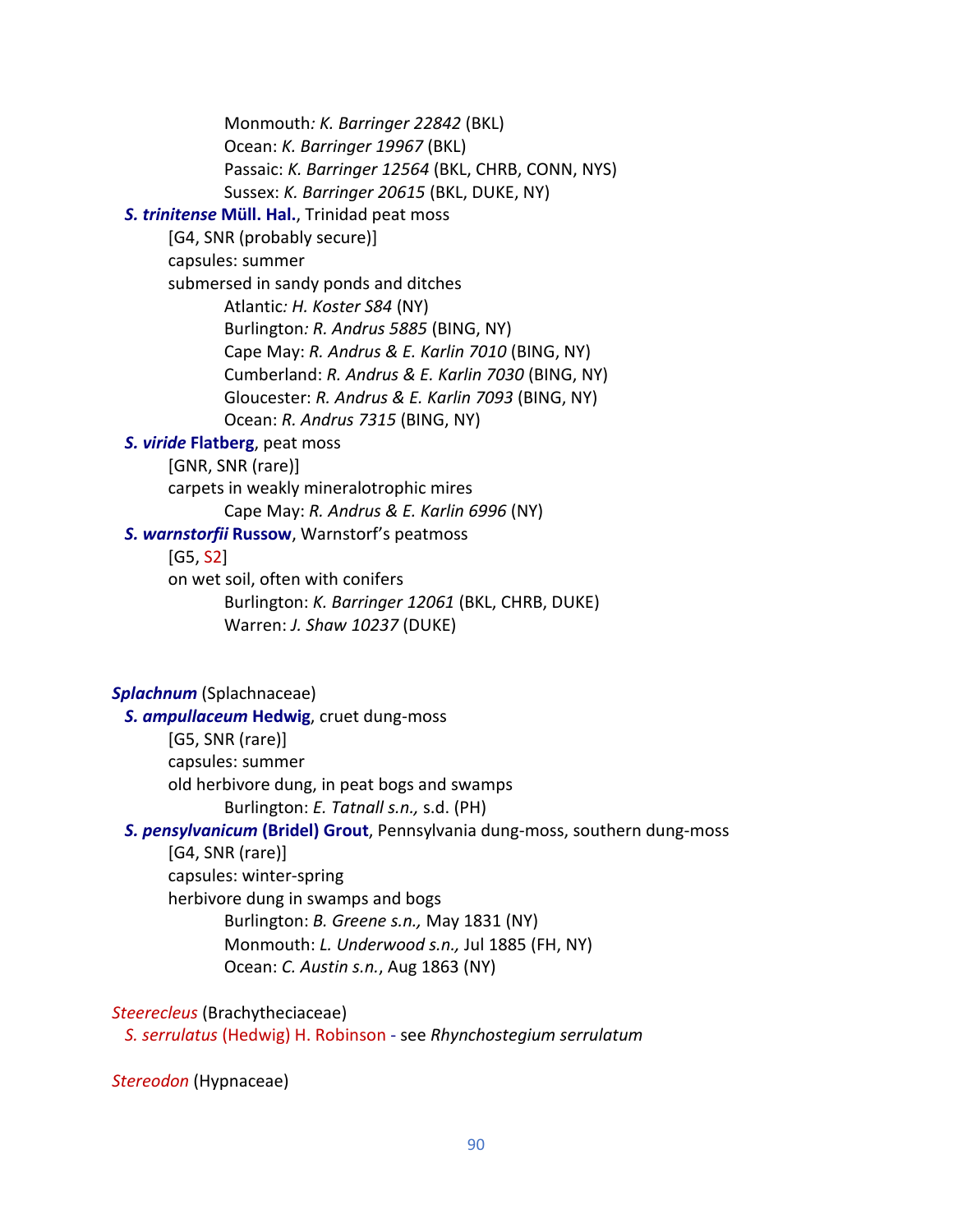Monmouth*: K. Barringer 22842* (BKL) Ocean: *K. Barringer 19967* (BKL) Passaic: *K. Barringer 12564* (BKL, CHRB, CONN, NYS) Sussex: *K. Barringer 20615* (BKL, DUKE, NY)  *S. trinitense* **Müll. Hal.**, Trinidad peat moss [G4, SNR (probably secure)] capsules: summer submersed in sandy ponds and ditches Atlantic*: H. Koster S84* (NY) Burlington*: R. Andrus 5885* (BING, NY) Cape May: *R. Andrus & E. Karlin 7010* (BING, NY) Cumberland: *R. Andrus & E. Karlin 7030* (BING, NY) Gloucester: *R. Andrus & E. Karlin 7093* (BING, NY) Ocean: *R. Andrus 7315* (BING, NY)  *S. viride* **Flatberg**, peat moss [GNR, SNR (rare)] carpets in weakly mineralotrophic mires Cape May: *R. Andrus & E. Karlin 6996* (NY)  *S. warnstorfii* **Russow**, Warnstorf's peatmoss [G5, S2] on wet soil, often with conifers Burlington: *K. Barringer 12061* (BKL, CHRB, DUKE) Warren: *J. Shaw 10237* (DUKE) *Splachnum* (Splachnaceae)  *S. ampullaceum* **Hedwig**, cruet dung-moss [G5, SNR (rare)]

> capsules: summer old herbivore dung, in peat bogs and swamps Burlington: *E. Tatnall s.n.,* s.d. (PH)

### *S. pensylvanicum* **(Bridel) Grout**, Pennsylvania dung-moss, southern dung-moss

[G4, SNR (rare)] capsules: winter-spring herbivore dung in swamps and bogs Burlington: *B. Greene s.n.,* May 1831 (NY) Monmouth: *L. Underwood s.n.,* Jul 1885 (FH, NY) Ocean: *C. Austin s.n.*, Aug 1863 (NY)

### *Steerecleus* (Brachytheciaceae)

*S. serrulatus* (Hedwig) H. Robinson - see *Rhynchostegium serrulatum*

*Stereodon* (Hypnaceae)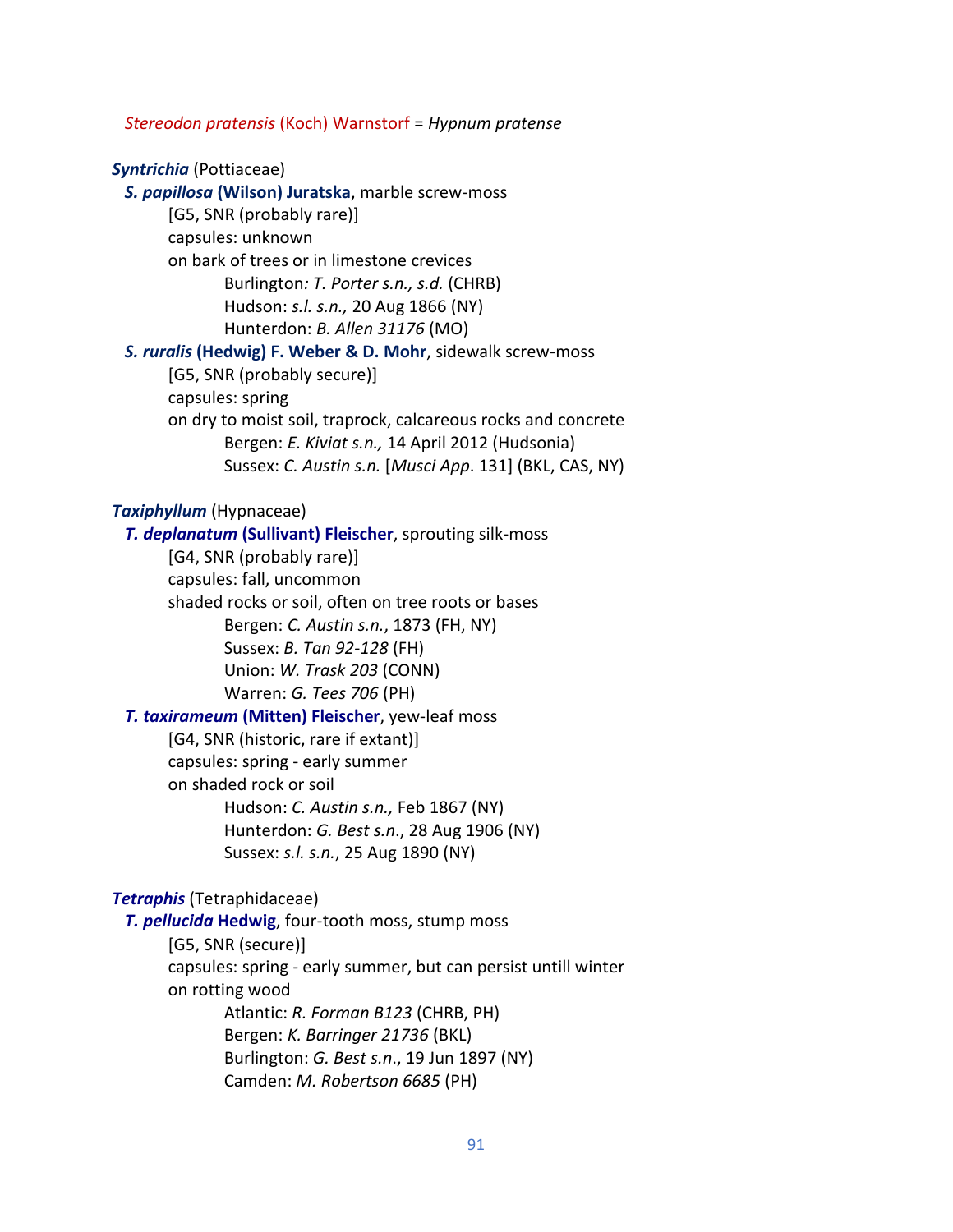*Stereodon pratensis* (Koch) Warnstorf = *Hypnum pratense*

### *Syntrichia* (Pottiaceae)

 *S. papillosa* **(Wilson) Juratska**, marble screw-moss [G5, SNR (probably rare)] capsules: unknown on bark of trees or in limestone crevices Burlington*: T. Porter s.n., s.d.* (CHRB) Hudson: *s.l. s.n.,* 20 Aug 1866 (NY) Hunterdon: *B. Allen 31176* (MO)  *S. ruralis* **(Hedwig) F. Weber & D. Mohr**, sidewalk screw-moss [G5, SNR (probably secure)] capsules: spring

on dry to moist soil, traprock, calcareous rocks and concrete Bergen: *E. Kiviat s.n.,* 14 April 2012 (Hudsonia) Sussex: *C. Austin s.n.* [*Musci App*. 131] (BKL, CAS, NY)

#### *Taxiphyllum* (Hypnaceae)

# *T. deplanatum* **(Sullivant) Fleischer**, sprouting silk-moss [G4, SNR (probably rare)] capsules: fall, uncommon shaded rocks or soil, often on tree roots or bases Bergen: *C. Austin s.n.*, 1873 (FH, NY) Sussex: *B. Tan 92-128* (FH) Union: *W. Trask 203* (CONN) Warren: *G. Tees 706* (PH)  *T. taxirameum* **(Mitten) Fleischer**, yew-leaf moss [G4, SNR (historic, rare if extant)] capsules: spring - early summer

on shaded rock or soil Hudson: *C. Austin s.n.,* Feb 1867 (NY) Hunterdon: *G. Best s.n*., 28 Aug 1906 (NY) Sussex: *s.l. s.n.*, 25 Aug 1890 (NY)

#### *Tetraphis* (Tetraphidaceae)

 *T. pellucida* **Hedwig**, four-tooth moss, stump moss

[G5, SNR (secure)]

capsules: spring - early summer, but can persist untill winter on rotting wood Atlantic: *R. Forman B123* (CHRB, PH) Bergen: *K. Barringer 21736* (BKL)

Burlington: *G. Best s.n*., 19 Jun 1897 (NY) Camden: *M. Robertson 6685* (PH)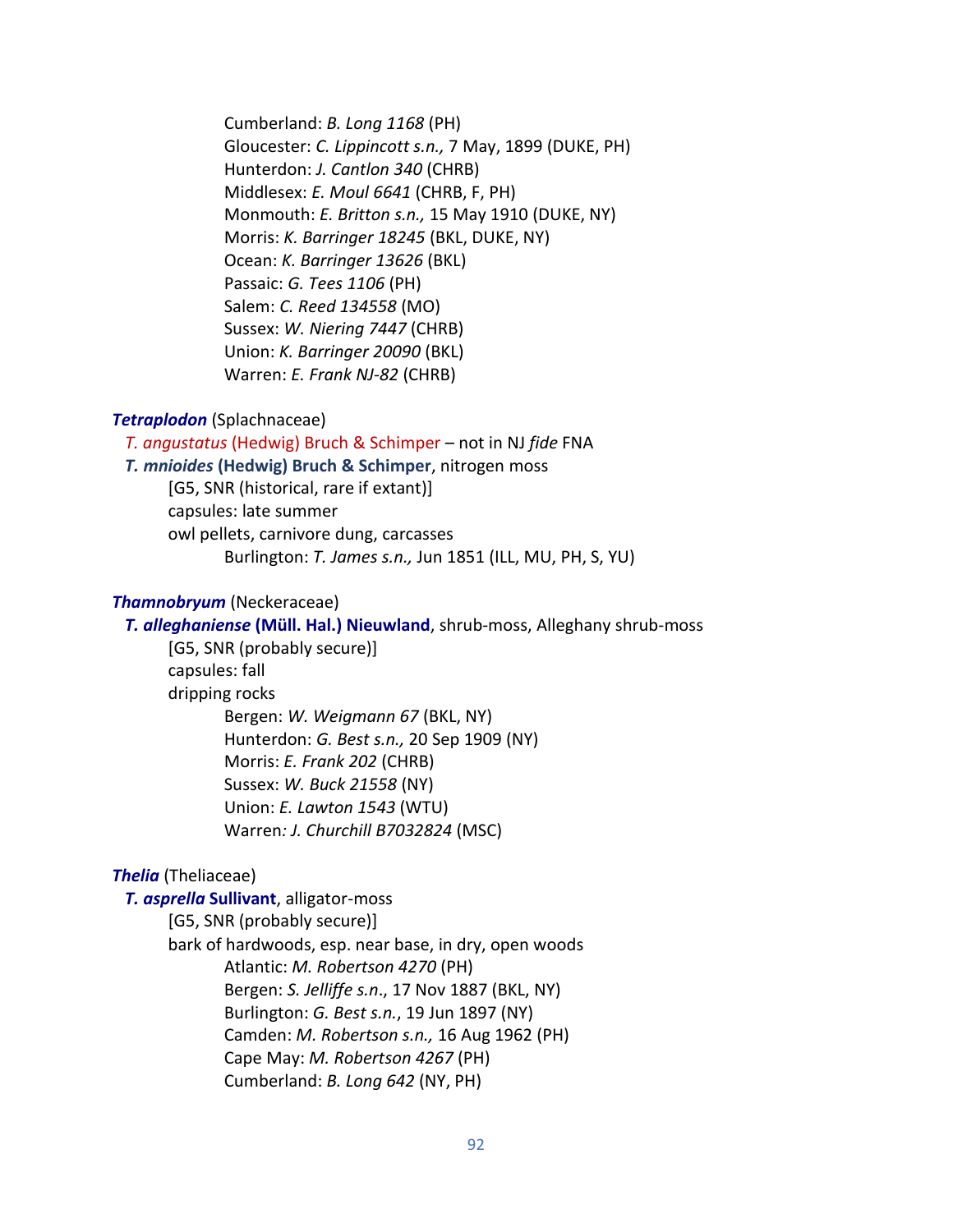Cumberland: *B. Long 1168* (PH) Gloucester: *C. Lippincott s.n.,* 7 May, 1899 (DUKE, PH) Hunterdon: *J. Cantlon 340* (CHRB) Middlesex: *E. Moul 6641* (CHRB, F, PH) Monmouth: *E. Britton s.n.,* 15 May 1910 (DUKE, NY) Morris: *K. Barringer 18245* (BKL, DUKE, NY) Ocean: *K. Barringer 13626* (BKL) Passaic: *G. Tees 1106* (PH) Salem: *C. Reed 134558* (MO) Sussex: *W. Niering 7447* (CHRB) Union: *K. Barringer 20090* (BKL) Warren: *E. Frank NJ-82* (CHRB)

## *Tetraplodon* (Splachnaceae)

 *T. angustatus* (Hedwig) Bruch & Schimper – not in NJ *fide* FNA *T. mnioides* **(Hedwig) Bruch & Schimper**, nitrogen moss [G5, SNR (historical, rare if extant)] capsules: late summer owl pellets, carnivore dung, carcasses Burlington: *T. James s.n.,* Jun 1851 (ILL, MU, PH, S, YU)

### *Thamnobryum* (Neckeraceae)

 *T. alleghaniense* **(Müll. Hal.) Nieuwland**, shrub-moss, Alleghany shrub-moss

[G5, SNR (probably secure)] capsules: fall dripping rocks Bergen: *W. Weigmann 67* (BKL, NY) Hunterdon: *G. Best s.n.,* 20 Sep 1909 (NY) Morris: *E. Frank 202* (CHRB) Sussex: *W. Buck 21558* (NY) Union: *E. Lawton 1543* (WTU) Warren*: J. Churchill B7032824* (MSC)

## *Thelia* (Theliaceae)

### *T. asprella* **Sullivant**, alligator-moss

[G5, SNR (probably secure)] bark of hardwoods, esp. near base, in dry, open woods Atlantic: *M. Robertson 4270* (PH) Bergen: *S. Jelliffe s.n*., 17 Nov 1887 (BKL, NY) Burlington: *G. Best s.n.*, 19 Jun 1897 (NY) Camden: *M. Robertson s.n.,* 16 Aug 1962 (PH) Cape May: *M. Robertson 4267* (PH) Cumberland: *B. Long 642* (NY, PH)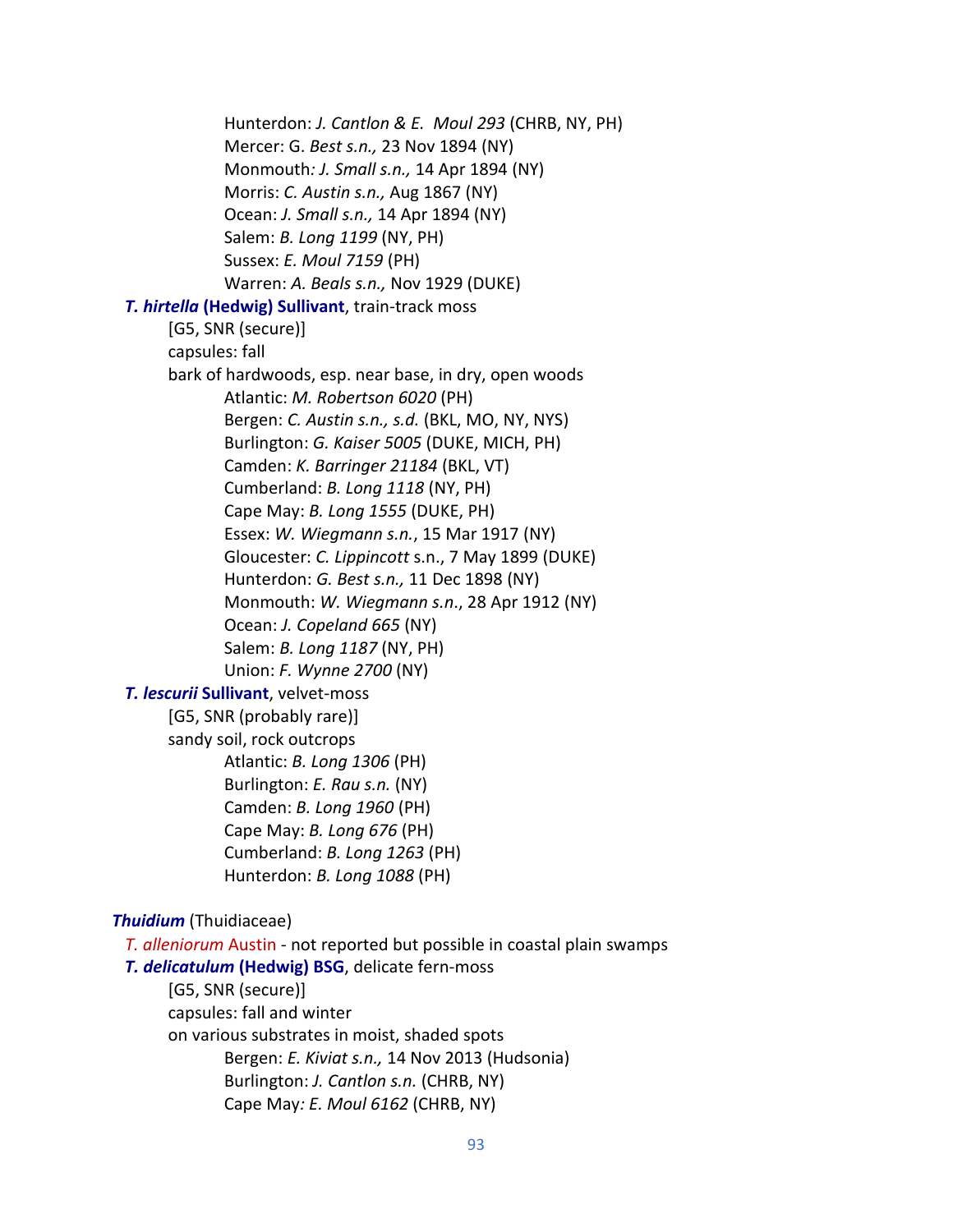Hunterdon: *J. Cantlon & E. Moul 293* (CHRB, NY, PH) Mercer: G. *Best s.n.,* 23 Nov 1894 (NY) Monmouth*: J. Small s.n.,* 14 Apr 1894 (NY) Morris: *C. Austin s.n.,* Aug 1867 (NY) Ocean: *J. Small s.n.,* 14 Apr 1894 (NY) Salem: *B. Long 1199* (NY, PH) Sussex: *E. Moul 7159* (PH) Warren: *A. Beals s.n.,* Nov 1929 (DUKE) *T. hirtella* **(Hedwig) Sullivant**, train-track moss [G5, SNR (secure)] capsules: fall bark of hardwoods, esp. near base, in dry, open woods Atlantic: *M. Robertson 6020* (PH) Bergen: *C. Austin s.n., s.d.* (BKL, MO, NY, NYS) Burlington: *G. Kaiser 5005* (DUKE, MICH, PH) Camden: *K. Barringer 21184* (BKL, VT) Cumberland: *B. Long 1118* (NY, PH) Cape May: *B. Long 1555* (DUKE, PH) Essex: *W. Wiegmann s.n.*, 15 Mar 1917 (NY) Gloucester: *C. Lippincott* s.n., 7 May 1899 (DUKE) Hunterdon: *G. Best s.n.,* 11 Dec 1898 (NY) Monmouth: *W. Wiegmann s.n*., 28 Apr 1912 (NY) Ocean: *J. Copeland 665* (NY) Salem: *B. Long 1187* (NY, PH) Union: *F. Wynne 2700* (NY)  *T. lescurii* **Sullivant**, velvet-moss [G5, SNR (probably rare)] sandy soil, rock outcrops Atlantic: *B. Long 1306* (PH) Burlington: *E. Rau s.n.* (NY) Camden: *B. Long 1960* (PH) Cape May: *B. Long 676* (PH) Cumberland: *B. Long 1263* (PH) Hunterdon: *B. Long 1088* (PH) *Thuidium* (Thuidiaceae) *T. alleniorum* Austin - not reported but possible in coastal plain swamps *T. delicatulum* **(Hedwig) BSG**, delicate fern-moss [G5, SNR (secure)] capsules: fall and winter on various substrates in moist, shaded spots Bergen: *E. Kiviat s.n.,* 14 Nov 2013 (Hudsonia) Burlington: *J. Cantlon s.n.* (CHRB, NY)

Cape May*: E. Moul 6162* (CHRB, NY)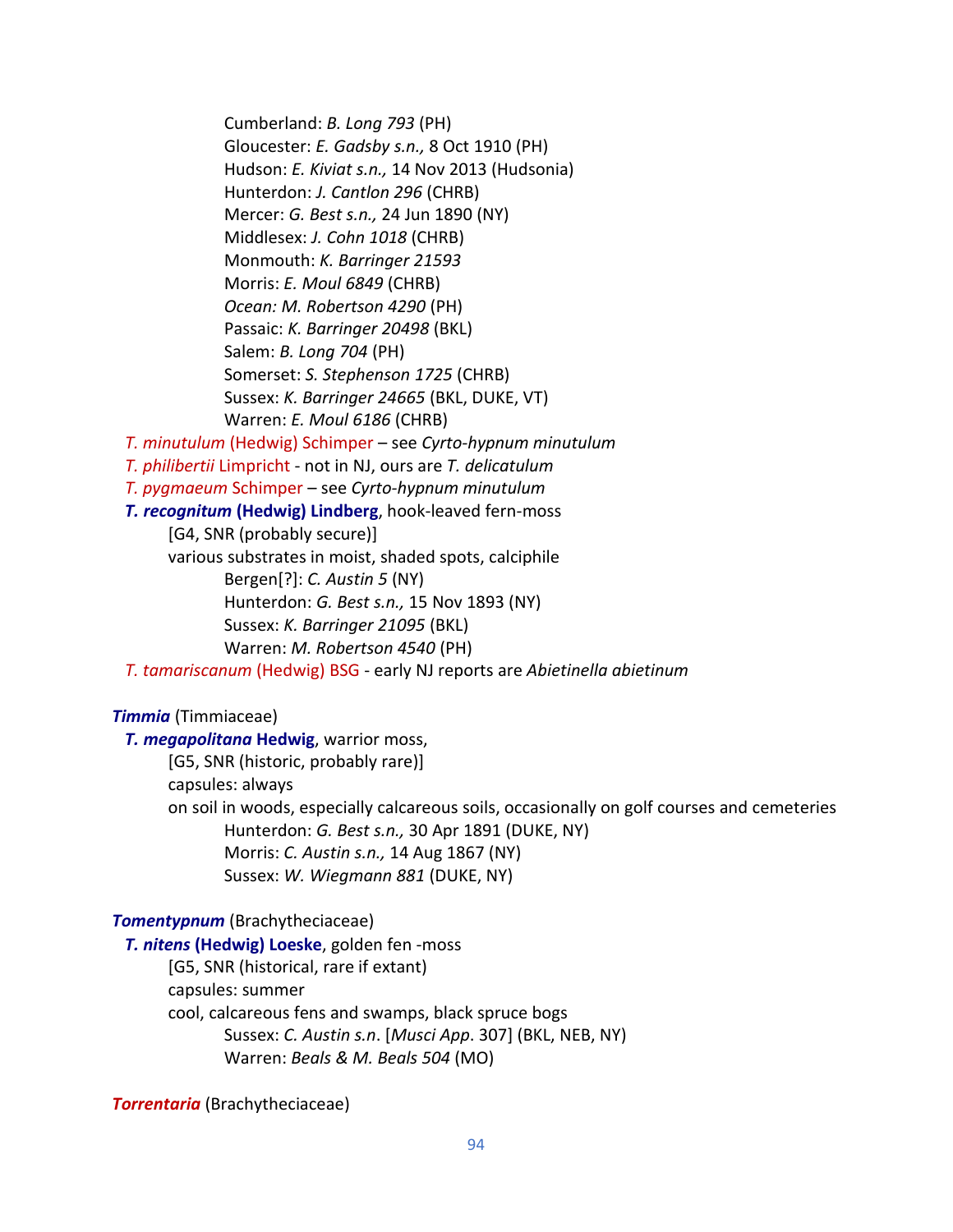Cumberland: *B. Long 793* (PH) Gloucester: *E. Gadsby s.n.,* 8 Oct 1910 (PH) Hudson: *E. Kiviat s.n.,* 14 Nov 2013 (Hudsonia) Hunterdon: *J. Cantlon 296* (CHRB) Mercer: *G. Best s.n.,* 24 Jun 1890 (NY) Middlesex: *J. Cohn 1018* (CHRB) Monmouth: *K. Barringer 21593* Morris: *E. Moul 6849* (CHRB) *Ocean: M. Robertson 4290* (PH) Passaic: *K. Barringer 20498* (BKL) Salem: *B. Long 704* (PH) Somerset: *S. Stephenson 1725* (CHRB) Sussex: *K. Barringer 24665* (BKL, DUKE, VT) Warren: *E. Moul 6186* (CHRB) *T. minutulum* (Hedwig) Schimper – see *Cyrto-hypnum minutulum T. philibertii* Limpricht - not in NJ, ours are *T. delicatulum T. pygmaeum* Schimper – see *Cyrto-hypnum minutulum T. recognitum* **(Hedwig) Lindberg**, hook-leaved fern-moss [G4, SNR (probably secure)] various substrates in moist, shaded spots, calciphile Bergen[?]: *C. Austin 5* (NY) Hunterdon: *G. Best s.n.,* 15 Nov 1893 (NY) Sussex: *K. Barringer 21095* (BKL) Warren: *M. Robertson 4540* (PH)  *T. tamariscanum* (Hedwig) BSG - early NJ reports are *Abietinella abietinum*

## *Timmia* (Timmiaceae)

 *T. megapolitana* **Hedwig**, warrior moss, [G5, SNR (historic, probably rare)] capsules: always on soil in woods, especially calcareous soils, occasionally on golf courses and cemeteries Hunterdon: *G. Best s.n.,* 30 Apr 1891 (DUKE, NY) Morris: *C. Austin s.n.,* 14 Aug 1867 (NY) Sussex: *W. Wiegmann 881* (DUKE, NY)

### *Tomentypnum* (Brachytheciaceae)

*T. nitens* **(Hedwig) Loeske**, golden fen -moss

[G5, SNR (historical, rare if extant)

capsules: summer

cool, calcareous fens and swamps, black spruce bogs

Sussex: *C. Austin s.n*. [*Musci App*. 307] (BKL, NEB, NY) Warren: *Beals & M. Beals 504* (MO)

*Torrentaria* (Brachytheciaceae)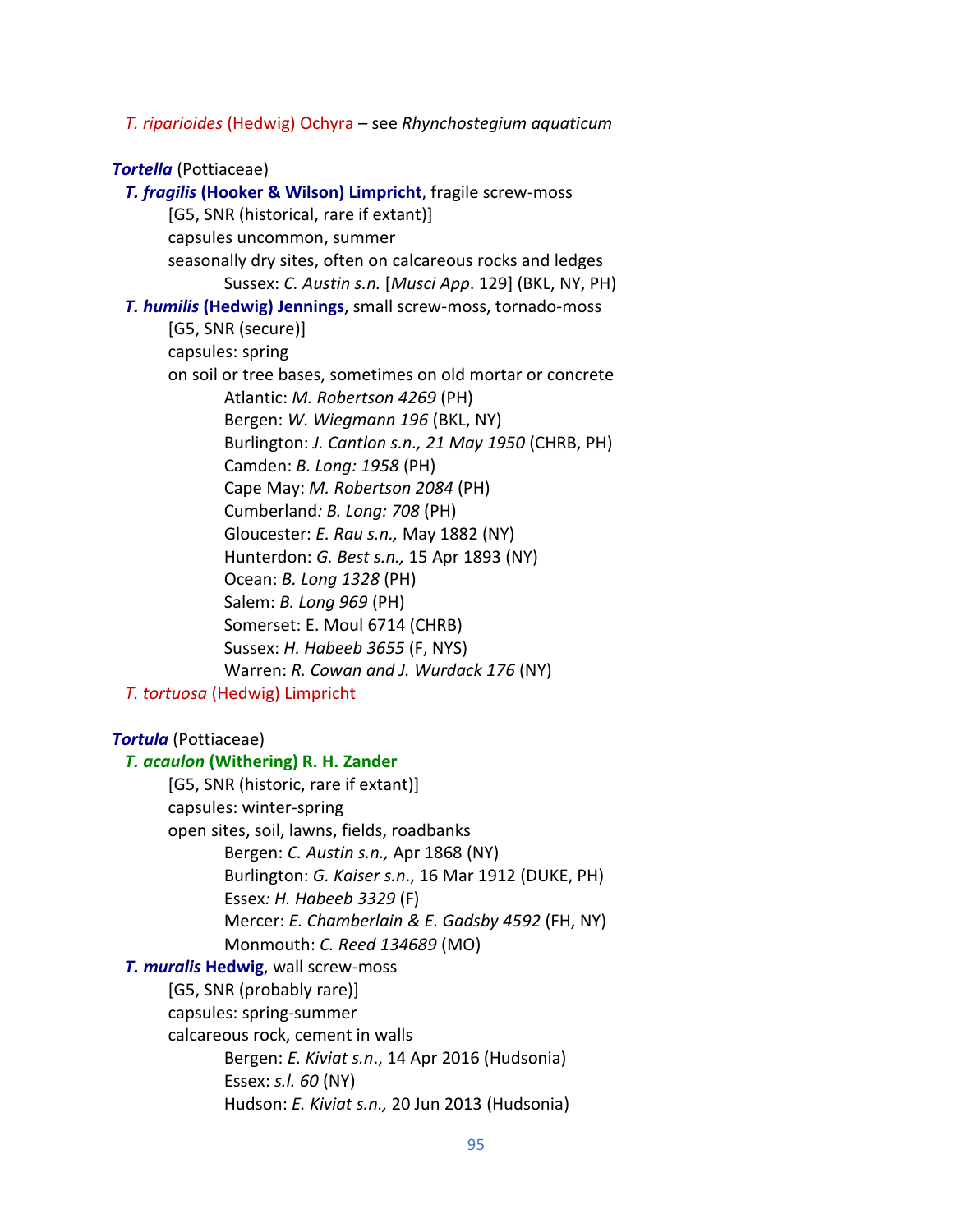*T. riparioides* (Hedwig) Ochyra – see *Rhynchostegium aquaticum*

### *Tortella* (Pottiaceae)

```
 T. fragilis (Hooker & Wilson) Limpricht, fragile screw-moss
       [G5, SNR (historical, rare if extant)]
       capsules uncommon, summer
       seasonally dry sites, often on calcareous rocks and ledges
              Sussex: C. Austin s.n. [Musci App. 129] (BKL, NY, PH) 
  T. humilis (Hedwig) Jennings, small screw-moss, tornado-moss
       [G5, SNR (secure)]
       capsules: spring
       on soil or tree bases, sometimes on old mortar or concrete
              Atlantic: M. Robertson 4269 (PH)
              Bergen: W. Wiegmann 196 (BKL, NY)
              Burlington: J. Cantlon s.n., 21 May 1950 (CHRB, PH)
              Camden: B. Long: 1958 (PH)
              Cape May: M. Robertson 2084 (PH)
              Cumberland: B. Long: 708 (PH)
              Gloucester: E. Rau s.n., May 1882 (NY)
              Hunterdon: G. Best s.n., 15 Apr 1893 (NY)
              Ocean: B. Long 1328 (PH)
              Salem: B. Long 969 (PH)
              Somerset: E. Moul 6714 (CHRB)
              Sussex: H. Habeeb 3655 (F, NYS)
              Warren: R. Cowan and J. Wurdack 176 (NY)
  T. tortuosa (Hedwig) Limpricht
Tortula (Pottiaceae)
  T. acaulon (Withering) R. H. Zander
       [G5, SNR (historic, rare if extant)]
```
capsules: winter-spring open sites, soil, lawns, fields, roadbanks Bergen: *C. Austin s.n.,* Apr 1868 (NY) Burlington: *G. Kaiser s.n*., 16 Mar 1912 (DUKE, PH) Essex*: H. Habeeb 3329* (F) Mercer: *E. Chamberlain & E. Gadsby 4592* (FH, NY) Monmouth: *C. Reed 134689* (MO)  *T. muralis* **Hedwig**, wall screw-moss [G5, SNR (probably rare)] capsules: spring-summer calcareous rock, cement in walls Bergen: *E. Kiviat s.n*., 14 Apr 2016 (Hudsonia)

Essex: *s.l. 60* (NY) Hudson: *E. Kiviat s.n.,* 20 Jun 2013 (Hudsonia)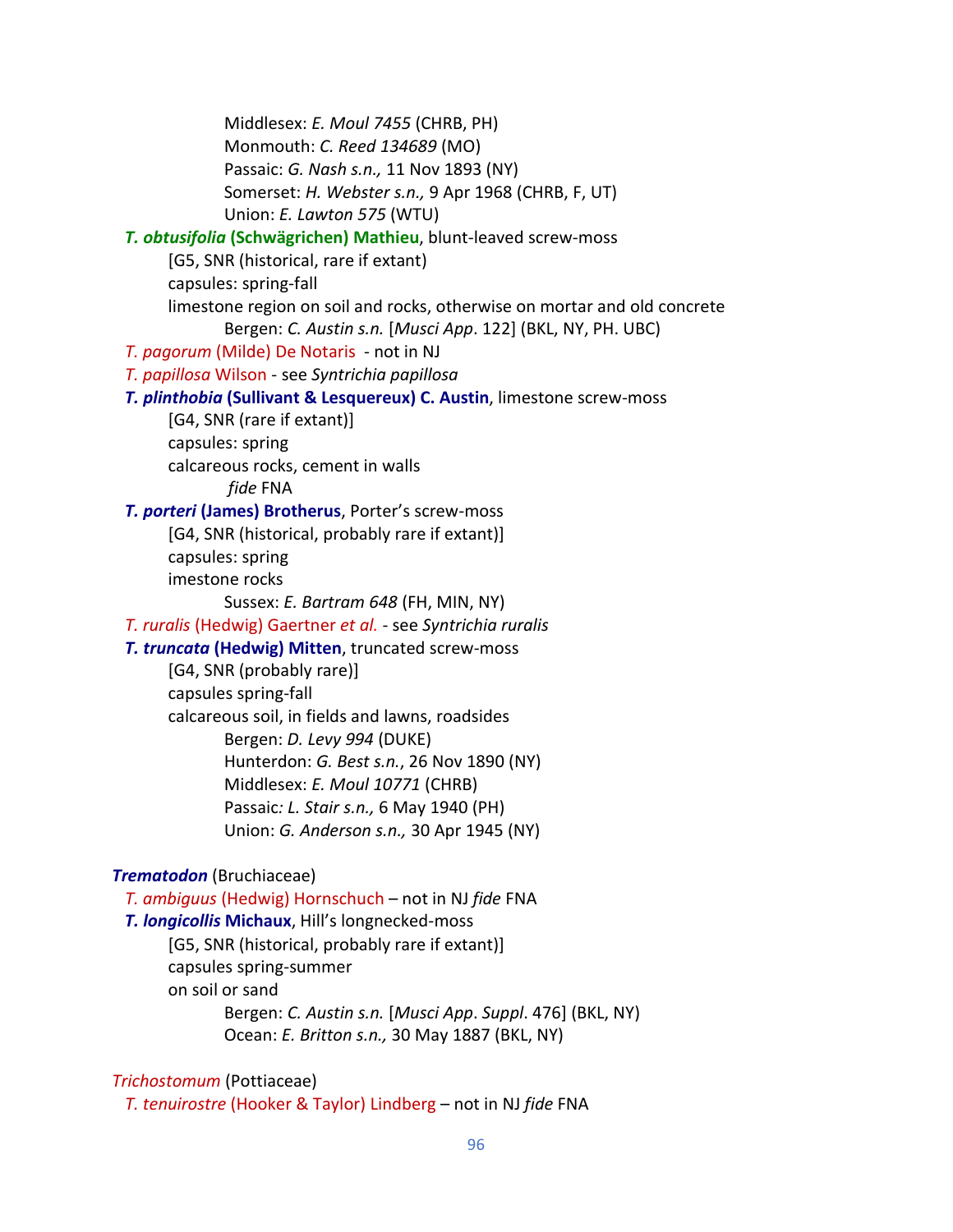Middlesex: *E. Moul 7455* (CHRB, PH) Monmouth: *C. Reed 134689* (MO) Passaic: *G. Nash s.n.,* 11 Nov 1893 (NY) Somerset: *H. Webster s.n.,* 9 Apr 1968 (CHRB, F, UT) Union: *E. Lawton 575* (WTU) *T. obtusifolia* **(Schwägrichen) Mathieu**, blunt-leaved screw-moss [G5, SNR (historical, rare if extant) capsules: spring-fall limestone region on soil and rocks, otherwise on mortar and old concrete Bergen: *C. Austin s.n.* [*Musci App*. 122] (BKL, NY, PH. UBC)  *T. pagorum* (Milde) De Notaris - not in NJ  *T. papillosa* Wilson - see *Syntrichia papillosa T. plinthobia* **(Sullivant & Lesquereux) C. Austin**, limestone screw-moss [G4, SNR (rare if extant)] capsules: spring calcareous rocks, cement in walls *fide* FNA  *T. porteri* **(James) Brotherus**, Porter's screw-moss [G4, SNR (historical, probably rare if extant)] capsules: spring imestone rocks Sussex: *E. Bartram 648* (FH, MIN, NY)  *T. ruralis* (Hedwig) Gaertner *et al.* - see *Syntrichia ruralis T. truncata* **(Hedwig) Mitten**, truncated screw-moss [G4, SNR (probably rare)] capsules spring-fall calcareous soil, in fields and lawns, roadsides Bergen: *D. Levy 994* (DUKE) Hunterdon: *G. Best s.n.*, 26 Nov 1890 (NY) Middlesex: *E. Moul 10771* (CHRB) Passaic*: L. Stair s.n.,* 6 May 1940 (PH) Union: *G. Anderson s.n.,* 30 Apr 1945 (NY) *Trematodon* (Bruchiaceae)  *T. ambiguus* (Hedwig) Hornschuch – not in NJ *fide* FNA  *T. longicollis* **Michaux**, Hill's longnecked-moss [G5, SNR (historical, probably rare if extant)] capsules spring-summer on soil or sand Bergen: *C. Austin s.n.* [*Musci App*. *Suppl*. 476] (BKL, NY) Ocean: *E. Britton s.n.,* 30 May 1887 (BKL, NY)

# *Trichostomum* (Pottiaceae)

*T. tenuirostre* (Hooker & Taylor) Lindberg – not in NJ *fide* FNA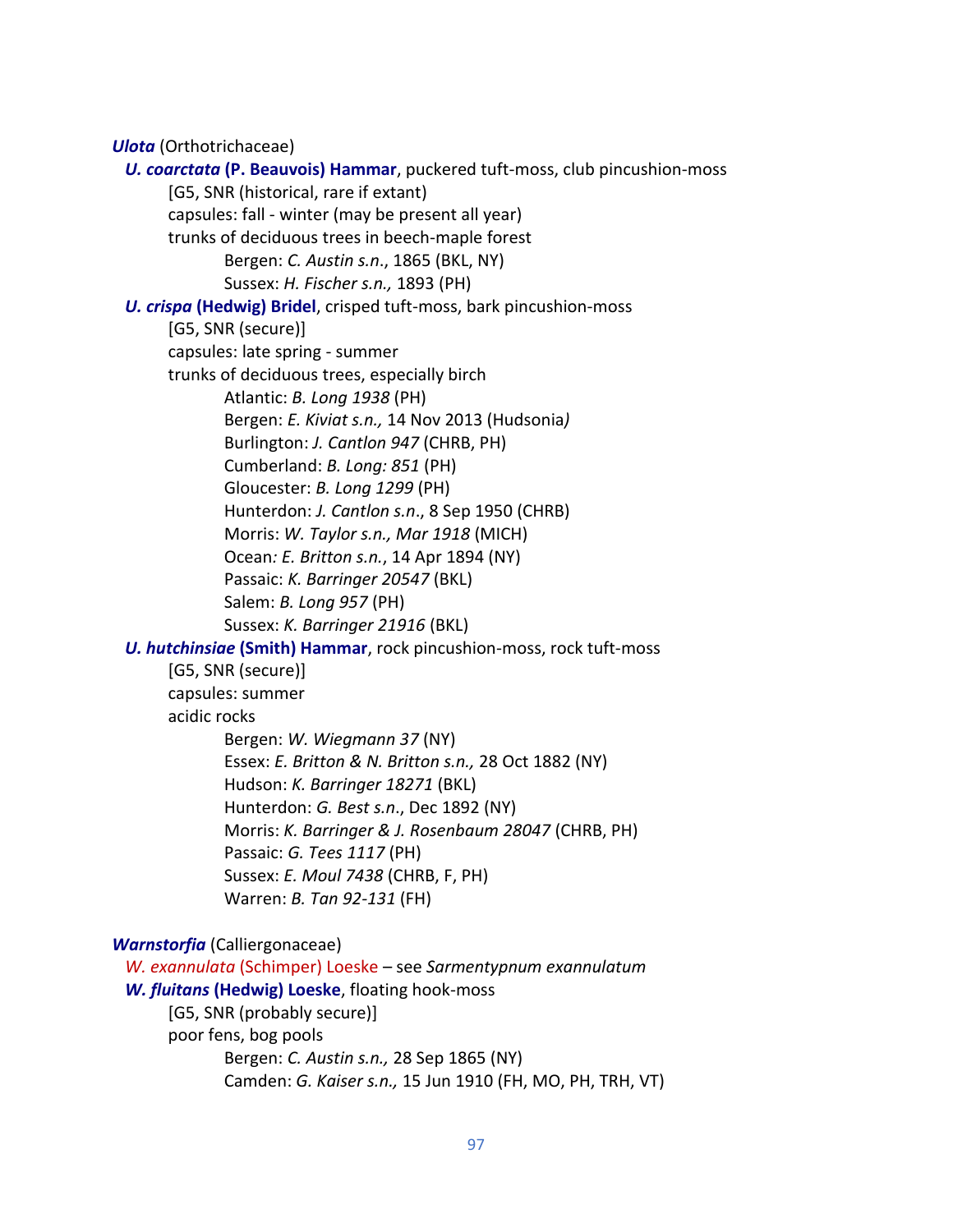*Ulota* (Orthotrichaceae)

 *U. coarctata* **(P. Beauvois) Hammar**, puckered tuft-moss, club pincushion-moss [G5, SNR (historical, rare if extant) capsules: fall - winter (may be present all year) trunks of deciduous trees in beech-maple forest Bergen: *C. Austin s.n*., 1865 (BKL, NY) Sussex: *H. Fischer s.n.,* 1893 (PH)  *U. crispa* **(Hedwig) Bridel**, crisped tuft-moss, bark pincushion-moss [G5, SNR (secure)] capsules: late spring - summer trunks of deciduous trees, especially birch Atlantic: *B. Long 1938* (PH) Bergen: *E. Kiviat s.n.,* 14 Nov 2013 (Hudsonia*)* Burlington: *J. Cantlon 947* (CHRB, PH) Cumberland: *B. Long: 851* (PH) Gloucester: *B. Long 1299* (PH) Hunterdon: *J. Cantlon s.n*., 8 Sep 1950 (CHRB) Morris: *W. Taylor s.n., Mar 1918* (MICH) Ocean*: E. Britton s.n.*, 14 Apr 1894 (NY) Passaic: *K. Barringer 20547* (BKL) Salem: *B. Long 957* (PH) Sussex: *K. Barringer 21916* (BKL)  *U. hutchinsiae* **(Smith) Hammar**, rock pincushion-moss, rock tuft-moss [G5, SNR (secure)] capsules: summer acidic rocks Bergen: *W. Wiegmann 37* (NY) Essex: *E. Britton & N. Britton s.n.,* 28 Oct 1882 (NY) Hudson: *K. Barringer 18271* (BKL) Hunterdon: *G. Best s.n*., Dec 1892 (NY) Morris: *K. Barringer & J. Rosenbaum 28047* (CHRB, PH) Passaic: *G. Tees 1117* (PH) Sussex: *E. Moul 7438* (CHRB, F, PH) Warren: *B. Tan 92-131* (FH) *Warnstorfia* (Calliergonaceae)  *W. exannulata* (Schimper) Loeske – see *Sarmentypnum exannulatum W. fluitans* **(Hedwig) Loeske**, floating hook-moss [G5, SNR (probably secure)]

poor fens, bog pools

Bergen: *C. Austin s.n.,* 28 Sep 1865 (NY) Camden: *G. Kaiser s.n.,* 15 Jun 1910 (FH, MO, PH, TRH, VT)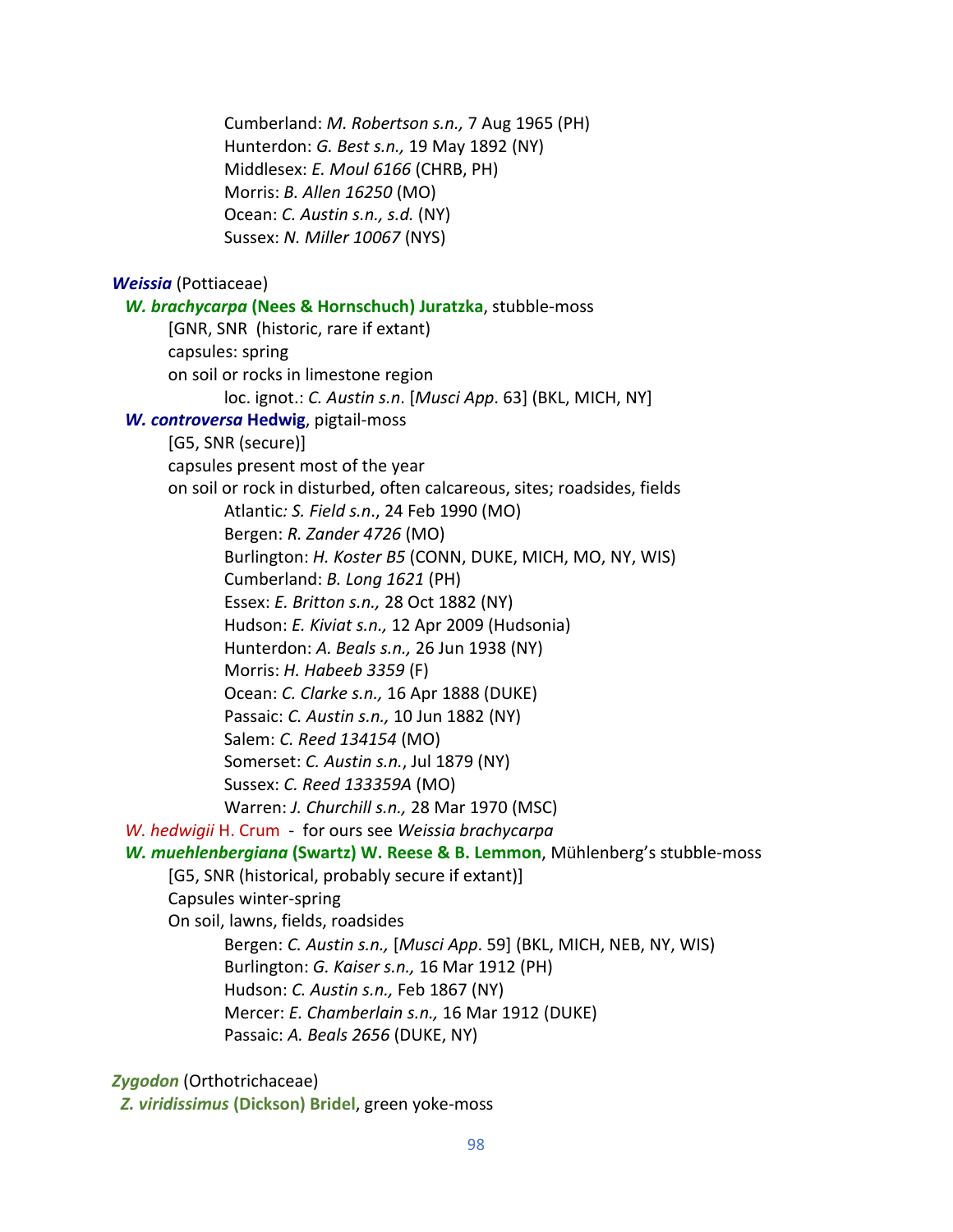Cumberland: *M. Robertson s.n.,* 7 Aug 1965 (PH) Hunterdon: *G. Best s.n.,* 19 May 1892 (NY) Middlesex: *E. Moul 6166* (CHRB, PH) Morris: *B. Allen 16250* (MO) Ocean: *C. Austin s.n., s.d.* (NY) Sussex: *N. Miller 10067* (NYS) *Weissia* (Pottiaceae) *W. brachycarpa* **(Nees & Hornschuch) Juratzka**, stubble-moss [GNR, SNR(historic, rare if extant) capsules: spring on soil or rocks in limestone region loc. ignot.: *C. Austin s.n*. [*Musci App*. 63] (BKL, MICH, NY]  *W. controversa* **Hedwig**, pigtail-moss [G5, SNR (secure)] capsules present most of the year on soil or rock in disturbed, often calcareous, sites; roadsides, fields Atlantic*: S. Field s.n*., 24 Feb 1990 (MO) Bergen: *R. Zander 4726* (MO) Burlington: *H. Koster B5* (CONN, DUKE, MICH, MO, NY, WIS) Cumberland: *B. Long 1621* (PH) Essex: *E. Britton s.n.,* 28 Oct 1882 (NY) Hudson: *E. Kiviat s.n.,* 12 Apr 2009 (Hudsonia) Hunterdon: *A. Beals s.n.,* 26 Jun 1938 (NY) Morris: *H. Habeeb 3359* (F) Ocean: *C. Clarke s.n.,* 16 Apr 1888 (DUKE) Passaic: *C. Austin s.n.,* 10 Jun 1882 (NY) Salem: *C. Reed 134154* (MO) Somerset: *C. Austin s.n.*, Jul 1879 (NY) Sussex: *C. Reed 133359A* (MO) Warren: *J. Churchill s.n.,* 28 Mar 1970 (MSC)  *W. hedwigii* H. Crum - for ours see *Weissia brachycarpa W. muehlenbergiana* **(Swartz) W. Reese & B. Lemmon**, Mühlenberg's stubble-moss [G5, SNR (historical, probably secure if extant)] Capsules winter-spring On soil, lawns, fields, roadsides Bergen: *C. Austin s.n.,* [*Musci App*. 59] (BKL, MICH, NEB, NY, WIS) Burlington: *G. Kaiser s.n.,* 16 Mar 1912 (PH) Hudson: *C. Austin s.n.,* Feb 1867 (NY) Mercer: *E. Chamberlain s.n.,* 16 Mar 1912 (DUKE) Passaic: *A. Beals 2656* (DUKE, NY) *Zygodon* (Orthotrichaceae)

*Z. viridissimus* **(Dickson) Bridel**, green yoke-moss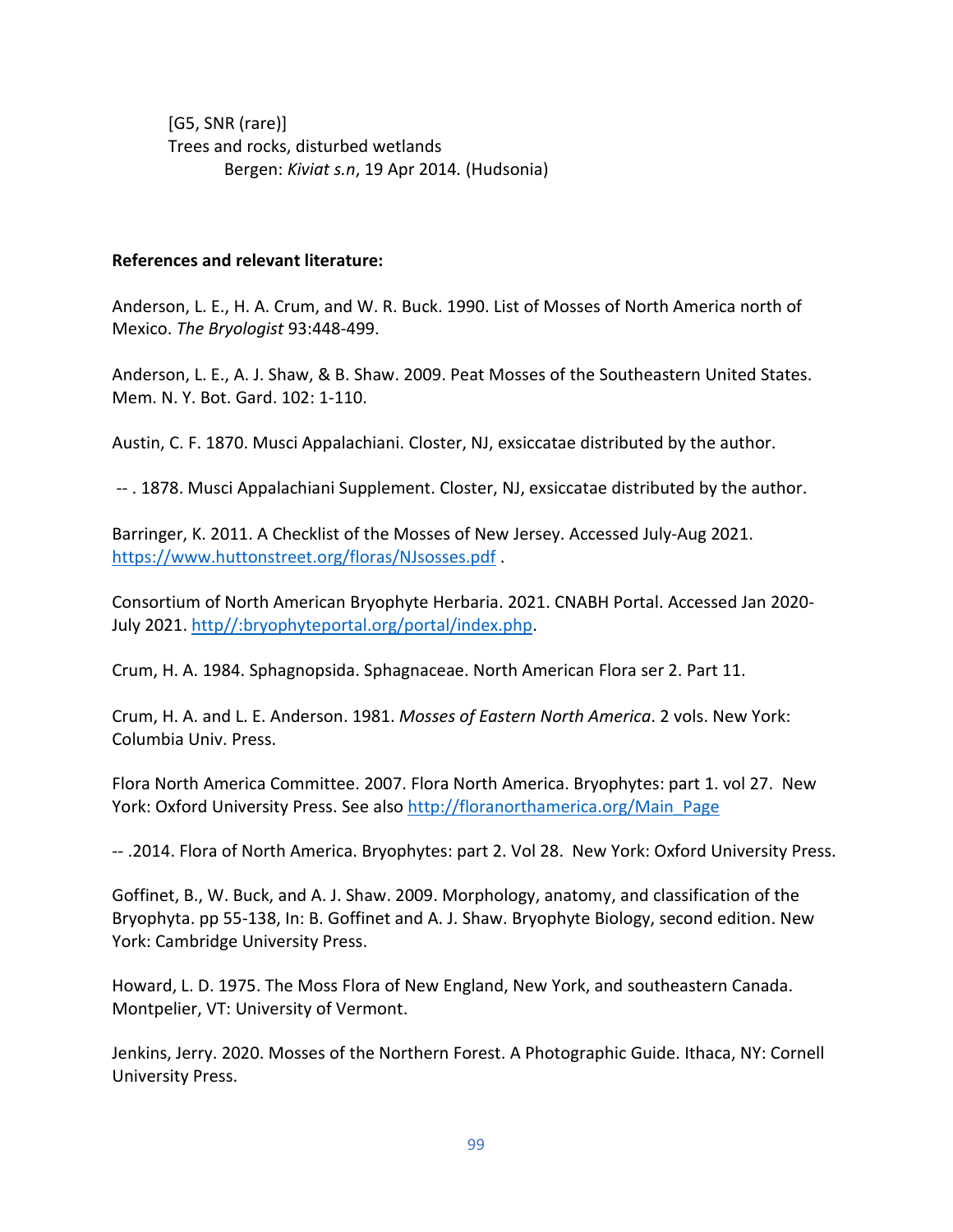[G5, SNR (rare)] Trees and rocks, disturbed wetlands Bergen: *Kiviat s.n*, 19 Apr 2014*.* (Hudsonia)

### **References and relevant literature:**

Anderson, L. E., H. A. Crum, and W. R. Buck. 1990. List of Mosses of North America north of Mexico. *The Bryologist* 93:448-499.

Anderson, L. E., A. J. Shaw, & B. Shaw. 2009. Peat Mosses of the Southeastern United States. Mem. N. Y. Bot. Gard. 102: 1-110.

Austin, C. F. 1870. Musci Appalachiani. Closter, NJ, exsiccatae distributed by the author.

-- . 1878. Musci Appalachiani Supplement. Closter, NJ, exsiccatae distributed by the author.

Barringer, K. 2011. A Checklist of the Mosses of New Jersey. Accessed July-Aug 2021. <https://www.huttonstreet.org/floras/NJsosses.pdf> .

Consortium of North American Bryophyte Herbaria. 2021. CNABH Portal. Accessed Jan 2020- July 2021. [http//:bryophyteportal.org/portal/index.php.](http/:bryophyteportal.org/portal/index.php)

Crum, H. A. 1984. Sphagnopsida. Sphagnaceae. North American Flora ser 2. Part 11.

Crum, H. A. and L. E. Anderson. 1981. *Mosses of Eastern North America*. 2 vols. New York: Columbia Univ. Press.

Flora North America Committee. 2007. Flora North America. Bryophytes: part 1. vol 27. New York: Oxford University Press. See also [http://floranorthamerica.org/Main\\_Page](http://floranorthamerica.org/Main_Page)

-- .2014. Flora of North America. Bryophytes: part 2. Vol 28. New York: Oxford University Press.

Goffinet, B., W. Buck, and A. J. Shaw. 2009. Morphology, anatomy, and classification of the Bryophyta. pp 55-138, In: B. Goffinet and A. J. Shaw. Bryophyte Biology, second edition. New York: Cambridge University Press.

Howard, L. D. 1975. The Moss Flora of New England, New York, and southeastern Canada. Montpelier, VT: University of Vermont.

Jenkins, Jerry. 2020. Mosses of the Northern Forest. A Photographic Guide. Ithaca, NY: Cornell University Press.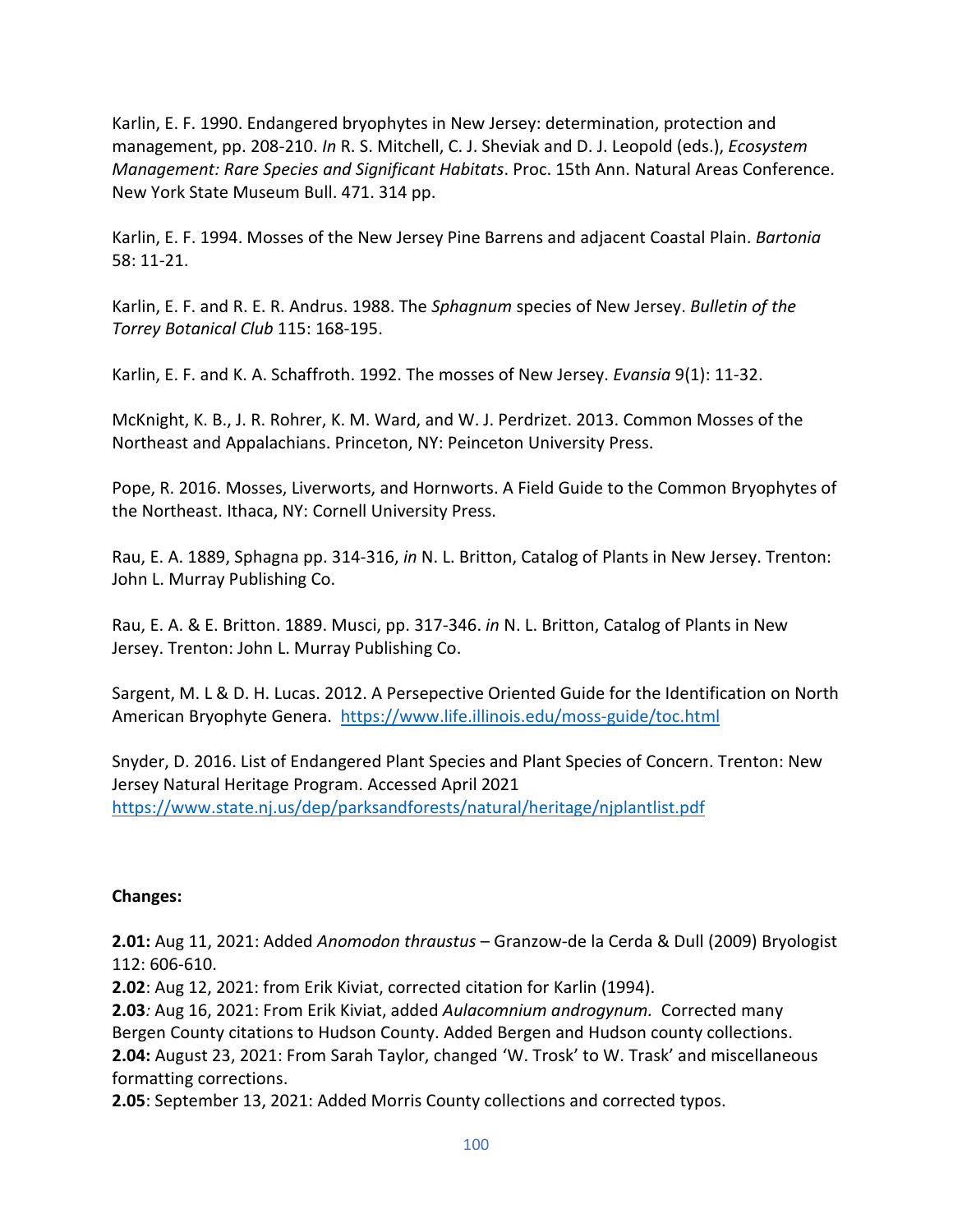Karlin, E. F. 1990. Endangered bryophytes in New Jersey: determination, protection and management, pp. 208-210. *In* R. S. Mitchell, C. J. Sheviak and D. J. Leopold (eds.), *Ecosystem Management: Rare Species and Significant Habitats*. Proc. 15th Ann. Natural Areas Conference. New York State Museum Bull. 471. 314 pp.

Karlin, E. F. 1994. Mosses of the New Jersey Pine Barrens and adjacent Coastal Plain. *Bartonia* 58: 11-21.

Karlin, E. F. and R. E. R. Andrus. 1988. The *Sphagnum* species of New Jersey. *Bulletin of the Torrey Botanical Club* 115: 168-195.

Karlin, E. F. and K. A. Schaffroth. 1992. The mosses of New Jersey. *Evansia* 9(1): 11-32.

McKnight, K. B., J. R. Rohrer, K. M. Ward, and W. J. Perdrizet. 2013. Common Mosses of the Northeast and Appalachians. Princeton, NY: Peinceton University Press.

Pope, R. 2016. Mosses, Liverworts, and Hornworts. A Field Guide to the Common Bryophytes of the Northeast. Ithaca, NY: Cornell University Press.

Rau, E. A. 1889, Sphagna pp. 314-316, *in* N. L. Britton, Catalog of Plants in New Jersey. Trenton: John L. Murray Publishing Co.

Rau, E. A. & E. Britton. 1889. Musci, pp. 317-346. *in* N. L. Britton, Catalog of Plants in New Jersey. Trenton: John L. Murray Publishing Co.

Sargent, M. L & D. H. Lucas. 2012. A Persepective Oriented Guide for the Identification on North American Bryophyte Genera.<https://www.life.illinois.edu/moss-guide/toc.html>

Snyder, D. 2016. List of Endangered Plant Species and Plant Species of Concern. Trenton: New Jersey Natural Heritage Program. Accessed April 2021 <https://www.state.nj.us/dep/parksandforests/natural/heritage/njplantlist.pdf>

## **Changes:**

**2.01:** Aug 11, 2021: Added *Anomodon thraustus* – Granzow-de la Cerda & Dull (2009) Bryologist 112: 606-610.

**2.02**: Aug 12, 2021: from Erik Kiviat, corrected citation for Karlin (1994).

**2.03***:* Aug 16, 2021: From Erik Kiviat, added *Aulacomnium androgynum.* Corrected many Bergen County citations to Hudson County. Added Bergen and Hudson county collections. **2.04:** August 23, 2021: From Sarah Taylor, changed 'W. Trosk' to W. Trask' and miscellaneous formatting corrections.

**2.05**: September 13, 2021: Added Morris County collections and corrected typos.